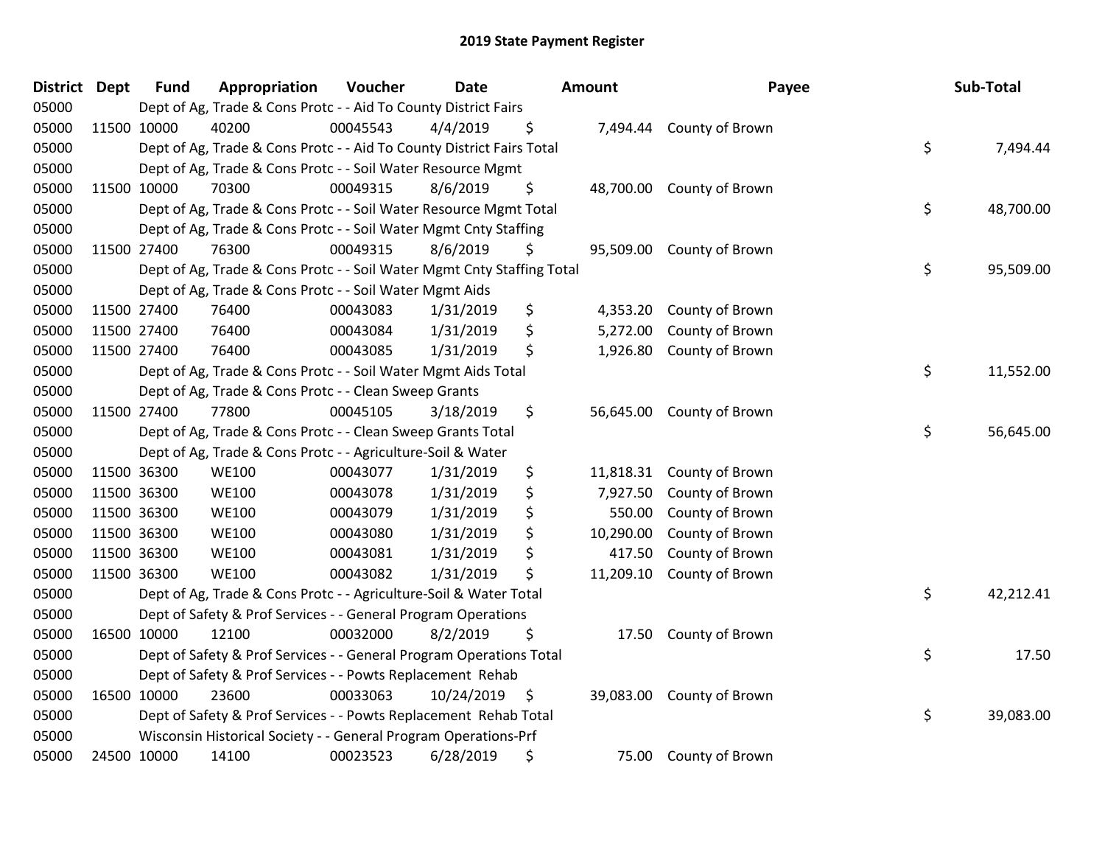| District Dept |             | <b>Fund</b> | Appropriation                                                          | Voucher  | <b>Date</b> |     | <b>Amount</b> | Payee                     | Sub-Total       |
|---------------|-------------|-------------|------------------------------------------------------------------------|----------|-------------|-----|---------------|---------------------------|-----------------|
| 05000         |             |             | Dept of Ag, Trade & Cons Protc - - Aid To County District Fairs        |          |             |     |               |                           |                 |
| 05000         |             | 11500 10000 | 40200                                                                  | 00045543 | 4/4/2019    | \$  |               | 7,494.44 County of Brown  |                 |
| 05000         |             |             | Dept of Ag, Trade & Cons Protc - - Aid To County District Fairs Total  |          |             |     |               |                           | \$<br>7,494.44  |
| 05000         |             |             | Dept of Ag, Trade & Cons Protc - - Soil Water Resource Mgmt            |          |             |     |               |                           |                 |
| 05000         |             | 11500 10000 | 70300                                                                  | 00049315 | 8/6/2019    | \$  | 48,700.00     | County of Brown           |                 |
| 05000         |             |             | Dept of Ag, Trade & Cons Protc - - Soil Water Resource Mgmt Total      |          |             |     |               |                           | \$<br>48,700.00 |
| 05000         |             |             | Dept of Ag, Trade & Cons Protc - - Soil Water Mgmt Cnty Staffing       |          |             |     |               |                           |                 |
| 05000         |             | 11500 27400 | 76300                                                                  | 00049315 | 8/6/2019    | \$  |               | 95,509.00 County of Brown |                 |
| 05000         |             |             | Dept of Ag, Trade & Cons Protc - - Soil Water Mgmt Cnty Staffing Total |          |             |     |               |                           | \$<br>95,509.00 |
| 05000         |             |             | Dept of Ag, Trade & Cons Protc - - Soil Water Mgmt Aids                |          |             |     |               |                           |                 |
| 05000         |             | 11500 27400 | 76400                                                                  | 00043083 | 1/31/2019   | \$  | 4,353.20      | County of Brown           |                 |
| 05000         |             | 11500 27400 | 76400                                                                  | 00043084 | 1/31/2019   | \$  | 5,272.00      | County of Brown           |                 |
| 05000         | 11500 27400 |             | 76400                                                                  | 00043085 | 1/31/2019   | \$  |               | 1,926.80 County of Brown  |                 |
| 05000         |             |             | Dept of Ag, Trade & Cons Protc - - Soil Water Mgmt Aids Total          |          |             |     |               |                           | \$<br>11,552.00 |
| 05000         |             |             | Dept of Ag, Trade & Cons Protc - - Clean Sweep Grants                  |          |             |     |               |                           |                 |
| 05000         |             | 11500 27400 | 77800                                                                  | 00045105 | 3/18/2019   | \$  | 56,645.00     | County of Brown           |                 |
| 05000         |             |             | Dept of Ag, Trade & Cons Protc - - Clean Sweep Grants Total            |          |             |     |               |                           | \$<br>56,645.00 |
| 05000         |             |             | Dept of Ag, Trade & Cons Protc - - Agriculture-Soil & Water            |          |             |     |               |                           |                 |
| 05000         |             | 11500 36300 | <b>WE100</b>                                                           | 00043077 | 1/31/2019   | \$  |               | 11,818.31 County of Brown |                 |
| 05000         |             | 11500 36300 | <b>WE100</b>                                                           | 00043078 | 1/31/2019   | \$  | 7,927.50      | County of Brown           |                 |
| 05000         |             | 11500 36300 | <b>WE100</b>                                                           | 00043079 | 1/31/2019   | \$  | 550.00        | County of Brown           |                 |
| 05000         | 11500 36300 |             | <b>WE100</b>                                                           | 00043080 | 1/31/2019   | \$  | 10,290.00     | County of Brown           |                 |
| 05000         | 11500 36300 |             | <b>WE100</b>                                                           | 00043081 | 1/31/2019   | \$  | 417.50        | County of Brown           |                 |
| 05000         |             | 11500 36300 | <b>WE100</b>                                                           | 00043082 | 1/31/2019   | \$  | 11,209.10     | County of Brown           |                 |
| 05000         |             |             | Dept of Ag, Trade & Cons Protc - - Agriculture-Soil & Water Total      |          |             |     |               |                           | \$<br>42,212.41 |
| 05000         |             |             | Dept of Safety & Prof Services - - General Program Operations          |          |             |     |               |                           |                 |
| 05000         |             | 16500 10000 | 12100                                                                  | 00032000 | 8/2/2019    | \$  | 17.50         | County of Brown           |                 |
| 05000         |             |             | Dept of Safety & Prof Services - - General Program Operations Total    |          |             |     |               |                           | \$<br>17.50     |
| 05000         |             |             | Dept of Safety & Prof Services - - Powts Replacement Rehab             |          |             |     |               |                           |                 |
| 05000         |             | 16500 10000 | 23600                                                                  | 00033063 | 10/24/2019  | \$, |               | 39,083.00 County of Brown |                 |
| 05000         |             |             | Dept of Safety & Prof Services - - Powts Replacement Rehab Total       |          |             |     |               |                           | \$<br>39,083.00 |
| 05000         |             |             | Wisconsin Historical Society - - General Program Operations-Prf        |          |             |     |               |                           |                 |
| 05000         |             | 24500 10000 | 14100                                                                  | 00023523 | 6/28/2019   | \$  |               | 75.00 County of Brown     |                 |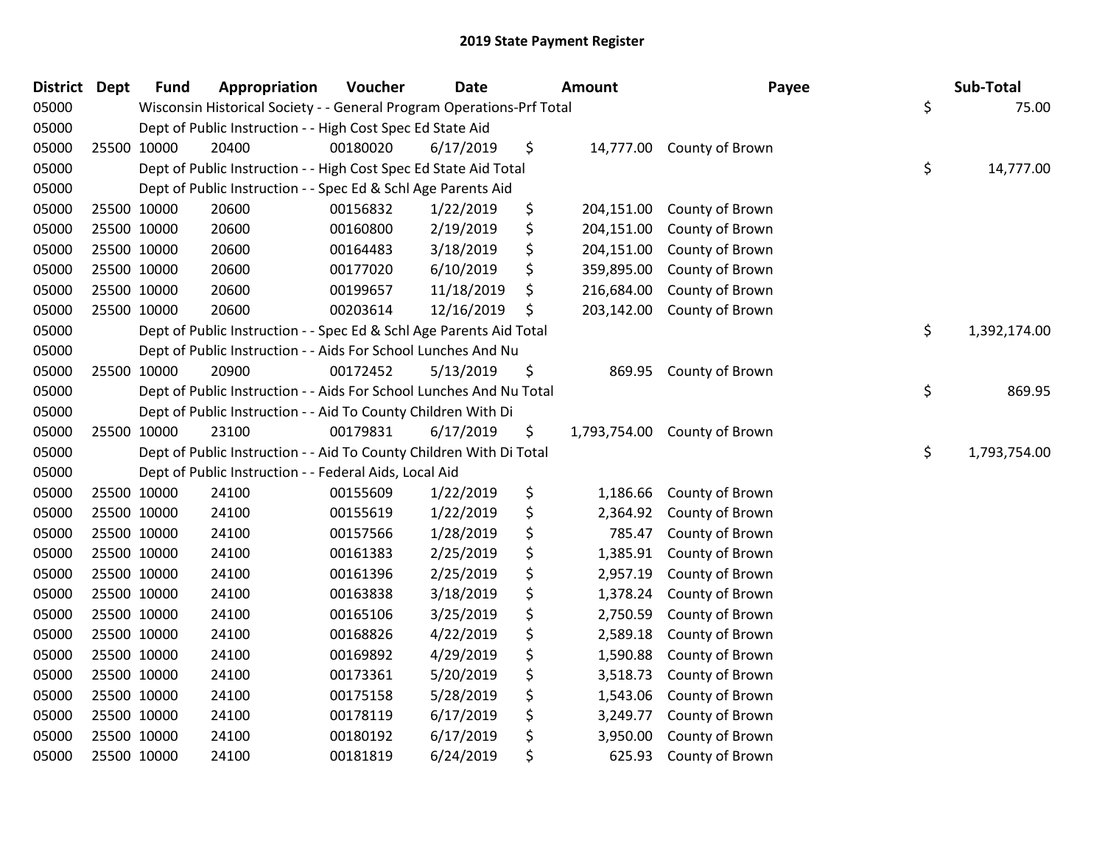| District Dept |             | <b>Fund</b> | Appropriation                                                         | Voucher  | <b>Date</b> | <b>Amount</b>      | Payee                     | Sub-Total          |
|---------------|-------------|-------------|-----------------------------------------------------------------------|----------|-------------|--------------------|---------------------------|--------------------|
| 05000         |             |             | Wisconsin Historical Society - - General Program Operations-Prf Total |          |             |                    |                           | \$<br>75.00        |
| 05000         |             |             | Dept of Public Instruction - - High Cost Spec Ed State Aid            |          |             |                    |                           |                    |
| 05000         | 25500 10000 |             | 20400                                                                 | 00180020 | 6/17/2019   | \$                 | 14,777.00 County of Brown |                    |
| 05000         |             |             | Dept of Public Instruction - - High Cost Spec Ed State Aid Total      |          |             |                    |                           | \$<br>14,777.00    |
| 05000         |             |             | Dept of Public Instruction - - Spec Ed & Schl Age Parents Aid         |          |             |                    |                           |                    |
| 05000         | 25500 10000 |             | 20600                                                                 | 00156832 | 1/22/2019   | \$<br>204,151.00   | County of Brown           |                    |
| 05000         | 25500 10000 |             | 20600                                                                 | 00160800 | 2/19/2019   | \$<br>204,151.00   | County of Brown           |                    |
| 05000         | 25500 10000 |             | 20600                                                                 | 00164483 | 3/18/2019   | \$<br>204,151.00   | County of Brown           |                    |
| 05000         | 25500 10000 |             | 20600                                                                 | 00177020 | 6/10/2019   | \$<br>359,895.00   | County of Brown           |                    |
| 05000         | 25500 10000 |             | 20600                                                                 | 00199657 | 11/18/2019  | \$<br>216,684.00   | County of Brown           |                    |
| 05000         | 25500 10000 |             | 20600                                                                 | 00203614 | 12/16/2019  | \$<br>203,142.00   | County of Brown           |                    |
| 05000         |             |             | Dept of Public Instruction - - Spec Ed & Schl Age Parents Aid Total   |          |             |                    |                           | \$<br>1,392,174.00 |
| 05000         |             |             | Dept of Public Instruction - - Aids For School Lunches And Nu         |          |             |                    |                           |                    |
| 05000         | 25500 10000 |             | 20900                                                                 | 00172452 | 5/13/2019   | \$<br>869.95       | County of Brown           |                    |
| 05000         |             |             | Dept of Public Instruction - - Aids For School Lunches And Nu Total   |          |             |                    |                           | \$<br>869.95       |
| 05000         |             |             | Dept of Public Instruction - - Aid To County Children With Di         |          |             |                    |                           |                    |
| 05000         | 25500 10000 |             | 23100                                                                 | 00179831 | 6/17/2019   | \$<br>1,793,754.00 | County of Brown           |                    |
| 05000         |             |             | Dept of Public Instruction - - Aid To County Children With Di Total   |          |             |                    |                           | \$<br>1,793,754.00 |
| 05000         |             |             | Dept of Public Instruction - - Federal Aids, Local Aid                |          |             |                    |                           |                    |
| 05000         | 25500 10000 |             | 24100                                                                 | 00155609 | 1/22/2019   | \$<br>1,186.66     | County of Brown           |                    |
| 05000         | 25500 10000 |             | 24100                                                                 | 00155619 | 1/22/2019   | \$<br>2,364.92     | County of Brown           |                    |
| 05000         | 25500 10000 |             | 24100                                                                 | 00157566 | 1/28/2019   | \$<br>785.47       | County of Brown           |                    |
| 05000         | 25500 10000 |             | 24100                                                                 | 00161383 | 2/25/2019   | \$<br>1,385.91     | County of Brown           |                    |
| 05000         | 25500 10000 |             | 24100                                                                 | 00161396 | 2/25/2019   | \$<br>2,957.19     | County of Brown           |                    |
| 05000         | 25500 10000 |             | 24100                                                                 | 00163838 | 3/18/2019   | \$<br>1,378.24     | County of Brown           |                    |
| 05000         | 25500 10000 |             | 24100                                                                 | 00165106 | 3/25/2019   | \$<br>2,750.59     | County of Brown           |                    |
| 05000         | 25500 10000 |             | 24100                                                                 | 00168826 | 4/22/2019   | \$<br>2,589.18     | County of Brown           |                    |
| 05000         | 25500 10000 |             | 24100                                                                 | 00169892 | 4/29/2019   | \$<br>1,590.88     | County of Brown           |                    |
| 05000         | 25500 10000 |             | 24100                                                                 | 00173361 | 5/20/2019   | \$<br>3,518.73     | County of Brown           |                    |
| 05000         | 25500 10000 |             | 24100                                                                 | 00175158 | 5/28/2019   | \$<br>1,543.06     | County of Brown           |                    |
| 05000         | 25500 10000 |             | 24100                                                                 | 00178119 | 6/17/2019   | \$<br>3,249.77     | County of Brown           |                    |
| 05000         | 25500 10000 |             | 24100                                                                 | 00180192 | 6/17/2019   | \$<br>3,950.00     | County of Brown           |                    |
| 05000         | 25500 10000 |             | 24100                                                                 | 00181819 | 6/24/2019   | \$<br>625.93       | County of Brown           |                    |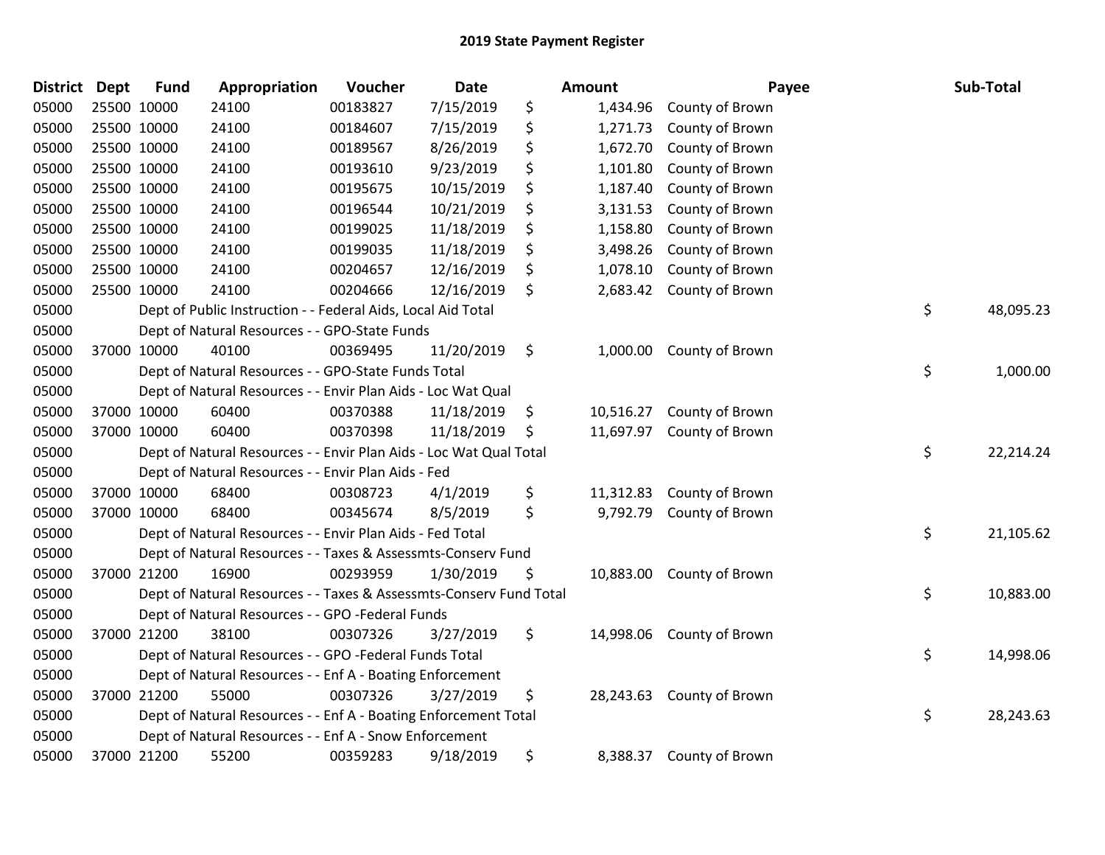| <b>District</b> | <b>Dept</b> | <b>Fund</b> | Appropriation                                                      | Voucher  | Date       | Amount          | Payee                     | Sub-Total       |
|-----------------|-------------|-------------|--------------------------------------------------------------------|----------|------------|-----------------|---------------------------|-----------------|
| 05000           | 25500 10000 |             | 24100                                                              | 00183827 | 7/15/2019  | \$<br>1,434.96  | County of Brown           |                 |
| 05000           | 25500 10000 |             | 24100                                                              | 00184607 | 7/15/2019  | \$<br>1,271.73  | County of Brown           |                 |
| 05000           | 25500 10000 |             | 24100                                                              | 00189567 | 8/26/2019  | \$<br>1,672.70  | County of Brown           |                 |
| 05000           | 25500 10000 |             | 24100                                                              | 00193610 | 9/23/2019  | \$<br>1,101.80  | County of Brown           |                 |
| 05000           | 25500 10000 |             | 24100                                                              | 00195675 | 10/15/2019 | \$<br>1,187.40  | County of Brown           |                 |
| 05000           | 25500 10000 |             | 24100                                                              | 00196544 | 10/21/2019 | 3,131.53        | County of Brown           |                 |
| 05000           | 25500 10000 |             | 24100                                                              | 00199025 | 11/18/2019 | \$<br>1,158.80  | County of Brown           |                 |
| 05000           | 25500 10000 |             | 24100                                                              | 00199035 | 11/18/2019 | \$<br>3,498.26  | County of Brown           |                 |
| 05000           | 25500 10000 |             | 24100                                                              | 00204657 | 12/16/2019 | \$<br>1,078.10  | County of Brown           |                 |
| 05000           | 25500 10000 |             | 24100                                                              | 00204666 | 12/16/2019 | \$<br>2,683.42  | County of Brown           |                 |
| 05000           |             |             | Dept of Public Instruction - - Federal Aids, Local Aid Total       |          |            |                 |                           | \$<br>48,095.23 |
| 05000           |             |             | Dept of Natural Resources - - GPO-State Funds                      |          |            |                 |                           |                 |
| 05000           | 37000 10000 |             | 40100                                                              | 00369495 | 11/20/2019 | \$              | 1,000.00 County of Brown  |                 |
| 05000           |             |             | Dept of Natural Resources - - GPO-State Funds Total                |          |            |                 |                           | \$<br>1,000.00  |
| 05000           |             |             | Dept of Natural Resources - - Envir Plan Aids - Loc Wat Qual       |          |            |                 |                           |                 |
| 05000           | 37000 10000 |             | 60400                                                              | 00370388 | 11/18/2019 | \$<br>10,516.27 | County of Brown           |                 |
| 05000           | 37000 10000 |             | 60400                                                              | 00370398 | 11/18/2019 | \$<br>11,697.97 | County of Brown           |                 |
| 05000           |             |             | Dept of Natural Resources - - Envir Plan Aids - Loc Wat Qual Total |          |            |                 |                           | \$<br>22,214.24 |
| 05000           |             |             | Dept of Natural Resources - - Envir Plan Aids - Fed                |          |            |                 |                           |                 |
| 05000           | 37000 10000 |             | 68400                                                              | 00308723 | 4/1/2019   | \$<br>11,312.83 | County of Brown           |                 |
| 05000           | 37000 10000 |             | 68400                                                              | 00345674 | 8/5/2019   | \$<br>9,792.79  | County of Brown           |                 |
| 05000           |             |             | Dept of Natural Resources - - Envir Plan Aids - Fed Total          |          |            |                 |                           | \$<br>21,105.62 |
| 05000           |             |             | Dept of Natural Resources - - Taxes & Assessmts-Conserv Fund       |          |            |                 |                           |                 |
| 05000           |             | 37000 21200 | 16900                                                              | 00293959 | 1/30/2019  | \$              | 10,883.00 County of Brown |                 |
| 05000           |             |             | Dept of Natural Resources - - Taxes & Assessmts-Conserv Fund Total |          |            |                 |                           | \$<br>10,883.00 |
| 05000           |             |             | Dept of Natural Resources - - GPO -Federal Funds                   |          |            |                 |                           |                 |
| 05000           | 37000 21200 |             | 38100                                                              | 00307326 | 3/27/2019  | \$              | 14,998.06 County of Brown |                 |
| 05000           |             |             | Dept of Natural Resources - - GPO -Federal Funds Total             |          |            |                 |                           | \$<br>14,998.06 |
| 05000           |             |             | Dept of Natural Resources - - Enf A - Boating Enforcement          |          |            |                 |                           |                 |
| 05000           | 37000 21200 |             | 55000                                                              | 00307326 | 3/27/2019  | \$<br>28,243.63 | County of Brown           |                 |
| 05000           |             |             | Dept of Natural Resources - - Enf A - Boating Enforcement Total    |          |            |                 |                           | \$<br>28,243.63 |
| 05000           |             |             | Dept of Natural Resources - - Enf A - Snow Enforcement             |          |            |                 |                           |                 |
| 05000           | 37000 21200 |             | 55200                                                              | 00359283 | 9/18/2019  | \$<br>8,388.37  | County of Brown           |                 |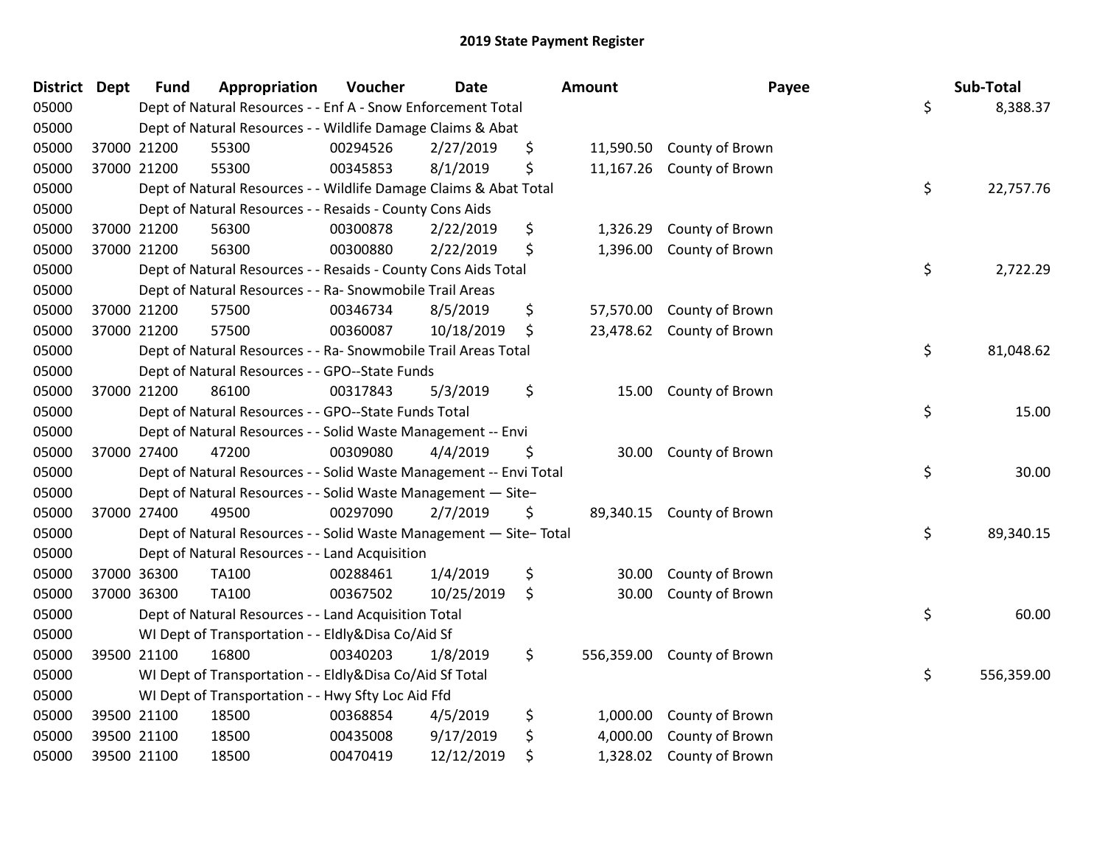| <b>District</b> | Dept        | <b>Fund</b> | Appropriation                                                      | Voucher  | <b>Date</b> | Amount           | Payee                     | Sub-Total        |
|-----------------|-------------|-------------|--------------------------------------------------------------------|----------|-------------|------------------|---------------------------|------------------|
| 05000           |             |             | Dept of Natural Resources - - Enf A - Snow Enforcement Total       |          |             |                  |                           | \$<br>8,388.37   |
| 05000           |             |             | Dept of Natural Resources - - Wildlife Damage Claims & Abat        |          |             |                  |                           |                  |
| 05000           | 37000 21200 |             | 55300                                                              | 00294526 | 2/27/2019   | \$               | 11,590.50 County of Brown |                  |
| 05000           | 37000 21200 |             | 55300                                                              | 00345853 | 8/1/2019    | \$<br>11,167.26  | County of Brown           |                  |
| 05000           |             |             | Dept of Natural Resources - - Wildlife Damage Claims & Abat Total  |          |             |                  |                           | \$<br>22,757.76  |
| 05000           |             |             | Dept of Natural Resources - - Resaids - County Cons Aids           |          |             |                  |                           |                  |
| 05000           | 37000 21200 |             | 56300                                                              | 00300878 | 2/22/2019   | \$<br>1,326.29   | County of Brown           |                  |
| 05000           | 37000 21200 |             | 56300                                                              | 00300880 | 2/22/2019   | \$<br>1,396.00   | County of Brown           |                  |
| 05000           |             |             | Dept of Natural Resources - - Resaids - County Cons Aids Total     |          |             |                  |                           | \$<br>2,722.29   |
| 05000           |             |             | Dept of Natural Resources - - Ra- Snowmobile Trail Areas           |          |             |                  |                           |                  |
| 05000           | 37000 21200 |             | 57500                                                              | 00346734 | 8/5/2019    | \$               | 57,570.00 County of Brown |                  |
| 05000           | 37000 21200 |             | 57500                                                              | 00360087 | 10/18/2019  | \$               | 23,478.62 County of Brown |                  |
| 05000           |             |             | Dept of Natural Resources - - Ra- Snowmobile Trail Areas Total     |          |             |                  |                           | \$<br>81,048.62  |
| 05000           |             |             | Dept of Natural Resources - - GPO--State Funds                     |          |             |                  |                           |                  |
| 05000           | 37000 21200 |             | 86100                                                              | 00317843 | 5/3/2019    | \$<br>15.00      | County of Brown           |                  |
| 05000           |             |             | Dept of Natural Resources - - GPO--State Funds Total               |          |             |                  |                           | \$<br>15.00      |
| 05000           |             |             | Dept of Natural Resources - - Solid Waste Management -- Envi       |          |             |                  |                           |                  |
| 05000           | 37000 27400 |             | 47200                                                              | 00309080 | 4/4/2019    | \$<br>30.00      | County of Brown           |                  |
| 05000           |             |             | Dept of Natural Resources - - Solid Waste Management -- Envi Total |          |             |                  |                           | \$<br>30.00      |
| 05000           |             |             | Dept of Natural Resources - - Solid Waste Management - Site-       |          |             |                  |                           |                  |
| 05000           | 37000 27400 |             | 49500                                                              | 00297090 | 2/7/2019    | \$               | 89,340.15 County of Brown |                  |
| 05000           |             |             | Dept of Natural Resources - - Solid Waste Management - Site-Total  |          |             |                  |                           | \$<br>89,340.15  |
| 05000           |             |             | Dept of Natural Resources - - Land Acquisition                     |          |             |                  |                           |                  |
| 05000           | 37000 36300 |             | TA100                                                              | 00288461 | 1/4/2019    | \$<br>30.00      | County of Brown           |                  |
| 05000           | 37000 36300 |             | TA100                                                              | 00367502 | 10/25/2019  | \$<br>30.00      | County of Brown           |                  |
| 05000           |             |             | Dept of Natural Resources - - Land Acquisition Total               |          |             |                  |                           | \$<br>60.00      |
| 05000           |             |             | WI Dept of Transportation - - Eldly&Disa Co/Aid Sf                 |          |             |                  |                           |                  |
| 05000           | 39500 21100 |             | 16800                                                              | 00340203 | 1/8/2019    | \$<br>556,359.00 | County of Brown           |                  |
| 05000           |             |             | WI Dept of Transportation - - Eldly&Disa Co/Aid Sf Total           |          |             |                  |                           | \$<br>556,359.00 |
| 05000           |             |             | WI Dept of Transportation - - Hwy Sfty Loc Aid Ffd                 |          |             |                  |                           |                  |
| 05000           | 39500 21100 |             | 18500                                                              | 00368854 | 4/5/2019    | \$<br>1,000.00   | County of Brown           |                  |
| 05000           | 39500 21100 |             | 18500                                                              | 00435008 | 9/17/2019   | \$<br>4,000.00   | County of Brown           |                  |
| 05000           | 39500 21100 |             | 18500                                                              | 00470419 | 12/12/2019  | \$<br>1,328.02   | County of Brown           |                  |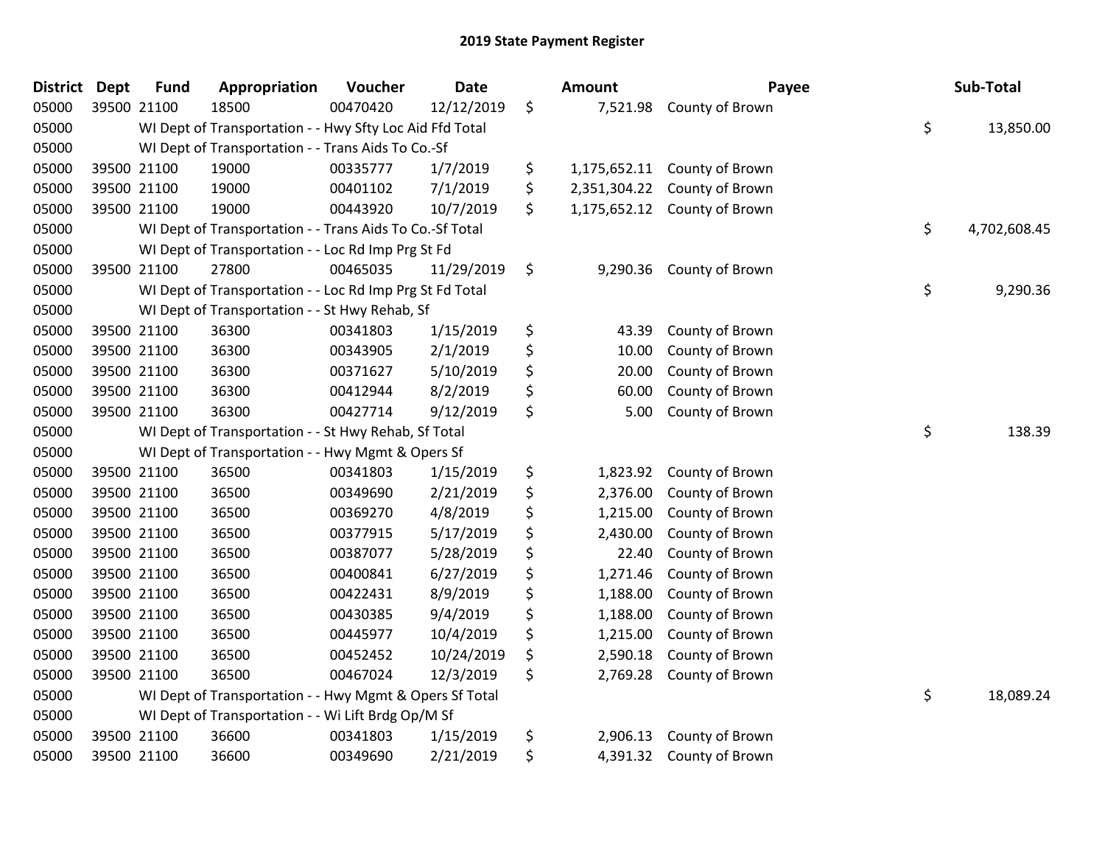| <b>District</b> | <b>Dept</b> | <b>Fund</b> | Appropriation                                            | Voucher  | <b>Date</b> | <b>Amount</b>      | Payee                        | Sub-Total          |
|-----------------|-------------|-------------|----------------------------------------------------------|----------|-------------|--------------------|------------------------------|--------------------|
| 05000           | 39500 21100 |             | 18500                                                    | 00470420 | 12/12/2019  | \$<br>7,521.98     | County of Brown              |                    |
| 05000           |             |             | WI Dept of Transportation - - Hwy Sfty Loc Aid Ffd Total |          |             |                    |                              | \$<br>13,850.00    |
| 05000           |             |             | WI Dept of Transportation - - Trans Aids To Co.-Sf       |          |             |                    |                              |                    |
| 05000           |             | 39500 21100 | 19000                                                    | 00335777 | 1/7/2019    | \$                 | 1,175,652.11 County of Brown |                    |
| 05000           |             | 39500 21100 | 19000                                                    | 00401102 | 7/1/2019    | \$<br>2,351,304.22 | County of Brown              |                    |
| 05000           |             | 39500 21100 | 19000                                                    | 00443920 | 10/7/2019   | \$<br>1,175,652.12 | County of Brown              |                    |
| 05000           |             |             | WI Dept of Transportation - - Trans Aids To Co.-Sf Total |          |             |                    |                              | \$<br>4,702,608.45 |
| 05000           |             |             | WI Dept of Transportation - - Loc Rd Imp Prg St Fd       |          |             |                    |                              |                    |
| 05000           |             | 39500 21100 | 27800                                                    | 00465035 | 11/29/2019  | \$<br>9,290.36     | County of Brown              |                    |
| 05000           |             |             | WI Dept of Transportation - - Loc Rd Imp Prg St Fd Total |          |             |                    |                              | \$<br>9,290.36     |
| 05000           |             |             | WI Dept of Transportation - - St Hwy Rehab, Sf           |          |             |                    |                              |                    |
| 05000           |             | 39500 21100 | 36300                                                    | 00341803 | 1/15/2019   | \$<br>43.39        | County of Brown              |                    |
| 05000           |             | 39500 21100 | 36300                                                    | 00343905 | 2/1/2019    | \$<br>10.00        | County of Brown              |                    |
| 05000           |             | 39500 21100 | 36300                                                    | 00371627 | 5/10/2019   | \$<br>20.00        | County of Brown              |                    |
| 05000           |             | 39500 21100 | 36300                                                    | 00412944 | 8/2/2019    | \$<br>60.00        | County of Brown              |                    |
| 05000           |             | 39500 21100 | 36300                                                    | 00427714 | 9/12/2019   | \$<br>5.00         | County of Brown              |                    |
| 05000           |             |             | WI Dept of Transportation - - St Hwy Rehab, Sf Total     |          |             |                    |                              | \$<br>138.39       |
| 05000           |             |             | WI Dept of Transportation - - Hwy Mgmt & Opers Sf        |          |             |                    |                              |                    |
| 05000           |             | 39500 21100 | 36500                                                    | 00341803 | 1/15/2019   | \$<br>1,823.92     | County of Brown              |                    |
| 05000           | 39500 21100 |             | 36500                                                    | 00349690 | 2/21/2019   | \$<br>2,376.00     | County of Brown              |                    |
| 05000           |             | 39500 21100 | 36500                                                    | 00369270 | 4/8/2019    | \$<br>1,215.00     | County of Brown              |                    |
| 05000           |             | 39500 21100 | 36500                                                    | 00377915 | 5/17/2019   | \$<br>2,430.00     | County of Brown              |                    |
| 05000           | 39500 21100 |             | 36500                                                    | 00387077 | 5/28/2019   | \$<br>22.40        | County of Brown              |                    |
| 05000           |             | 39500 21100 | 36500                                                    | 00400841 | 6/27/2019   | \$<br>1,271.46     | County of Brown              |                    |
| 05000           | 39500 21100 |             | 36500                                                    | 00422431 | 8/9/2019    | \$<br>1,188.00     | County of Brown              |                    |
| 05000           |             | 39500 21100 | 36500                                                    | 00430385 | 9/4/2019    | \$<br>1,188.00     | County of Brown              |                    |
| 05000           |             | 39500 21100 | 36500                                                    | 00445977 | 10/4/2019   | \$<br>1,215.00     | County of Brown              |                    |
| 05000           |             | 39500 21100 | 36500                                                    | 00452452 | 10/24/2019  | \$<br>2,590.18     | County of Brown              |                    |
| 05000           | 39500 21100 |             | 36500                                                    | 00467024 | 12/3/2019   | \$<br>2,769.28     | County of Brown              |                    |
| 05000           |             |             | WI Dept of Transportation - - Hwy Mgmt & Opers Sf Total  |          |             |                    |                              | \$<br>18,089.24    |
| 05000           |             |             | WI Dept of Transportation - - Wi Lift Brdg Op/M Sf       |          |             |                    |                              |                    |
| 05000           |             | 39500 21100 | 36600                                                    | 00341803 | 1/15/2019   | \$<br>2,906.13     | County of Brown              |                    |
| 05000           |             | 39500 21100 | 36600                                                    | 00349690 | 2/21/2019   | \$<br>4,391.32     | County of Brown              |                    |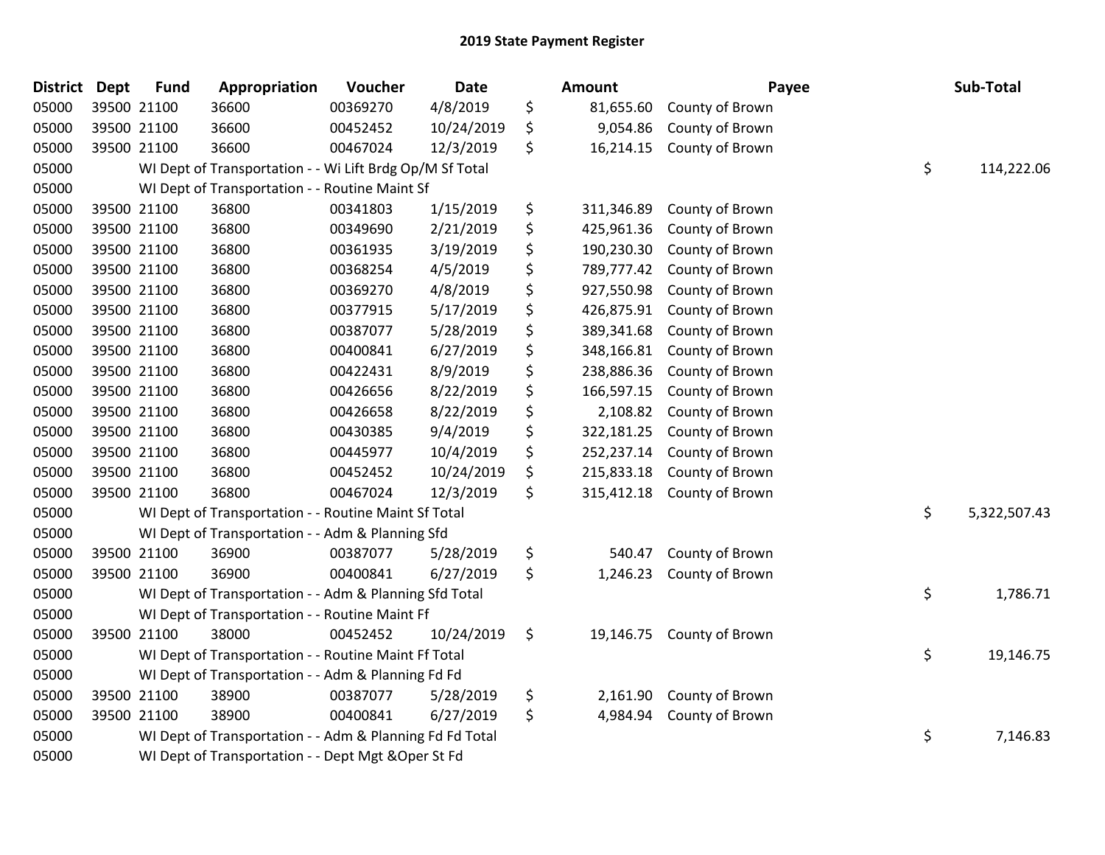| <b>District</b> | <b>Dept</b> | <b>Fund</b> | Appropriation                                            | Voucher  | Date       | Amount           | Payee           | Sub-Total          |
|-----------------|-------------|-------------|----------------------------------------------------------|----------|------------|------------------|-----------------|--------------------|
| 05000           |             | 39500 21100 | 36600                                                    | 00369270 | 4/8/2019   | \$<br>81,655.60  | County of Brown |                    |
| 05000           | 39500 21100 |             | 36600                                                    | 00452452 | 10/24/2019 | \$<br>9,054.86   | County of Brown |                    |
| 05000           |             | 39500 21100 | 36600                                                    | 00467024 | 12/3/2019  | \$<br>16,214.15  | County of Brown |                    |
| 05000           |             |             | WI Dept of Transportation - - Wi Lift Brdg Op/M Sf Total |          |            |                  |                 | \$<br>114,222.06   |
| 05000           |             |             | WI Dept of Transportation - - Routine Maint Sf           |          |            |                  |                 |                    |
| 05000           |             | 39500 21100 | 36800                                                    | 00341803 | 1/15/2019  | \$<br>311,346.89 | County of Brown |                    |
| 05000           |             | 39500 21100 | 36800                                                    | 00349690 | 2/21/2019  | \$<br>425,961.36 | County of Brown |                    |
| 05000           | 39500 21100 |             | 36800                                                    | 00361935 | 3/19/2019  | \$<br>190,230.30 | County of Brown |                    |
| 05000           |             | 39500 21100 | 36800                                                    | 00368254 | 4/5/2019   | \$<br>789,777.42 | County of Brown |                    |
| 05000           |             | 39500 21100 | 36800                                                    | 00369270 | 4/8/2019   | \$<br>927,550.98 | County of Brown |                    |
| 05000           |             | 39500 21100 | 36800                                                    | 00377915 | 5/17/2019  | \$<br>426,875.91 | County of Brown |                    |
| 05000           |             | 39500 21100 | 36800                                                    | 00387077 | 5/28/2019  | \$<br>389,341.68 | County of Brown |                    |
| 05000           | 39500 21100 |             | 36800                                                    | 00400841 | 6/27/2019  | \$<br>348,166.81 | County of Brown |                    |
| 05000           |             | 39500 21100 | 36800                                                    | 00422431 | 8/9/2019   | \$<br>238,886.36 | County of Brown |                    |
| 05000           |             | 39500 21100 | 36800                                                    | 00426656 | 8/22/2019  | \$<br>166,597.15 | County of Brown |                    |
| 05000           |             | 39500 21100 | 36800                                                    | 00426658 | 8/22/2019  | \$<br>2,108.82   | County of Brown |                    |
| 05000           |             | 39500 21100 | 36800                                                    | 00430385 | 9/4/2019   | \$<br>322,181.25 | County of Brown |                    |
| 05000           | 39500 21100 |             | 36800                                                    | 00445977 | 10/4/2019  | \$<br>252,237.14 | County of Brown |                    |
| 05000           | 39500 21100 |             | 36800                                                    | 00452452 | 10/24/2019 | \$<br>215,833.18 | County of Brown |                    |
| 05000           |             | 39500 21100 | 36800                                                    | 00467024 | 12/3/2019  | \$<br>315,412.18 | County of Brown |                    |
| 05000           |             |             | WI Dept of Transportation - - Routine Maint Sf Total     |          |            |                  |                 | \$<br>5,322,507.43 |
| 05000           |             |             | WI Dept of Transportation - - Adm & Planning Sfd         |          |            |                  |                 |                    |
| 05000           |             | 39500 21100 | 36900                                                    | 00387077 | 5/28/2019  | \$<br>540.47     | County of Brown |                    |
| 05000           |             | 39500 21100 | 36900                                                    | 00400841 | 6/27/2019  | \$<br>1,246.23   | County of Brown |                    |
| 05000           |             |             | WI Dept of Transportation - - Adm & Planning Sfd Total   |          |            |                  |                 | \$<br>1,786.71     |
| 05000           |             |             | WI Dept of Transportation - - Routine Maint Ff           |          |            |                  |                 |                    |
| 05000           |             | 39500 21100 | 38000                                                    | 00452452 | 10/24/2019 | \$<br>19,146.75  | County of Brown |                    |
| 05000           |             |             | WI Dept of Transportation - - Routine Maint Ff Total     |          |            |                  |                 | \$<br>19,146.75    |
| 05000           |             |             | WI Dept of Transportation - - Adm & Planning Fd Fd       |          |            |                  |                 |                    |
| 05000           |             | 39500 21100 | 38900                                                    | 00387077 | 5/28/2019  | \$<br>2,161.90   | County of Brown |                    |
| 05000           |             | 39500 21100 | 38900                                                    | 00400841 | 6/27/2019  | \$<br>4,984.94   | County of Brown |                    |
| 05000           |             |             | WI Dept of Transportation - - Adm & Planning Fd Fd Total |          |            |                  |                 | \$<br>7,146.83     |
| 05000           |             |             | WI Dept of Transportation - - Dept Mgt & Oper St Fd      |          |            |                  |                 |                    |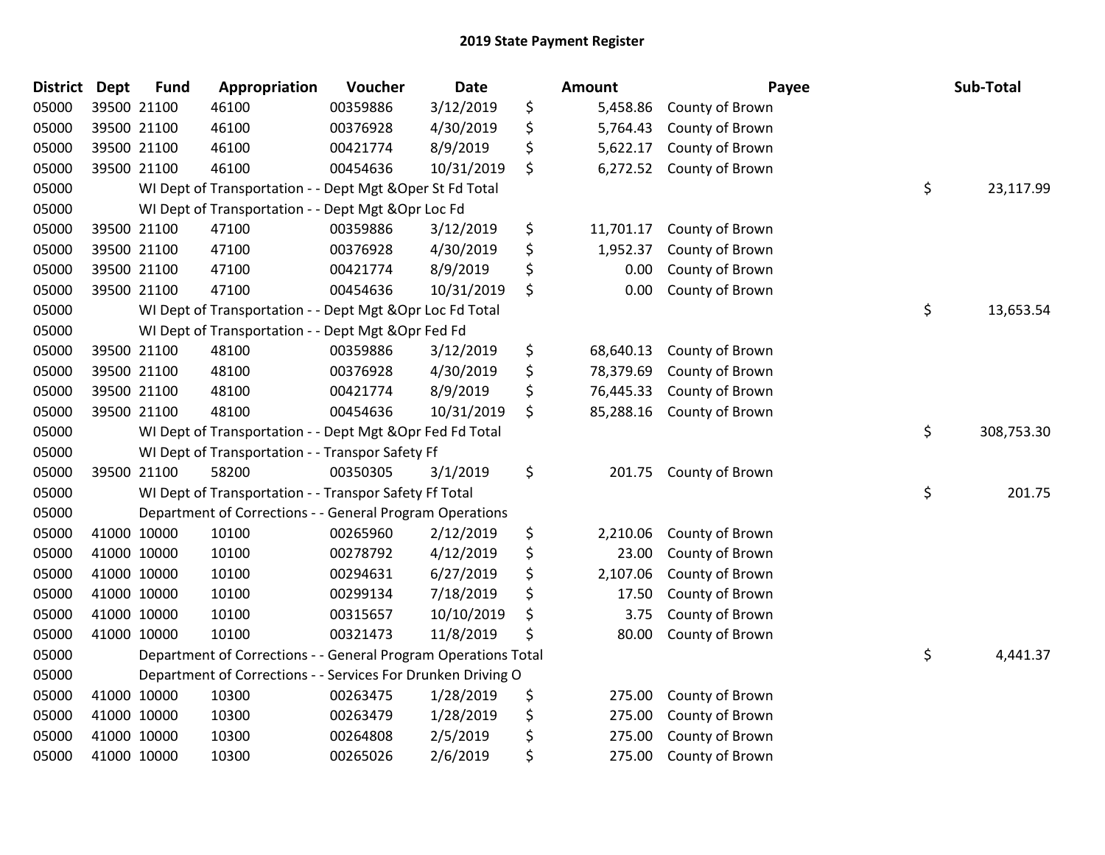| <b>District</b> | <b>Dept</b> | <b>Fund</b> | Appropriation                                                  | Voucher  | <b>Date</b> | Amount          | Payee           | Sub-Total        |
|-----------------|-------------|-------------|----------------------------------------------------------------|----------|-------------|-----------------|-----------------|------------------|
| 05000           |             | 39500 21100 | 46100                                                          | 00359886 | 3/12/2019   | \$<br>5,458.86  | County of Brown |                  |
| 05000           |             | 39500 21100 | 46100                                                          | 00376928 | 4/30/2019   | \$<br>5,764.43  | County of Brown |                  |
| 05000           |             | 39500 21100 | 46100                                                          | 00421774 | 8/9/2019    | \$<br>5,622.17  | County of Brown |                  |
| 05000           |             | 39500 21100 | 46100                                                          | 00454636 | 10/31/2019  | \$<br>6,272.52  | County of Brown |                  |
| 05000           |             |             | WI Dept of Transportation - - Dept Mgt & Oper St Fd Total      |          |             |                 |                 | \$<br>23,117.99  |
| 05000           |             |             | WI Dept of Transportation - - Dept Mgt & Opr Loc Fd            |          |             |                 |                 |                  |
| 05000           |             | 39500 21100 | 47100                                                          | 00359886 | 3/12/2019   | \$<br>11,701.17 | County of Brown |                  |
| 05000           |             | 39500 21100 | 47100                                                          | 00376928 | 4/30/2019   | \$<br>1,952.37  | County of Brown |                  |
| 05000           |             | 39500 21100 | 47100                                                          | 00421774 | 8/9/2019    | \$<br>0.00      | County of Brown |                  |
| 05000           |             | 39500 21100 | 47100                                                          | 00454636 | 10/31/2019  | \$<br>0.00      | County of Brown |                  |
| 05000           |             |             | WI Dept of Transportation - - Dept Mgt & Opr Loc Fd Total      |          |             |                 |                 | \$<br>13,653.54  |
| 05000           |             |             | WI Dept of Transportation - - Dept Mgt & Opr Fed Fd            |          |             |                 |                 |                  |
| 05000           |             | 39500 21100 | 48100                                                          | 00359886 | 3/12/2019   | \$<br>68,640.13 | County of Brown |                  |
| 05000           |             | 39500 21100 | 48100                                                          | 00376928 | 4/30/2019   | \$<br>78,379.69 | County of Brown |                  |
| 05000           |             | 39500 21100 | 48100                                                          | 00421774 | 8/9/2019    | \$<br>76,445.33 | County of Brown |                  |
| 05000           |             | 39500 21100 | 48100                                                          | 00454636 | 10/31/2019  | \$<br>85,288.16 | County of Brown |                  |
| 05000           |             |             | WI Dept of Transportation - - Dept Mgt & Opr Fed Fd Total      |          |             |                 |                 | \$<br>308,753.30 |
| 05000           |             |             | WI Dept of Transportation - - Transpor Safety Ff               |          |             |                 |                 |                  |
| 05000           |             | 39500 21100 | 58200                                                          | 00350305 | 3/1/2019    | \$<br>201.75    | County of Brown |                  |
| 05000           |             |             | WI Dept of Transportation - - Transpor Safety Ff Total         |          |             |                 |                 | \$<br>201.75     |
| 05000           |             |             | Department of Corrections - - General Program Operations       |          |             |                 |                 |                  |
| 05000           |             | 41000 10000 | 10100                                                          | 00265960 | 2/12/2019   | \$<br>2,210.06  | County of Brown |                  |
| 05000           |             | 41000 10000 | 10100                                                          | 00278792 | 4/12/2019   | \$<br>23.00     | County of Brown |                  |
| 05000           |             | 41000 10000 | 10100                                                          | 00294631 | 6/27/2019   | \$<br>2,107.06  | County of Brown |                  |
| 05000           |             | 41000 10000 | 10100                                                          | 00299134 | 7/18/2019   | \$<br>17.50     | County of Brown |                  |
| 05000           |             | 41000 10000 | 10100                                                          | 00315657 | 10/10/2019  | \$<br>3.75      | County of Brown |                  |
| 05000           |             | 41000 10000 | 10100                                                          | 00321473 | 11/8/2019   | \$<br>80.00     | County of Brown |                  |
| 05000           |             |             | Department of Corrections - - General Program Operations Total |          |             |                 |                 | \$<br>4,441.37   |
| 05000           |             |             | Department of Corrections - - Services For Drunken Driving O   |          |             |                 |                 |                  |
| 05000           |             | 41000 10000 | 10300                                                          | 00263475 | 1/28/2019   | \$<br>275.00    | County of Brown |                  |
| 05000           |             | 41000 10000 | 10300                                                          | 00263479 | 1/28/2019   | \$<br>275.00    | County of Brown |                  |
| 05000           |             | 41000 10000 | 10300                                                          | 00264808 | 2/5/2019    | \$<br>275.00    | County of Brown |                  |
| 05000           |             | 41000 10000 | 10300                                                          | 00265026 | 2/6/2019    | \$<br>275.00    | County of Brown |                  |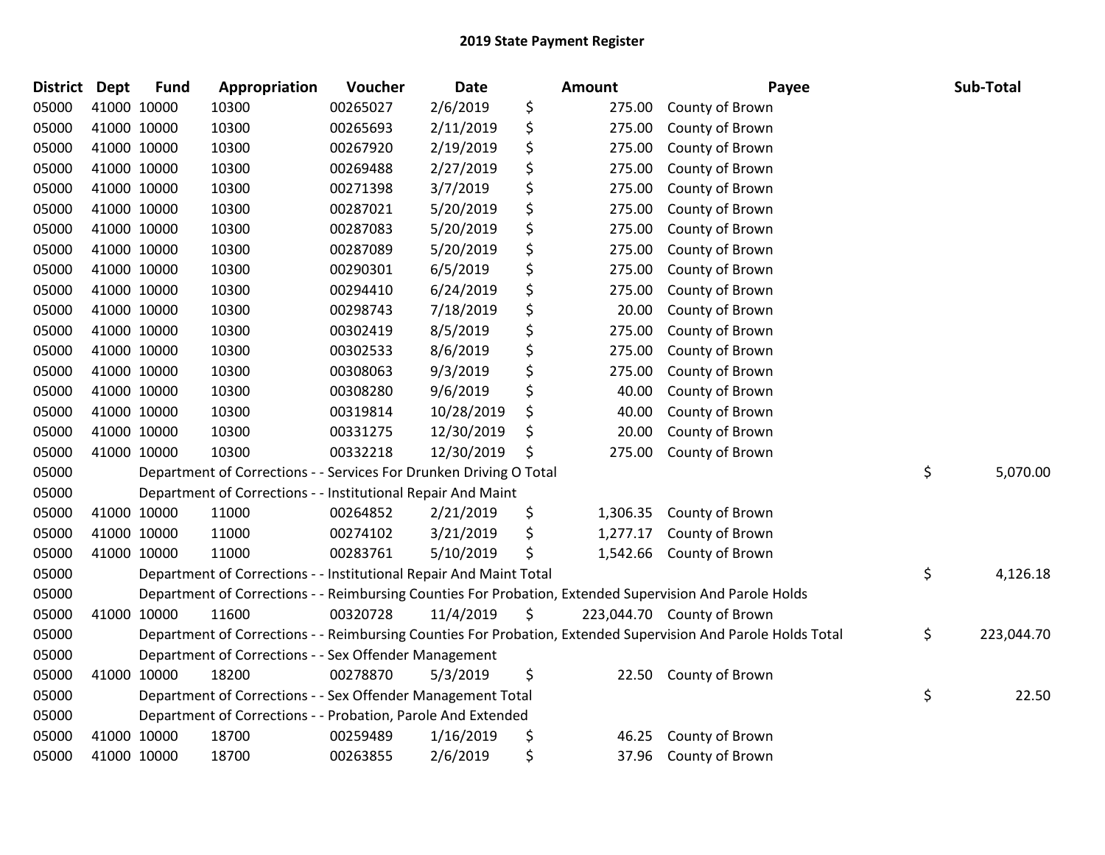| <b>District Dept</b> |             | <b>Fund</b> | Appropriation                                                      | Voucher  | <b>Date</b> | Amount         | Payee                                                                                                         | Sub-Total        |
|----------------------|-------------|-------------|--------------------------------------------------------------------|----------|-------------|----------------|---------------------------------------------------------------------------------------------------------------|------------------|
| 05000                | 41000 10000 |             | 10300                                                              | 00265027 | 2/6/2019    | \$<br>275.00   | County of Brown                                                                                               |                  |
| 05000                | 41000 10000 |             | 10300                                                              | 00265693 | 2/11/2019   | \$<br>275.00   | County of Brown                                                                                               |                  |
| 05000                | 41000 10000 |             | 10300                                                              | 00267920 | 2/19/2019   | \$<br>275.00   | County of Brown                                                                                               |                  |
| 05000                | 41000 10000 |             | 10300                                                              | 00269488 | 2/27/2019   | \$<br>275.00   | County of Brown                                                                                               |                  |
| 05000                | 41000 10000 |             | 10300                                                              | 00271398 | 3/7/2019    | \$<br>275.00   | County of Brown                                                                                               |                  |
| 05000                | 41000 10000 |             | 10300                                                              | 00287021 | 5/20/2019   | \$<br>275.00   | County of Brown                                                                                               |                  |
| 05000                | 41000 10000 |             | 10300                                                              | 00287083 | 5/20/2019   | \$<br>275.00   | County of Brown                                                                                               |                  |
| 05000                |             | 41000 10000 | 10300                                                              | 00287089 | 5/20/2019   | \$<br>275.00   | County of Brown                                                                                               |                  |
| 05000                | 41000 10000 |             | 10300                                                              | 00290301 | 6/5/2019    | \$<br>275.00   | County of Brown                                                                                               |                  |
| 05000                | 41000 10000 |             | 10300                                                              | 00294410 | 6/24/2019   | \$<br>275.00   | County of Brown                                                                                               |                  |
| 05000                | 41000 10000 |             | 10300                                                              | 00298743 | 7/18/2019   | \$<br>20.00    | County of Brown                                                                                               |                  |
| 05000                | 41000 10000 |             | 10300                                                              | 00302419 | 8/5/2019    | \$<br>275.00   | County of Brown                                                                                               |                  |
| 05000                | 41000 10000 |             | 10300                                                              | 00302533 | 8/6/2019    | \$<br>275.00   | County of Brown                                                                                               |                  |
| 05000                | 41000 10000 |             | 10300                                                              | 00308063 | 9/3/2019    | \$<br>275.00   | County of Brown                                                                                               |                  |
| 05000                | 41000 10000 |             | 10300                                                              | 00308280 | 9/6/2019    | \$<br>40.00    | County of Brown                                                                                               |                  |
| 05000                | 41000 10000 |             | 10300                                                              | 00319814 | 10/28/2019  | \$<br>40.00    | County of Brown                                                                                               |                  |
| 05000                | 41000 10000 |             | 10300                                                              | 00331275 | 12/30/2019  | \$<br>20.00    | County of Brown                                                                                               |                  |
| 05000                | 41000 10000 |             | 10300                                                              | 00332218 | 12/30/2019  | \$<br>275.00   | County of Brown                                                                                               |                  |
| 05000                |             |             | Department of Corrections - - Services For Drunken Driving O Total |          |             |                |                                                                                                               | \$<br>5,070.00   |
| 05000                |             |             | Department of Corrections - - Institutional Repair And Maint       |          |             |                |                                                                                                               |                  |
| 05000                |             | 41000 10000 | 11000                                                              | 00264852 | 2/21/2019   | \$<br>1,306.35 | County of Brown                                                                                               |                  |
| 05000                |             | 41000 10000 | 11000                                                              | 00274102 | 3/21/2019   | \$<br>1,277.17 | County of Brown                                                                                               |                  |
| 05000                | 41000 10000 |             | 11000                                                              | 00283761 | 5/10/2019   | \$<br>1,542.66 | County of Brown                                                                                               |                  |
| 05000                |             |             | Department of Corrections - - Institutional Repair And Maint Total |          |             |                |                                                                                                               | \$<br>4,126.18   |
| 05000                |             |             |                                                                    |          |             |                | Department of Corrections - - Reimbursing Counties For Probation, Extended Supervision And Parole Holds       |                  |
| 05000                | 41000 10000 |             | 11600                                                              | 00320728 | 11/4/2019   | \$             | 223,044.70 County of Brown                                                                                    |                  |
| 05000                |             |             |                                                                    |          |             |                | Department of Corrections - - Reimbursing Counties For Probation, Extended Supervision And Parole Holds Total | \$<br>223,044.70 |
| 05000                |             |             | Department of Corrections - - Sex Offender Management              |          |             |                |                                                                                                               |                  |
| 05000                | 41000 10000 |             | 18200                                                              | 00278870 | 5/3/2019    | \$             | 22.50 County of Brown                                                                                         |                  |
| 05000                |             |             | Department of Corrections - - Sex Offender Management Total        |          |             |                |                                                                                                               | \$<br>22.50      |
| 05000                |             |             | Department of Corrections - - Probation, Parole And Extended       |          |             |                |                                                                                                               |                  |
| 05000                |             | 41000 10000 | 18700                                                              | 00259489 | 1/16/2019   | \$<br>46.25    | County of Brown                                                                                               |                  |
| 05000                | 41000 10000 |             | 18700                                                              | 00263855 | 2/6/2019    | \$<br>37.96    | County of Brown                                                                                               |                  |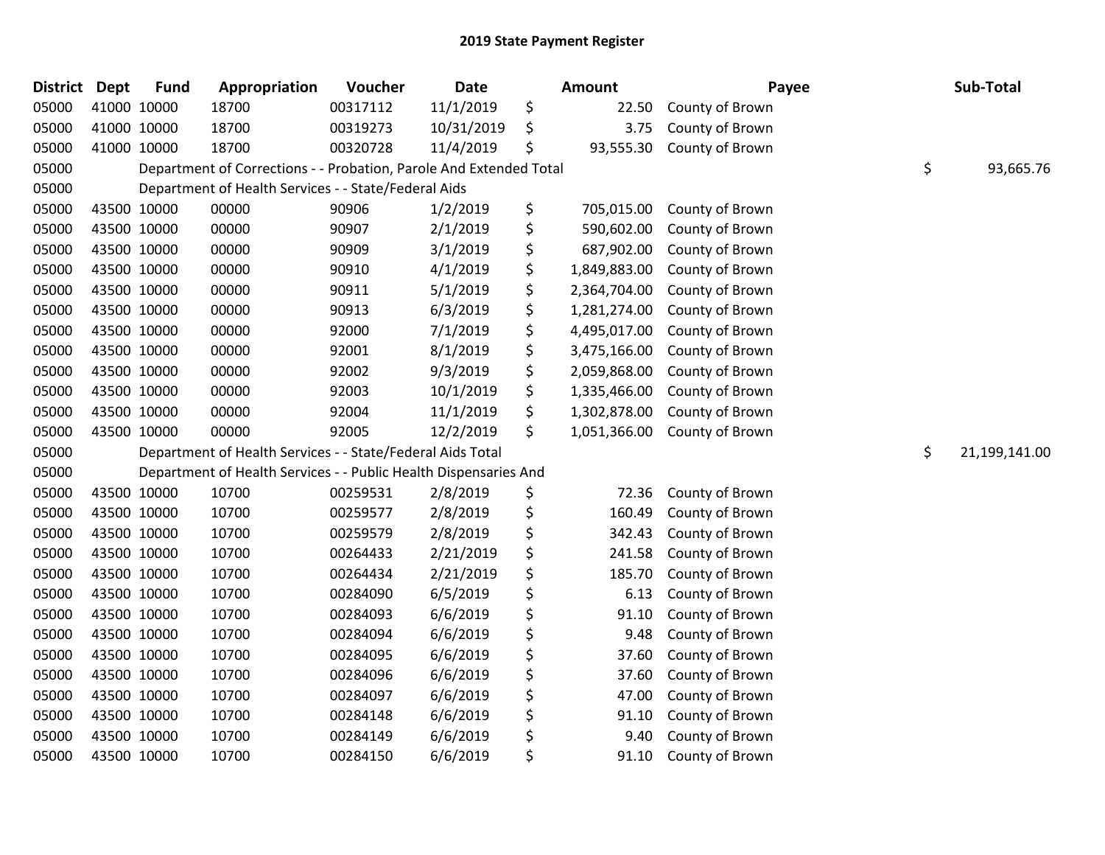| <b>District</b> | <b>Dept</b> | <b>Fund</b> | Appropriation                                                      | Voucher  | <b>Date</b> | Amount             | Payee           | Sub-Total           |
|-----------------|-------------|-------------|--------------------------------------------------------------------|----------|-------------|--------------------|-----------------|---------------------|
| 05000           |             | 41000 10000 | 18700                                                              | 00317112 | 11/1/2019   | \$<br>22.50        | County of Brown |                     |
| 05000           | 41000 10000 |             | 18700                                                              | 00319273 | 10/31/2019  | \$<br>3.75         | County of Brown |                     |
| 05000           | 41000 10000 |             | 18700                                                              | 00320728 | 11/4/2019   | \$<br>93,555.30    | County of Brown |                     |
| 05000           |             |             | Department of Corrections - - Probation, Parole And Extended Total |          |             |                    |                 | \$<br>93,665.76     |
| 05000           |             |             | Department of Health Services - - State/Federal Aids               |          |             |                    |                 |                     |
| 05000           |             | 43500 10000 | 00000                                                              | 90906    | 1/2/2019    | \$<br>705,015.00   | County of Brown |                     |
| 05000           | 43500 10000 |             | 00000                                                              | 90907    | 2/1/2019    | \$<br>590,602.00   | County of Brown |                     |
| 05000           |             | 43500 10000 | 00000                                                              | 90909    | 3/1/2019    | \$<br>687,902.00   | County of Brown |                     |
| 05000           |             | 43500 10000 | 00000                                                              | 90910    | 4/1/2019    | \$<br>1,849,883.00 | County of Brown |                     |
| 05000           |             | 43500 10000 | 00000                                                              | 90911    | 5/1/2019    | \$<br>2,364,704.00 | County of Brown |                     |
| 05000           |             | 43500 10000 | 00000                                                              | 90913    | 6/3/2019    | \$<br>1,281,274.00 | County of Brown |                     |
| 05000           |             | 43500 10000 | 00000                                                              | 92000    | 7/1/2019    | \$<br>4,495,017.00 | County of Brown |                     |
| 05000           |             | 43500 10000 | 00000                                                              | 92001    | 8/1/2019    | \$<br>3,475,166.00 | County of Brown |                     |
| 05000           |             | 43500 10000 | 00000                                                              | 92002    | 9/3/2019    | \$<br>2,059,868.00 | County of Brown |                     |
| 05000           | 43500 10000 |             | 00000                                                              | 92003    | 10/1/2019   | \$<br>1,335,466.00 | County of Brown |                     |
| 05000           |             | 43500 10000 | 00000                                                              | 92004    | 11/1/2019   | \$<br>1,302,878.00 | County of Brown |                     |
| 05000           | 43500 10000 |             | 00000                                                              | 92005    | 12/2/2019   | \$<br>1,051,366.00 | County of Brown |                     |
| 05000           |             |             | Department of Health Services - - State/Federal Aids Total         |          |             |                    |                 | \$<br>21,199,141.00 |
| 05000           |             |             | Department of Health Services - - Public Health Dispensaries And   |          |             |                    |                 |                     |
| 05000           |             | 43500 10000 | 10700                                                              | 00259531 | 2/8/2019    | \$<br>72.36        | County of Brown |                     |
| 05000           |             | 43500 10000 | 10700                                                              | 00259577 | 2/8/2019    | \$<br>160.49       | County of Brown |                     |
| 05000           |             | 43500 10000 | 10700                                                              | 00259579 | 2/8/2019    | \$<br>342.43       | County of Brown |                     |
| 05000           |             | 43500 10000 | 10700                                                              | 00264433 | 2/21/2019   | \$<br>241.58       | County of Brown |                     |
| 05000           |             | 43500 10000 | 10700                                                              | 00264434 | 2/21/2019   | \$<br>185.70       | County of Brown |                     |
| 05000           | 43500 10000 |             | 10700                                                              | 00284090 | 6/5/2019    | \$<br>6.13         | County of Brown |                     |
| 05000           |             | 43500 10000 | 10700                                                              | 00284093 | 6/6/2019    | \$<br>91.10        | County of Brown |                     |
| 05000           |             | 43500 10000 | 10700                                                              | 00284094 | 6/6/2019    | \$<br>9.48         | County of Brown |                     |
| 05000           |             | 43500 10000 | 10700                                                              | 00284095 | 6/6/2019    | \$<br>37.60        | County of Brown |                     |
| 05000           |             | 43500 10000 | 10700                                                              | 00284096 | 6/6/2019    | \$<br>37.60        | County of Brown |                     |
| 05000           |             | 43500 10000 | 10700                                                              | 00284097 | 6/6/2019    | \$<br>47.00        | County of Brown |                     |
| 05000           |             | 43500 10000 | 10700                                                              | 00284148 | 6/6/2019    | \$<br>91.10        | County of Brown |                     |
| 05000           |             | 43500 10000 | 10700                                                              | 00284149 | 6/6/2019    | \$<br>9.40         | County of Brown |                     |
| 05000           | 43500 10000 |             | 10700                                                              | 00284150 | 6/6/2019    | \$<br>91.10        | County of Brown |                     |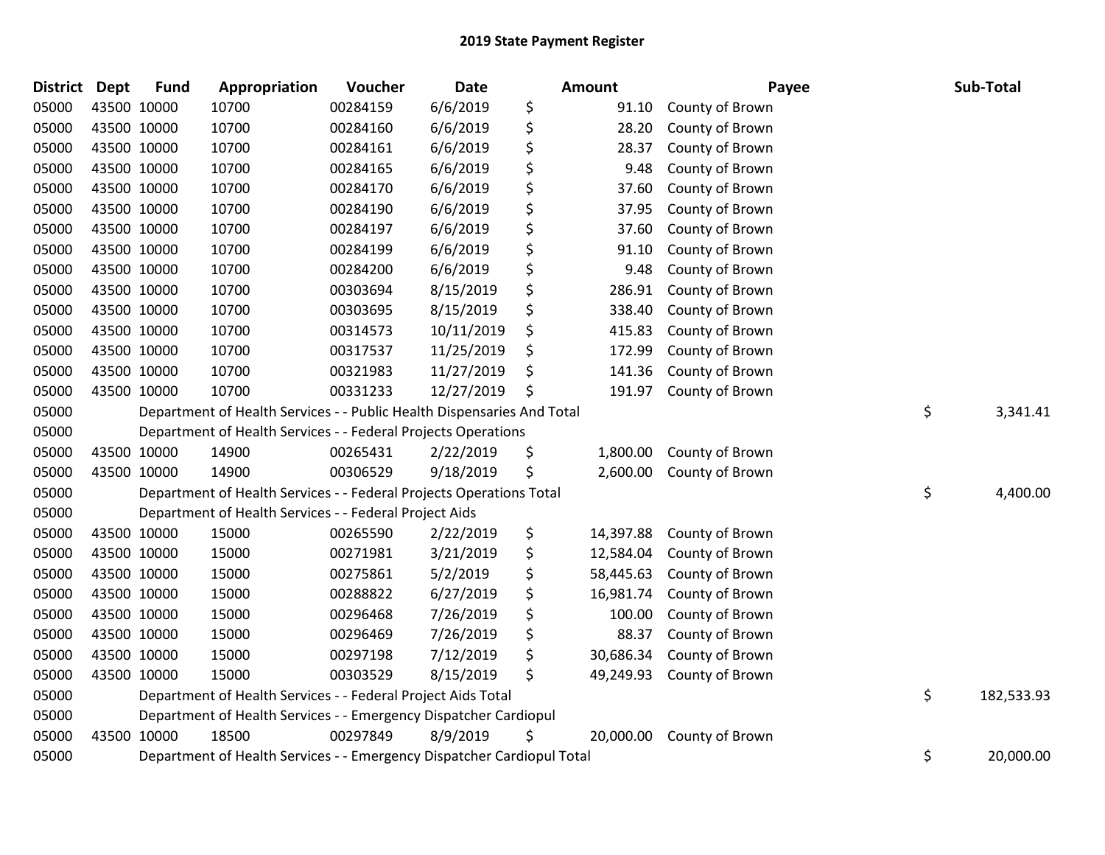| <b>District</b> | <b>Dept</b> | <b>Fund</b> | Appropriation                                                          | Voucher  | <b>Date</b> | Amount          | Payee           | Sub-Total        |
|-----------------|-------------|-------------|------------------------------------------------------------------------|----------|-------------|-----------------|-----------------|------------------|
| 05000           |             | 43500 10000 | 10700                                                                  | 00284159 | 6/6/2019    | \$<br>91.10     | County of Brown |                  |
| 05000           |             | 43500 10000 | 10700                                                                  | 00284160 | 6/6/2019    | \$<br>28.20     | County of Brown |                  |
| 05000           |             | 43500 10000 | 10700                                                                  | 00284161 | 6/6/2019    | \$<br>28.37     | County of Brown |                  |
| 05000           |             | 43500 10000 | 10700                                                                  | 00284165 | 6/6/2019    | \$<br>9.48      | County of Brown |                  |
| 05000           |             | 43500 10000 | 10700                                                                  | 00284170 | 6/6/2019    | \$<br>37.60     | County of Brown |                  |
| 05000           |             | 43500 10000 | 10700                                                                  | 00284190 | 6/6/2019    | \$<br>37.95     | County of Brown |                  |
| 05000           |             | 43500 10000 | 10700                                                                  | 00284197 | 6/6/2019    | \$<br>37.60     | County of Brown |                  |
| 05000           |             | 43500 10000 | 10700                                                                  | 00284199 | 6/6/2019    | \$<br>91.10     | County of Brown |                  |
| 05000           |             | 43500 10000 | 10700                                                                  | 00284200 | 6/6/2019    | \$<br>9.48      | County of Brown |                  |
| 05000           |             | 43500 10000 | 10700                                                                  | 00303694 | 8/15/2019   | \$<br>286.91    | County of Brown |                  |
| 05000           |             | 43500 10000 | 10700                                                                  | 00303695 | 8/15/2019   | \$<br>338.40    | County of Brown |                  |
| 05000           |             | 43500 10000 | 10700                                                                  | 00314573 | 10/11/2019  | \$<br>415.83    | County of Brown |                  |
| 05000           |             | 43500 10000 | 10700                                                                  | 00317537 | 11/25/2019  | \$<br>172.99    | County of Brown |                  |
| 05000           |             | 43500 10000 | 10700                                                                  | 00321983 | 11/27/2019  | \$<br>141.36    | County of Brown |                  |
| 05000           |             | 43500 10000 | 10700                                                                  | 00331233 | 12/27/2019  | \$<br>191.97    | County of Brown |                  |
| 05000           |             |             | Department of Health Services - - Public Health Dispensaries And Total |          |             |                 |                 | \$<br>3,341.41   |
| 05000           |             |             | Department of Health Services - - Federal Projects Operations          |          |             |                 |                 |                  |
| 05000           |             | 43500 10000 | 14900                                                                  | 00265431 | 2/22/2019   | \$<br>1,800.00  | County of Brown |                  |
| 05000           |             | 43500 10000 | 14900                                                                  | 00306529 | 9/18/2019   | \$<br>2,600.00  | County of Brown |                  |
| 05000           |             |             | Department of Health Services - - Federal Projects Operations Total    |          |             |                 |                 | \$<br>4,400.00   |
| 05000           |             |             | Department of Health Services - - Federal Project Aids                 |          |             |                 |                 |                  |
| 05000           |             | 43500 10000 | 15000                                                                  | 00265590 | 2/22/2019   | \$<br>14,397.88 | County of Brown |                  |
| 05000           |             | 43500 10000 | 15000                                                                  | 00271981 | 3/21/2019   | \$<br>12,584.04 | County of Brown |                  |
| 05000           |             | 43500 10000 | 15000                                                                  | 00275861 | 5/2/2019    | \$<br>58,445.63 | County of Brown |                  |
| 05000           |             | 43500 10000 | 15000                                                                  | 00288822 | 6/27/2019   | \$<br>16,981.74 | County of Brown |                  |
| 05000           |             | 43500 10000 | 15000                                                                  | 00296468 | 7/26/2019   | \$<br>100.00    | County of Brown |                  |
| 05000           |             | 43500 10000 | 15000                                                                  | 00296469 | 7/26/2019   | \$<br>88.37     | County of Brown |                  |
| 05000           |             | 43500 10000 | 15000                                                                  | 00297198 | 7/12/2019   | \$<br>30,686.34 | County of Brown |                  |
| 05000           |             | 43500 10000 | 15000                                                                  | 00303529 | 8/15/2019   | \$<br>49,249.93 | County of Brown |                  |
| 05000           |             |             | Department of Health Services - - Federal Project Aids Total           |          |             |                 |                 | \$<br>182,533.93 |
| 05000           |             |             | Department of Health Services - - Emergency Dispatcher Cardiopul       |          |             |                 |                 |                  |
| 05000           |             | 43500 10000 | 18500                                                                  | 00297849 | 8/9/2019    | \$<br>20,000.00 | County of Brown |                  |
| 05000           |             |             | Department of Health Services - - Emergency Dispatcher Cardiopul Total |          |             |                 |                 | \$<br>20,000.00  |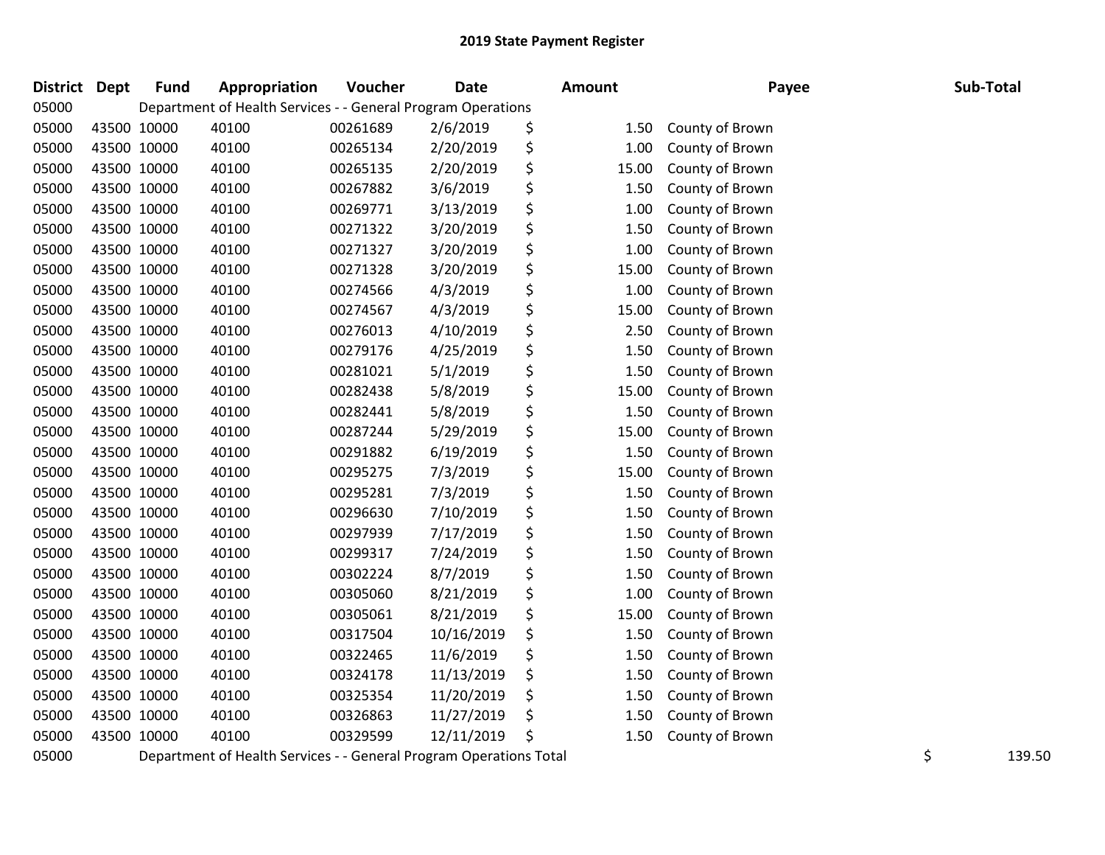| District Dept |             | <b>Fund</b> | Appropriation                                                      | Voucher  | <b>Date</b> | Amount      | Payee           | Sub-Total    |
|---------------|-------------|-------------|--------------------------------------------------------------------|----------|-------------|-------------|-----------------|--------------|
| 05000         |             |             | Department of Health Services - - General Program Operations       |          |             |             |                 |              |
| 05000         | 43500 10000 |             | 40100                                                              | 00261689 | 2/6/2019    | \$<br>1.50  | County of Brown |              |
| 05000         | 43500 10000 |             | 40100                                                              | 00265134 | 2/20/2019   | \$<br>1.00  | County of Brown |              |
| 05000         | 43500 10000 |             | 40100                                                              | 00265135 | 2/20/2019   | \$<br>15.00 | County of Brown |              |
| 05000         | 43500 10000 |             | 40100                                                              | 00267882 | 3/6/2019    | \$<br>1.50  | County of Brown |              |
| 05000         | 43500 10000 |             | 40100                                                              | 00269771 | 3/13/2019   | \$<br>1.00  | County of Brown |              |
| 05000         | 43500 10000 |             | 40100                                                              | 00271322 | 3/20/2019   | \$<br>1.50  | County of Brown |              |
| 05000         | 43500 10000 |             | 40100                                                              | 00271327 | 3/20/2019   | \$<br>1.00  | County of Brown |              |
| 05000         | 43500 10000 |             | 40100                                                              | 00271328 | 3/20/2019   | \$<br>15.00 | County of Brown |              |
| 05000         | 43500 10000 |             | 40100                                                              | 00274566 | 4/3/2019    | \$<br>1.00  | County of Brown |              |
| 05000         |             | 43500 10000 | 40100                                                              | 00274567 | 4/3/2019    | \$<br>15.00 | County of Brown |              |
| 05000         | 43500 10000 |             | 40100                                                              | 00276013 | 4/10/2019   | \$<br>2.50  | County of Brown |              |
| 05000         | 43500 10000 |             | 40100                                                              | 00279176 | 4/25/2019   | \$<br>1.50  | County of Brown |              |
| 05000         | 43500 10000 |             | 40100                                                              | 00281021 | 5/1/2019    | \$<br>1.50  | County of Brown |              |
| 05000         | 43500 10000 |             | 40100                                                              | 00282438 | 5/8/2019    | \$<br>15.00 | County of Brown |              |
| 05000         | 43500 10000 |             | 40100                                                              | 00282441 | 5/8/2019    | \$<br>1.50  | County of Brown |              |
| 05000         | 43500 10000 |             | 40100                                                              | 00287244 | 5/29/2019   | \$<br>15.00 | County of Brown |              |
| 05000         | 43500 10000 |             | 40100                                                              | 00291882 | 6/19/2019   | \$<br>1.50  | County of Brown |              |
| 05000         | 43500 10000 |             | 40100                                                              | 00295275 | 7/3/2019    | \$<br>15.00 | County of Brown |              |
| 05000         | 43500 10000 |             | 40100                                                              | 00295281 | 7/3/2019    | \$<br>1.50  | County of Brown |              |
| 05000         |             | 43500 10000 | 40100                                                              | 00296630 | 7/10/2019   | \$<br>1.50  | County of Brown |              |
| 05000         | 43500 10000 |             | 40100                                                              | 00297939 | 7/17/2019   | \$<br>1.50  | County of Brown |              |
| 05000         | 43500 10000 |             | 40100                                                              | 00299317 | 7/24/2019   | \$<br>1.50  | County of Brown |              |
| 05000         | 43500 10000 |             | 40100                                                              | 00302224 | 8/7/2019    | \$<br>1.50  | County of Brown |              |
| 05000         | 43500 10000 |             | 40100                                                              | 00305060 | 8/21/2019   | \$<br>1.00  | County of Brown |              |
| 05000         | 43500 10000 |             | 40100                                                              | 00305061 | 8/21/2019   | \$<br>15.00 | County of Brown |              |
| 05000         | 43500 10000 |             | 40100                                                              | 00317504 | 10/16/2019  | \$<br>1.50  | County of Brown |              |
| 05000         | 43500 10000 |             | 40100                                                              | 00322465 | 11/6/2019   | \$<br>1.50  | County of Brown |              |
| 05000         | 43500 10000 |             | 40100                                                              | 00324178 | 11/13/2019  | \$<br>1.50  | County of Brown |              |
| 05000         | 43500 10000 |             | 40100                                                              | 00325354 | 11/20/2019  | \$<br>1.50  | County of Brown |              |
| 05000         |             | 43500 10000 | 40100                                                              | 00326863 | 11/27/2019  | \$<br>1.50  | County of Brown |              |
| 05000         | 43500 10000 |             | 40100                                                              | 00329599 | 12/11/2019  | \$<br>1.50  | County of Brown |              |
| 05000         |             |             | Department of Health Services - - General Program Operations Total |          |             |             |                 | \$<br>139.50 |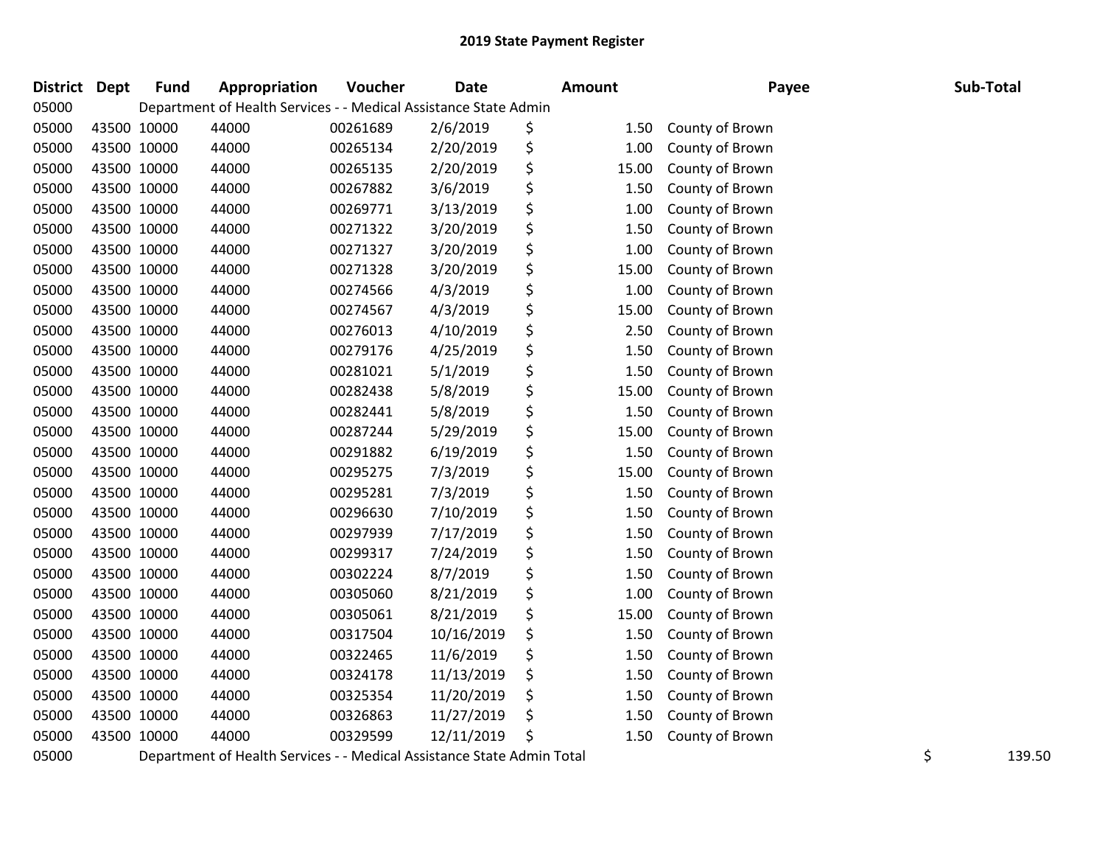| District | <b>Dept</b> | <b>Fund</b> | Appropriation                                                    | <b>Voucher</b> | <b>Date</b> | <b>Amount</b> | Payee           | Sub-Total |
|----------|-------------|-------------|------------------------------------------------------------------|----------------|-------------|---------------|-----------------|-----------|
| 05000    |             |             | Department of Health Services - - Medical Assistance State Admin |                |             |               |                 |           |
| 05000    | 43500 10000 |             | 44000                                                            | 00261689       | 2/6/2019    | \$<br>1.50    | County of Brown |           |
| 05000    | 43500 10000 |             | 44000                                                            | 00265134       | 2/20/2019   | \$<br>1.00    | County of Brown |           |
| 05000    | 43500 10000 |             | 44000                                                            | 00265135       | 2/20/2019   | \$<br>15.00   | County of Brown |           |
| 05000    | 43500 10000 |             | 44000                                                            | 00267882       | 3/6/2019    | \$<br>1.50    | County of Brown |           |
| 05000    | 43500 10000 |             | 44000                                                            | 00269771       | 3/13/2019   | \$<br>1.00    | County of Brown |           |
| 05000    | 43500 10000 |             | 44000                                                            | 00271322       | 3/20/2019   | \$<br>1.50    | County of Brown |           |
| 05000    | 43500 10000 |             | 44000                                                            | 00271327       | 3/20/2019   | \$<br>1.00    | County of Brown |           |
| 05000    | 43500 10000 |             | 44000                                                            | 00271328       | 3/20/2019   | \$<br>15.00   | County of Brown |           |
| 05000    | 43500 10000 |             | 44000                                                            | 00274566       | 4/3/2019    | \$<br>1.00    | County of Brown |           |
| 05000    | 43500 10000 |             | 44000                                                            | 00274567       | 4/3/2019    | \$<br>15.00   | County of Brown |           |
| 05000    | 43500 10000 |             | 44000                                                            | 00276013       | 4/10/2019   | \$<br>2.50    | County of Brown |           |
| 05000    | 43500 10000 |             | 44000                                                            | 00279176       | 4/25/2019   | \$<br>1.50    | County of Brown |           |
| 05000    | 43500 10000 |             | 44000                                                            | 00281021       | 5/1/2019    | \$<br>1.50    | County of Brown |           |
| 05000    | 43500 10000 |             | 44000                                                            | 00282438       | 5/8/2019    | \$<br>15.00   | County of Brown |           |
| 05000    | 43500 10000 |             | 44000                                                            | 00282441       | 5/8/2019    | \$<br>1.50    | County of Brown |           |
| 05000    | 43500 10000 |             | 44000                                                            | 00287244       | 5/29/2019   | \$<br>15.00   | County of Brown |           |
| 05000    | 43500 10000 |             | 44000                                                            | 00291882       | 6/19/2019   | \$<br>1.50    | County of Brown |           |
| 05000    | 43500 10000 |             | 44000                                                            | 00295275       | 7/3/2019    | 15.00         | County of Brown |           |
| 05000    | 43500 10000 |             | 44000                                                            | 00295281       | 7/3/2019    | \$<br>1.50    | County of Brown |           |
| 05000    | 43500 10000 |             | 44000                                                            | 00296630       | 7/10/2019   | \$<br>1.50    | County of Brown |           |
| 05000    | 43500 10000 |             | 44000                                                            | 00297939       | 7/17/2019   | \$<br>1.50    | County of Brown |           |
| 05000    | 43500 10000 |             | 44000                                                            | 00299317       | 7/24/2019   | \$<br>1.50    | County of Brown |           |
| 05000    | 43500 10000 |             | 44000                                                            | 00302224       | 8/7/2019    | \$<br>1.50    | County of Brown |           |
| 05000    | 43500 10000 |             | 44000                                                            | 00305060       | 8/21/2019   | \$<br>1.00    | County of Brown |           |
| 05000    | 43500 10000 |             | 44000                                                            | 00305061       | 8/21/2019   | \$<br>15.00   | County of Brown |           |
| 05000    | 43500 10000 |             | 44000                                                            | 00317504       | 10/16/2019  | \$<br>1.50    | County of Brown |           |
| 05000    | 43500 10000 |             | 44000                                                            | 00322465       | 11/6/2019   | \$<br>1.50    | County of Brown |           |
| 05000    | 43500 10000 |             | 44000                                                            | 00324178       | 11/13/2019  | \$<br>1.50    | County of Brown |           |
| 05000    | 43500 10000 |             | 44000                                                            | 00325354       | 11/20/2019  | \$<br>1.50    | County of Brown |           |
| 05000    | 43500 10000 |             | 44000                                                            | 00326863       | 11/27/2019  | \$<br>1.50    | County of Brown |           |
| 05000    | 43500 10000 |             | 44000                                                            | 00329599       | 12/11/2019  | \$<br>1.50    | County of Brown |           |
|          |             |             |                                                                  |                |             |               |                 |           |

Department of Health Services - - Medical Assistance State Admin Total \$ 139.50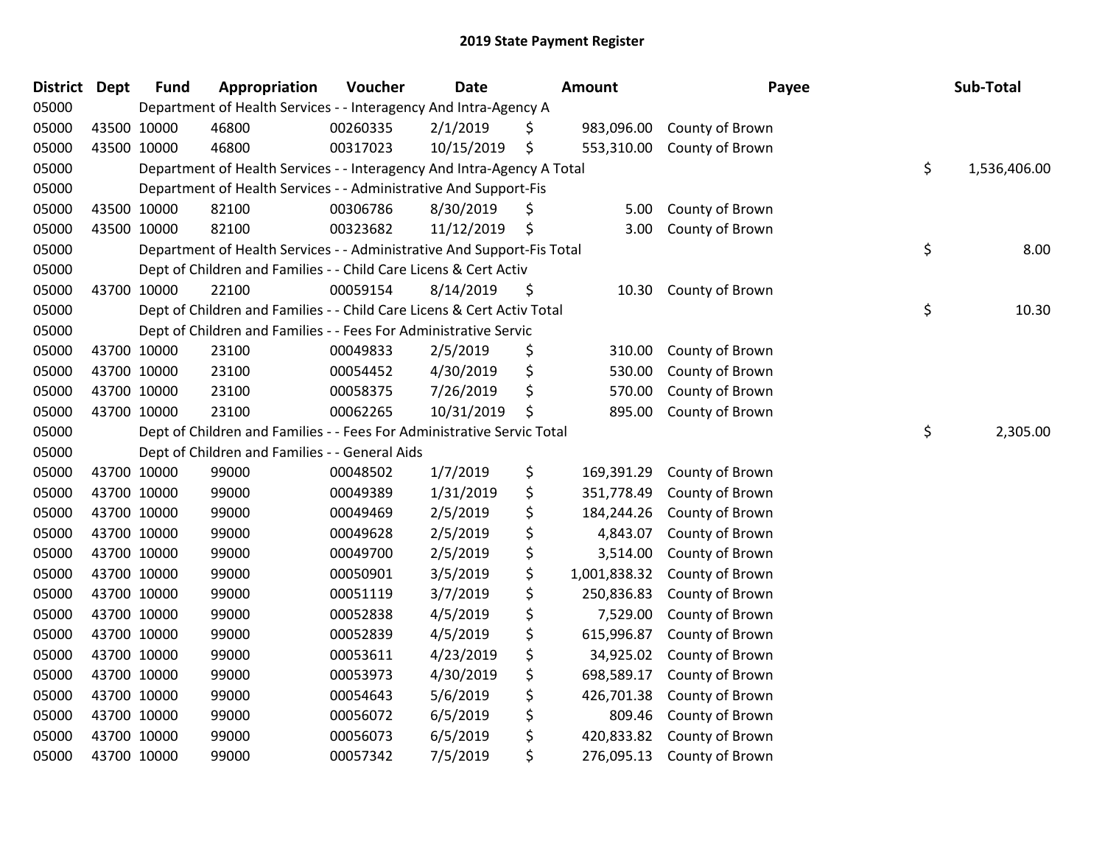| <b>District</b> | Dept        | <b>Fund</b> | Appropriation                                                          | Voucher  | <b>Date</b> | <b>Amount</b>      | Payee           | Sub-Total          |
|-----------------|-------------|-------------|------------------------------------------------------------------------|----------|-------------|--------------------|-----------------|--------------------|
| 05000           |             |             | Department of Health Services - - Interagency And Intra-Agency A       |          |             |                    |                 |                    |
| 05000           |             | 43500 10000 | 46800                                                                  | 00260335 | 2/1/2019    | \$<br>983,096.00   | County of Brown |                    |
| 05000           |             | 43500 10000 | 46800                                                                  | 00317023 | 10/15/2019  | \$<br>553,310.00   | County of Brown |                    |
| 05000           |             |             | Department of Health Services - - Interagency And Intra-Agency A Total |          |             |                    |                 | \$<br>1,536,406.00 |
| 05000           |             |             | Department of Health Services - - Administrative And Support-Fis       |          |             |                    |                 |                    |
| 05000           |             | 43500 10000 | 82100                                                                  | 00306786 | 8/30/2019   | \$<br>5.00         | County of Brown |                    |
| 05000           |             | 43500 10000 | 82100                                                                  | 00323682 | 11/12/2019  | \$<br>3.00         | County of Brown |                    |
| 05000           |             |             | Department of Health Services - - Administrative And Support-Fis Total |          |             |                    |                 | \$<br>8.00         |
| 05000           |             |             | Dept of Children and Families - - Child Care Licens & Cert Activ       |          |             |                    |                 |                    |
| 05000           |             | 43700 10000 | 22100                                                                  | 00059154 | 8/14/2019   | \$<br>10.30        | County of Brown |                    |
| 05000           |             |             | Dept of Children and Families - - Child Care Licens & Cert Activ Total |          |             |                    |                 | \$<br>10.30        |
| 05000           |             |             | Dept of Children and Families - - Fees For Administrative Servic       |          |             |                    |                 |                    |
| 05000           |             | 43700 10000 | 23100                                                                  | 00049833 | 2/5/2019    | \$<br>310.00       | County of Brown |                    |
| 05000           |             | 43700 10000 | 23100                                                                  | 00054452 | 4/30/2019   | \$<br>530.00       | County of Brown |                    |
| 05000           |             | 43700 10000 | 23100                                                                  | 00058375 | 7/26/2019   | \$<br>570.00       | County of Brown |                    |
| 05000           |             | 43700 10000 | 23100                                                                  | 00062265 | 10/31/2019  | \$<br>895.00       | County of Brown |                    |
| 05000           |             |             | Dept of Children and Families - - Fees For Administrative Servic Total |          |             |                    |                 | \$<br>2,305.00     |
| 05000           |             |             | Dept of Children and Families - - General Aids                         |          |             |                    |                 |                    |
| 05000           |             | 43700 10000 | 99000                                                                  | 00048502 | 1/7/2019    | \$<br>169,391.29   | County of Brown |                    |
| 05000           |             | 43700 10000 | 99000                                                                  | 00049389 | 1/31/2019   | \$<br>351,778.49   | County of Brown |                    |
| 05000           |             | 43700 10000 | 99000                                                                  | 00049469 | 2/5/2019    | \$<br>184,244.26   | County of Brown |                    |
| 05000           | 43700 10000 |             | 99000                                                                  | 00049628 | 2/5/2019    | \$<br>4,843.07     | County of Brown |                    |
| 05000           |             | 43700 10000 | 99000                                                                  | 00049700 | 2/5/2019    | \$<br>3,514.00     | County of Brown |                    |
| 05000           | 43700 10000 |             | 99000                                                                  | 00050901 | 3/5/2019    | \$<br>1,001,838.32 | County of Brown |                    |
| 05000           |             | 43700 10000 | 99000                                                                  | 00051119 | 3/7/2019    | \$<br>250,836.83   | County of Brown |                    |
| 05000           |             | 43700 10000 | 99000                                                                  | 00052838 | 4/5/2019    | \$<br>7,529.00     | County of Brown |                    |
| 05000           |             | 43700 10000 | 99000                                                                  | 00052839 | 4/5/2019    | \$<br>615,996.87   | County of Brown |                    |
| 05000           |             | 43700 10000 | 99000                                                                  | 00053611 | 4/23/2019   | \$<br>34,925.02    | County of Brown |                    |
| 05000           |             | 43700 10000 | 99000                                                                  | 00053973 | 4/30/2019   | \$<br>698,589.17   | County of Brown |                    |
| 05000           |             | 43700 10000 | 99000                                                                  | 00054643 | 5/6/2019    | \$<br>426,701.38   | County of Brown |                    |
| 05000           |             | 43700 10000 | 99000                                                                  | 00056072 | 6/5/2019    | \$<br>809.46       | County of Brown |                    |
| 05000           |             | 43700 10000 | 99000                                                                  | 00056073 | 6/5/2019    | \$<br>420,833.82   | County of Brown |                    |
| 05000           | 43700 10000 |             | 99000                                                                  | 00057342 | 7/5/2019    | \$<br>276,095.13   | County of Brown |                    |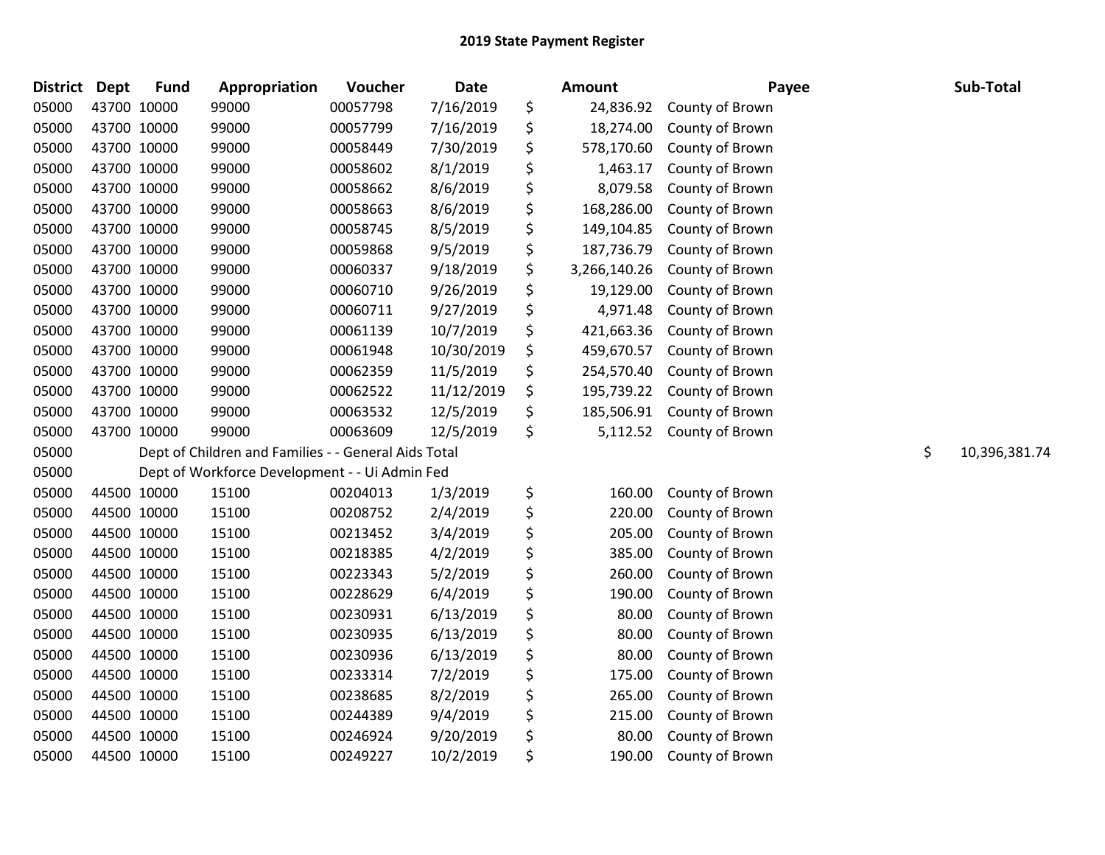| <b>District</b> | Dept        | <b>Fund</b> | Appropriation                                        | Voucher  | <b>Date</b> | <b>Amount</b>      | Payee           | Sub-Total           |
|-----------------|-------------|-------------|------------------------------------------------------|----------|-------------|--------------------|-----------------|---------------------|
| 05000           | 43700 10000 |             | 99000                                                | 00057798 | 7/16/2019   | \$<br>24,836.92    | County of Brown |                     |
| 05000           | 43700 10000 |             | 99000                                                | 00057799 | 7/16/2019   | \$<br>18,274.00    | County of Brown |                     |
| 05000           | 43700 10000 |             | 99000                                                | 00058449 | 7/30/2019   | \$<br>578,170.60   | County of Brown |                     |
| 05000           | 43700 10000 |             | 99000                                                | 00058602 | 8/1/2019    | \$<br>1,463.17     | County of Brown |                     |
| 05000           | 43700 10000 |             | 99000                                                | 00058662 | 8/6/2019    | \$<br>8,079.58     | County of Brown |                     |
| 05000           | 43700 10000 |             | 99000                                                | 00058663 | 8/6/2019    | \$<br>168,286.00   | County of Brown |                     |
| 05000           | 43700 10000 |             | 99000                                                | 00058745 | 8/5/2019    | \$<br>149,104.85   | County of Brown |                     |
| 05000           | 43700 10000 |             | 99000                                                | 00059868 | 9/5/2019    | \$<br>187,736.79   | County of Brown |                     |
| 05000           | 43700 10000 |             | 99000                                                | 00060337 | 9/18/2019   | \$<br>3,266,140.26 | County of Brown |                     |
| 05000           | 43700 10000 |             | 99000                                                | 00060710 | 9/26/2019   | \$<br>19,129.00    | County of Brown |                     |
| 05000           | 43700 10000 |             | 99000                                                | 00060711 | 9/27/2019   | \$<br>4,971.48     | County of Brown |                     |
| 05000           | 43700 10000 |             | 99000                                                | 00061139 | 10/7/2019   | \$<br>421,663.36   | County of Brown |                     |
| 05000           | 43700 10000 |             | 99000                                                | 00061948 | 10/30/2019  | \$<br>459,670.57   | County of Brown |                     |
| 05000           | 43700 10000 |             | 99000                                                | 00062359 | 11/5/2019   | \$<br>254,570.40   | County of Brown |                     |
| 05000           | 43700 10000 |             | 99000                                                | 00062522 | 11/12/2019  | \$<br>195,739.22   | County of Brown |                     |
| 05000           | 43700 10000 |             | 99000                                                | 00063532 | 12/5/2019   | \$<br>185,506.91   | County of Brown |                     |
| 05000           | 43700 10000 |             | 99000                                                | 00063609 | 12/5/2019   | \$<br>5,112.52     | County of Brown |                     |
| 05000           |             |             | Dept of Children and Families - - General Aids Total |          |             |                    |                 | \$<br>10,396,381.74 |
| 05000           |             |             | Dept of Workforce Development - - Ui Admin Fed       |          |             |                    |                 |                     |
| 05000           | 44500 10000 |             | 15100                                                | 00204013 | 1/3/2019    | \$<br>160.00       | County of Brown |                     |
| 05000           | 44500 10000 |             | 15100                                                | 00208752 | 2/4/2019    | \$<br>220.00       | County of Brown |                     |
| 05000           | 44500 10000 |             | 15100                                                | 00213452 | 3/4/2019    | \$<br>205.00       | County of Brown |                     |
| 05000           | 44500 10000 |             | 15100                                                | 00218385 | 4/2/2019    | \$<br>385.00       | County of Brown |                     |
| 05000           | 44500 10000 |             | 15100                                                | 00223343 | 5/2/2019    | \$<br>260.00       | County of Brown |                     |
| 05000           | 44500 10000 |             | 15100                                                | 00228629 | 6/4/2019    | \$<br>190.00       | County of Brown |                     |
| 05000           | 44500 10000 |             | 15100                                                | 00230931 | 6/13/2019   | \$<br>80.00        | County of Brown |                     |
| 05000           | 44500 10000 |             | 15100                                                | 00230935 | 6/13/2019   | \$<br>80.00        | County of Brown |                     |
| 05000           | 44500 10000 |             | 15100                                                | 00230936 | 6/13/2019   | \$<br>80.00        | County of Brown |                     |
| 05000           | 44500 10000 |             | 15100                                                | 00233314 | 7/2/2019    | \$<br>175.00       | County of Brown |                     |
| 05000           | 44500 10000 |             | 15100                                                | 00238685 | 8/2/2019    | \$<br>265.00       | County of Brown |                     |
| 05000           | 44500 10000 |             | 15100                                                | 00244389 | 9/4/2019    | \$<br>215.00       | County of Brown |                     |
| 05000           | 44500 10000 |             | 15100                                                | 00246924 | 9/20/2019   | \$<br>80.00        | County of Brown |                     |
| 05000           | 44500 10000 |             | 15100                                                | 00249227 | 10/2/2019   | \$<br>190.00       | County of Brown |                     |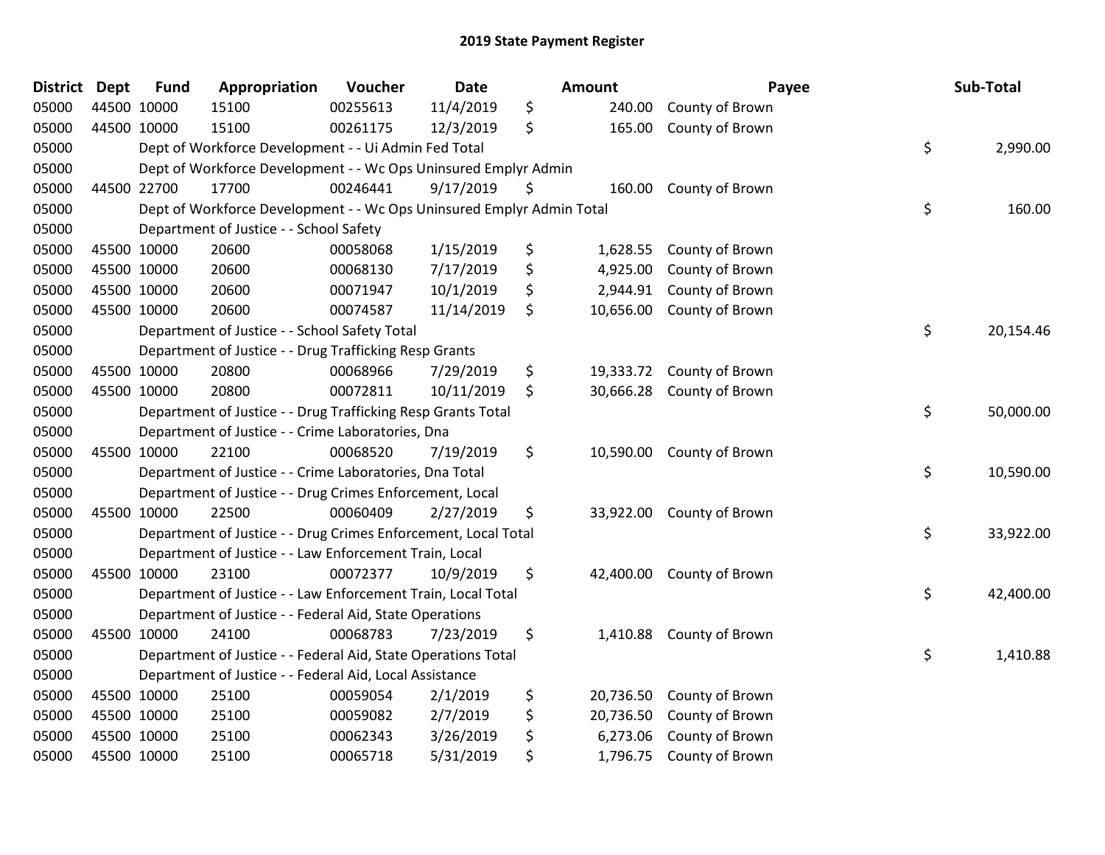| <b>District Dept</b> |             | <b>Fund</b> | Appropriation                                                         | Voucher  | <b>Date</b> | <b>Amount</b>   | Payee           | Sub-Total       |
|----------------------|-------------|-------------|-----------------------------------------------------------------------|----------|-------------|-----------------|-----------------|-----------------|
| 05000                |             | 44500 10000 | 15100                                                                 | 00255613 | 11/4/2019   | \$<br>240.00    | County of Brown |                 |
| 05000                |             | 44500 10000 | 15100                                                                 | 00261175 | 12/3/2019   | \$<br>165.00    | County of Brown |                 |
| 05000                |             |             | Dept of Workforce Development - - Ui Admin Fed Total                  |          |             |                 |                 | \$<br>2,990.00  |
| 05000                |             |             | Dept of Workforce Development - - Wc Ops Uninsured Emplyr Admin       |          |             |                 |                 |                 |
| 05000                |             | 44500 22700 | 17700                                                                 | 00246441 | 9/17/2019   | \$<br>160.00    | County of Brown |                 |
| 05000                |             |             | Dept of Workforce Development - - Wc Ops Uninsured Emplyr Admin Total |          |             |                 |                 | \$<br>160.00    |
| 05000                |             |             | Department of Justice - - School Safety                               |          |             |                 |                 |                 |
| 05000                |             | 45500 10000 | 20600                                                                 | 00058068 | 1/15/2019   | \$<br>1,628.55  | County of Brown |                 |
| 05000                | 45500 10000 |             | 20600                                                                 | 00068130 | 7/17/2019   | \$<br>4,925.00  | County of Brown |                 |
| 05000                | 45500 10000 |             | 20600                                                                 | 00071947 | 10/1/2019   | \$<br>2,944.91  | County of Brown |                 |
| 05000                |             | 45500 10000 | 20600                                                                 | 00074587 | 11/14/2019  | \$<br>10,656.00 | County of Brown |                 |
| 05000                |             |             | Department of Justice - - School Safety Total                         |          |             |                 |                 | \$<br>20,154.46 |
| 05000                |             |             | Department of Justice - - Drug Trafficking Resp Grants                |          |             |                 |                 |                 |
| 05000                |             | 45500 10000 | 20800                                                                 | 00068966 | 7/29/2019   | \$<br>19,333.72 | County of Brown |                 |
| 05000                |             | 45500 10000 | 20800                                                                 | 00072811 | 10/11/2019  | \$<br>30,666.28 | County of Brown |                 |
| 05000                |             |             | Department of Justice - - Drug Trafficking Resp Grants Total          |          |             |                 |                 | \$<br>50,000.00 |
| 05000                |             |             | Department of Justice - - Crime Laboratories, Dna                     |          |             |                 |                 |                 |
| 05000                |             | 45500 10000 | 22100                                                                 | 00068520 | 7/19/2019   | \$<br>10,590.00 | County of Brown |                 |
| 05000                |             |             | Department of Justice - - Crime Laboratories, Dna Total               |          |             |                 |                 | \$<br>10,590.00 |
| 05000                |             |             | Department of Justice - - Drug Crimes Enforcement, Local              |          |             |                 |                 |                 |
| 05000                |             | 45500 10000 | 22500                                                                 | 00060409 | 2/27/2019   | \$<br>33,922.00 | County of Brown |                 |
| 05000                |             |             | Department of Justice - - Drug Crimes Enforcement, Local Total        |          |             |                 |                 | \$<br>33,922.00 |
| 05000                |             |             | Department of Justice - - Law Enforcement Train, Local                |          |             |                 |                 |                 |
| 05000                |             | 45500 10000 | 23100                                                                 | 00072377 | 10/9/2019   | \$<br>42,400.00 | County of Brown |                 |
| 05000                |             |             | Department of Justice - - Law Enforcement Train, Local Total          |          |             |                 |                 | \$<br>42,400.00 |
| 05000                |             |             | Department of Justice - - Federal Aid, State Operations               |          |             |                 |                 |                 |
| 05000                |             | 45500 10000 | 24100                                                                 | 00068783 | 7/23/2019   | \$<br>1,410.88  | County of Brown |                 |
| 05000                |             |             | Department of Justice - - Federal Aid, State Operations Total         |          |             |                 |                 | \$<br>1,410.88  |
| 05000                |             |             | Department of Justice - - Federal Aid, Local Assistance               |          |             |                 |                 |                 |
| 05000                |             | 45500 10000 | 25100                                                                 | 00059054 | 2/1/2019    | \$<br>20,736.50 | County of Brown |                 |
| 05000                | 45500 10000 |             | 25100                                                                 | 00059082 | 2/7/2019    | \$<br>20,736.50 | County of Brown |                 |
| 05000                |             | 45500 10000 | 25100                                                                 | 00062343 | 3/26/2019   | \$<br>6,273.06  | County of Brown |                 |
| 05000                |             | 45500 10000 | 25100                                                                 | 00065718 | 5/31/2019   | \$<br>1,796.75  | County of Brown |                 |
|                      |             |             |                                                                       |          |             |                 |                 |                 |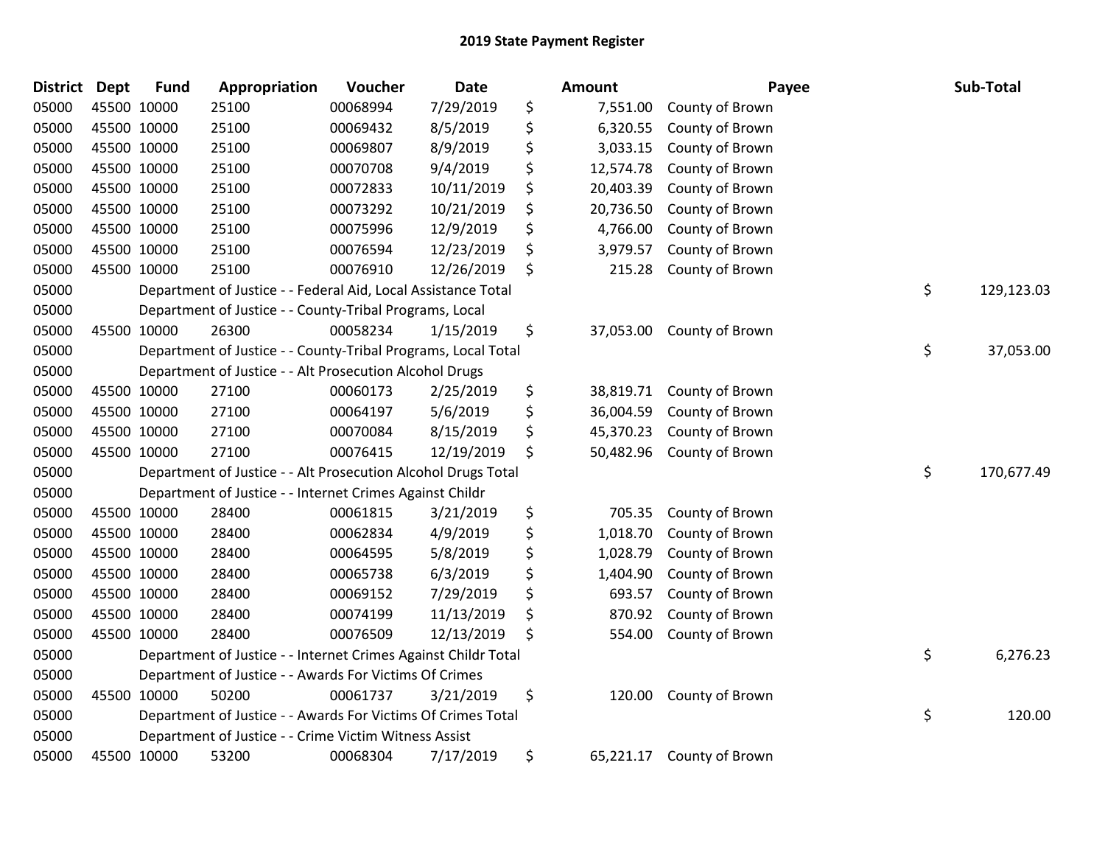| <b>District</b> | <b>Dept</b> | <b>Fund</b> | Appropriation                                                  | Voucher  | <b>Date</b> | <b>Amount</b>   | Payee           | Sub-Total        |
|-----------------|-------------|-------------|----------------------------------------------------------------|----------|-------------|-----------------|-----------------|------------------|
| 05000           |             | 45500 10000 | 25100                                                          | 00068994 | 7/29/2019   | \$<br>7,551.00  | County of Brown |                  |
| 05000           |             | 45500 10000 | 25100                                                          | 00069432 | 8/5/2019    | \$<br>6,320.55  | County of Brown |                  |
| 05000           | 45500 10000 |             | 25100                                                          | 00069807 | 8/9/2019    | \$<br>3,033.15  | County of Brown |                  |
| 05000           | 45500 10000 |             | 25100                                                          | 00070708 | 9/4/2019    | \$<br>12,574.78 | County of Brown |                  |
| 05000           |             | 45500 10000 | 25100                                                          | 00072833 | 10/11/2019  | \$<br>20,403.39 | County of Brown |                  |
| 05000           |             | 45500 10000 | 25100                                                          | 00073292 | 10/21/2019  | \$<br>20,736.50 | County of Brown |                  |
| 05000           |             | 45500 10000 | 25100                                                          | 00075996 | 12/9/2019   | \$<br>4,766.00  | County of Brown |                  |
| 05000           | 45500 10000 |             | 25100                                                          | 00076594 | 12/23/2019  | \$<br>3,979.57  | County of Brown |                  |
| 05000           |             | 45500 10000 | 25100                                                          | 00076910 | 12/26/2019  | \$<br>215.28    | County of Brown |                  |
| 05000           |             |             | Department of Justice - - Federal Aid, Local Assistance Total  |          |             |                 |                 | \$<br>129,123.03 |
| 05000           |             |             | Department of Justice - - County-Tribal Programs, Local        |          |             |                 |                 |                  |
| 05000           |             | 45500 10000 | 26300                                                          | 00058234 | 1/15/2019   | \$<br>37,053.00 | County of Brown |                  |
| 05000           |             |             | Department of Justice - - County-Tribal Programs, Local Total  |          |             |                 |                 | \$<br>37,053.00  |
| 05000           |             |             | Department of Justice - - Alt Prosecution Alcohol Drugs        |          |             |                 |                 |                  |
| 05000           |             | 45500 10000 | 27100                                                          | 00060173 | 2/25/2019   | \$<br>38,819.71 | County of Brown |                  |
| 05000           |             | 45500 10000 | 27100                                                          | 00064197 | 5/6/2019    | \$<br>36,004.59 | County of Brown |                  |
| 05000           |             | 45500 10000 | 27100                                                          | 00070084 | 8/15/2019   | \$<br>45,370.23 | County of Brown |                  |
| 05000           |             | 45500 10000 | 27100                                                          | 00076415 | 12/19/2019  | \$<br>50,482.96 | County of Brown |                  |
| 05000           |             |             | Department of Justice - - Alt Prosecution Alcohol Drugs Total  |          |             |                 |                 | \$<br>170,677.49 |
| 05000           |             |             | Department of Justice - - Internet Crimes Against Childr       |          |             |                 |                 |                  |
| 05000           |             | 45500 10000 | 28400                                                          | 00061815 | 3/21/2019   | \$<br>705.35    | County of Brown |                  |
| 05000           |             | 45500 10000 | 28400                                                          | 00062834 | 4/9/2019    | \$<br>1,018.70  | County of Brown |                  |
| 05000           | 45500 10000 |             | 28400                                                          | 00064595 | 5/8/2019    | \$<br>1,028.79  | County of Brown |                  |
| 05000           |             | 45500 10000 | 28400                                                          | 00065738 | 6/3/2019    | \$<br>1,404.90  | County of Brown |                  |
| 05000           |             | 45500 10000 | 28400                                                          | 00069152 | 7/29/2019   | \$<br>693.57    | County of Brown |                  |
| 05000           |             | 45500 10000 | 28400                                                          | 00074199 | 11/13/2019  | \$<br>870.92    | County of Brown |                  |
| 05000           |             | 45500 10000 | 28400                                                          | 00076509 | 12/13/2019  | \$<br>554.00    | County of Brown |                  |
| 05000           |             |             | Department of Justice - - Internet Crimes Against Childr Total |          |             |                 |                 | \$<br>6,276.23   |
| 05000           |             |             | Department of Justice - - Awards For Victims Of Crimes         |          |             |                 |                 |                  |
| 05000           |             | 45500 10000 | 50200                                                          | 00061737 | 3/21/2019   | \$<br>120.00    | County of Brown |                  |
| 05000           |             |             | Department of Justice - - Awards For Victims Of Crimes Total   |          |             |                 |                 | \$<br>120.00     |
| 05000           |             |             | Department of Justice - - Crime Victim Witness Assist          |          |             |                 |                 |                  |
| 05000           |             | 45500 10000 | 53200                                                          | 00068304 | 7/17/2019   | \$<br>65,221.17 | County of Brown |                  |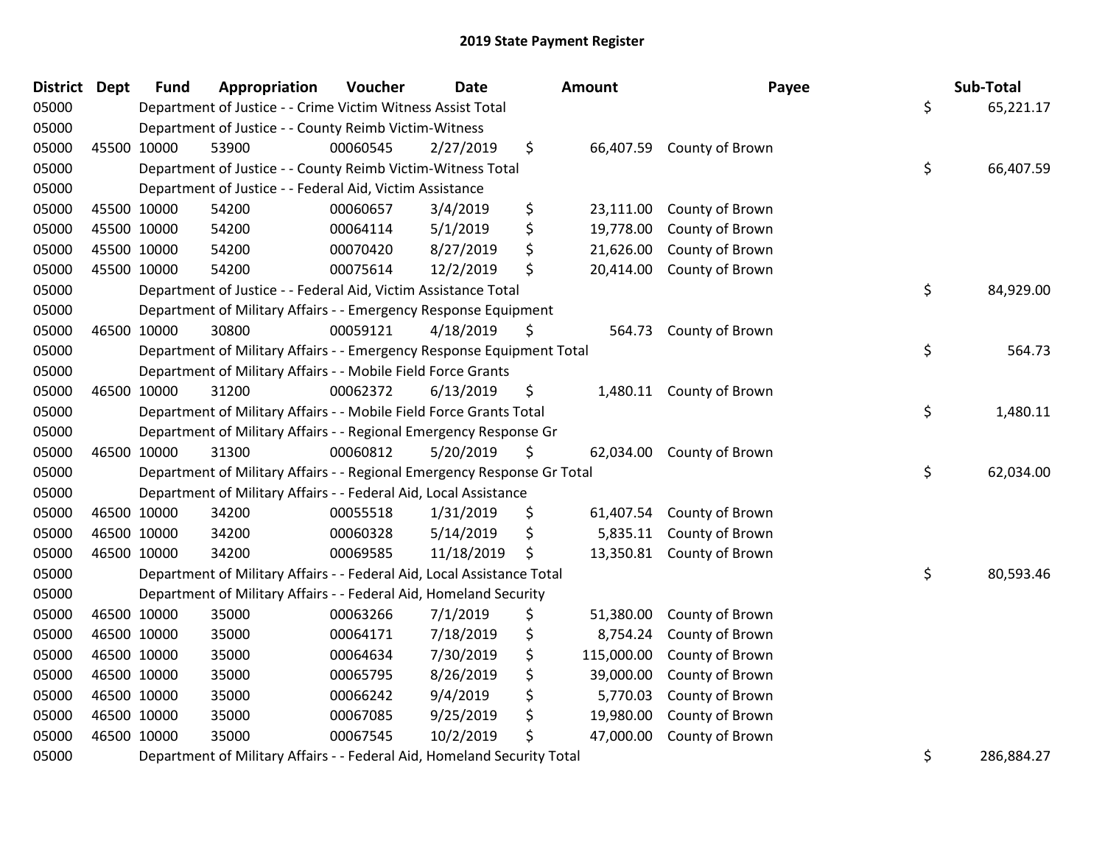| District | <b>Dept</b> | <b>Fund</b> | Appropriation                                                           | Voucher  | <b>Date</b> | Amount           | Payee                     | Sub-Total        |
|----------|-------------|-------------|-------------------------------------------------------------------------|----------|-------------|------------------|---------------------------|------------------|
| 05000    |             |             | Department of Justice - - Crime Victim Witness Assist Total             |          |             |                  |                           | \$<br>65,221.17  |
| 05000    |             |             | Department of Justice - - County Reimb Victim-Witness                   |          |             |                  |                           |                  |
| 05000    | 45500 10000 |             | 53900                                                                   | 00060545 | 2/27/2019   | \$               | 66,407.59 County of Brown |                  |
| 05000    |             |             | Department of Justice - - County Reimb Victim-Witness Total             |          |             |                  |                           | \$<br>66,407.59  |
| 05000    |             |             | Department of Justice - - Federal Aid, Victim Assistance                |          |             |                  |                           |                  |
| 05000    | 45500 10000 |             | 54200                                                                   | 00060657 | 3/4/2019    | \$<br>23,111.00  | County of Brown           |                  |
| 05000    | 45500 10000 |             | 54200                                                                   | 00064114 | 5/1/2019    | \$<br>19,778.00  | County of Brown           |                  |
| 05000    | 45500 10000 |             | 54200                                                                   | 00070420 | 8/27/2019   | \$<br>21,626.00  | County of Brown           |                  |
| 05000    | 45500 10000 |             | 54200                                                                   | 00075614 | 12/2/2019   | \$<br>20,414.00  | County of Brown           |                  |
| 05000    |             |             | Department of Justice - - Federal Aid, Victim Assistance Total          |          |             |                  |                           | \$<br>84,929.00  |
| 05000    |             |             | Department of Military Affairs - - Emergency Response Equipment         |          |             |                  |                           |                  |
| 05000    | 46500 10000 |             | 30800                                                                   | 00059121 | 4/18/2019   | \$               | 564.73 County of Brown    |                  |
| 05000    |             |             | Department of Military Affairs - - Emergency Response Equipment Total   |          |             |                  |                           | \$<br>564.73     |
| 05000    |             |             | Department of Military Affairs - - Mobile Field Force Grants            |          |             |                  |                           |                  |
| 05000    | 46500 10000 |             | 31200                                                                   | 00062372 | 6/13/2019   | \$<br>1,480.11   | County of Brown           |                  |
| 05000    |             |             | Department of Military Affairs - - Mobile Field Force Grants Total      |          |             |                  |                           | \$<br>1,480.11   |
| 05000    |             |             | Department of Military Affairs - - Regional Emergency Response Gr       |          |             |                  |                           |                  |
| 05000    | 46500 10000 |             | 31300                                                                   | 00060812 | 5/20/2019   | \$               | 62,034.00 County of Brown |                  |
| 05000    |             |             | Department of Military Affairs - - Regional Emergency Response Gr Total |          |             |                  |                           | \$<br>62,034.00  |
| 05000    |             |             | Department of Military Affairs - - Federal Aid, Local Assistance        |          |             |                  |                           |                  |
| 05000    | 46500 10000 |             | 34200                                                                   | 00055518 | 1/31/2019   | \$<br>61,407.54  | County of Brown           |                  |
| 05000    | 46500 10000 |             | 34200                                                                   | 00060328 | 5/14/2019   | \$<br>5,835.11   | County of Brown           |                  |
| 05000    | 46500 10000 |             | 34200                                                                   | 00069585 | 11/18/2019  | \$               | 13,350.81 County of Brown |                  |
| 05000    |             |             | Department of Military Affairs - - Federal Aid, Local Assistance Total  |          |             |                  |                           | \$<br>80,593.46  |
| 05000    |             |             | Department of Military Affairs - - Federal Aid, Homeland Security       |          |             |                  |                           |                  |
| 05000    | 46500 10000 |             | 35000                                                                   | 00063266 | 7/1/2019    | \$<br>51,380.00  | County of Brown           |                  |
| 05000    | 46500 10000 |             | 35000                                                                   | 00064171 | 7/18/2019   | \$<br>8,754.24   | County of Brown           |                  |
| 05000    | 46500 10000 |             | 35000                                                                   | 00064634 | 7/30/2019   | \$<br>115,000.00 | County of Brown           |                  |
| 05000    | 46500 10000 |             | 35000                                                                   | 00065795 | 8/26/2019   | \$<br>39,000.00  | County of Brown           |                  |
| 05000    | 46500 10000 |             | 35000                                                                   | 00066242 | 9/4/2019    | \$<br>5,770.03   | County of Brown           |                  |
| 05000    | 46500 10000 |             | 35000                                                                   | 00067085 | 9/25/2019   | \$<br>19,980.00  | County of Brown           |                  |
| 05000    | 46500 10000 |             | 35000                                                                   | 00067545 | 10/2/2019   | 47,000.00        | County of Brown           |                  |
| 05000    |             |             | Department of Military Affairs - - Federal Aid, Homeland Security Total |          |             |                  |                           | \$<br>286,884.27 |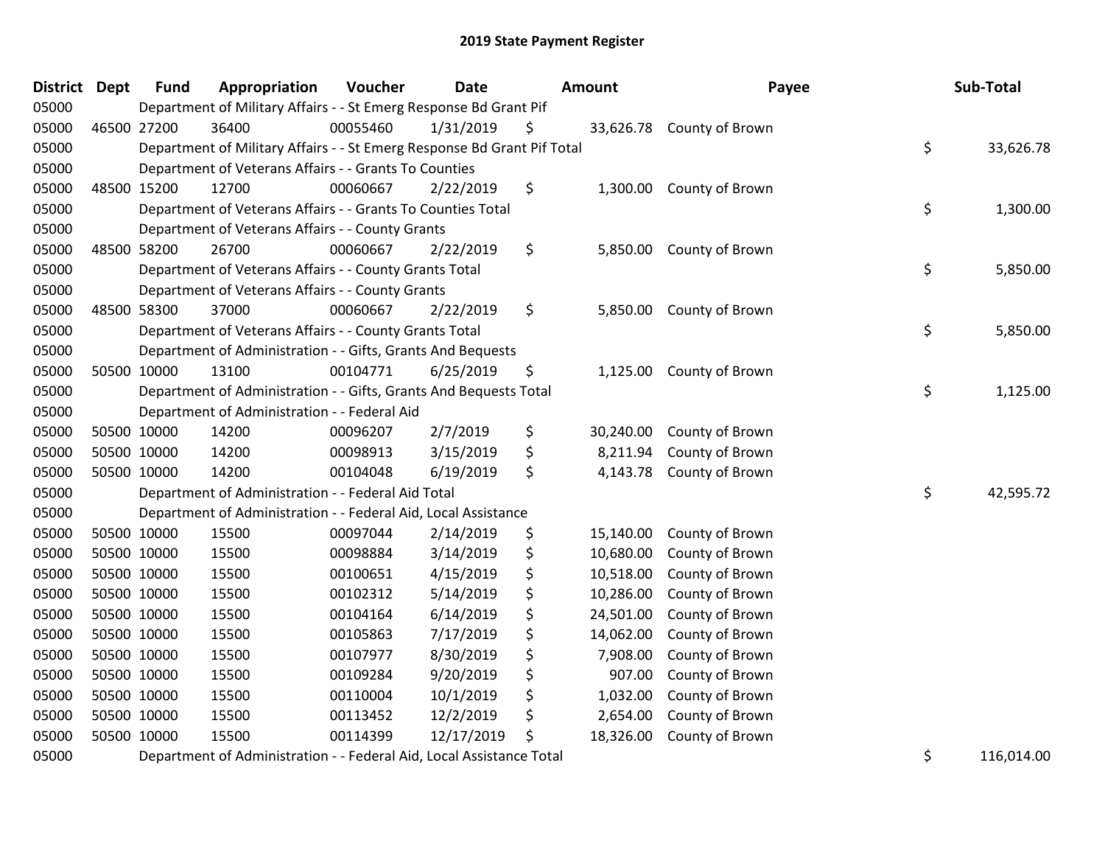| District | <b>Dept</b> | <b>Fund</b> | Appropriation                                                           | Voucher  | Date       | <b>Amount</b>   | Payee                     | Sub-Total       |
|----------|-------------|-------------|-------------------------------------------------------------------------|----------|------------|-----------------|---------------------------|-----------------|
| 05000    |             |             | Department of Military Affairs - - St Emerg Response Bd Grant Pif       |          |            |                 |                           |                 |
| 05000    |             | 46500 27200 | 36400                                                                   | 00055460 | 1/31/2019  | \$              | 33,626.78 County of Brown |                 |
| 05000    |             |             | Department of Military Affairs - - St Emerg Response Bd Grant Pif Total |          |            |                 |                           | \$<br>33,626.78 |
| 05000    |             |             | Department of Veterans Affairs - - Grants To Counties                   |          |            |                 |                           |                 |
| 05000    |             | 48500 15200 | 12700                                                                   | 00060667 | 2/22/2019  | \$              | 1,300.00 County of Brown  |                 |
| 05000    |             |             | Department of Veterans Affairs - - Grants To Counties Total             |          |            |                 |                           | \$<br>1,300.00  |
| 05000    |             |             | Department of Veterans Affairs - - County Grants                        |          |            |                 |                           |                 |
| 05000    | 48500       | 58200       | 26700                                                                   | 00060667 | 2/22/2019  | \$<br>5,850.00  | County of Brown           |                 |
| 05000    |             |             | Department of Veterans Affairs - - County Grants Total                  |          |            |                 |                           | \$<br>5,850.00  |
| 05000    |             |             | Department of Veterans Affairs - - County Grants                        |          |            |                 |                           |                 |
| 05000    |             | 48500 58300 | 37000                                                                   | 00060667 | 2/22/2019  | \$              | 5,850.00 County of Brown  |                 |
| 05000    |             |             | Department of Veterans Affairs - - County Grants Total                  |          |            |                 |                           | \$<br>5,850.00  |
| 05000    |             |             | Department of Administration - - Gifts, Grants And Bequests             |          |            |                 |                           |                 |
| 05000    |             | 50500 10000 | 13100                                                                   | 00104771 | 6/25/2019  | \$<br>1,125.00  | County of Brown           |                 |
| 05000    |             |             | Department of Administration - - Gifts, Grants And Bequests Total       |          |            |                 |                           | \$<br>1,125.00  |
| 05000    |             |             | Department of Administration - - Federal Aid                            |          |            |                 |                           |                 |
| 05000    |             | 50500 10000 | 14200                                                                   | 00096207 | 2/7/2019   | \$<br>30,240.00 | County of Brown           |                 |
| 05000    |             | 50500 10000 | 14200                                                                   | 00098913 | 3/15/2019  | \$<br>8,211.94  | County of Brown           |                 |
| 05000    |             | 50500 10000 | 14200                                                                   | 00104048 | 6/19/2019  | \$<br>4,143.78  | County of Brown           |                 |
| 05000    |             |             | Department of Administration - - Federal Aid Total                      |          |            |                 |                           | \$<br>42,595.72 |
| 05000    |             |             | Department of Administration - - Federal Aid, Local Assistance          |          |            |                 |                           |                 |
| 05000    |             | 50500 10000 | 15500                                                                   | 00097044 | 2/14/2019  | \$<br>15,140.00 | County of Brown           |                 |
| 05000    | 50500 10000 |             | 15500                                                                   | 00098884 | 3/14/2019  | \$<br>10,680.00 | County of Brown           |                 |
| 05000    | 50500 10000 |             | 15500                                                                   | 00100651 | 4/15/2019  | \$<br>10,518.00 | County of Brown           |                 |
| 05000    | 50500 10000 |             | 15500                                                                   | 00102312 | 5/14/2019  | \$<br>10,286.00 | County of Brown           |                 |
| 05000    | 50500 10000 |             | 15500                                                                   | 00104164 | 6/14/2019  | \$<br>24,501.00 | County of Brown           |                 |
| 05000    | 50500 10000 |             | 15500                                                                   | 00105863 | 7/17/2019  | \$<br>14,062.00 | County of Brown           |                 |
| 05000    | 50500 10000 |             | 15500                                                                   | 00107977 | 8/30/2019  | \$<br>7,908.00  | County of Brown           |                 |
| 05000    | 50500 10000 |             | 15500                                                                   | 00109284 | 9/20/2019  | \$<br>907.00    | County of Brown           |                 |
| 05000    | 50500 10000 |             | 15500                                                                   | 00110004 | 10/1/2019  | \$<br>1,032.00  | County of Brown           |                 |
| 05000    | 50500 10000 |             | 15500                                                                   | 00113452 | 12/2/2019  | \$<br>2,654.00  | County of Brown           |                 |
| 05000    | 50500 10000 |             | 15500                                                                   | 00114399 | 12/17/2019 | \$<br>18,326.00 | County of Brown           |                 |
| 0.000    |             |             |                                                                         |          |            |                 |                           | 110001100       |

05000 Department of Administration - - Federal Aid, Local Assistance Total 116,014.00 COLL 2016,014.00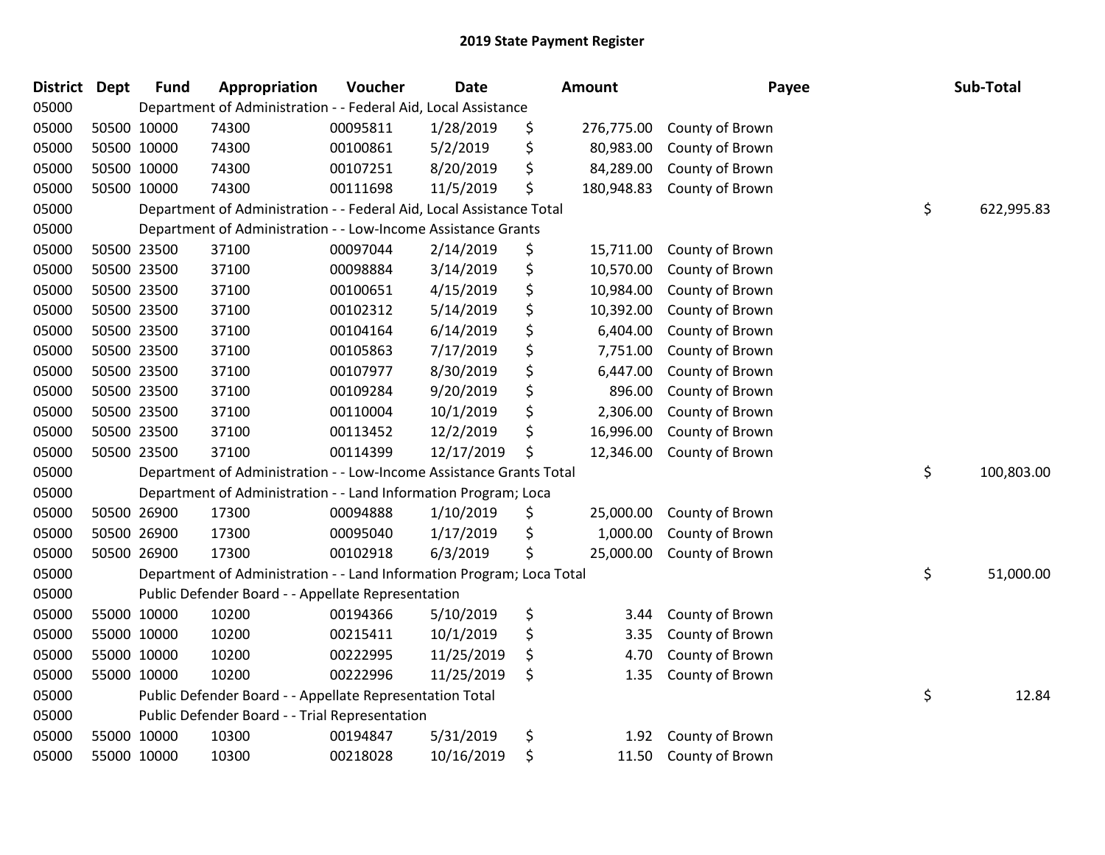| District Dept |             | <b>Fund</b> | Appropriation                                                         | Voucher  | <b>Date</b> | Amount           | Payee           | Sub-Total        |
|---------------|-------------|-------------|-----------------------------------------------------------------------|----------|-------------|------------------|-----------------|------------------|
| 05000         |             |             | Department of Administration - - Federal Aid, Local Assistance        |          |             |                  |                 |                  |
| 05000         |             | 50500 10000 | 74300                                                                 | 00095811 | 1/28/2019   | \$<br>276,775.00 | County of Brown |                  |
| 05000         |             | 50500 10000 | 74300                                                                 | 00100861 | 5/2/2019    | \$<br>80,983.00  | County of Brown |                  |
| 05000         |             | 50500 10000 | 74300                                                                 | 00107251 | 8/20/2019   | \$<br>84,289.00  | County of Brown |                  |
| 05000         |             | 50500 10000 | 74300                                                                 | 00111698 | 11/5/2019   | \$<br>180,948.83 | County of Brown |                  |
| 05000         |             |             | Department of Administration - - Federal Aid, Local Assistance Total  |          |             |                  |                 | \$<br>622,995.83 |
| 05000         |             |             | Department of Administration - - Low-Income Assistance Grants         |          |             |                  |                 |                  |
| 05000         |             | 50500 23500 | 37100                                                                 | 00097044 | 2/14/2019   | \$<br>15,711.00  | County of Brown |                  |
| 05000         |             | 50500 23500 | 37100                                                                 | 00098884 | 3/14/2019   | \$<br>10,570.00  | County of Brown |                  |
| 05000         |             | 50500 23500 | 37100                                                                 | 00100651 | 4/15/2019   | \$<br>10,984.00  | County of Brown |                  |
| 05000         |             | 50500 23500 | 37100                                                                 | 00102312 | 5/14/2019   | \$<br>10,392.00  | County of Brown |                  |
| 05000         |             | 50500 23500 | 37100                                                                 | 00104164 | 6/14/2019   | \$<br>6,404.00   | County of Brown |                  |
| 05000         |             | 50500 23500 | 37100                                                                 | 00105863 | 7/17/2019   | \$<br>7,751.00   | County of Brown |                  |
| 05000         |             | 50500 23500 | 37100                                                                 | 00107977 | 8/30/2019   | \$<br>6,447.00   | County of Brown |                  |
| 05000         |             | 50500 23500 | 37100                                                                 | 00109284 | 9/20/2019   | \$<br>896.00     | County of Brown |                  |
| 05000         |             | 50500 23500 | 37100                                                                 | 00110004 | 10/1/2019   | \$<br>2,306.00   | County of Brown |                  |
| 05000         | 50500 23500 |             | 37100                                                                 | 00113452 | 12/2/2019   | \$<br>16,996.00  | County of Brown |                  |
| 05000         |             | 50500 23500 | 37100                                                                 | 00114399 | 12/17/2019  | \$<br>12,346.00  | County of Brown |                  |
| 05000         |             |             | Department of Administration - - Low-Income Assistance Grants Total   |          |             |                  |                 | \$<br>100,803.00 |
| 05000         |             |             | Department of Administration - - Land Information Program; Loca       |          |             |                  |                 |                  |
| 05000         |             | 50500 26900 | 17300                                                                 | 00094888 | 1/10/2019   | \$<br>25,000.00  | County of Brown |                  |
| 05000         |             | 50500 26900 | 17300                                                                 | 00095040 | 1/17/2019   | \$<br>1,000.00   | County of Brown |                  |
| 05000         |             | 50500 26900 | 17300                                                                 | 00102918 | 6/3/2019    | \$<br>25,000.00  | County of Brown |                  |
| 05000         |             |             | Department of Administration - - Land Information Program; Loca Total |          |             |                  |                 | \$<br>51,000.00  |
| 05000         |             |             | Public Defender Board - - Appellate Representation                    |          |             |                  |                 |                  |
| 05000         |             | 55000 10000 | 10200                                                                 | 00194366 | 5/10/2019   | \$<br>3.44       | County of Brown |                  |
| 05000         |             | 55000 10000 | 10200                                                                 | 00215411 | 10/1/2019   | \$<br>3.35       | County of Brown |                  |
| 05000         |             | 55000 10000 | 10200                                                                 | 00222995 | 11/25/2019  | \$<br>4.70       | County of Brown |                  |
| 05000         |             | 55000 10000 | 10200                                                                 | 00222996 | 11/25/2019  | \$<br>1.35       | County of Brown |                  |
| 05000         |             |             | Public Defender Board - - Appellate Representation Total              |          |             |                  |                 | \$<br>12.84      |
| 05000         |             |             | Public Defender Board - - Trial Representation                        |          |             |                  |                 |                  |
| 05000         |             | 55000 10000 | 10300                                                                 | 00194847 | 5/31/2019   | \$<br>1.92       | County of Brown |                  |
| 05000         |             | 55000 10000 | 10300                                                                 | 00218028 | 10/16/2019  | \$<br>11.50      | County of Brown |                  |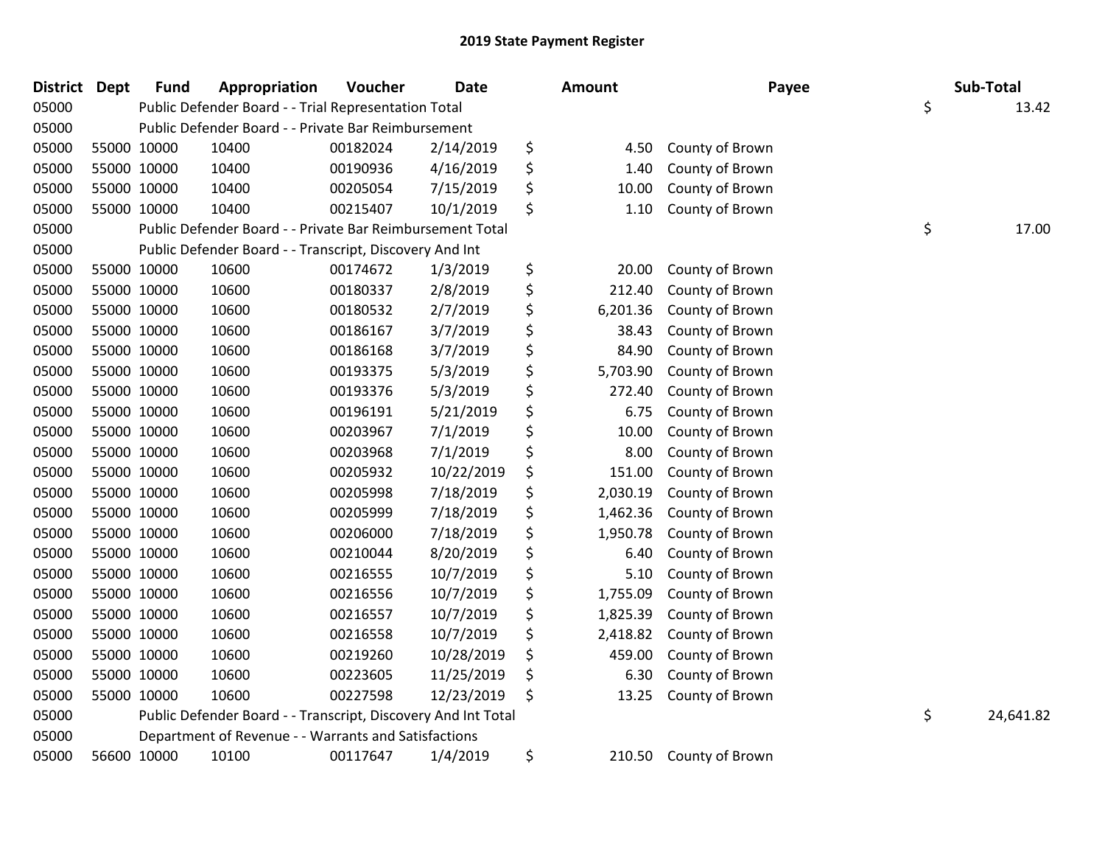| <b>District</b> | <b>Dept</b> | <b>Fund</b> | Appropriation                                                 | Voucher  | <b>Date</b> | Amount         | Payee           | Sub-Total       |
|-----------------|-------------|-------------|---------------------------------------------------------------|----------|-------------|----------------|-----------------|-----------------|
| 05000           |             |             | Public Defender Board - - Trial Representation Total          |          |             |                |                 | \$<br>13.42     |
| 05000           |             |             | Public Defender Board - - Private Bar Reimbursement           |          |             |                |                 |                 |
| 05000           | 55000 10000 |             | 10400                                                         | 00182024 | 2/14/2019   | \$<br>4.50     | County of Brown |                 |
| 05000           | 55000 10000 |             | 10400                                                         | 00190936 | 4/16/2019   | \$<br>1.40     | County of Brown |                 |
| 05000           | 55000 10000 |             | 10400                                                         | 00205054 | 7/15/2019   | \$<br>10.00    | County of Brown |                 |
| 05000           | 55000 10000 |             | 10400                                                         | 00215407 | 10/1/2019   | \$<br>1.10     | County of Brown |                 |
| 05000           |             |             | Public Defender Board - - Private Bar Reimbursement Total     |          |             |                |                 | \$<br>17.00     |
| 05000           |             |             | Public Defender Board - - Transcript, Discovery And Int       |          |             |                |                 |                 |
| 05000           | 55000 10000 |             | 10600                                                         | 00174672 | 1/3/2019    | \$<br>20.00    | County of Brown |                 |
| 05000           | 55000 10000 |             | 10600                                                         | 00180337 | 2/8/2019    | \$<br>212.40   | County of Brown |                 |
| 05000           | 55000 10000 |             | 10600                                                         | 00180532 | 2/7/2019    | \$<br>6,201.36 | County of Brown |                 |
| 05000           | 55000 10000 |             | 10600                                                         | 00186167 | 3/7/2019    | \$<br>38.43    | County of Brown |                 |
| 05000           | 55000 10000 |             | 10600                                                         | 00186168 | 3/7/2019    | \$<br>84.90    | County of Brown |                 |
| 05000           | 55000 10000 |             | 10600                                                         | 00193375 | 5/3/2019    | \$<br>5,703.90 | County of Brown |                 |
| 05000           | 55000 10000 |             | 10600                                                         | 00193376 | 5/3/2019    | \$<br>272.40   | County of Brown |                 |
| 05000           | 55000 10000 |             | 10600                                                         | 00196191 | 5/21/2019   | \$<br>6.75     | County of Brown |                 |
| 05000           | 55000 10000 |             | 10600                                                         | 00203967 | 7/1/2019    | \$<br>10.00    | County of Brown |                 |
| 05000           | 55000 10000 |             | 10600                                                         | 00203968 | 7/1/2019    | \$<br>8.00     | County of Brown |                 |
| 05000           | 55000 10000 |             | 10600                                                         | 00205932 | 10/22/2019  | \$<br>151.00   | County of Brown |                 |
| 05000           | 55000 10000 |             | 10600                                                         | 00205998 | 7/18/2019   | \$<br>2,030.19 | County of Brown |                 |
| 05000           | 55000 10000 |             | 10600                                                         | 00205999 | 7/18/2019   | \$<br>1,462.36 | County of Brown |                 |
| 05000           | 55000 10000 |             | 10600                                                         | 00206000 | 7/18/2019   | \$<br>1,950.78 | County of Brown |                 |
| 05000           | 55000 10000 |             | 10600                                                         | 00210044 | 8/20/2019   | \$<br>6.40     | County of Brown |                 |
| 05000           | 55000 10000 |             | 10600                                                         | 00216555 | 10/7/2019   | \$<br>5.10     | County of Brown |                 |
| 05000           | 55000 10000 |             | 10600                                                         | 00216556 | 10/7/2019   | \$<br>1,755.09 | County of Brown |                 |
| 05000           | 55000 10000 |             | 10600                                                         | 00216557 | 10/7/2019   | \$<br>1,825.39 | County of Brown |                 |
| 05000           | 55000 10000 |             | 10600                                                         | 00216558 | 10/7/2019   | \$<br>2,418.82 | County of Brown |                 |
| 05000           | 55000 10000 |             | 10600                                                         | 00219260 | 10/28/2019  | \$<br>459.00   | County of Brown |                 |
| 05000           | 55000 10000 |             | 10600                                                         | 00223605 | 11/25/2019  | \$<br>6.30     | County of Brown |                 |
| 05000           | 55000 10000 |             | 10600                                                         | 00227598 | 12/23/2019  | \$<br>13.25    | County of Brown |                 |
| 05000           |             |             | Public Defender Board - - Transcript, Discovery And Int Total |          |             |                |                 | \$<br>24,641.82 |
| 05000           |             |             | Department of Revenue - - Warrants and Satisfactions          |          |             |                |                 |                 |
| 05000           | 56600 10000 |             | 10100                                                         | 00117647 | 1/4/2019    | \$<br>210.50   | County of Brown |                 |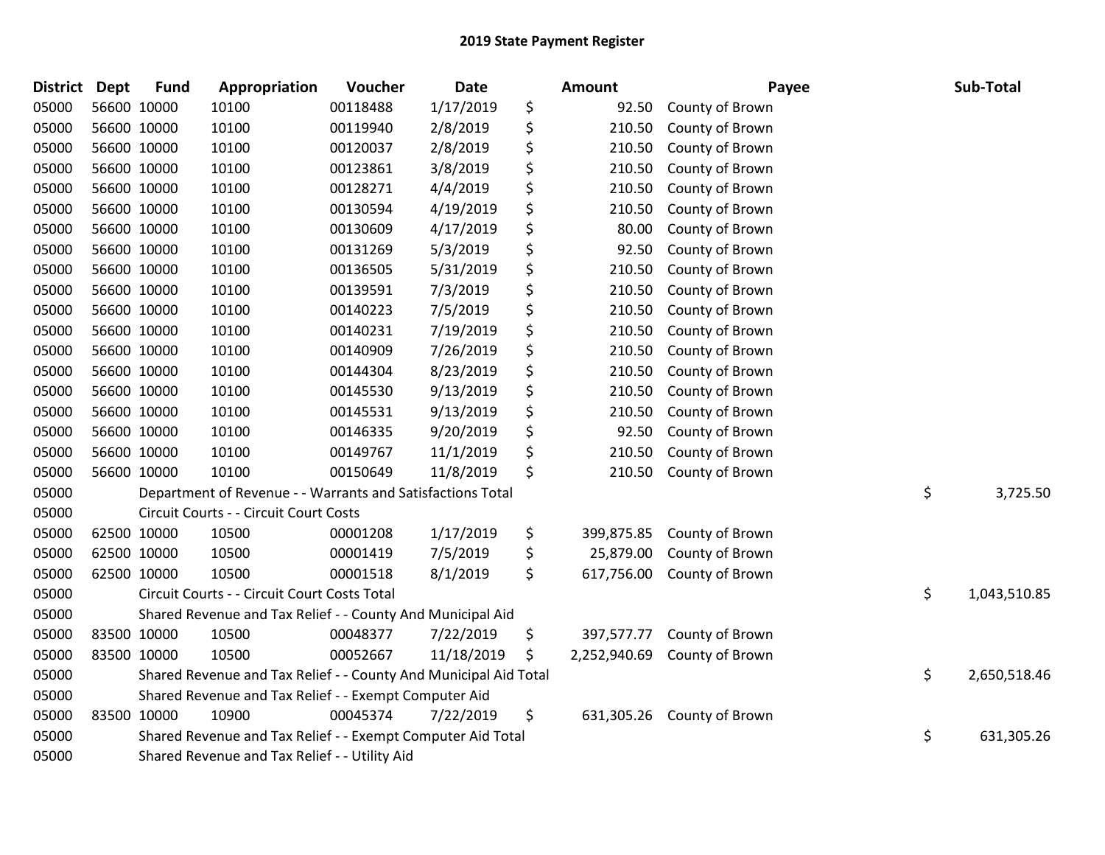| <b>District</b> | <b>Dept</b> | <b>Fund</b> | Appropriation                                                    | Voucher  | <b>Date</b> | <b>Amount</b>      | Payee           | Sub-Total          |
|-----------------|-------------|-------------|------------------------------------------------------------------|----------|-------------|--------------------|-----------------|--------------------|
| 05000           |             | 56600 10000 | 10100                                                            | 00118488 | 1/17/2019   | \$<br>92.50        | County of Brown |                    |
| 05000           |             | 56600 10000 | 10100                                                            | 00119940 | 2/8/2019    | \$<br>210.50       | County of Brown |                    |
| 05000           |             | 56600 10000 | 10100                                                            | 00120037 | 2/8/2019    | \$<br>210.50       | County of Brown |                    |
| 05000           |             | 56600 10000 | 10100                                                            | 00123861 | 3/8/2019    | \$<br>210.50       | County of Brown |                    |
| 05000           |             | 56600 10000 | 10100                                                            | 00128271 | 4/4/2019    | \$<br>210.50       | County of Brown |                    |
| 05000           |             | 56600 10000 | 10100                                                            | 00130594 | 4/19/2019   | \$<br>210.50       | County of Brown |                    |
| 05000           |             | 56600 10000 | 10100                                                            | 00130609 | 4/17/2019   | \$<br>80.00        | County of Brown |                    |
| 05000           |             | 56600 10000 | 10100                                                            | 00131269 | 5/3/2019    | \$<br>92.50        | County of Brown |                    |
| 05000           |             | 56600 10000 | 10100                                                            | 00136505 | 5/31/2019   | \$<br>210.50       | County of Brown |                    |
| 05000           |             | 56600 10000 | 10100                                                            | 00139591 | 7/3/2019    | \$<br>210.50       | County of Brown |                    |
| 05000           |             | 56600 10000 | 10100                                                            | 00140223 | 7/5/2019    | \$<br>210.50       | County of Brown |                    |
| 05000           |             | 56600 10000 | 10100                                                            | 00140231 | 7/19/2019   | \$<br>210.50       | County of Brown |                    |
| 05000           |             | 56600 10000 | 10100                                                            | 00140909 | 7/26/2019   | \$<br>210.50       | County of Brown |                    |
| 05000           |             | 56600 10000 | 10100                                                            | 00144304 | 8/23/2019   | \$<br>210.50       | County of Brown |                    |
| 05000           |             | 56600 10000 | 10100                                                            | 00145530 | 9/13/2019   | \$<br>210.50       | County of Brown |                    |
| 05000           |             | 56600 10000 | 10100                                                            | 00145531 | 9/13/2019   | \$<br>210.50       | County of Brown |                    |
| 05000           |             | 56600 10000 | 10100                                                            | 00146335 | 9/20/2019   | \$<br>92.50        | County of Brown |                    |
| 05000           |             | 56600 10000 | 10100                                                            | 00149767 | 11/1/2019   | \$<br>210.50       | County of Brown |                    |
| 05000           |             | 56600 10000 | 10100                                                            | 00150649 | 11/8/2019   | \$<br>210.50       | County of Brown |                    |
| 05000           |             |             | Department of Revenue - - Warrants and Satisfactions Total       |          |             |                    |                 | \$<br>3,725.50     |
| 05000           |             |             | Circuit Courts - - Circuit Court Costs                           |          |             |                    |                 |                    |
| 05000           |             | 62500 10000 | 10500                                                            | 00001208 | 1/17/2019   | \$<br>399,875.85   | County of Brown |                    |
| 05000           |             | 62500 10000 | 10500                                                            | 00001419 | 7/5/2019    | \$<br>25,879.00    | County of Brown |                    |
| 05000           |             | 62500 10000 | 10500                                                            | 00001518 | 8/1/2019    | \$<br>617,756.00   | County of Brown |                    |
| 05000           |             |             | Circuit Courts - - Circuit Court Costs Total                     |          |             |                    |                 | \$<br>1,043,510.85 |
| 05000           |             |             | Shared Revenue and Tax Relief - - County And Municipal Aid       |          |             |                    |                 |                    |
| 05000           |             | 83500 10000 | 10500                                                            | 00048377 | 7/22/2019   | \$<br>397,577.77   | County of Brown |                    |
| 05000           |             | 83500 10000 | 10500                                                            | 00052667 | 11/18/2019  | \$<br>2,252,940.69 | County of Brown |                    |
| 05000           |             |             | Shared Revenue and Tax Relief - - County And Municipal Aid Total |          |             |                    |                 | \$<br>2,650,518.46 |
| 05000           |             |             | Shared Revenue and Tax Relief - - Exempt Computer Aid            |          |             |                    |                 |                    |
| 05000           |             | 83500 10000 | 10900                                                            | 00045374 | 7/22/2019   | \$<br>631,305.26   | County of Brown |                    |
| 05000           |             |             | Shared Revenue and Tax Relief - - Exempt Computer Aid Total      |          |             |                    |                 | \$<br>631,305.26   |
| 05000           |             |             | Shared Revenue and Tax Relief - - Utility Aid                    |          |             |                    |                 |                    |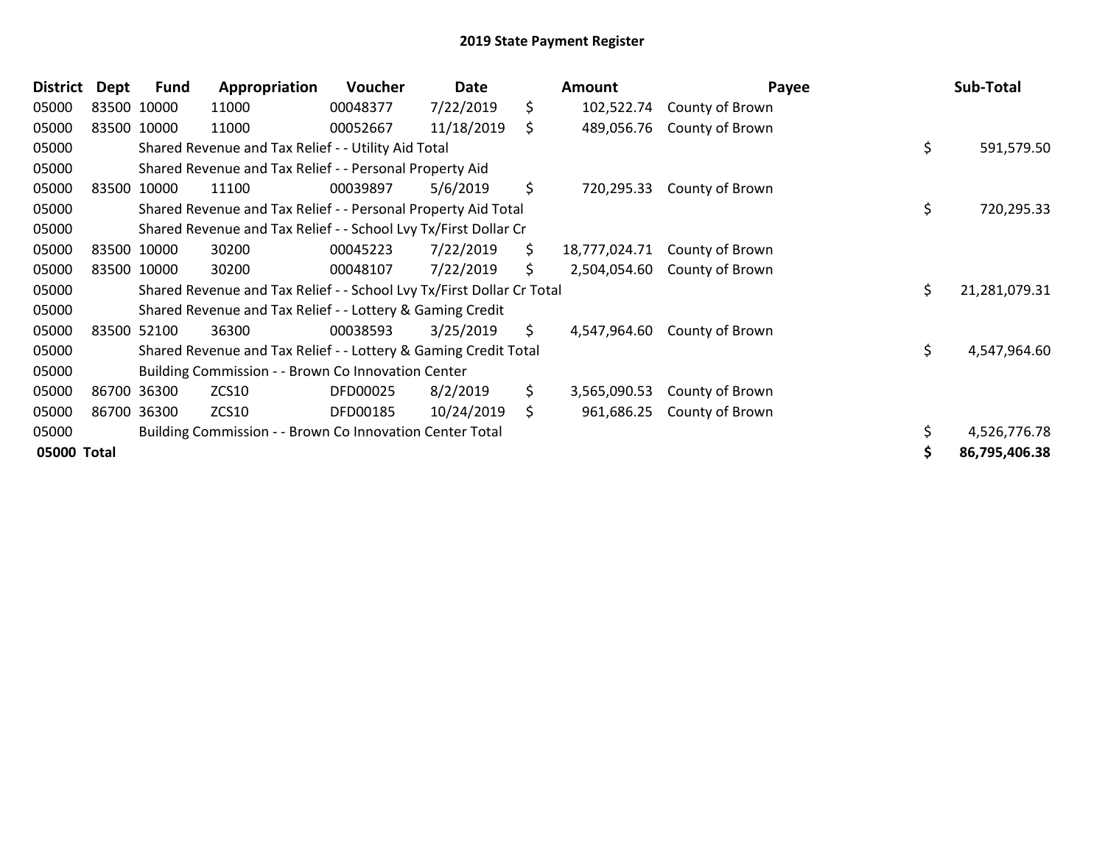| <b>District</b> | Dept  | <b>Fund</b> | Appropriation                                                         | Voucher  | Date       |     | Amount        | Payee           |    | Sub-Total     |
|-----------------|-------|-------------|-----------------------------------------------------------------------|----------|------------|-----|---------------|-----------------|----|---------------|
| 05000           |       | 83500 10000 | 11000                                                                 | 00048377 | 7/22/2019  | \$  | 102,522.74    | County of Brown |    |               |
| 05000           |       | 83500 10000 | 11000                                                                 | 00052667 | 11/18/2019 | \$  | 489,056.76    | County of Brown |    |               |
| 05000           |       |             | Shared Revenue and Tax Relief - - Utility Aid Total                   |          |            |     |               |                 | \$ | 591,579.50    |
| 05000           |       |             | Shared Revenue and Tax Relief - - Personal Property Aid               |          |            |     |               |                 |    |               |
| 05000           |       | 83500 10000 | 11100                                                                 | 00039897 | 5/6/2019   | \$  | 720,295.33    | County of Brown |    |               |
| 05000           |       |             | Shared Revenue and Tax Relief - - Personal Property Aid Total         |          |            |     |               |                 | \$ | 720,295.33    |
| 05000           |       |             | Shared Revenue and Tax Relief - - School Lvy Tx/First Dollar Cr       |          |            |     |               |                 |    |               |
| 05000           |       | 83500 10000 | 30200                                                                 | 00045223 | 7/22/2019  | \$  | 18,777,024.71 | County of Brown |    |               |
| 05000           |       | 83500 10000 | 30200                                                                 | 00048107 | 7/22/2019  | \$. | 2,504,054.60  | County of Brown |    |               |
| 05000           |       |             | Shared Revenue and Tax Relief - - School Lvy Tx/First Dollar Cr Total |          |            |     |               |                 | \$ | 21,281,079.31 |
| 05000           |       |             | Shared Revenue and Tax Relief - - Lottery & Gaming Credit             |          |            |     |               |                 |    |               |
| 05000           |       | 83500 52100 | 36300                                                                 | 00038593 | 3/25/2019  | \$  | 4,547,964.60  | County of Brown |    |               |
| 05000           |       |             | Shared Revenue and Tax Relief - - Lottery & Gaming Credit Total       |          |            |     |               |                 | \$ | 4,547,964.60  |
| 05000           |       |             | Building Commission - - Brown Co Innovation Center                    |          |            |     |               |                 |    |               |
| 05000           | 86700 | 36300       | ZCS10                                                                 | DFD00025 | 8/2/2019   | \$. | 3,565,090.53  | County of Brown |    |               |
| 05000           | 86700 | 36300       | <b>ZCS10</b>                                                          | DFD00185 | 10/24/2019 | \$  | 961,686.25    | County of Brown |    |               |
| 05000           |       |             | Building Commission - - Brown Co Innovation Center Total              |          |            |     |               |                 |    | 4,526,776.78  |
| 05000 Total     |       |             |                                                                       |          |            |     |               |                 | S  | 86,795,406.38 |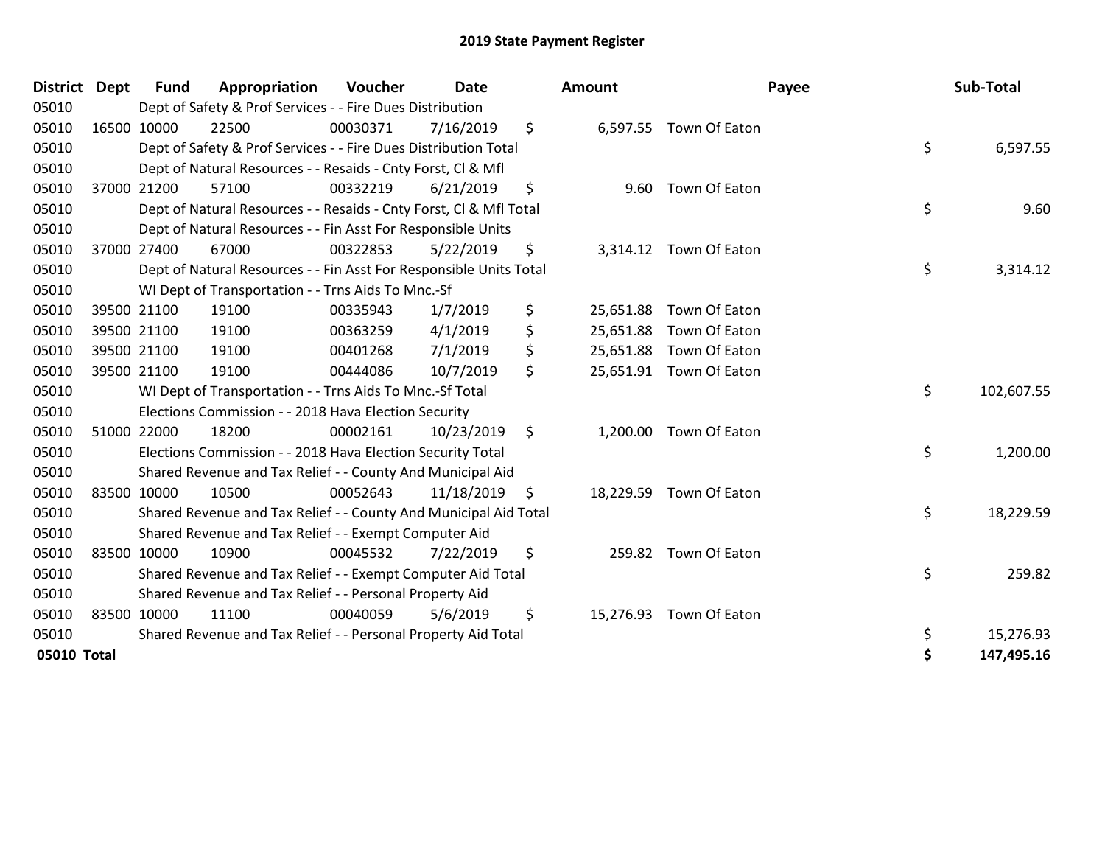| <b>District</b> | <b>Dept</b> | <b>Fund</b> | Appropriation                                                      | Voucher  | <b>Date</b> | Amount          |                         | Payee | Sub-Total  |
|-----------------|-------------|-------------|--------------------------------------------------------------------|----------|-------------|-----------------|-------------------------|-------|------------|
| 05010           |             |             | Dept of Safety & Prof Services - - Fire Dues Distribution          |          |             |                 |                         |       |            |
| 05010           |             | 16500 10000 | 22500                                                              | 00030371 | 7/16/2019   | \$              | 6,597.55 Town Of Eaton  |       |            |
| 05010           |             |             | Dept of Safety & Prof Services - - Fire Dues Distribution Total    |          |             |                 |                         | \$    | 6,597.55   |
| 05010           |             |             | Dept of Natural Resources - - Resaids - Cnty Forst, Cl & Mfl       |          |             |                 |                         |       |            |
| 05010           |             | 37000 21200 | 57100                                                              | 00332219 | 6/21/2019   | \$<br>9.60      | Town Of Eaton           |       |            |
| 05010           |             |             | Dept of Natural Resources - - Resaids - Cnty Forst, Cl & Mfl Total |          |             |                 |                         | \$    | 9.60       |
| 05010           |             |             | Dept of Natural Resources - - Fin Asst For Responsible Units       |          |             |                 |                         |       |            |
| 05010           |             | 37000 27400 | 67000                                                              | 00322853 | 5/22/2019   | \$              | 3,314.12 Town Of Eaton  |       |            |
| 05010           |             |             | Dept of Natural Resources - - Fin Asst For Responsible Units Total |          |             |                 |                         | \$    | 3,314.12   |
| 05010           |             |             | WI Dept of Transportation - - Trns Aids To Mnc.-Sf                 |          |             |                 |                         |       |            |
| 05010           |             | 39500 21100 | 19100                                                              | 00335943 | 1/7/2019    | \$<br>25,651.88 | Town Of Eaton           |       |            |
| 05010           |             | 39500 21100 | 19100                                                              | 00363259 | 4/1/2019    | \$<br>25,651.88 | Town Of Eaton           |       |            |
| 05010           |             | 39500 21100 | 19100                                                              | 00401268 | 7/1/2019    | \$              | 25,651.88 Town Of Eaton |       |            |
| 05010           | 39500 21100 |             | 19100                                                              | 00444086 | 10/7/2019   | \$              | 25,651.91 Town Of Eaton |       |            |
| 05010           |             |             | WI Dept of Transportation - - Trns Aids To Mnc.-Sf Total           |          |             |                 |                         | \$    | 102,607.55 |
| 05010           |             |             | Elections Commission - - 2018 Hava Election Security               |          |             |                 |                         |       |            |
| 05010           | 51000 22000 |             | 18200                                                              | 00002161 | 10/23/2019  | \$              | 1,200.00 Town Of Eaton  |       |            |
| 05010           |             |             | Elections Commission - - 2018 Hava Election Security Total         |          |             |                 |                         | \$    | 1,200.00   |
| 05010           |             |             | Shared Revenue and Tax Relief - - County And Municipal Aid         |          |             |                 |                         |       |            |
| 05010           | 83500 10000 |             | 10500                                                              | 00052643 | 11/18/2019  | \$              | 18,229.59 Town Of Eaton |       |            |
| 05010           |             |             | Shared Revenue and Tax Relief - - County And Municipal Aid Total   |          |             |                 |                         | \$    | 18,229.59  |
| 05010           |             |             | Shared Revenue and Tax Relief - - Exempt Computer Aid              |          |             |                 |                         |       |            |
| 05010           | 83500 10000 |             | 10900                                                              | 00045532 | 7/22/2019   | \$<br>259.82    | Town Of Eaton           |       |            |
| 05010           |             |             | Shared Revenue and Tax Relief - - Exempt Computer Aid Total        |          |             |                 |                         | \$    | 259.82     |
| 05010           |             |             | Shared Revenue and Tax Relief - - Personal Property Aid            |          |             |                 |                         |       |            |
| 05010           | 83500 10000 |             | 11100                                                              | 00040059 | 5/6/2019    | \$              | 15,276.93 Town Of Eaton |       |            |
| 05010           |             |             | Shared Revenue and Tax Relief - - Personal Property Aid Total      |          |             |                 |                         | \$    | 15,276.93  |
| 05010 Total     |             |             |                                                                    |          |             |                 |                         | \$    | 147,495.16 |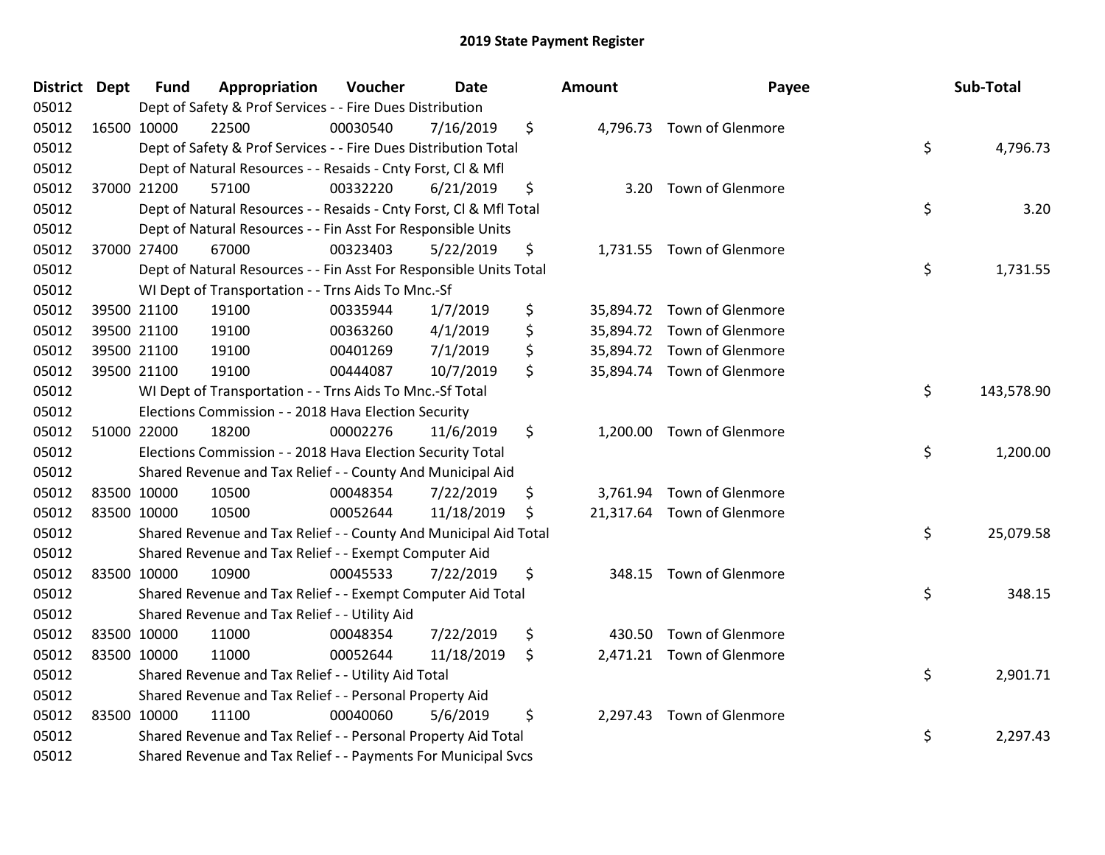| <b>District Dept</b> | <b>Fund</b> | Appropriation                                                      | Voucher  | <b>Date</b> | <b>Amount</b> | Payee                      | Sub-Total        |
|----------------------|-------------|--------------------------------------------------------------------|----------|-------------|---------------|----------------------------|------------------|
| 05012                |             | Dept of Safety & Prof Services - - Fire Dues Distribution          |          |             |               |                            |                  |
| 05012                | 16500 10000 | 22500                                                              | 00030540 | 7/16/2019   | \$            | 4,796.73 Town of Glenmore  |                  |
| 05012                |             | Dept of Safety & Prof Services - - Fire Dues Distribution Total    |          |             |               |                            | \$<br>4,796.73   |
| 05012                |             | Dept of Natural Resources - - Resaids - Cnty Forst, CI & Mfl       |          |             |               |                            |                  |
| 05012                | 37000 21200 | 57100                                                              | 00332220 | 6/21/2019   | \$            | 3.20 Town of Glenmore      |                  |
| 05012                |             | Dept of Natural Resources - - Resaids - Cnty Forst, CI & Mfl Total |          |             |               |                            | \$<br>3.20       |
| 05012                |             | Dept of Natural Resources - - Fin Asst For Responsible Units       |          |             |               |                            |                  |
| 05012                | 37000 27400 | 67000                                                              | 00323403 | 5/22/2019   | \$            | 1,731.55 Town of Glenmore  |                  |
| 05012                |             | Dept of Natural Resources - - Fin Asst For Responsible Units Total |          |             |               |                            | \$<br>1,731.55   |
| 05012                |             | WI Dept of Transportation - - Trns Aids To Mnc.-Sf                 |          |             |               |                            |                  |
| 05012                | 39500 21100 | 19100                                                              | 00335944 | 1/7/2019    | \$            | 35,894.72 Town of Glenmore |                  |
| 05012                | 39500 21100 | 19100                                                              | 00363260 | 4/1/2019    | \$            | 35,894.72 Town of Glenmore |                  |
| 05012                | 39500 21100 | 19100                                                              | 00401269 | 7/1/2019    | \$            | 35,894.72 Town of Glenmore |                  |
| 05012                | 39500 21100 | 19100                                                              | 00444087 | 10/7/2019   | \$            | 35,894.74 Town of Glenmore |                  |
| 05012                |             | WI Dept of Transportation - - Trns Aids To Mnc.-Sf Total           |          |             |               |                            | \$<br>143,578.90 |
| 05012                |             | Elections Commission - - 2018 Hava Election Security               |          |             |               |                            |                  |
| 05012                | 51000 22000 | 18200                                                              | 00002276 | 11/6/2019   | \$            | 1,200.00 Town of Glenmore  |                  |
| 05012                |             | Elections Commission - - 2018 Hava Election Security Total         |          |             |               |                            | \$<br>1,200.00   |
| 05012                |             | Shared Revenue and Tax Relief - - County And Municipal Aid         |          |             |               |                            |                  |
| 05012                | 83500 10000 | 10500                                                              | 00048354 | 7/22/2019   | \$            | 3,761.94 Town of Glenmore  |                  |
| 05012                | 83500 10000 | 10500                                                              | 00052644 | 11/18/2019  | \$            | 21,317.64 Town of Glenmore |                  |
| 05012                |             | Shared Revenue and Tax Relief - - County And Municipal Aid Total   |          |             |               |                            | \$<br>25,079.58  |
| 05012                |             | Shared Revenue and Tax Relief - - Exempt Computer Aid              |          |             |               |                            |                  |
| 05012                | 83500 10000 | 10900                                                              | 00045533 | 7/22/2019   | \$            | 348.15 Town of Glenmore    |                  |
| 05012                |             | Shared Revenue and Tax Relief - - Exempt Computer Aid Total        |          |             |               |                            | \$<br>348.15     |
| 05012                |             | Shared Revenue and Tax Relief - - Utility Aid                      |          |             |               |                            |                  |
| 05012                | 83500 10000 | 11000                                                              | 00048354 | 7/22/2019   | \$<br>430.50  | Town of Glenmore           |                  |
| 05012                | 83500 10000 | 11000                                                              | 00052644 | 11/18/2019  | \$            | 2,471.21 Town of Glenmore  |                  |
| 05012                |             | Shared Revenue and Tax Relief - - Utility Aid Total                |          |             |               |                            | \$<br>2,901.71   |
| 05012                |             | Shared Revenue and Tax Relief - - Personal Property Aid            |          |             |               |                            |                  |
| 05012                | 83500 10000 | 11100                                                              | 00040060 | 5/6/2019    | \$            | 2,297.43 Town of Glenmore  |                  |
| 05012                |             | Shared Revenue and Tax Relief - - Personal Property Aid Total      |          |             |               |                            | \$<br>2,297.43   |
| 05012                |             | Shared Revenue and Tax Relief - - Payments For Municipal Svcs      |          |             |               |                            |                  |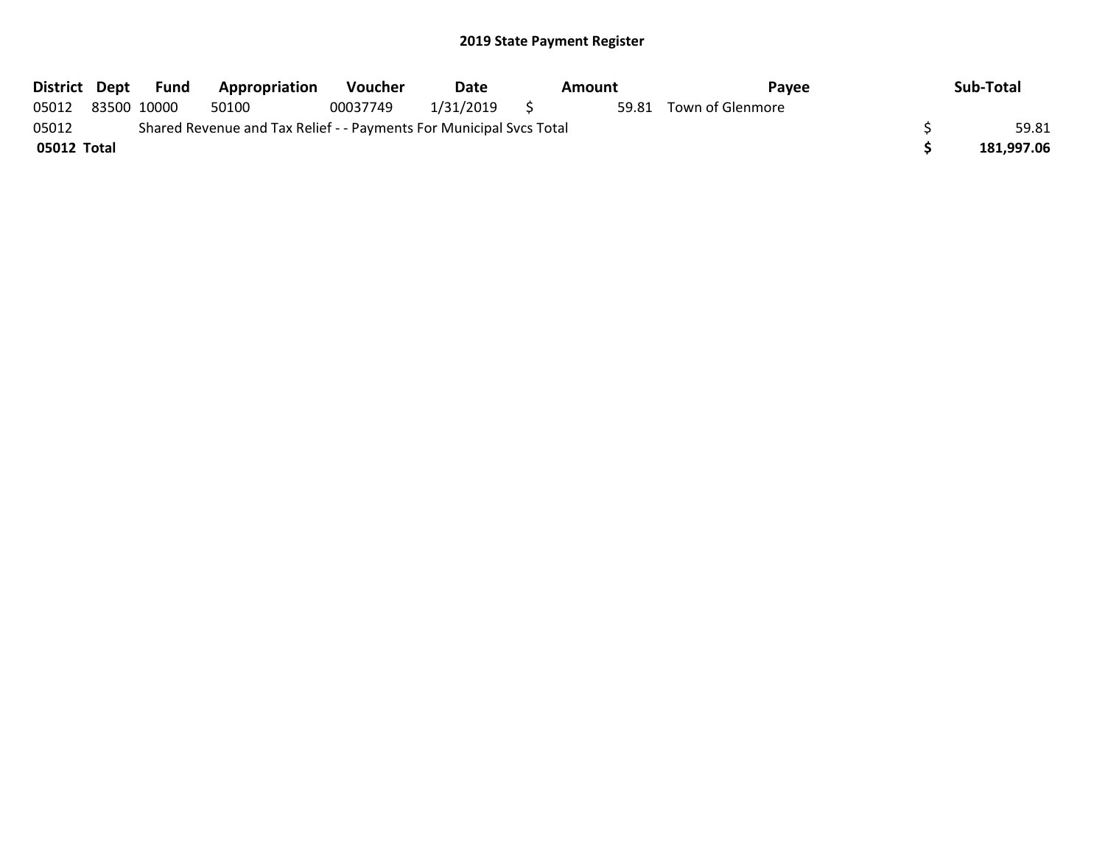| District Dept |             | Fund | Appropriation                                                       | <b>Voucher</b> | Date      | Amount | <b>Pavee</b>     | Sub-Total  |
|---------------|-------------|------|---------------------------------------------------------------------|----------------|-----------|--------|------------------|------------|
| 05012         | 83500 10000 |      | 50100                                                               | 00037749       | 1/31/2019 | 59.81  | Town of Glenmore |            |
| 05012         |             |      | Shared Revenue and Tax Relief - - Payments For Municipal Svcs Total |                |           |        |                  | 59.81      |
| 05012 Total   |             |      |                                                                     |                |           |        |                  | 181,997.06 |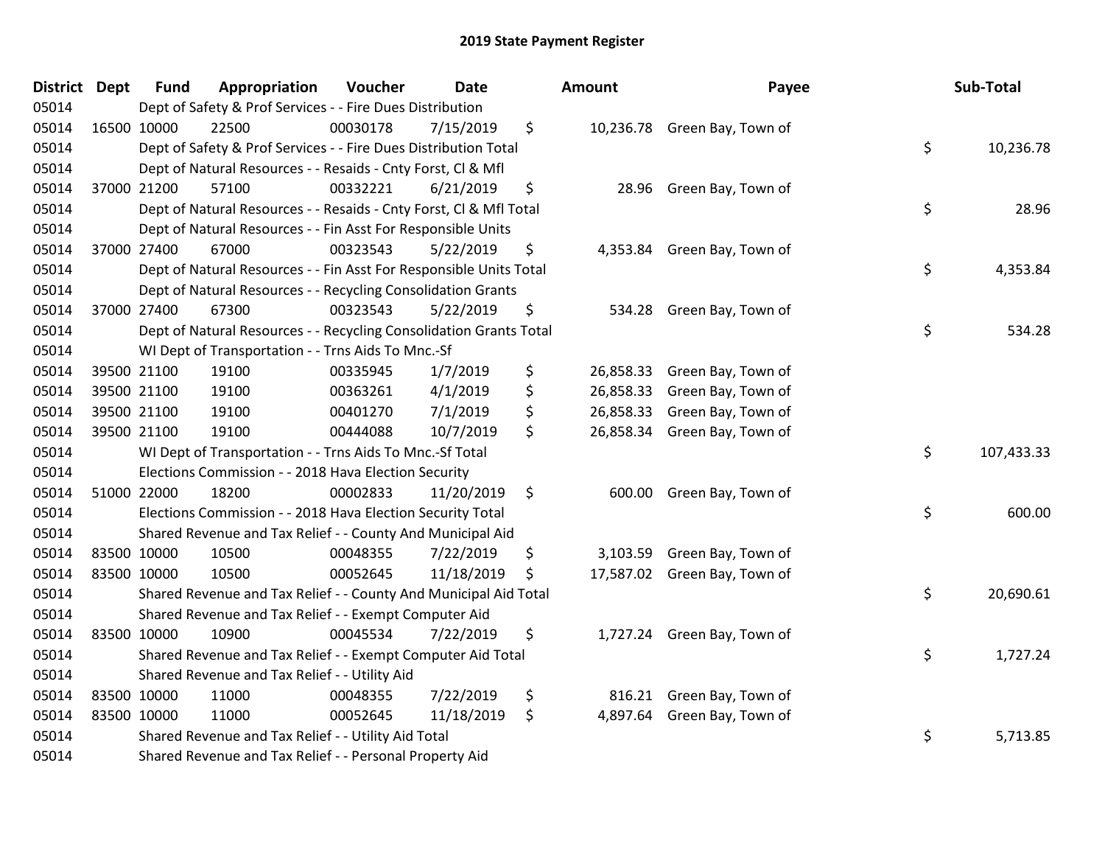| <b>District Dept</b> | <b>Fund</b> | Appropriation                                                      | Voucher  | <b>Date</b> | <b>Amount</b>   | Payee                        | Sub-Total        |
|----------------------|-------------|--------------------------------------------------------------------|----------|-------------|-----------------|------------------------------|------------------|
| 05014                |             | Dept of Safety & Prof Services - - Fire Dues Distribution          |          |             |                 |                              |                  |
| 05014                | 16500 10000 | 22500                                                              | 00030178 | 7/15/2019   | \$              | 10,236.78 Green Bay, Town of |                  |
| 05014                |             | Dept of Safety & Prof Services - - Fire Dues Distribution Total    |          |             |                 |                              | \$<br>10,236.78  |
| 05014                |             | Dept of Natural Resources - - Resaids - Cnty Forst, Cl & Mfl       |          |             |                 |                              |                  |
| 05014                | 37000 21200 | 57100                                                              | 00332221 | 6/21/2019   | \$<br>28.96     | Green Bay, Town of           |                  |
| 05014                |             | Dept of Natural Resources - - Resaids - Cnty Forst, Cl & Mfl Total |          |             |                 |                              | \$<br>28.96      |
| 05014                |             | Dept of Natural Resources - - Fin Asst For Responsible Units       |          |             |                 |                              |                  |
| 05014                | 37000 27400 | 67000                                                              | 00323543 | 5/22/2019   | \$              | 4,353.84 Green Bay, Town of  |                  |
| 05014                |             | Dept of Natural Resources - - Fin Asst For Responsible Units Total |          |             |                 |                              | \$<br>4,353.84   |
| 05014                |             | Dept of Natural Resources - - Recycling Consolidation Grants       |          |             |                 |                              |                  |
| 05014                | 37000 27400 | 67300                                                              | 00323543 | 5/22/2019   | \$              | 534.28 Green Bay, Town of    |                  |
| 05014                |             | Dept of Natural Resources - - Recycling Consolidation Grants Total |          |             |                 |                              | \$<br>534.28     |
| 05014                |             | WI Dept of Transportation - - Trns Aids To Mnc.-Sf                 |          |             |                 |                              |                  |
| 05014                | 39500 21100 | 19100                                                              | 00335945 | 1/7/2019    | \$<br>26,858.33 | Green Bay, Town of           |                  |
| 05014                | 39500 21100 | 19100                                                              | 00363261 | 4/1/2019    | \$<br>26,858.33 | Green Bay, Town of           |                  |
| 05014                | 39500 21100 | 19100                                                              | 00401270 | 7/1/2019    | \$<br>26,858.33 | Green Bay, Town of           |                  |
| 05014                | 39500 21100 | 19100                                                              | 00444088 | 10/7/2019   | \$              | 26,858.34 Green Bay, Town of |                  |
| 05014                |             | WI Dept of Transportation - - Trns Aids To Mnc.-Sf Total           |          |             |                 |                              | \$<br>107,433.33 |
| 05014                |             | Elections Commission - - 2018 Hava Election Security               |          |             |                 |                              |                  |
| 05014                | 51000 22000 | 18200                                                              | 00002833 | 11/20/2019  | \$              | 600.00 Green Bay, Town of    |                  |
| 05014                |             | Elections Commission - - 2018 Hava Election Security Total         |          |             |                 |                              | \$<br>600.00     |
| 05014                |             | Shared Revenue and Tax Relief - - County And Municipal Aid         |          |             |                 |                              |                  |
| 05014                | 83500 10000 | 10500                                                              | 00048355 | 7/22/2019   | \$              | 3,103.59 Green Bay, Town of  |                  |
| 05014                | 83500 10000 | 10500                                                              | 00052645 | 11/18/2019  | \$              | 17,587.02 Green Bay, Town of |                  |
| 05014                |             | Shared Revenue and Tax Relief - - County And Municipal Aid Total   |          |             |                 |                              | \$<br>20,690.61  |
| 05014                |             | Shared Revenue and Tax Relief - - Exempt Computer Aid              |          |             |                 |                              |                  |
| 05014                | 83500 10000 | 10900                                                              | 00045534 | 7/22/2019   | \$              | 1,727.24 Green Bay, Town of  |                  |
| 05014                |             | Shared Revenue and Tax Relief - - Exempt Computer Aid Total        |          |             |                 |                              | \$<br>1,727.24   |
| 05014                |             | Shared Revenue and Tax Relief - - Utility Aid                      |          |             |                 |                              |                  |
| 05014                | 83500 10000 | 11000                                                              | 00048355 | 7/22/2019   | \$              | 816.21 Green Bay, Town of    |                  |
| 05014                | 83500 10000 | 11000                                                              | 00052645 | 11/18/2019  | \$              | 4,897.64 Green Bay, Town of  |                  |
| 05014                |             | Shared Revenue and Tax Relief - - Utility Aid Total                |          |             |                 |                              | \$<br>5,713.85   |
| 05014                |             | Shared Revenue and Tax Relief - - Personal Property Aid            |          |             |                 |                              |                  |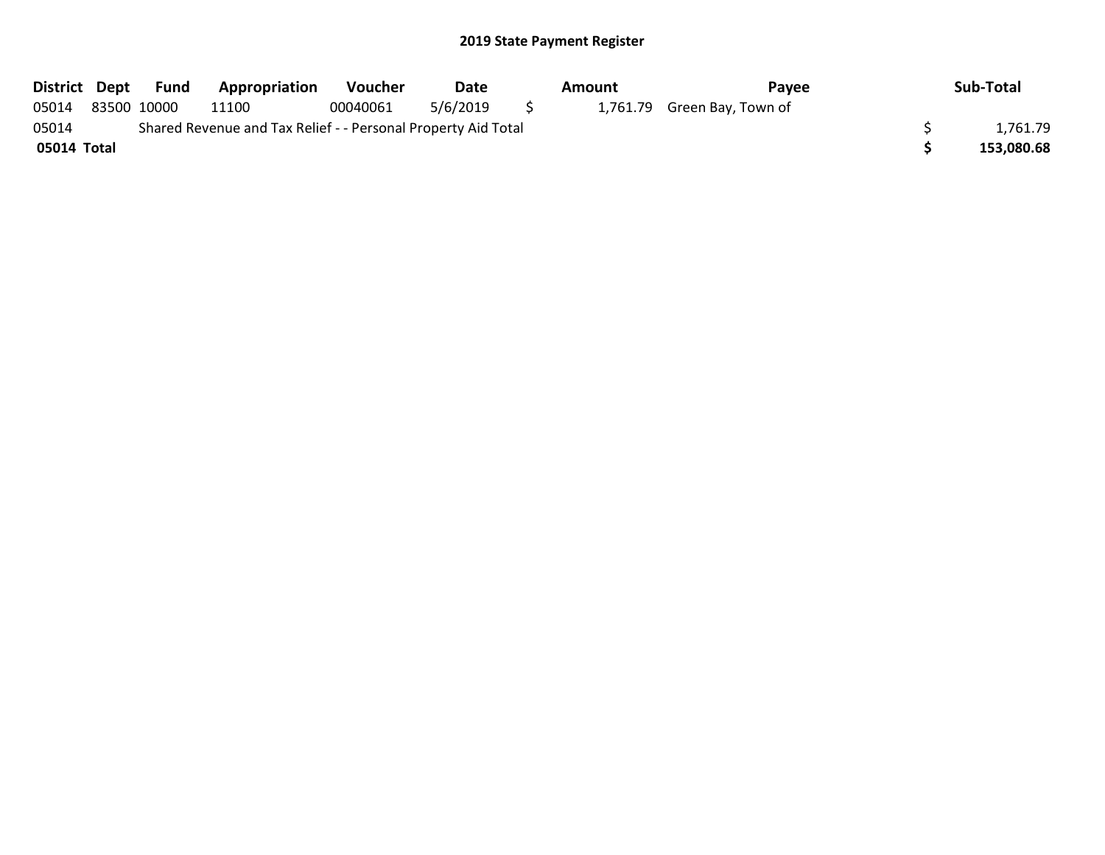| District Dept | Fund        | <b>Appropriation</b>                                          | <b>Voucher</b> | Date     |     | Amount | Pavee                       | Sub-Total  |
|---------------|-------------|---------------------------------------------------------------|----------------|----------|-----|--------|-----------------------------|------------|
| 05014         | 83500 10000 | 11100                                                         | 00040061       | 5/6/2019 | S S |        | 1,761.79 Green Bay, Town of |            |
| 05014         |             | Shared Revenue and Tax Relief - - Personal Property Aid Total |                |          |     |        |                             | 1,761.79   |
| 05014 Total   |             |                                                               |                |          |     |        |                             | 153,080.68 |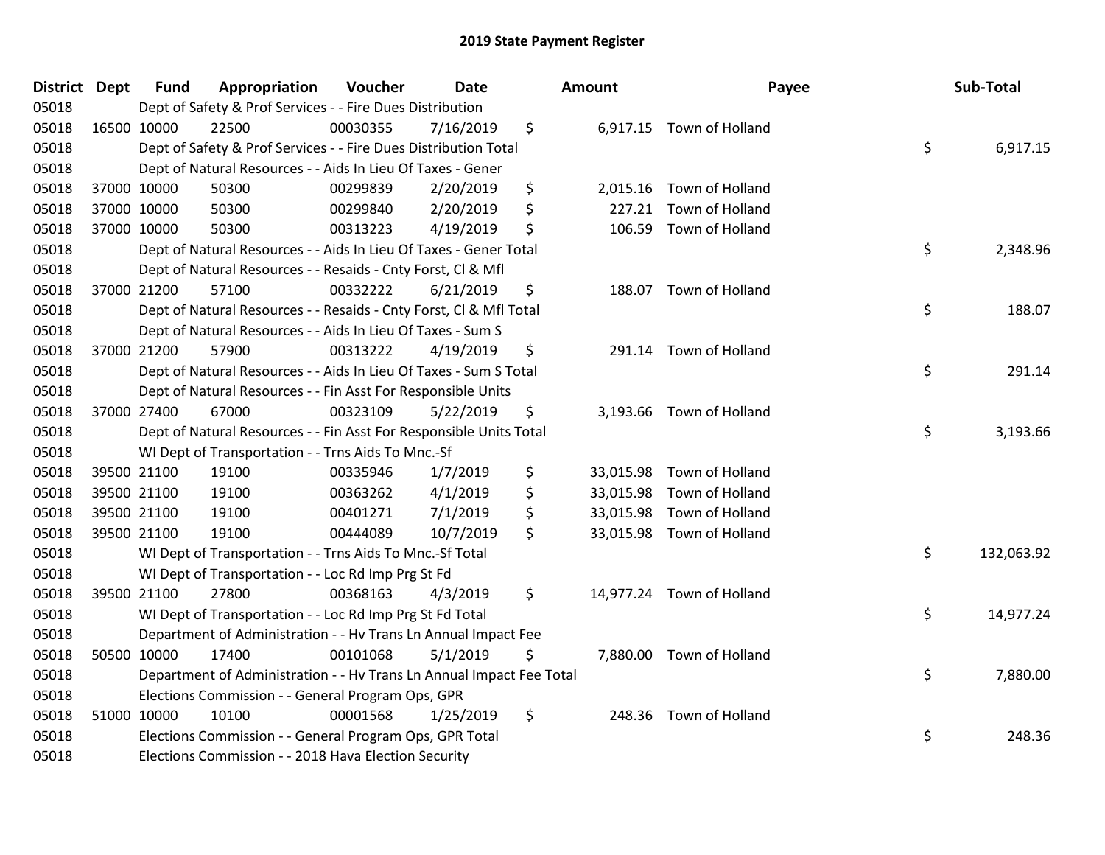| District Dept |             | <b>Fund</b> | Appropriation                                                        | Voucher  | <b>Date</b> | <b>Amount</b> | Payee                     | Sub-Total        |
|---------------|-------------|-------------|----------------------------------------------------------------------|----------|-------------|---------------|---------------------------|------------------|
| 05018         |             |             | Dept of Safety & Prof Services - - Fire Dues Distribution            |          |             |               |                           |                  |
| 05018         | 16500 10000 |             | 22500                                                                | 00030355 | 7/16/2019   | \$            | 6,917.15 Town of Holland  |                  |
| 05018         |             |             | Dept of Safety & Prof Services - - Fire Dues Distribution Total      |          |             |               |                           | \$<br>6,917.15   |
| 05018         |             |             | Dept of Natural Resources - - Aids In Lieu Of Taxes - Gener          |          |             |               |                           |                  |
| 05018         |             | 37000 10000 | 50300                                                                | 00299839 | 2/20/2019   | \$            | 2,015.16 Town of Holland  |                  |
| 05018         | 37000 10000 |             | 50300                                                                | 00299840 | 2/20/2019   | \$<br>227.21  | Town of Holland           |                  |
| 05018         | 37000 10000 |             | 50300                                                                | 00313223 | 4/19/2019   | \$            | 106.59 Town of Holland    |                  |
| 05018         |             |             | Dept of Natural Resources - - Aids In Lieu Of Taxes - Gener Total    |          |             |               |                           | \$<br>2,348.96   |
| 05018         |             |             | Dept of Natural Resources - - Resaids - Cnty Forst, CI & Mfl         |          |             |               |                           |                  |
| 05018         |             | 37000 21200 | 57100                                                                | 00332222 | 6/21/2019   | \$            | 188.07 Town of Holland    |                  |
| 05018         |             |             | Dept of Natural Resources - - Resaids - Cnty Forst, Cl & Mfl Total   |          |             |               |                           | \$<br>188.07     |
| 05018         |             |             | Dept of Natural Resources - - Aids In Lieu Of Taxes - Sum S          |          |             |               |                           |                  |
| 05018         | 37000 21200 |             | 57900                                                                | 00313222 | 4/19/2019   | \$            | 291.14 Town of Holland    |                  |
| 05018         |             |             | Dept of Natural Resources - - Aids In Lieu Of Taxes - Sum S Total    |          |             |               |                           | \$<br>291.14     |
| 05018         |             |             | Dept of Natural Resources - - Fin Asst For Responsible Units         |          |             |               |                           |                  |
| 05018         |             | 37000 27400 | 67000                                                                | 00323109 | 5/22/2019   | \$            | 3,193.66 Town of Holland  |                  |
| 05018         |             |             | Dept of Natural Resources - - Fin Asst For Responsible Units Total   |          |             |               |                           | \$<br>3,193.66   |
| 05018         |             |             | WI Dept of Transportation - - Trns Aids To Mnc.-Sf                   |          |             |               |                           |                  |
| 05018         | 39500 21100 |             | 19100                                                                | 00335946 | 1/7/2019    | \$            | 33,015.98 Town of Holland |                  |
| 05018         |             | 39500 21100 | 19100                                                                | 00363262 | 4/1/2019    | \$            | 33,015.98 Town of Holland |                  |
| 05018         | 39500 21100 |             | 19100                                                                | 00401271 | 7/1/2019    | \$            | 33,015.98 Town of Holland |                  |
| 05018         | 39500 21100 |             | 19100                                                                | 00444089 | 10/7/2019   | \$            | 33,015.98 Town of Holland |                  |
| 05018         |             |             | WI Dept of Transportation - - Trns Aids To Mnc.-Sf Total             |          |             |               |                           | \$<br>132,063.92 |
| 05018         |             |             | WI Dept of Transportation - - Loc Rd Imp Prg St Fd                   |          |             |               |                           |                  |
| 05018         |             | 39500 21100 | 27800                                                                | 00368163 | 4/3/2019    | \$            | 14,977.24 Town of Holland |                  |
| 05018         |             |             | WI Dept of Transportation - - Loc Rd Imp Prg St Fd Total             |          |             |               |                           | \$<br>14,977.24  |
| 05018         |             |             | Department of Administration - - Hv Trans Ln Annual Impact Fee       |          |             |               |                           |                  |
| 05018         | 50500 10000 |             | 17400                                                                | 00101068 | 5/1/2019    | \$            | 7,880.00 Town of Holland  |                  |
| 05018         |             |             | Department of Administration - - Hv Trans Ln Annual Impact Fee Total |          |             |               |                           | \$<br>7,880.00   |
| 05018         |             |             | Elections Commission - - General Program Ops, GPR                    |          |             |               |                           |                  |
| 05018         | 51000 10000 |             | 10100                                                                | 00001568 | 1/25/2019   | \$            | 248.36 Town of Holland    |                  |
| 05018         |             |             | Elections Commission - - General Program Ops, GPR Total              |          |             |               |                           | \$<br>248.36     |
| 05018         |             |             | Elections Commission - - 2018 Hava Election Security                 |          |             |               |                           |                  |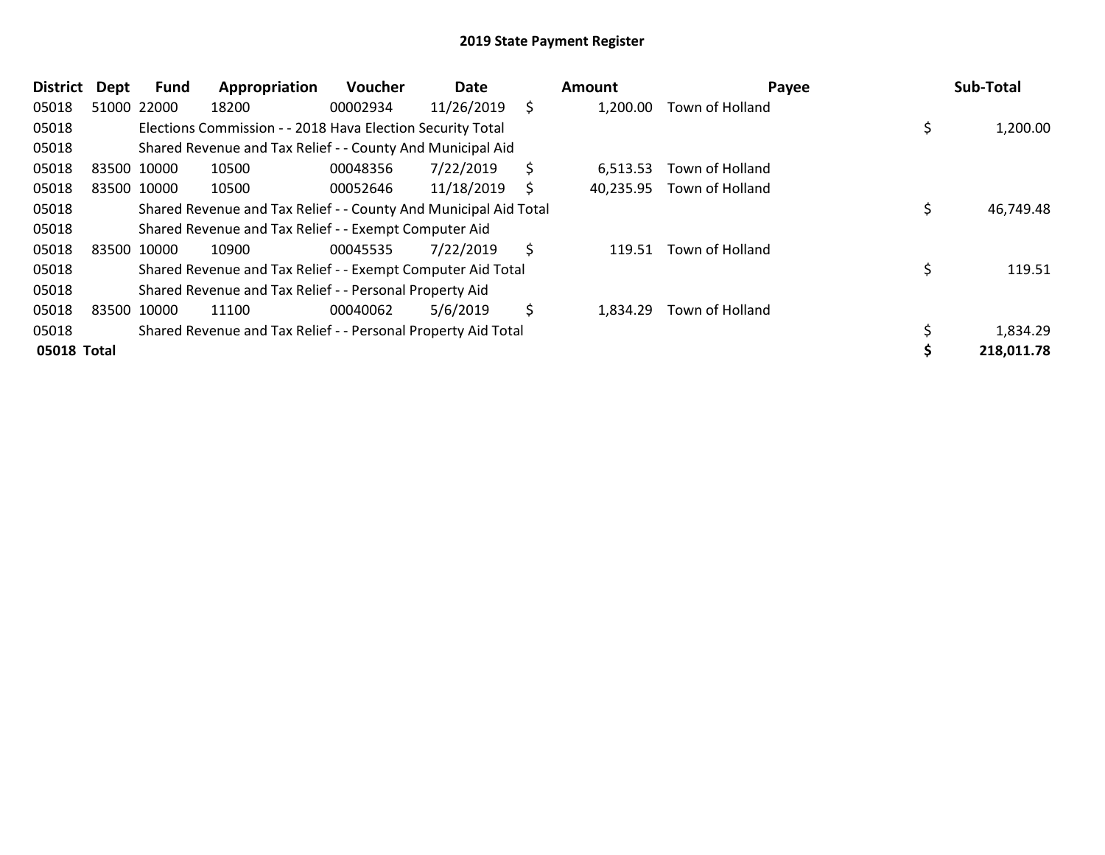| <b>District</b> | Dept        | Fund        | Appropriation                                                    | Voucher  | Date       |     | Amount    | Payee           | Sub-Total    |
|-----------------|-------------|-------------|------------------------------------------------------------------|----------|------------|-----|-----------|-----------------|--------------|
| 05018           |             | 51000 22000 | 18200                                                            | 00002934 | 11/26/2019 | \$. | 1,200.00  | Town of Holland |              |
| 05018           |             |             | Elections Commission - - 2018 Hava Election Security Total       |          |            |     |           |                 | 1,200.00     |
| 05018           |             |             | Shared Revenue and Tax Relief - - County And Municipal Aid       |          |            |     |           |                 |              |
| 05018           | 83500 10000 |             | 10500                                                            | 00048356 | 7/22/2019  | \$  | 6,513.53  | Town of Holland |              |
| 05018           |             | 83500 10000 | 10500                                                            | 00052646 | 11/18/2019 | S   | 40,235.95 | Town of Holland |              |
| 05018           |             |             | Shared Revenue and Tax Relief - - County And Municipal Aid Total |          |            |     |           |                 | 46,749.48    |
| 05018           |             |             | Shared Revenue and Tax Relief - - Exempt Computer Aid            |          |            |     |           |                 |              |
| 05018           | 83500 10000 |             | 10900                                                            | 00045535 | 7/22/2019  | \$  | 119.51    | Town of Holland |              |
| 05018           |             |             | Shared Revenue and Tax Relief - - Exempt Computer Aid Total      |          |            |     |           |                 | \$<br>119.51 |
| 05018           |             |             | Shared Revenue and Tax Relief - - Personal Property Aid          |          |            |     |           |                 |              |
| 05018           | 83500 10000 |             | 11100                                                            | 00040062 | 5/6/2019   | \$  | 1,834.29  | Town of Holland |              |
| 05018           |             |             | Shared Revenue and Tax Relief - - Personal Property Aid Total    |          |            |     |           |                 | 1,834.29     |
| 05018 Total     |             |             |                                                                  |          |            |     |           |                 | 218,011.78   |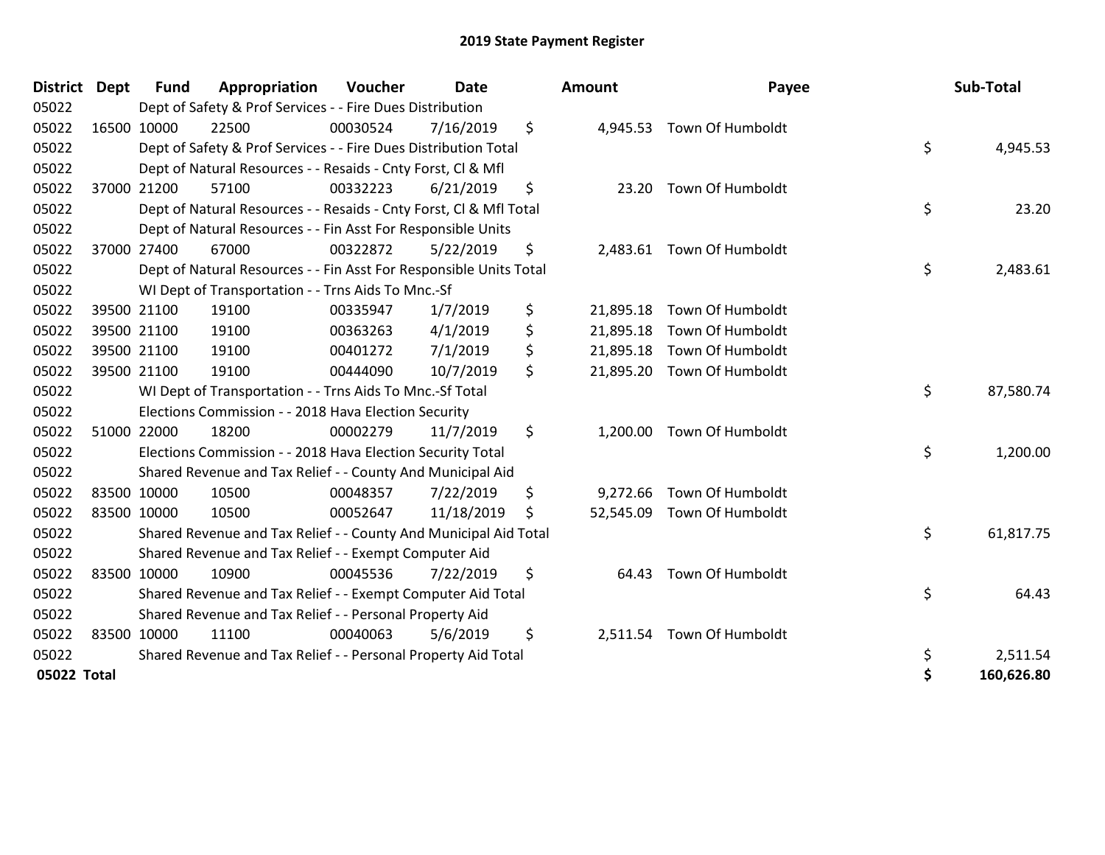| <b>District</b> | <b>Dept</b> | <b>Fund</b> | Appropriation                                                      | Voucher  | <b>Date</b> |     | <b>Amount</b> | Payee                      | Sub-Total        |
|-----------------|-------------|-------------|--------------------------------------------------------------------|----------|-------------|-----|---------------|----------------------------|------------------|
| 05022           |             |             | Dept of Safety & Prof Services - - Fire Dues Distribution          |          |             |     |               |                            |                  |
| 05022           |             | 16500 10000 | 22500                                                              | 00030524 | 7/16/2019   | \$  |               | 4,945.53 Town Of Humboldt  |                  |
| 05022           |             |             | Dept of Safety & Prof Services - - Fire Dues Distribution Total    |          |             |     |               |                            | \$<br>4,945.53   |
| 05022           |             |             | Dept of Natural Resources - - Resaids - Cnty Forst, Cl & Mfl       |          |             |     |               |                            |                  |
| 05022           |             | 37000 21200 | 57100                                                              | 00332223 | 6/21/2019   | \$  |               | 23.20 Town Of Humboldt     |                  |
| 05022           |             |             | Dept of Natural Resources - - Resaids - Cnty Forst, CI & Mfl Total |          |             |     |               |                            | \$<br>23.20      |
| 05022           |             |             | Dept of Natural Resources - - Fin Asst For Responsible Units       |          |             |     |               |                            |                  |
| 05022           |             | 37000 27400 | 67000                                                              | 00322872 | 5/22/2019   | \$  |               | 2,483.61 Town Of Humboldt  |                  |
| 05022           |             |             | Dept of Natural Resources - - Fin Asst For Responsible Units Total |          |             |     |               |                            | \$<br>2,483.61   |
| 05022           |             |             | WI Dept of Transportation - - Trns Aids To Mnc.-Sf                 |          |             |     |               |                            |                  |
| 05022           |             | 39500 21100 | 19100                                                              | 00335947 | 1/7/2019    | \$  |               | 21,895.18 Town Of Humboldt |                  |
| 05022           |             | 39500 21100 | 19100                                                              | 00363263 | 4/1/2019    | \$  |               | 21,895.18 Town Of Humboldt |                  |
| 05022           |             | 39500 21100 | 19100                                                              | 00401272 | 7/1/2019    | \$  |               | 21,895.18 Town Of Humboldt |                  |
| 05022           |             | 39500 21100 | 19100                                                              | 00444090 | 10/7/2019   | \$  |               | 21,895.20 Town Of Humboldt |                  |
| 05022           |             |             | WI Dept of Transportation - - Trns Aids To Mnc.-Sf Total           |          |             |     |               |                            | \$<br>87,580.74  |
| 05022           |             |             | Elections Commission - - 2018 Hava Election Security               |          |             |     |               |                            |                  |
| 05022           |             | 51000 22000 | 18200                                                              | 00002279 | 11/7/2019   | \$  |               | 1,200.00 Town Of Humboldt  |                  |
| 05022           |             |             | Elections Commission - - 2018 Hava Election Security Total         |          |             |     |               |                            | \$<br>1,200.00   |
| 05022           |             |             | Shared Revenue and Tax Relief - - County And Municipal Aid         |          |             |     |               |                            |                  |
| 05022           |             | 83500 10000 | 10500                                                              | 00048357 | 7/22/2019   | \$  |               | 9,272.66 Town Of Humboldt  |                  |
| 05022           |             | 83500 10000 | 10500                                                              | 00052647 | 11/18/2019  | \$. |               | 52,545.09 Town Of Humboldt |                  |
| 05022           |             |             | Shared Revenue and Tax Relief - - County And Municipal Aid Total   |          |             |     |               |                            | \$<br>61,817.75  |
| 05022           |             |             | Shared Revenue and Tax Relief - - Exempt Computer Aid              |          |             |     |               |                            |                  |
| 05022           |             | 83500 10000 | 10900                                                              | 00045536 | 7/22/2019   | \$  | 64.43         | Town Of Humboldt           |                  |
| 05022           |             |             | Shared Revenue and Tax Relief - - Exempt Computer Aid Total        |          |             |     |               |                            | \$<br>64.43      |
| 05022           |             |             | Shared Revenue and Tax Relief - - Personal Property Aid            |          |             |     |               |                            |                  |
| 05022           |             | 83500 10000 | 11100                                                              | 00040063 | 5/6/2019    | \$  |               | 2,511.54 Town Of Humboldt  |                  |
| 05022           |             |             | Shared Revenue and Tax Relief - - Personal Property Aid Total      |          |             |     |               |                            | \$<br>2,511.54   |
| 05022 Total     |             |             |                                                                    |          |             |     |               |                            | \$<br>160,626.80 |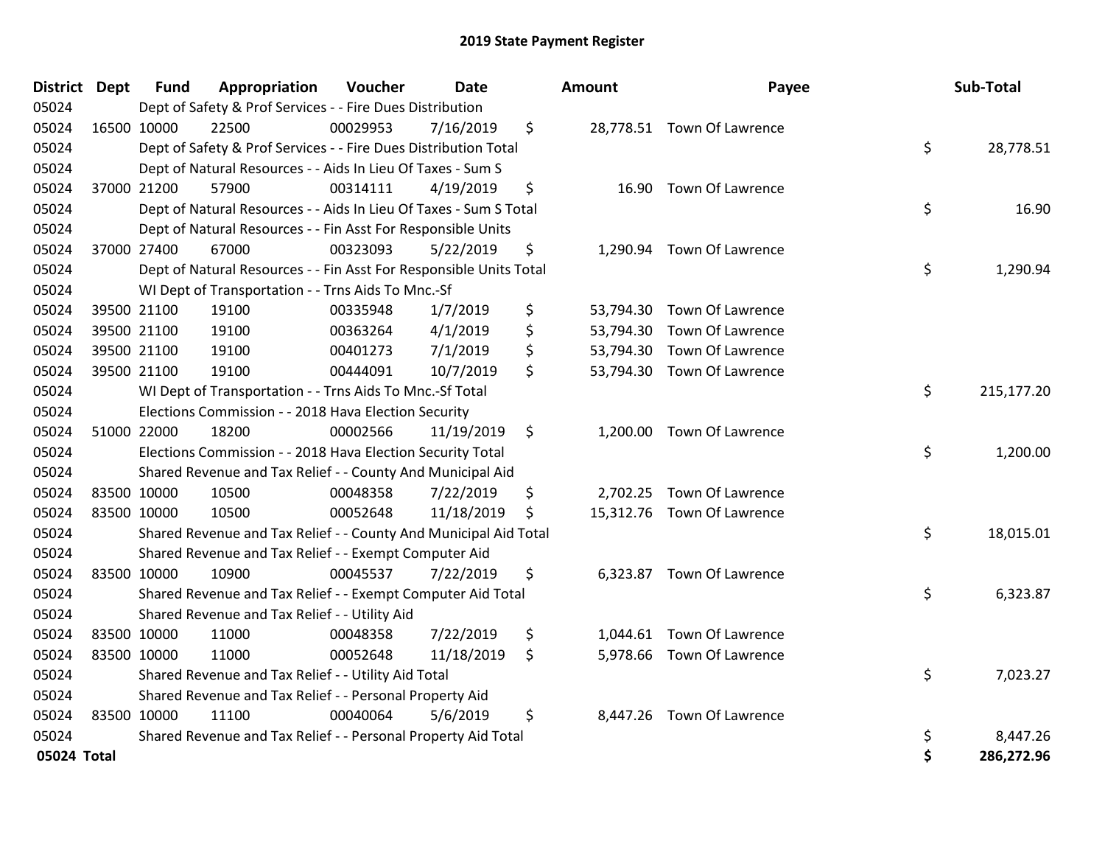| <b>District Dept</b> | <b>Fund</b> | Appropriation                                                      | Voucher  | <b>Date</b> |    | Amount | Payee                      |    | Sub-Total  |
|----------------------|-------------|--------------------------------------------------------------------|----------|-------------|----|--------|----------------------------|----|------------|
| 05024                |             | Dept of Safety & Prof Services - - Fire Dues Distribution          |          |             |    |        |                            |    |            |
| 05024                | 16500 10000 | 22500                                                              | 00029953 | 7/16/2019   | \$ |        | 28,778.51 Town Of Lawrence |    |            |
| 05024                |             | Dept of Safety & Prof Services - - Fire Dues Distribution Total    |          |             |    |        |                            | \$ | 28,778.51  |
| 05024                |             | Dept of Natural Resources - - Aids In Lieu Of Taxes - Sum S        |          |             |    |        |                            |    |            |
| 05024                | 37000 21200 | 57900                                                              | 00314111 | 4/19/2019   | \$ |        | 16.90 Town Of Lawrence     |    |            |
| 05024                |             | Dept of Natural Resources - - Aids In Lieu Of Taxes - Sum S Total  |          |             |    |        |                            | \$ | 16.90      |
| 05024                |             | Dept of Natural Resources - - Fin Asst For Responsible Units       |          |             |    |        |                            |    |            |
| 05024                | 37000 27400 | 67000                                                              | 00323093 | 5/22/2019   | \$ |        | 1,290.94 Town Of Lawrence  |    |            |
| 05024                |             | Dept of Natural Resources - - Fin Asst For Responsible Units Total |          |             |    |        |                            | \$ | 1,290.94   |
| 05024                |             | WI Dept of Transportation - - Trns Aids To Mnc.-Sf                 |          |             |    |        |                            |    |            |
| 05024                | 39500 21100 | 19100                                                              | 00335948 | 1/7/2019    | \$ |        | 53,794.30 Town Of Lawrence |    |            |
| 05024                | 39500 21100 | 19100                                                              | 00363264 | 4/1/2019    | \$ |        | 53,794.30 Town Of Lawrence |    |            |
| 05024                | 39500 21100 | 19100                                                              | 00401273 | 7/1/2019    | \$ |        | 53,794.30 Town Of Lawrence |    |            |
| 05024                | 39500 21100 | 19100                                                              | 00444091 | 10/7/2019   | \$ |        | 53,794.30 Town Of Lawrence |    |            |
| 05024                |             | WI Dept of Transportation - - Trns Aids To Mnc.-Sf Total           |          |             |    |        |                            | \$ | 215,177.20 |
| 05024                |             | Elections Commission - - 2018 Hava Election Security               |          |             |    |        |                            |    |            |
| 05024                | 51000 22000 | 18200                                                              | 00002566 | 11/19/2019  | \$ |        | 1,200.00 Town Of Lawrence  |    |            |
| 05024                |             | Elections Commission - - 2018 Hava Election Security Total         |          |             |    |        |                            | \$ | 1,200.00   |
| 05024                |             | Shared Revenue and Tax Relief - - County And Municipal Aid         |          |             |    |        |                            |    |            |
| 05024                | 83500 10000 | 10500                                                              | 00048358 | 7/22/2019   | \$ |        | 2,702.25 Town Of Lawrence  |    |            |
| 05024                | 83500 10000 | 10500                                                              | 00052648 | 11/18/2019  | S  |        | 15,312.76 Town Of Lawrence |    |            |
| 05024                |             | Shared Revenue and Tax Relief - - County And Municipal Aid Total   |          |             |    |        |                            | \$ | 18,015.01  |
| 05024                |             | Shared Revenue and Tax Relief - - Exempt Computer Aid              |          |             |    |        |                            |    |            |
| 05024                | 83500 10000 | 10900                                                              | 00045537 | 7/22/2019   | \$ |        | 6,323.87 Town Of Lawrence  |    |            |
| 05024                |             | Shared Revenue and Tax Relief - - Exempt Computer Aid Total        |          |             |    |        |                            | \$ | 6,323.87   |
| 05024                |             | Shared Revenue and Tax Relief - - Utility Aid                      |          |             |    |        |                            |    |            |
| 05024                | 83500 10000 | 11000                                                              | 00048358 | 7/22/2019   | \$ |        | 1,044.61 Town Of Lawrence  |    |            |
| 05024                | 83500 10000 | 11000                                                              | 00052648 | 11/18/2019  | \$ |        | 5,978.66 Town Of Lawrence  |    |            |
| 05024                |             | Shared Revenue and Tax Relief - - Utility Aid Total                |          |             |    |        |                            | \$ | 7,023.27   |
| 05024                |             | Shared Revenue and Tax Relief - - Personal Property Aid            |          |             |    |        |                            |    |            |
| 05024                | 83500 10000 | 11100                                                              | 00040064 | 5/6/2019    | \$ |        | 8,447.26 Town Of Lawrence  |    |            |
| 05024                |             | Shared Revenue and Tax Relief - - Personal Property Aid Total      |          |             |    |        |                            | \$ | 8,447.26   |
| 05024 Total          |             |                                                                    |          |             |    |        |                            | Ś  | 286,272.96 |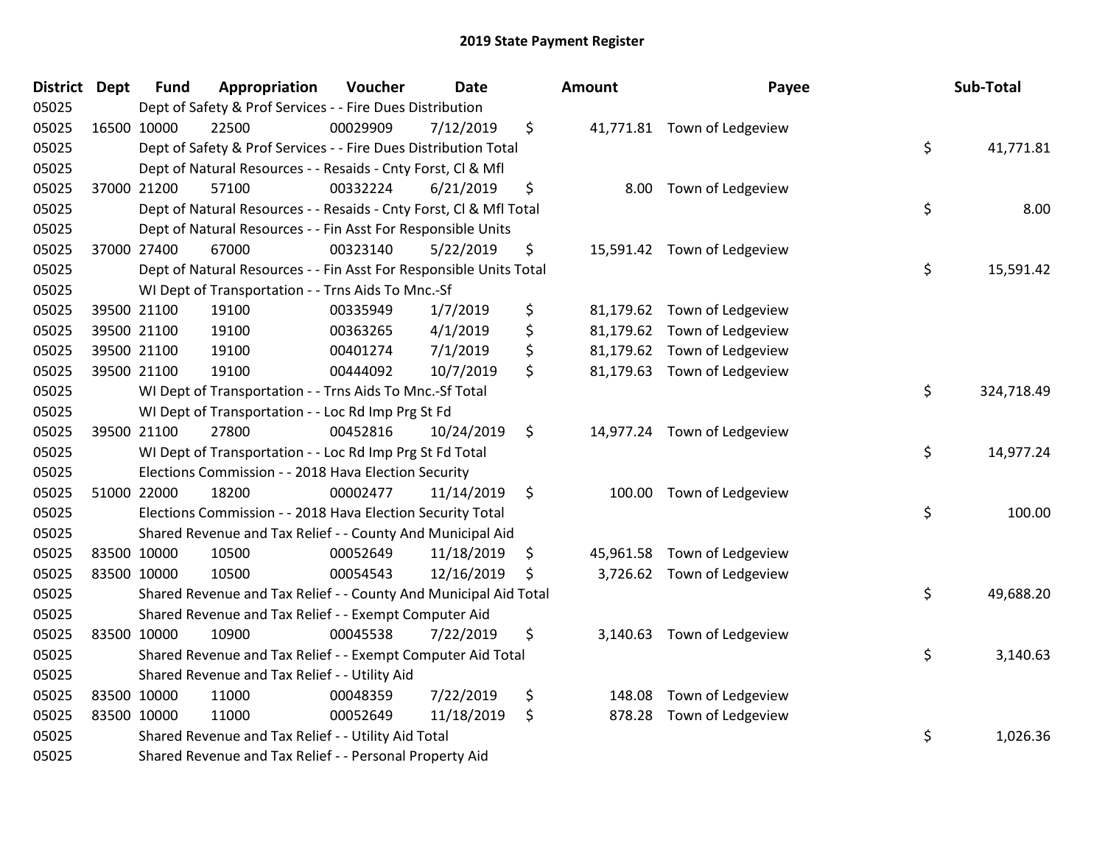| <b>District Dept</b> | <b>Fund</b> | Appropriation                                                      | Voucher  | <b>Date</b> | <b>Amount</b> | Payee                       | Sub-Total        |
|----------------------|-------------|--------------------------------------------------------------------|----------|-------------|---------------|-----------------------------|------------------|
| 05025                |             | Dept of Safety & Prof Services - - Fire Dues Distribution          |          |             |               |                             |                  |
| 05025                | 16500 10000 | 22500                                                              | 00029909 | 7/12/2019   | \$            | 41,771.81 Town of Ledgeview |                  |
| 05025                |             | Dept of Safety & Prof Services - - Fire Dues Distribution Total    |          |             |               |                             | \$<br>41,771.81  |
| 05025                |             | Dept of Natural Resources - - Resaids - Cnty Forst, Cl & Mfl       |          |             |               |                             |                  |
| 05025                | 37000 21200 | 57100                                                              | 00332224 | 6/21/2019   | \$            | 8.00 Town of Ledgeview      |                  |
| 05025                |             | Dept of Natural Resources - - Resaids - Cnty Forst, CI & Mfl Total |          |             |               |                             | \$<br>8.00       |
| 05025                |             | Dept of Natural Resources - - Fin Asst For Responsible Units       |          |             |               |                             |                  |
| 05025                | 37000 27400 | 67000                                                              | 00323140 | 5/22/2019   | \$            | 15,591.42 Town of Ledgeview |                  |
| 05025                |             | Dept of Natural Resources - - Fin Asst For Responsible Units Total |          |             |               |                             | \$<br>15,591.42  |
| 05025                |             | WI Dept of Transportation - - Trns Aids To Mnc.-Sf                 |          |             |               |                             |                  |
| 05025                | 39500 21100 | 19100                                                              | 00335949 | 1/7/2019    | \$            | 81,179.62 Town of Ledgeview |                  |
| 05025                | 39500 21100 | 19100                                                              | 00363265 | 4/1/2019    | \$            | 81,179.62 Town of Ledgeview |                  |
| 05025                | 39500 21100 | 19100                                                              | 00401274 | 7/1/2019    | \$            | 81,179.62 Town of Ledgeview |                  |
| 05025                | 39500 21100 | 19100                                                              | 00444092 | 10/7/2019   | \$            | 81,179.63 Town of Ledgeview |                  |
| 05025                |             | WI Dept of Transportation - - Trns Aids To Mnc.-Sf Total           |          |             |               |                             | \$<br>324,718.49 |
| 05025                |             | WI Dept of Transportation - - Loc Rd Imp Prg St Fd                 |          |             |               |                             |                  |
| 05025                | 39500 21100 | 27800                                                              | 00452816 | 10/24/2019  | \$            | 14,977.24 Town of Ledgeview |                  |
| 05025                |             | WI Dept of Transportation - - Loc Rd Imp Prg St Fd Total           |          |             |               |                             | \$<br>14,977.24  |
| 05025                |             | Elections Commission - - 2018 Hava Election Security               |          |             |               |                             |                  |
| 05025                | 51000 22000 | 18200                                                              | 00002477 | 11/14/2019  | \$            | 100.00 Town of Ledgeview    |                  |
| 05025                |             | Elections Commission - - 2018 Hava Election Security Total         |          |             |               |                             | \$<br>100.00     |
| 05025                |             | Shared Revenue and Tax Relief - - County And Municipal Aid         |          |             |               |                             |                  |
| 05025                | 83500 10000 | 10500                                                              | 00052649 | 11/18/2019  | \$            | 45,961.58 Town of Ledgeview |                  |
| 05025                | 83500 10000 | 10500                                                              | 00054543 | 12/16/2019  | \$            | 3,726.62 Town of Ledgeview  |                  |
| 05025                |             | Shared Revenue and Tax Relief - - County And Municipal Aid Total   |          |             |               |                             | \$<br>49,688.20  |
| 05025                |             | Shared Revenue and Tax Relief - - Exempt Computer Aid              |          |             |               |                             |                  |
| 05025                | 83500 10000 | 10900                                                              | 00045538 | 7/22/2019   | \$            | 3,140.63 Town of Ledgeview  |                  |
| 05025                |             | Shared Revenue and Tax Relief - - Exempt Computer Aid Total        |          |             |               |                             | \$<br>3,140.63   |
| 05025                |             | Shared Revenue and Tax Relief - - Utility Aid                      |          |             |               |                             |                  |
| 05025                | 83500 10000 | 11000                                                              | 00048359 | 7/22/2019   | \$<br>148.08  | Town of Ledgeview           |                  |
| 05025                | 83500 10000 | 11000                                                              | 00052649 | 11/18/2019  | \$<br>878.28  | Town of Ledgeview           |                  |
| 05025                |             | Shared Revenue and Tax Relief - - Utility Aid Total                |          |             |               |                             | \$<br>1,026.36   |
| 05025                |             | Shared Revenue and Tax Relief - - Personal Property Aid            |          |             |               |                             |                  |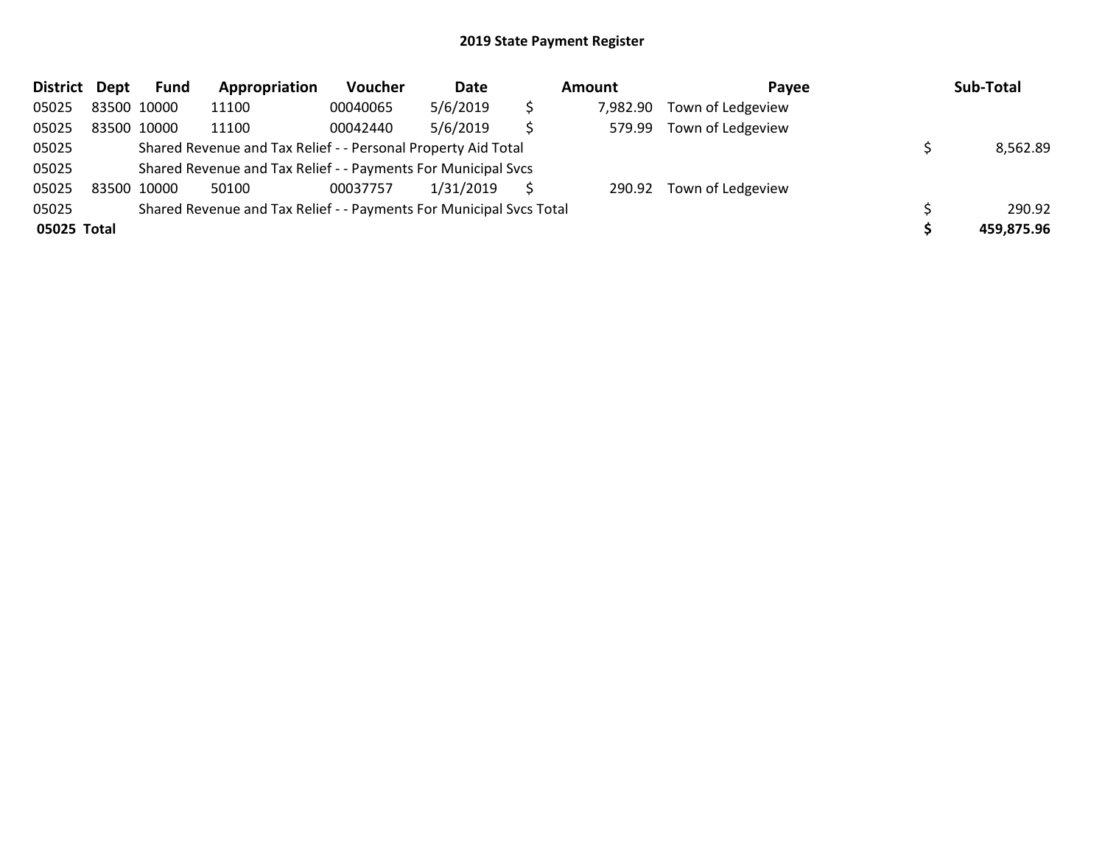| <b>District</b> | Dept        | Fund | Appropriation                                                       | <b>Voucher</b> | Date      | Amount   | Payee             | Sub-Total  |
|-----------------|-------------|------|---------------------------------------------------------------------|----------------|-----------|----------|-------------------|------------|
| 05025           | 83500 10000 |      | 11100                                                               | 00040065       | 5/6/2019  | 7,982.90 | Town of Ledgeview |            |
| 05025           | 83500 10000 |      | 11100                                                               | 00042440       | 5/6/2019  | 579.99   | Town of Ledgeview |            |
| 05025           |             |      | Shared Revenue and Tax Relief - - Personal Property Aid Total       |                |           |          |                   | 8,562.89   |
| 05025           |             |      | Shared Revenue and Tax Relief - - Payments For Municipal Svcs       |                |           |          |                   |            |
| 05025           | 83500 10000 |      | 50100                                                               | 00037757       | 1/31/2019 | 290.92   | Town of Ledgeview |            |
| 05025           |             |      | Shared Revenue and Tax Relief - - Payments For Municipal Svcs Total |                |           |          |                   | 290.92     |
| 05025 Total     |             |      |                                                                     |                |           |          |                   | 459,875.96 |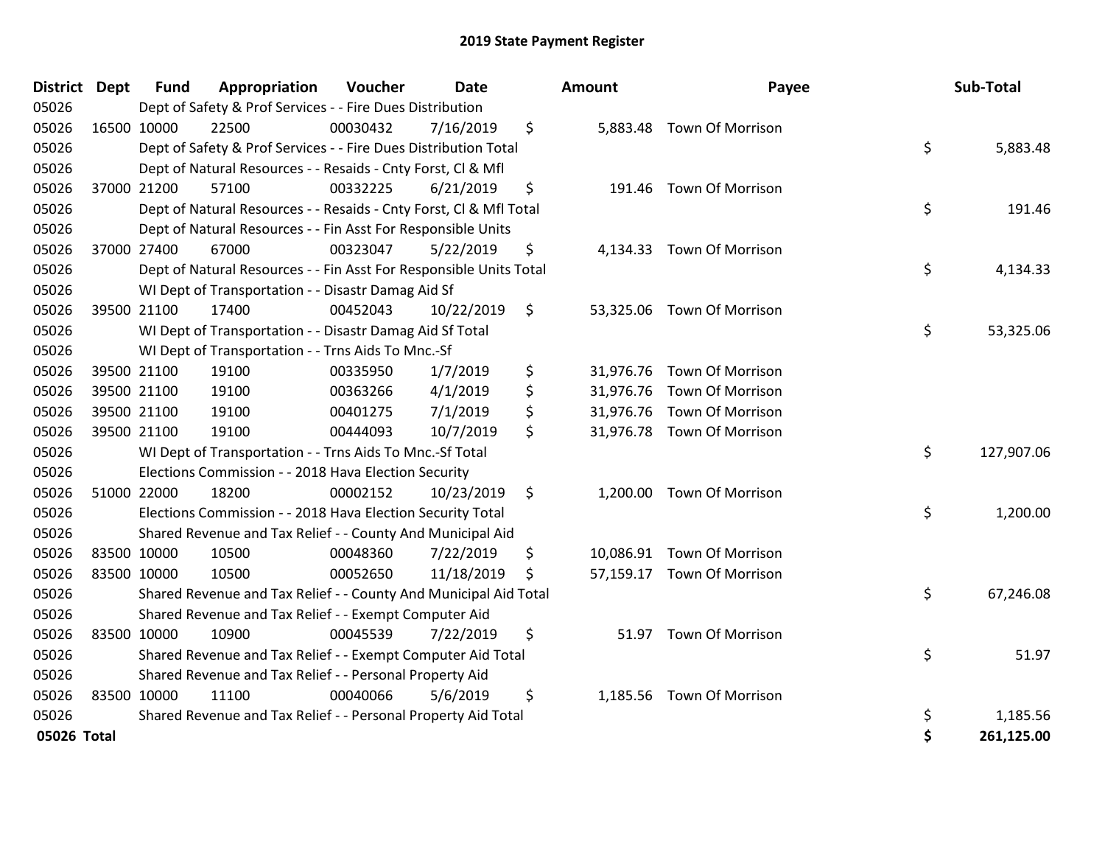| District Dept | <b>Fund</b> | Appropriation                                                      | Voucher  | <b>Date</b> | <b>Amount</b>  | Payee                      | Sub-Total        |
|---------------|-------------|--------------------------------------------------------------------|----------|-------------|----------------|----------------------------|------------------|
| 05026         |             | Dept of Safety & Prof Services - - Fire Dues Distribution          |          |             |                |                            |                  |
| 05026         | 16500 10000 | 22500                                                              | 00030432 | 7/16/2019   | \$             | 5,883.48 Town Of Morrison  |                  |
| 05026         |             | Dept of Safety & Prof Services - - Fire Dues Distribution Total    |          |             |                |                            | \$<br>5,883.48   |
| 05026         |             | Dept of Natural Resources - - Resaids - Cnty Forst, Cl & Mfl       |          |             |                |                            |                  |
| 05026         | 37000 21200 | 57100                                                              | 00332225 | 6/21/2019   | \$<br>191.46   | Town Of Morrison           |                  |
| 05026         |             | Dept of Natural Resources - - Resaids - Cnty Forst, CI & Mfl Total |          |             |                |                            | \$<br>191.46     |
| 05026         |             | Dept of Natural Resources - - Fin Asst For Responsible Units       |          |             |                |                            |                  |
| 05026         | 37000 27400 | 67000                                                              | 00323047 | 5/22/2019   | \$             | 4,134.33 Town Of Morrison  |                  |
| 05026         |             | Dept of Natural Resources - - Fin Asst For Responsible Units Total |          |             |                |                            | \$<br>4,134.33   |
| 05026         |             | WI Dept of Transportation - - Disastr Damag Aid Sf                 |          |             |                |                            |                  |
| 05026         | 39500 21100 | 17400                                                              | 00452043 | 10/22/2019  | \$             | 53,325.06 Town Of Morrison |                  |
| 05026         |             | WI Dept of Transportation - - Disastr Damag Aid Sf Total           |          |             |                |                            | \$<br>53,325.06  |
| 05026         |             | WI Dept of Transportation - - Trns Aids To Mnc.-Sf                 |          |             |                |                            |                  |
| 05026         | 39500 21100 | 19100                                                              | 00335950 | 1/7/2019    | \$             | 31,976.76 Town Of Morrison |                  |
| 05026         | 39500 21100 | 19100                                                              | 00363266 | 4/1/2019    | \$             | 31,976.76 Town Of Morrison |                  |
| 05026         | 39500 21100 | 19100                                                              | 00401275 | 7/1/2019    | \$             | 31,976.76 Town Of Morrison |                  |
| 05026         | 39500 21100 | 19100                                                              | 00444093 | 10/7/2019   | \$             | 31,976.78 Town Of Morrison |                  |
| 05026         |             | WI Dept of Transportation - - Trns Aids To Mnc .- Sf Total         |          |             |                |                            | \$<br>127,907.06 |
| 05026         |             | Elections Commission - - 2018 Hava Election Security               |          |             |                |                            |                  |
| 05026         | 51000 22000 | 18200                                                              | 00002152 | 10/23/2019  | \$<br>1,200.00 | <b>Town Of Morrison</b>    |                  |
| 05026         |             | Elections Commission - - 2018 Hava Election Security Total         |          |             |                |                            | \$<br>1,200.00   |
| 05026         |             | Shared Revenue and Tax Relief - - County And Municipal Aid         |          |             |                |                            |                  |
| 05026         | 83500 10000 | 10500                                                              | 00048360 | 7/22/2019   | \$             | 10,086.91 Town Of Morrison |                  |
| 05026         | 83500 10000 | 10500                                                              | 00052650 | 11/18/2019  | \$             | 57,159.17 Town Of Morrison |                  |
| 05026         |             | Shared Revenue and Tax Relief - - County And Municipal Aid Total   |          |             |                |                            | \$<br>67,246.08  |
| 05026         |             | Shared Revenue and Tax Relief - - Exempt Computer Aid              |          |             |                |                            |                  |
| 05026         | 83500 10000 | 10900                                                              | 00045539 | 7/22/2019   | \$<br>51.97    | <b>Town Of Morrison</b>    |                  |
| 05026         |             | Shared Revenue and Tax Relief - - Exempt Computer Aid Total        |          |             |                |                            | \$<br>51.97      |
| 05026         |             | Shared Revenue and Tax Relief - - Personal Property Aid            |          |             |                |                            |                  |
| 05026         | 83500 10000 | 11100                                                              | 00040066 | 5/6/2019    | \$             | 1,185.56 Town Of Morrison  |                  |
| 05026         |             | Shared Revenue and Tax Relief - - Personal Property Aid Total      |          |             |                |                            | \$<br>1,185.56   |
| 05026 Total   |             |                                                                    |          |             |                |                            | \$<br>261,125.00 |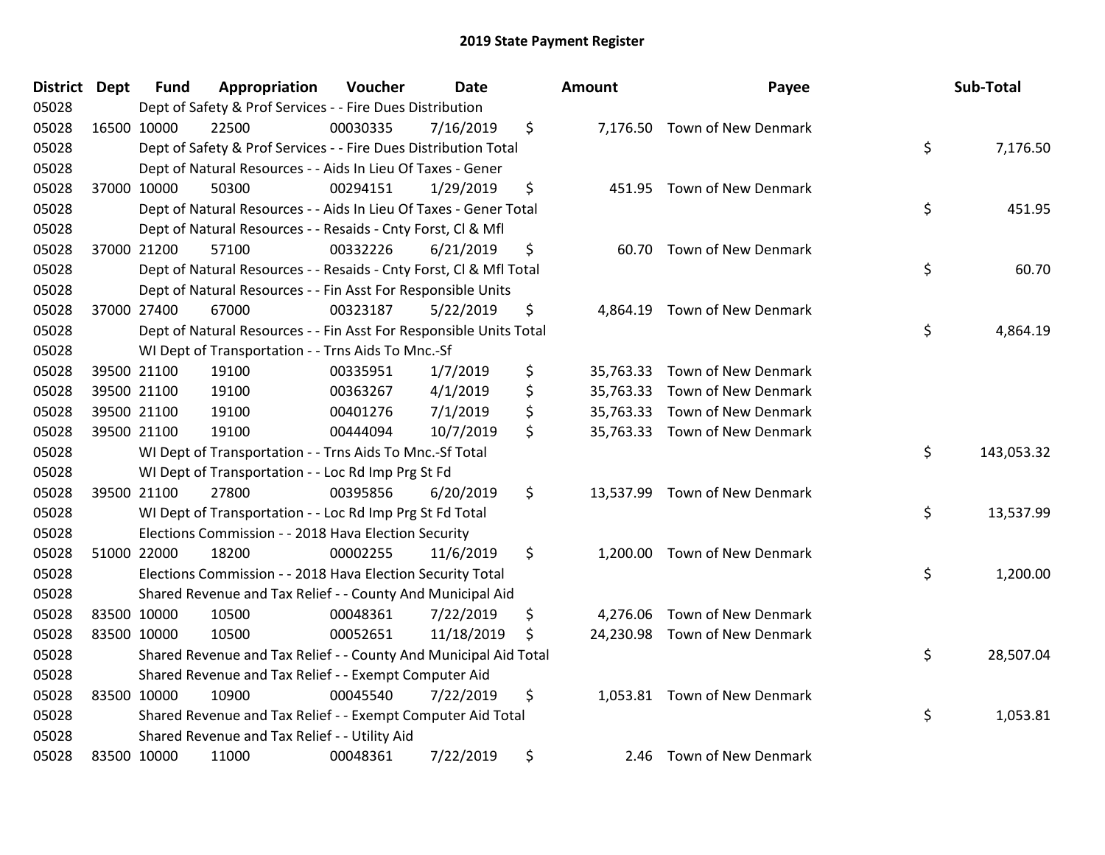| District Dept | <b>Fund</b> | Appropriation                                                      | Voucher  | Date       | Amount          | Payee                         | Sub-Total        |
|---------------|-------------|--------------------------------------------------------------------|----------|------------|-----------------|-------------------------------|------------------|
| 05028         |             | Dept of Safety & Prof Services - - Fire Dues Distribution          |          |            |                 |                               |                  |
| 05028         | 16500 10000 | 22500                                                              | 00030335 | 7/16/2019  | \$              | 7,176.50 Town of New Denmark  |                  |
| 05028         |             | Dept of Safety & Prof Services - - Fire Dues Distribution Total    |          |            |                 |                               | \$<br>7,176.50   |
| 05028         |             | Dept of Natural Resources - - Aids In Lieu Of Taxes - Gener        |          |            |                 |                               |                  |
| 05028         | 37000 10000 | 50300                                                              | 00294151 | 1/29/2019  | \$              | 451.95 Town of New Denmark    |                  |
| 05028         |             | Dept of Natural Resources - - Aids In Lieu Of Taxes - Gener Total  |          |            |                 |                               | \$<br>451.95     |
| 05028         |             | Dept of Natural Resources - - Resaids - Cnty Forst, Cl & Mfl       |          |            |                 |                               |                  |
| 05028         | 37000 21200 | 57100                                                              | 00332226 | 6/21/2019  | \$<br>60.70     | Town of New Denmark           |                  |
| 05028         |             | Dept of Natural Resources - - Resaids - Cnty Forst, Cl & Mfl Total |          |            |                 |                               | \$<br>60.70      |
| 05028         |             | Dept of Natural Resources - - Fin Asst For Responsible Units       |          |            |                 |                               |                  |
| 05028         | 37000 27400 | 67000                                                              | 00323187 | 5/22/2019  | \$              | 4,864.19 Town of New Denmark  |                  |
| 05028         |             | Dept of Natural Resources - - Fin Asst For Responsible Units Total |          |            |                 |                               | \$<br>4,864.19   |
| 05028         |             | WI Dept of Transportation - - Trns Aids To Mnc.-Sf                 |          |            |                 |                               |                  |
| 05028         | 39500 21100 | 19100                                                              | 00335951 | 1/7/2019   | \$              | 35,763.33 Town of New Denmark |                  |
| 05028         | 39500 21100 | 19100                                                              | 00363267 | 4/1/2019   | \$<br>35,763.33 | Town of New Denmark           |                  |
| 05028         | 39500 21100 | 19100                                                              | 00401276 | 7/1/2019   | \$<br>35,763.33 | Town of New Denmark           |                  |
| 05028         | 39500 21100 | 19100                                                              | 00444094 | 10/7/2019  | \$              | 35,763.33 Town of New Denmark |                  |
| 05028         |             | WI Dept of Transportation - - Trns Aids To Mnc.-Sf Total           |          |            |                 |                               | \$<br>143,053.32 |
| 05028         |             | WI Dept of Transportation - - Loc Rd Imp Prg St Fd                 |          |            |                 |                               |                  |
| 05028         | 39500 21100 | 27800                                                              | 00395856 | 6/20/2019  | \$              | 13,537.99 Town of New Denmark |                  |
| 05028         |             | WI Dept of Transportation - - Loc Rd Imp Prg St Fd Total           |          |            |                 |                               | \$<br>13,537.99  |
| 05028         |             | Elections Commission - - 2018 Hava Election Security               |          |            |                 |                               |                  |
| 05028         | 51000 22000 | 18200                                                              | 00002255 | 11/6/2019  | \$              | 1,200.00 Town of New Denmark  |                  |
| 05028         |             | Elections Commission - - 2018 Hava Election Security Total         |          |            |                 |                               | \$<br>1,200.00   |
| 05028         |             | Shared Revenue and Tax Relief - - County And Municipal Aid         |          |            |                 |                               |                  |
| 05028         | 83500 10000 | 10500                                                              | 00048361 | 7/22/2019  | \$<br>4,276.06  | Town of New Denmark           |                  |
| 05028         | 83500 10000 | 10500                                                              | 00052651 | 11/18/2019 | \$              | 24,230.98 Town of New Denmark |                  |
| 05028         |             | Shared Revenue and Tax Relief - - County And Municipal Aid Total   |          |            |                 |                               | \$<br>28,507.04  |
| 05028         |             | Shared Revenue and Tax Relief - - Exempt Computer Aid              |          |            |                 |                               |                  |
| 05028         | 83500 10000 | 10900                                                              | 00045540 | 7/22/2019  | \$              | 1,053.81 Town of New Denmark  |                  |
| 05028         |             | Shared Revenue and Tax Relief - - Exempt Computer Aid Total        |          |            |                 |                               | \$<br>1,053.81   |
| 05028         |             | Shared Revenue and Tax Relief - - Utility Aid                      |          |            |                 |                               |                  |
| 05028         | 83500 10000 | 11000                                                              | 00048361 | 7/22/2019  | \$              | 2.46 Town of New Denmark      |                  |

| าount     | Payee                         | Sub-Total        |
|-----------|-------------------------------|------------------|
| 7,176.50  | Town of New Denmark           | \$<br>7,176.50   |
|           | 451.95 Town of New Denmark    | \$<br>451.95     |
| 60.70     | Town of New Denmark           | \$<br>60.70      |
| 4,864.19  | Town of New Denmark           | \$<br>4,864.19   |
|           | 35,763.33 Town of New Denmark |                  |
|           | 35,763.33 Town of New Denmark |                  |
|           | 35,763.33 Town of New Denmark |                  |
|           | 35,763.33 Town of New Denmark |                  |
|           |                               | \$<br>143,053.32 |
| 13,537.99 | Town of New Denmark           | \$<br>13,537.99  |
| 1,200.00  | Town of New Denmark           | \$<br>1,200.00   |
|           | 4,276.06 Town of New Denmark  |                  |
| 24,230.98 | Town of New Denmark           |                  |
|           |                               | \$<br>28,507.04  |
| 1,053.81  | Town of New Denmark           | \$<br>1,053.81   |
| 2.46      | Town of New Denmark           |                  |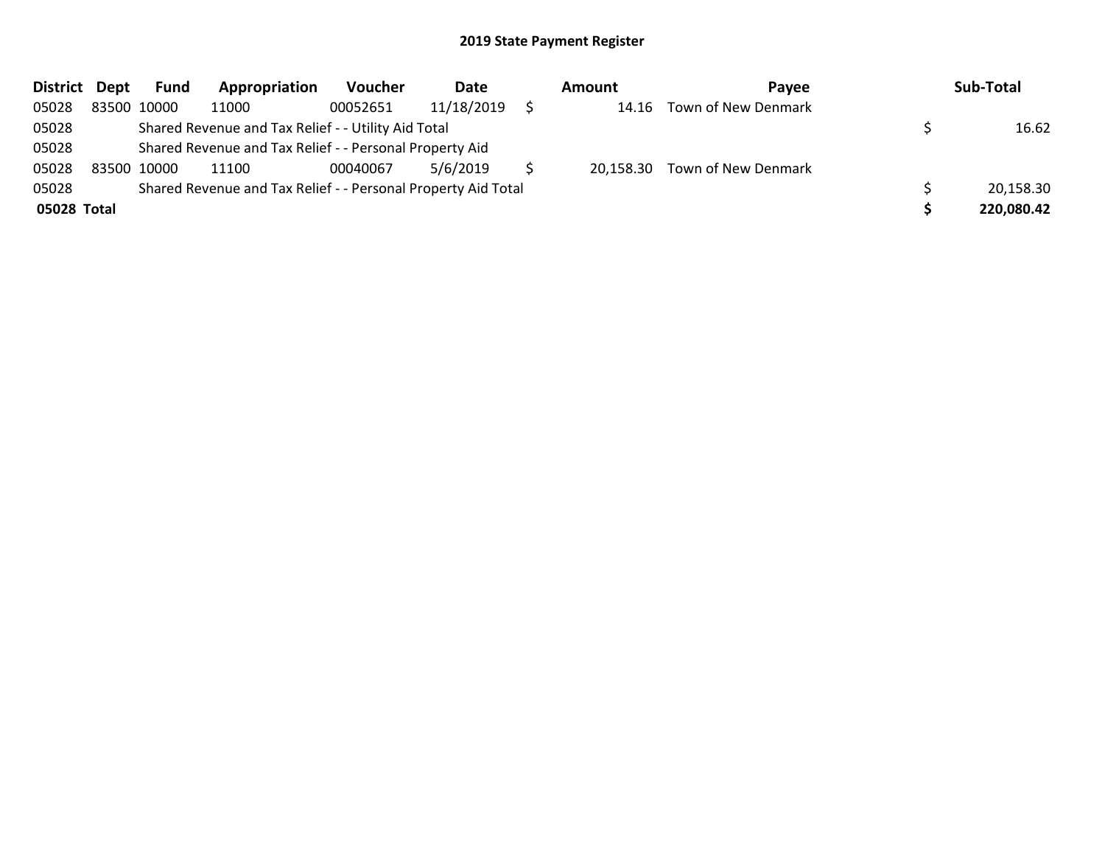| District Dept | <b>Fund</b>                                                   | Appropriation | <b>Voucher</b> | Date       |  | Amount | Pavee                         |  | Sub-Total  |
|---------------|---------------------------------------------------------------|---------------|----------------|------------|--|--------|-------------------------------|--|------------|
| 05028         | 83500 10000                                                   | 11000         | 00052651       | 11/18/2019 |  |        | 14.16 Town of New Denmark     |  |            |
| 05028         | Shared Revenue and Tax Relief - - Utility Aid Total           |               |                |            |  |        |                               |  | 16.62      |
| 05028         | Shared Revenue and Tax Relief - - Personal Property Aid       |               |                |            |  |        |                               |  |            |
| 05028         | 83500 10000                                                   | 11100         | 00040067       | 5/6/2019   |  |        | 20,158.30 Town of New Denmark |  |            |
| 05028         | Shared Revenue and Tax Relief - - Personal Property Aid Total |               |                |            |  |        |                               |  | 20,158.30  |
| 05028 Total   |                                                               |               |                |            |  |        |                               |  | 220,080.42 |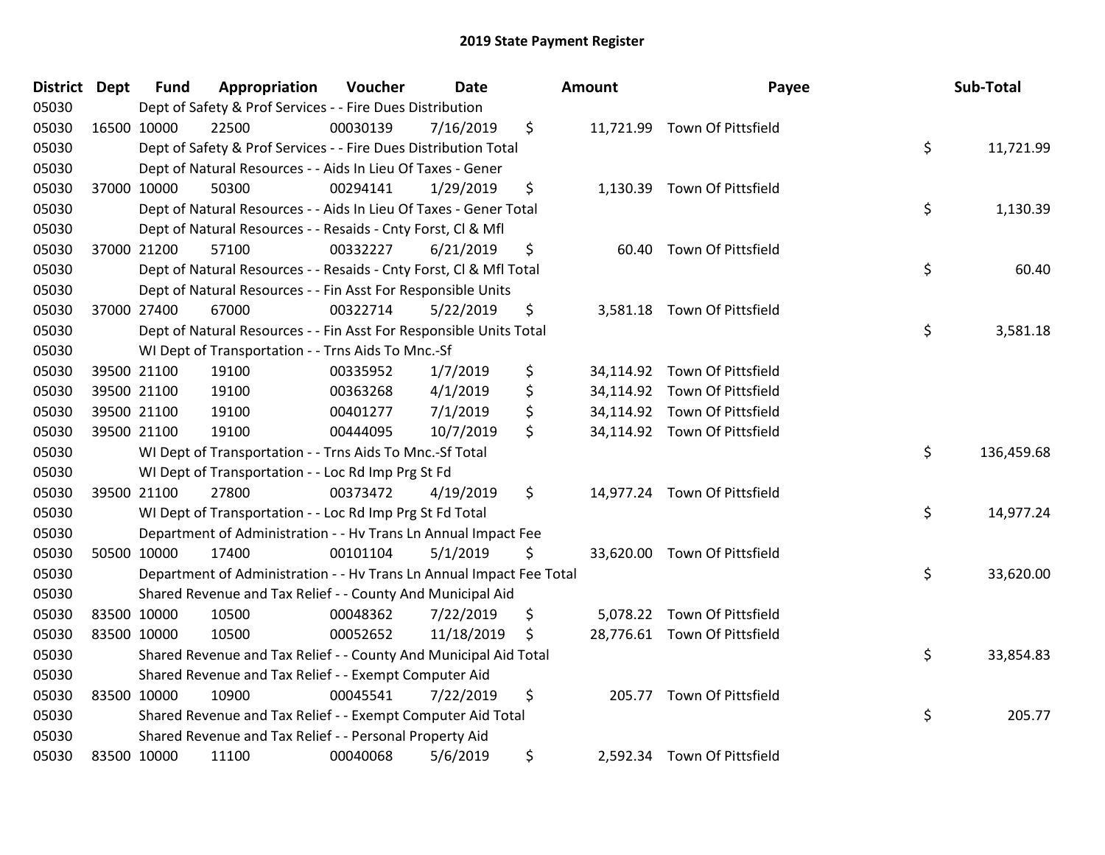| District Dept |             | <b>Fund</b> | Appropriation                                                        | Voucher  | <b>Date</b> | <b>Amount</b> | Payee                        | Sub-Total        |
|---------------|-------------|-------------|----------------------------------------------------------------------|----------|-------------|---------------|------------------------------|------------------|
| 05030         |             |             | Dept of Safety & Prof Services - - Fire Dues Distribution            |          |             |               |                              |                  |
| 05030         |             | 16500 10000 | 22500                                                                | 00030139 | 7/16/2019   | \$            | 11,721.99 Town Of Pittsfield |                  |
| 05030         |             |             | Dept of Safety & Prof Services - - Fire Dues Distribution Total      |          |             |               |                              | \$<br>11,721.99  |
| 05030         |             |             | Dept of Natural Resources - - Aids In Lieu Of Taxes - Gener          |          |             |               |                              |                  |
| 05030         |             | 37000 10000 | 50300                                                                | 00294141 | 1/29/2019   | \$            | 1,130.39 Town Of Pittsfield  |                  |
| 05030         |             |             | Dept of Natural Resources - - Aids In Lieu Of Taxes - Gener Total    |          |             |               |                              | \$<br>1,130.39   |
| 05030         |             |             | Dept of Natural Resources - - Resaids - Cnty Forst, Cl & Mfl         |          |             |               |                              |                  |
| 05030         |             | 37000 21200 | 57100                                                                | 00332227 | 6/21/2019   | \$            | 60.40 Town Of Pittsfield     |                  |
| 05030         |             |             | Dept of Natural Resources - - Resaids - Cnty Forst, Cl & Mfl Total   |          |             |               |                              | \$<br>60.40      |
| 05030         |             |             | Dept of Natural Resources - - Fin Asst For Responsible Units         |          |             |               |                              |                  |
| 05030         |             | 37000 27400 | 67000                                                                | 00322714 | 5/22/2019   | \$            | 3,581.18 Town Of Pittsfield  |                  |
| 05030         |             |             | Dept of Natural Resources - - Fin Asst For Responsible Units Total   |          |             |               |                              | \$<br>3,581.18   |
| 05030         |             |             | WI Dept of Transportation - - Trns Aids To Mnc.-Sf                   |          |             |               |                              |                  |
| 05030         |             | 39500 21100 | 19100                                                                | 00335952 | 1/7/2019    | \$            | 34,114.92 Town Of Pittsfield |                  |
| 05030         |             | 39500 21100 | 19100                                                                | 00363268 | 4/1/2019    | \$            | 34,114.92 Town Of Pittsfield |                  |
| 05030         |             | 39500 21100 | 19100                                                                | 00401277 | 7/1/2019    | \$            | 34,114.92 Town Of Pittsfield |                  |
| 05030         |             | 39500 21100 | 19100                                                                | 00444095 | 10/7/2019   | \$            | 34,114.92 Town Of Pittsfield |                  |
| 05030         |             |             | WI Dept of Transportation - - Trns Aids To Mnc.-Sf Total             |          |             |               |                              | \$<br>136,459.68 |
| 05030         |             |             | WI Dept of Transportation - - Loc Rd Imp Prg St Fd                   |          |             |               |                              |                  |
| 05030         |             | 39500 21100 | 27800                                                                | 00373472 | 4/19/2019   | \$            | 14,977.24 Town Of Pittsfield |                  |
| 05030         |             |             | WI Dept of Transportation - - Loc Rd Imp Prg St Fd Total             |          |             |               |                              | \$<br>14,977.24  |
| 05030         |             |             | Department of Administration - - Hv Trans Ln Annual Impact Fee       |          |             |               |                              |                  |
| 05030         |             | 50500 10000 | 17400                                                                | 00101104 | 5/1/2019    | \$            | 33,620.00 Town Of Pittsfield |                  |
| 05030         |             |             | Department of Administration - - Hv Trans Ln Annual Impact Fee Total |          |             |               |                              | \$<br>33,620.00  |
| 05030         |             |             | Shared Revenue and Tax Relief - - County And Municipal Aid           |          |             |               |                              |                  |
| 05030         |             | 83500 10000 | 10500                                                                | 00048362 | 7/22/2019   | \$            | 5,078.22 Town Of Pittsfield  |                  |
| 05030         | 83500 10000 |             | 10500                                                                | 00052652 | 11/18/2019  | \$            | 28,776.61 Town Of Pittsfield |                  |
| 05030         |             |             | Shared Revenue and Tax Relief - - County And Municipal Aid Total     |          |             |               |                              | \$<br>33,854.83  |
| 05030         |             |             | Shared Revenue and Tax Relief - - Exempt Computer Aid                |          |             |               |                              |                  |
| 05030         |             | 83500 10000 | 10900                                                                | 00045541 | 7/22/2019   | \$            | 205.77 Town Of Pittsfield    |                  |
| 05030         |             |             | Shared Revenue and Tax Relief - - Exempt Computer Aid Total          |          |             |               |                              | \$<br>205.77     |
| 05030         |             |             | Shared Revenue and Tax Relief - - Personal Property Aid              |          |             |               |                              |                  |
| 05030         |             | 83500 10000 | 11100                                                                | 00040068 | 5/6/2019    | \$            | 2,592.34 Town Of Pittsfield  |                  |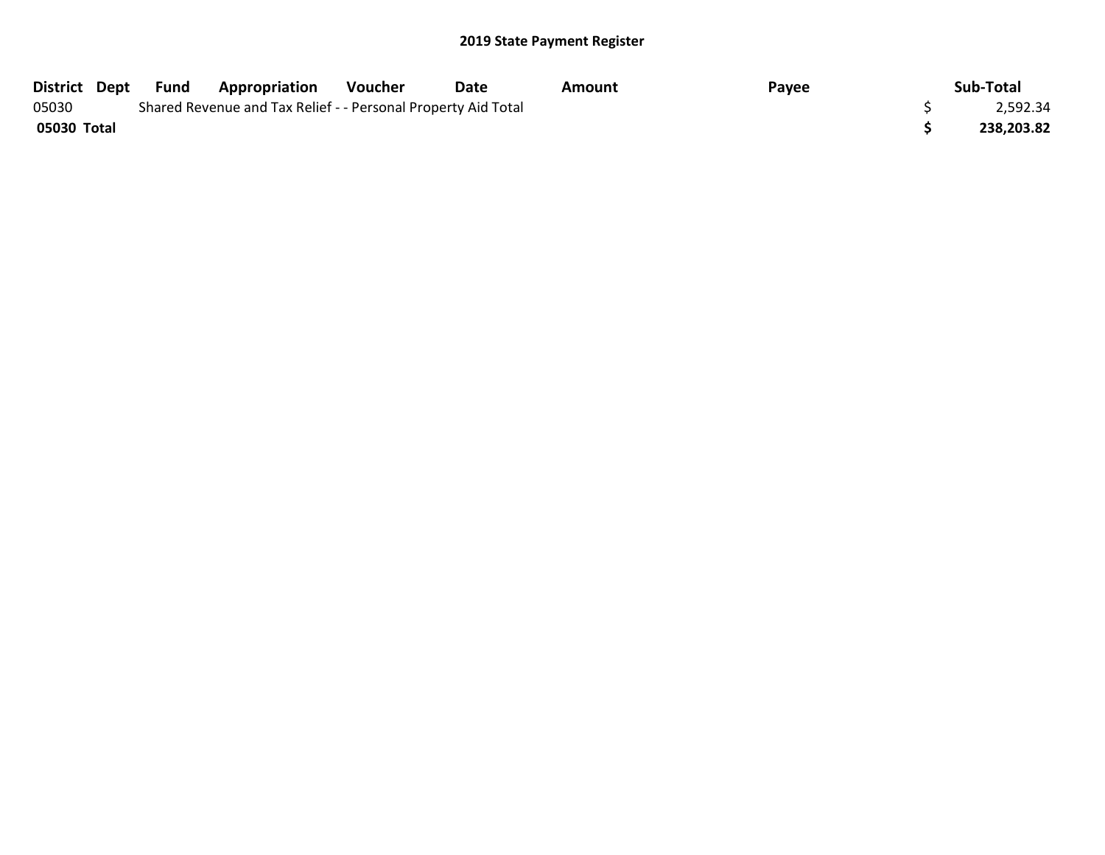| District Dept | Fund | <b>Appropriation</b>                                          | Voucher | Date | Amount | Payee | Sub-Total  |
|---------------|------|---------------------------------------------------------------|---------|------|--------|-------|------------|
| 05030         |      | Shared Revenue and Tax Relief - - Personal Property Aid Total |         |      |        |       | 2,592.34   |
| 05030 Total   |      |                                                               |         |      |        |       | 238,203.82 |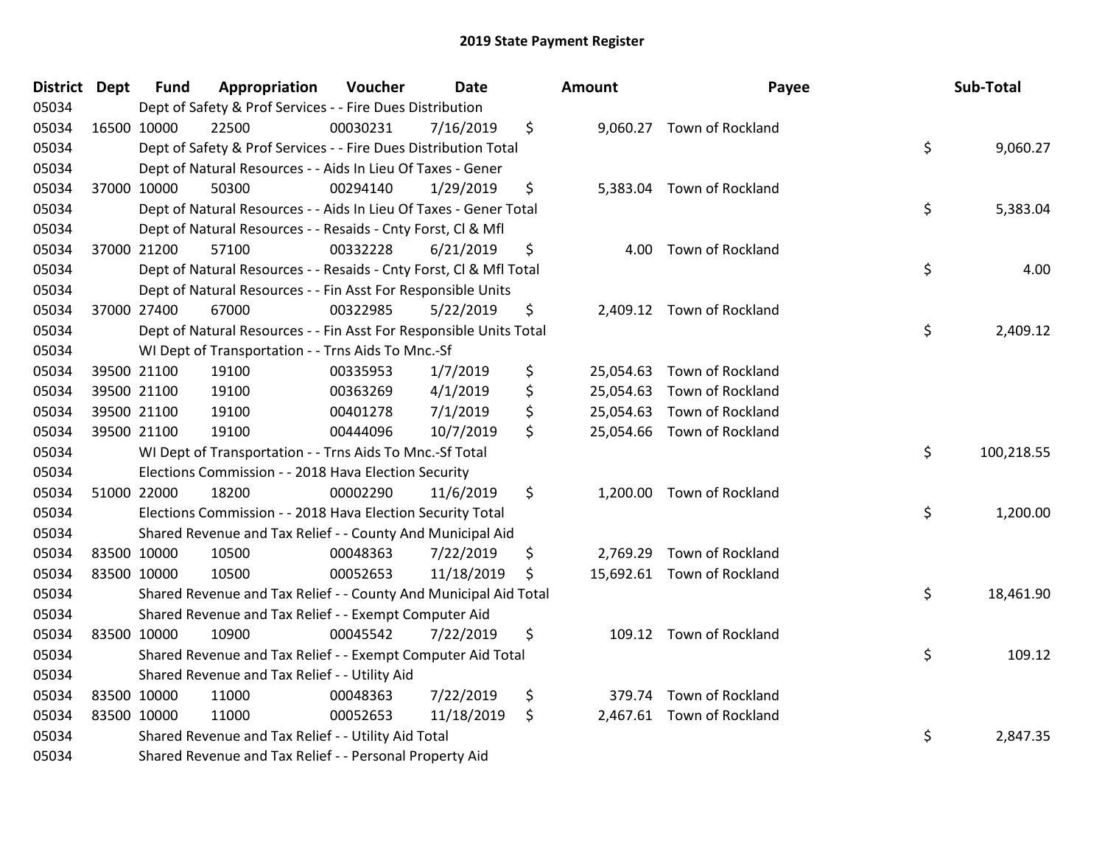| District Dept | <b>Fund</b> | Appropriation                                                      | Voucher  | Date       | Amount          | Payee                      | Sub-Total        |
|---------------|-------------|--------------------------------------------------------------------|----------|------------|-----------------|----------------------------|------------------|
| 05034         |             | Dept of Safety & Prof Services - - Fire Dues Distribution          |          |            |                 |                            |                  |
| 05034         | 16500 10000 | 22500                                                              | 00030231 | 7/16/2019  | \$              | 9,060.27 Town of Rockland  |                  |
| 05034         |             | Dept of Safety & Prof Services - - Fire Dues Distribution Total    |          |            |                 |                            | \$<br>9,060.27   |
| 05034         |             | Dept of Natural Resources - - Aids In Lieu Of Taxes - Gener        |          |            |                 |                            |                  |
| 05034         | 37000 10000 | 50300                                                              | 00294140 | 1/29/2019  | \$<br>5,383.04  | Town of Rockland           |                  |
| 05034         |             | Dept of Natural Resources - - Aids In Lieu Of Taxes - Gener Total  |          |            |                 |                            | \$<br>5,383.04   |
| 05034         |             | Dept of Natural Resources - - Resaids - Cnty Forst, Cl & Mfl       |          |            |                 |                            |                  |
| 05034         | 37000 21200 | 57100                                                              | 00332228 | 6/21/2019  | \$<br>4.00      | Town of Rockland           |                  |
| 05034         |             | Dept of Natural Resources - - Resaids - Cnty Forst, Cl & Mfl Total |          |            |                 |                            | \$<br>4.00       |
| 05034         |             | Dept of Natural Resources - - Fin Asst For Responsible Units       |          |            |                 |                            |                  |
| 05034         | 37000 27400 | 67000                                                              | 00322985 | 5/22/2019  | \$              | 2,409.12 Town of Rockland  |                  |
| 05034         |             | Dept of Natural Resources - - Fin Asst For Responsible Units Total |          |            |                 |                            | \$<br>2,409.12   |
| 05034         |             | WI Dept of Transportation - - Trns Aids To Mnc.-Sf                 |          |            |                 |                            |                  |
| 05034         | 39500 21100 | 19100                                                              | 00335953 | 1/7/2019   | \$<br>25,054.63 | Town of Rockland           |                  |
| 05034         | 39500 21100 | 19100                                                              | 00363269 | 4/1/2019   | \$<br>25,054.63 | Town of Rockland           |                  |
| 05034         | 39500 21100 | 19100                                                              | 00401278 | 7/1/2019   | \$<br>25,054.63 | Town of Rockland           |                  |
| 05034         | 39500 21100 | 19100                                                              | 00444096 | 10/7/2019  | \$              | 25,054.66 Town of Rockland |                  |
| 05034         |             | WI Dept of Transportation - - Trns Aids To Mnc.-Sf Total           |          |            |                 |                            | \$<br>100,218.55 |
| 05034         |             | Elections Commission - - 2018 Hava Election Security               |          |            |                 |                            |                  |
| 05034         | 51000 22000 | 18200                                                              | 00002290 | 11/6/2019  | \$              | 1,200.00 Town of Rockland  |                  |
| 05034         |             | Elections Commission - - 2018 Hava Election Security Total         |          |            |                 |                            | \$<br>1,200.00   |
| 05034         |             | Shared Revenue and Tax Relief - - County And Municipal Aid         |          |            |                 |                            |                  |
| 05034         | 83500 10000 | 10500                                                              | 00048363 | 7/22/2019  | \$              | 2,769.29 Town of Rockland  |                  |
| 05034         | 83500 10000 | 10500                                                              | 00052653 | 11/18/2019 | \$              | 15,692.61 Town of Rockland |                  |
| 05034         |             | Shared Revenue and Tax Relief - - County And Municipal Aid Total   |          |            |                 |                            | \$<br>18,461.90  |
| 05034         |             | Shared Revenue and Tax Relief - - Exempt Computer Aid              |          |            |                 |                            |                  |
| 05034         | 83500 10000 | 10900                                                              | 00045542 | 7/22/2019  | \$              | 109.12 Town of Rockland    |                  |
| 05034         |             | Shared Revenue and Tax Relief - - Exempt Computer Aid Total        |          |            |                 |                            | \$<br>109.12     |
| 05034         |             | Shared Revenue and Tax Relief - - Utility Aid                      |          |            |                 |                            |                  |
| 05034         | 83500 10000 | 11000                                                              | 00048363 | 7/22/2019  | \$<br>379.74    | Town of Rockland           |                  |
| 05034         | 83500 10000 | 11000                                                              | 00052653 | 11/18/2019 | \$              | 2,467.61 Town of Rockland  |                  |
| 05034         |             | Shared Revenue and Tax Relief - - Utility Aid Total                |          |            |                 |                            | \$<br>2,847.35   |
| 05034         |             | Shared Revenue and Tax Relief - - Personal Property Aid            |          |            |                 |                            |                  |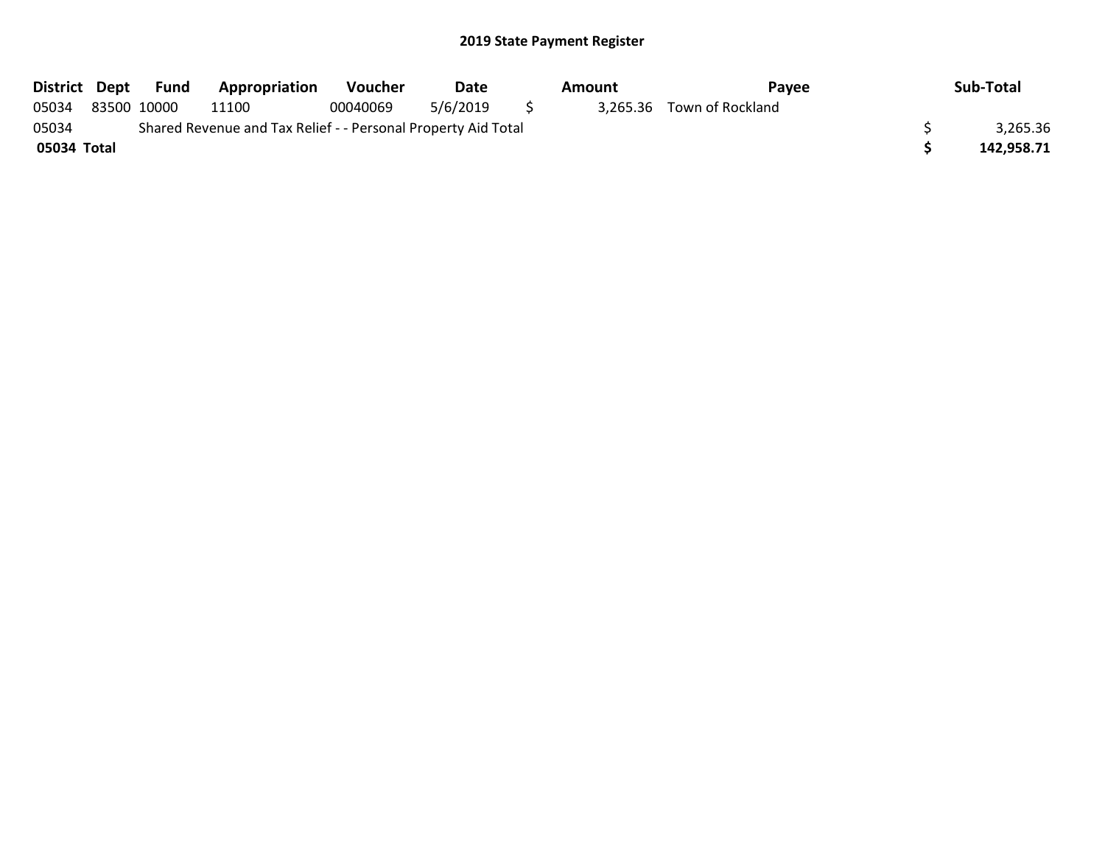| District Dept | Fund        | <b>Appropriation</b>                                          | <b>Voucher</b> | Date     |     | Amount | Pavee                     | Sub-Total  |
|---------------|-------------|---------------------------------------------------------------|----------------|----------|-----|--------|---------------------------|------------|
| 05034         | 83500 10000 | 11100                                                         | 00040069       | 5/6/2019 | - 5 |        | 3,265.36 Town of Rockland |            |
| 05034         |             | Shared Revenue and Tax Relief - - Personal Property Aid Total |                |          |     |        |                           | 3,265.36   |
| 05034 Total   |             |                                                               |                |          |     |        |                           | 142.958.71 |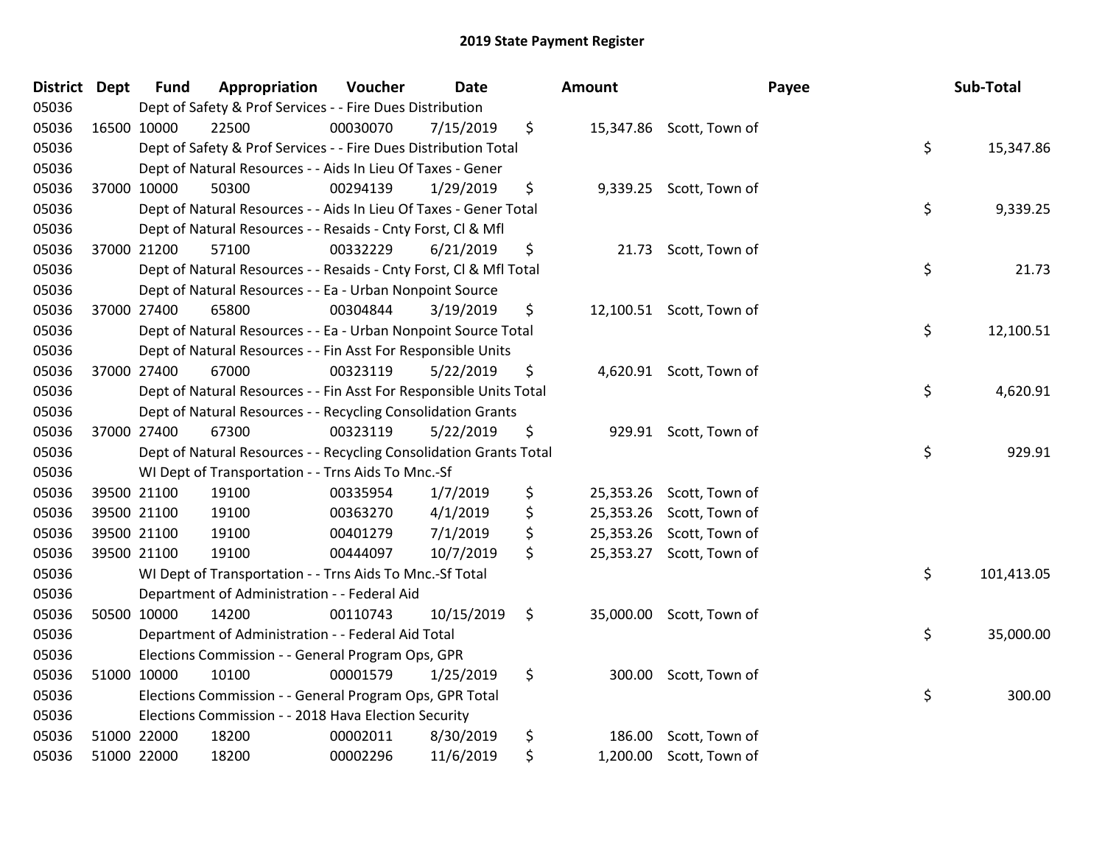| District Dept |             | <b>Fund</b> | Appropriation                                                      | Voucher  | <b>Date</b> | <b>Amount</b>   |                          | Payee | Sub-Total  |
|---------------|-------------|-------------|--------------------------------------------------------------------|----------|-------------|-----------------|--------------------------|-------|------------|
| 05036         |             |             | Dept of Safety & Prof Services - - Fire Dues Distribution          |          |             |                 |                          |       |            |
| 05036         |             | 16500 10000 | 22500                                                              | 00030070 | 7/15/2019   | \$              | 15,347.86 Scott, Town of |       |            |
| 05036         |             |             | Dept of Safety & Prof Services - - Fire Dues Distribution Total    |          |             |                 |                          | \$    | 15,347.86  |
| 05036         |             |             | Dept of Natural Resources - - Aids In Lieu Of Taxes - Gener        |          |             |                 |                          |       |            |
| 05036         |             | 37000 10000 | 50300                                                              | 00294139 | 1/29/2019   | \$              | 9,339.25 Scott, Town of  |       |            |
| 05036         |             |             | Dept of Natural Resources - - Aids In Lieu Of Taxes - Gener Total  |          |             |                 |                          | \$    | 9,339.25   |
| 05036         |             |             | Dept of Natural Resources - - Resaids - Cnty Forst, Cl & Mfl       |          |             |                 |                          |       |            |
| 05036         |             | 37000 21200 | 57100                                                              | 00332229 | 6/21/2019   | \$              | 21.73 Scott, Town of     |       |            |
| 05036         |             |             | Dept of Natural Resources - - Resaids - Cnty Forst, Cl & Mfl Total |          |             |                 |                          | \$    | 21.73      |
| 05036         |             |             | Dept of Natural Resources - - Ea - Urban Nonpoint Source           |          |             |                 |                          |       |            |
| 05036         | 37000 27400 |             | 65800                                                              | 00304844 | 3/19/2019   | \$              | 12,100.51 Scott, Town of |       |            |
| 05036         |             |             | Dept of Natural Resources - - Ea - Urban Nonpoint Source Total     |          |             |                 |                          | \$    | 12,100.51  |
| 05036         |             |             | Dept of Natural Resources - - Fin Asst For Responsible Units       |          |             |                 |                          |       |            |
| 05036         |             | 37000 27400 | 67000                                                              | 00323119 | 5/22/2019   | \$              | 4,620.91 Scott, Town of  |       |            |
| 05036         |             |             | Dept of Natural Resources - - Fin Asst For Responsible Units Total |          |             |                 |                          | \$    | 4,620.91   |
| 05036         |             |             | Dept of Natural Resources - - Recycling Consolidation Grants       |          |             |                 |                          |       |            |
| 05036         |             | 37000 27400 | 67300                                                              | 00323119 | 5/22/2019   | \$<br>929.91    | Scott, Town of           |       |            |
| 05036         |             |             | Dept of Natural Resources - - Recycling Consolidation Grants Total |          |             |                 |                          | \$    | 929.91     |
| 05036         |             |             | WI Dept of Transportation - - Trns Aids To Mnc.-Sf                 |          |             |                 |                          |       |            |
| 05036         |             | 39500 21100 | 19100                                                              | 00335954 | 1/7/2019    | \$              | 25,353.26 Scott, Town of |       |            |
| 05036         |             | 39500 21100 | 19100                                                              | 00363270 | 4/1/2019    | \$<br>25,353.26 | Scott, Town of           |       |            |
| 05036         |             | 39500 21100 | 19100                                                              | 00401279 | 7/1/2019    | \$<br>25,353.26 | Scott, Town of           |       |            |
| 05036         |             | 39500 21100 | 19100                                                              | 00444097 | 10/7/2019   | \$              | 25,353.27 Scott, Town of |       |            |
| 05036         |             |             | WI Dept of Transportation - - Trns Aids To Mnc .- Sf Total         |          |             |                 |                          | \$    | 101,413.05 |
| 05036         |             |             | Department of Administration - - Federal Aid                       |          |             |                 |                          |       |            |
| 05036         |             | 50500 10000 | 14200                                                              | 00110743 | 10/15/2019  | \$              | 35,000.00 Scott, Town of |       |            |
| 05036         |             |             | Department of Administration - - Federal Aid Total                 |          |             |                 |                          | \$    | 35,000.00  |
| 05036         |             |             | Elections Commission - - General Program Ops, GPR                  |          |             |                 |                          |       |            |
| 05036         |             | 51000 10000 | 10100                                                              | 00001579 | 1/25/2019   | \$              | 300.00 Scott, Town of    |       |            |
| 05036         |             |             | Elections Commission - - General Program Ops, GPR Total            |          |             |                 |                          | \$    | 300.00     |
| 05036         |             |             | Elections Commission - - 2018 Hava Election Security               |          |             |                 |                          |       |            |
| 05036         |             | 51000 22000 | 18200                                                              | 00002011 | 8/30/2019   | \$<br>186.00    | Scott, Town of           |       |            |
| 05036         |             | 51000 22000 | 18200                                                              | 00002296 | 11/6/2019   | \$              | 1,200.00 Scott, Town of  |       |            |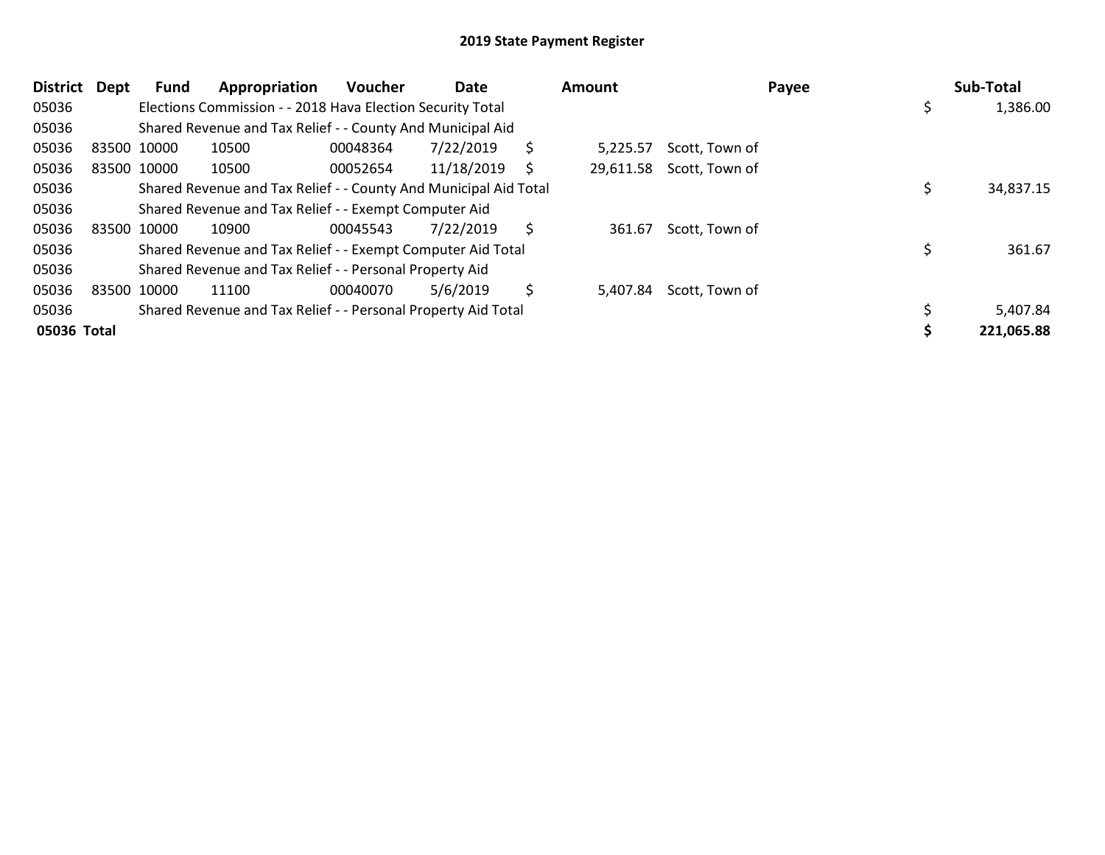| <b>District</b> | Dept        | <b>Fund</b> | Appropriation                                                    | <b>Voucher</b> | Date       |    | Amount    |                | Payee | Sub-Total      |
|-----------------|-------------|-------------|------------------------------------------------------------------|----------------|------------|----|-----------|----------------|-------|----------------|
| 05036           |             |             | Elections Commission - - 2018 Hava Election Security Total       |                |            |    |           |                |       | \$<br>1,386.00 |
| 05036           |             |             | Shared Revenue and Tax Relief - - County And Municipal Aid       |                |            |    |           |                |       |                |
| 05036           | 83500 10000 |             | 10500                                                            | 00048364       | 7/22/2019  | \$ | 5,225.57  | Scott, Town of |       |                |
| 05036           | 83500 10000 |             | 10500                                                            | 00052654       | 11/18/2019 | S  | 29,611.58 | Scott, Town of |       |                |
| 05036           |             |             | Shared Revenue and Tax Relief - - County And Municipal Aid Total |                |            |    |           |                |       | 34,837.15      |
| 05036           |             |             | Shared Revenue and Tax Relief - - Exempt Computer Aid            |                |            |    |           |                |       |                |
| 05036           | 83500 10000 |             | 10900                                                            | 00045543       | 7/22/2019  | \$ | 361.67    | Scott, Town of |       |                |
| 05036           |             |             | Shared Revenue and Tax Relief - - Exempt Computer Aid Total      |                |            |    |           |                |       | 361.67         |
| 05036           |             |             | Shared Revenue and Tax Relief - - Personal Property Aid          |                |            |    |           |                |       |                |
| 05036           | 83500 10000 |             | 11100                                                            | 00040070       | 5/6/2019   | \$ | 5,407.84  | Scott, Town of |       |                |
| 05036           |             |             | Shared Revenue and Tax Relief - - Personal Property Aid Total    |                |            |    |           |                |       | 5,407.84       |
| 05036 Total     |             |             |                                                                  |                |            |    |           |                |       | 221,065.88     |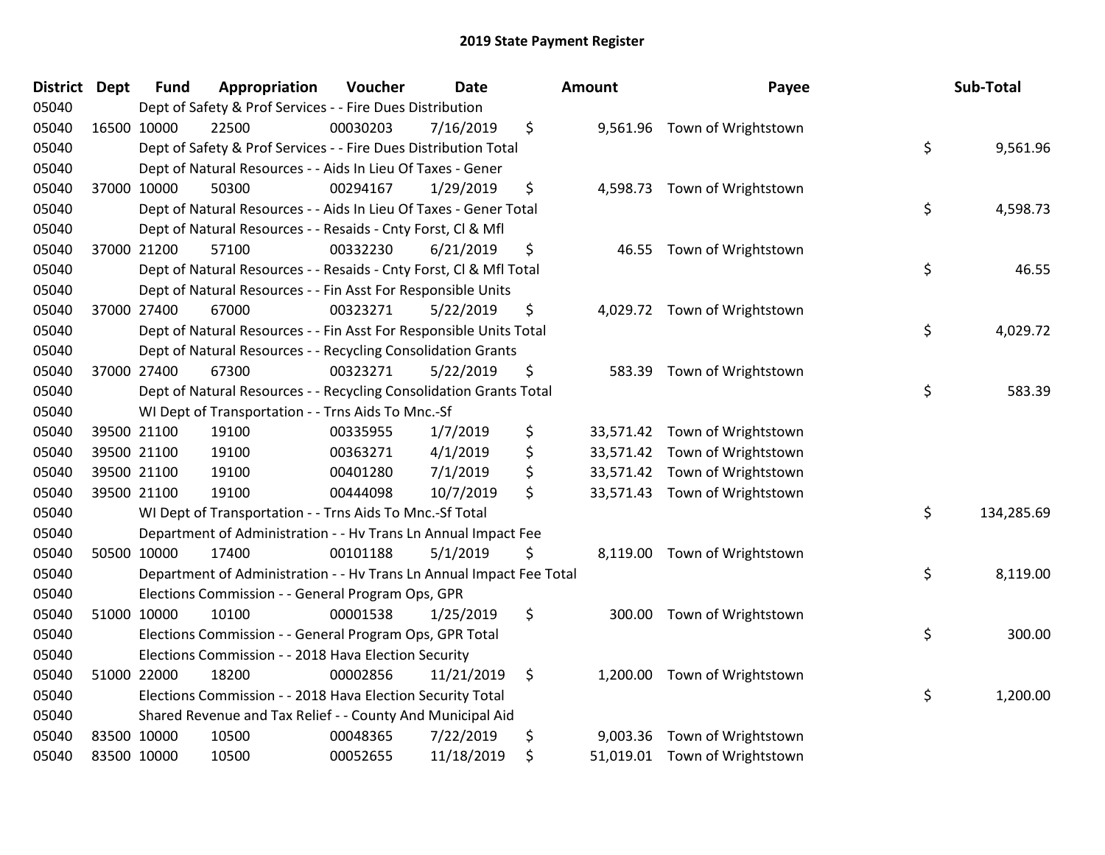| <b>District Dept</b> | <b>Fund</b> | Appropriation                                                        | Voucher  | <b>Date</b> | <b>Amount</b>   | Payee                         | Sub-Total        |
|----------------------|-------------|----------------------------------------------------------------------|----------|-------------|-----------------|-------------------------------|------------------|
| 05040                |             | Dept of Safety & Prof Services - - Fire Dues Distribution            |          |             |                 |                               |                  |
| 05040                | 16500 10000 | 22500                                                                | 00030203 | 7/16/2019   | \$              | 9,561.96 Town of Wrightstown  |                  |
| 05040                |             | Dept of Safety & Prof Services - - Fire Dues Distribution Total      |          |             |                 |                               | \$<br>9,561.96   |
| 05040                |             | Dept of Natural Resources - - Aids In Lieu Of Taxes - Gener          |          |             |                 |                               |                  |
| 05040                | 37000 10000 | 50300                                                                | 00294167 | 1/29/2019   | \$              | 4,598.73 Town of Wrightstown  |                  |
| 05040                |             | Dept of Natural Resources - - Aids In Lieu Of Taxes - Gener Total    |          |             |                 |                               | \$<br>4,598.73   |
| 05040                |             | Dept of Natural Resources - - Resaids - Cnty Forst, Cl & Mfl         |          |             |                 |                               |                  |
| 05040                | 37000 21200 | 57100                                                                | 00332230 | 6/21/2019   | \$<br>46.55     | Town of Wrightstown           |                  |
| 05040                |             | Dept of Natural Resources - - Resaids - Cnty Forst, CI & Mfl Total   |          |             |                 |                               | \$<br>46.55      |
| 05040                |             | Dept of Natural Resources - - Fin Asst For Responsible Units         |          |             |                 |                               |                  |
| 05040                | 37000 27400 | 67000                                                                | 00323271 | 5/22/2019   | \$              | 4,029.72 Town of Wrightstown  |                  |
| 05040                |             | Dept of Natural Resources - - Fin Asst For Responsible Units Total   |          |             |                 |                               | \$<br>4,029.72   |
| 05040                |             | Dept of Natural Resources - - Recycling Consolidation Grants         |          |             |                 |                               |                  |
| 05040                | 37000 27400 | 67300                                                                | 00323271 | 5/22/2019   | \$              | 583.39 Town of Wrightstown    |                  |
| 05040                |             | Dept of Natural Resources - - Recycling Consolidation Grants Total   |          |             |                 |                               | \$<br>583.39     |
| 05040                |             | WI Dept of Transportation - - Trns Aids To Mnc.-Sf                   |          |             |                 |                               |                  |
| 05040                | 39500 21100 | 19100                                                                | 00335955 | 1/7/2019    | \$<br>33,571.42 | Town of Wrightstown           |                  |
| 05040                | 39500 21100 | 19100                                                                | 00363271 | 4/1/2019    | \$              | 33,571.42 Town of Wrightstown |                  |
| 05040                | 39500 21100 | 19100                                                                | 00401280 | 7/1/2019    | \$              | 33,571.42 Town of Wrightstown |                  |
| 05040                | 39500 21100 | 19100                                                                | 00444098 | 10/7/2019   | \$              | 33,571.43 Town of Wrightstown |                  |
| 05040                |             | WI Dept of Transportation - - Trns Aids To Mnc.-Sf Total             |          |             |                 |                               | \$<br>134,285.69 |
| 05040                |             | Department of Administration - - Hv Trans Ln Annual Impact Fee       |          |             |                 |                               |                  |
| 05040                | 50500 10000 | 17400                                                                | 00101188 | 5/1/2019    | \$              | 8,119.00 Town of Wrightstown  |                  |
| 05040                |             | Department of Administration - - Hv Trans Ln Annual Impact Fee Total |          |             |                 |                               | \$<br>8,119.00   |
| 05040                |             | Elections Commission - - General Program Ops, GPR                    |          |             |                 |                               |                  |
| 05040                | 51000 10000 | 10100                                                                | 00001538 | 1/25/2019   | \$<br>300.00    | Town of Wrightstown           |                  |
| 05040                |             | Elections Commission - - General Program Ops, GPR Total              |          |             |                 |                               | \$<br>300.00     |
| 05040                |             | Elections Commission - - 2018 Hava Election Security                 |          |             |                 |                               |                  |
| 05040                | 51000 22000 | 18200                                                                | 00002856 | 11/21/2019  | \$              | 1,200.00 Town of Wrightstown  |                  |
| 05040                |             | Elections Commission - - 2018 Hava Election Security Total           |          |             |                 |                               | \$<br>1,200.00   |
| 05040                |             | Shared Revenue and Tax Relief - - County And Municipal Aid           |          |             |                 |                               |                  |
| 05040                | 83500 10000 | 10500                                                                | 00048365 | 7/22/2019   | \$<br>9,003.36  | Town of Wrightstown           |                  |
| 05040                | 83500 10000 | 10500                                                                | 00052655 | 11/18/2019  | \$              | 51,019.01 Town of Wrightstown |                  |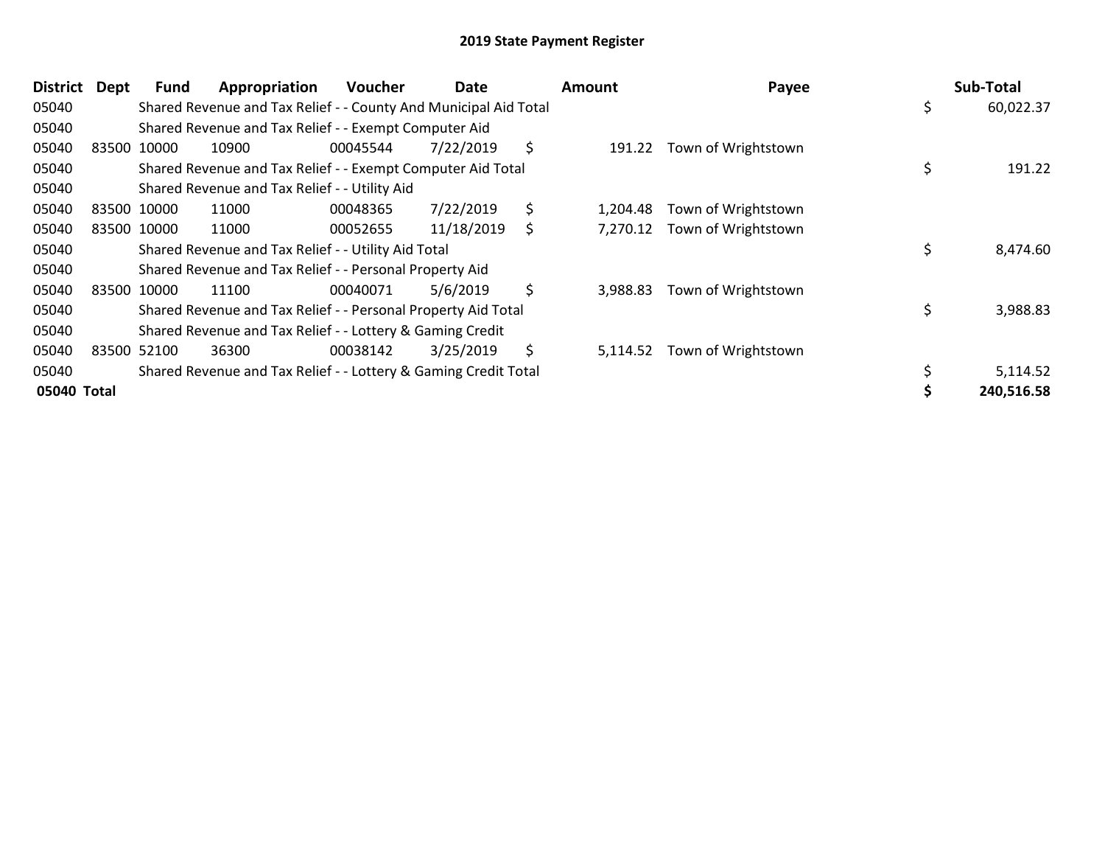| <b>District</b> | Dept | <b>Fund</b> | Appropriation                                                    | <b>Voucher</b> | Date       |    | <b>Amount</b> | Payee               | Sub-Total       |
|-----------------|------|-------------|------------------------------------------------------------------|----------------|------------|----|---------------|---------------------|-----------------|
| 05040           |      |             | Shared Revenue and Tax Relief - - County And Municipal Aid Total |                |            |    |               |                     | \$<br>60,022.37 |
| 05040           |      |             | Shared Revenue and Tax Relief - - Exempt Computer Aid            |                |            |    |               |                     |                 |
| 05040           |      | 83500 10000 | 10900                                                            | 00045544       | 7/22/2019  | \$ | 191.22        | Town of Wrightstown |                 |
| 05040           |      |             | Shared Revenue and Tax Relief - - Exempt Computer Aid Total      |                |            |    |               |                     | \$<br>191.22    |
| 05040           |      |             | Shared Revenue and Tax Relief - - Utility Aid                    |                |            |    |               |                     |                 |
| 05040           |      | 83500 10000 | 11000                                                            | 00048365       | 7/22/2019  | \$ | 1,204.48      | Town of Wrightstown |                 |
| 05040           |      | 83500 10000 | 11000                                                            | 00052655       | 11/18/2019 | S  | 7,270.12      | Town of Wrightstown |                 |
| 05040           |      |             | Shared Revenue and Tax Relief - - Utility Aid Total              |                |            |    |               |                     | \$<br>8,474.60  |
| 05040           |      |             | Shared Revenue and Tax Relief - - Personal Property Aid          |                |            |    |               |                     |                 |
| 05040           |      | 83500 10000 | 11100                                                            | 00040071       | 5/6/2019   | \$ | 3,988.83      | Town of Wrightstown |                 |
| 05040           |      |             | Shared Revenue and Tax Relief - - Personal Property Aid Total    |                |            |    |               |                     | \$<br>3,988.83  |
| 05040           |      |             | Shared Revenue and Tax Relief - - Lottery & Gaming Credit        |                |            |    |               |                     |                 |
| 05040           |      | 83500 52100 | 36300                                                            | 00038142       | 3/25/2019  | \$ | 5,114.52      | Town of Wrightstown |                 |
| 05040           |      |             | Shared Revenue and Tax Relief - - Lottery & Gaming Credit Total  |                |            |    |               |                     | 5,114.52        |
| 05040 Total     |      |             |                                                                  |                |            |    |               |                     | 240,516.58      |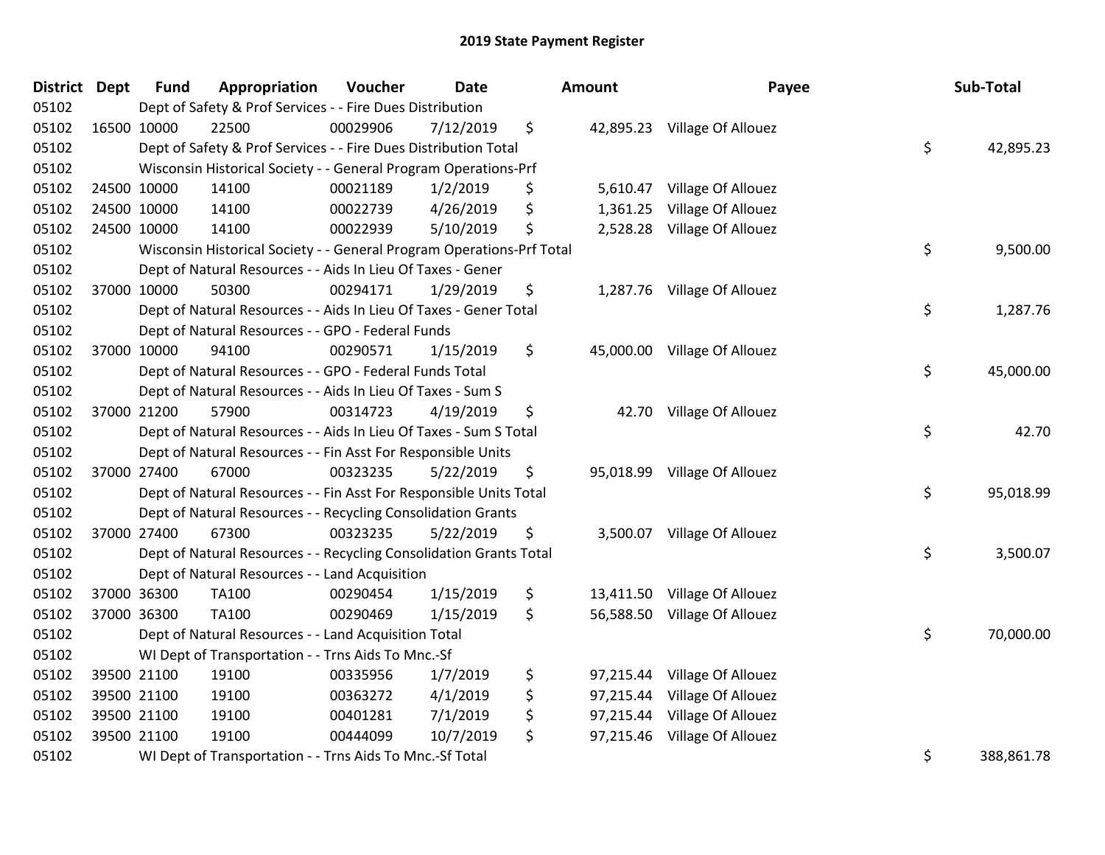| District Dept | <b>Fund</b> | Appropriation                                                         | Voucher  | <b>Date</b> | <b>Amount</b>   | Payee                        | Sub-Total        |
|---------------|-------------|-----------------------------------------------------------------------|----------|-------------|-----------------|------------------------------|------------------|
| 05102         |             | Dept of Safety & Prof Services - - Fire Dues Distribution             |          |             |                 |                              |                  |
| 05102         | 16500 10000 | 22500                                                                 | 00029906 | 7/12/2019   | \$              | 42,895.23 Village Of Allouez |                  |
| 05102         |             | Dept of Safety & Prof Services - - Fire Dues Distribution Total       |          |             |                 |                              | \$<br>42,895.23  |
| 05102         |             | Wisconsin Historical Society - - General Program Operations-Prf       |          |             |                 |                              |                  |
| 05102         | 24500 10000 | 14100                                                                 | 00021189 | 1/2/2019    | \$<br>5,610.47  | Village Of Allouez           |                  |
| 05102         | 24500 10000 | 14100                                                                 | 00022739 | 4/26/2019   | \$<br>1,361.25  | Village Of Allouez           |                  |
| 05102         | 24500 10000 | 14100                                                                 | 00022939 | 5/10/2019   | \$              | 2,528.28 Village Of Allouez  |                  |
| 05102         |             | Wisconsin Historical Society - - General Program Operations-Prf Total |          |             |                 |                              | \$<br>9,500.00   |
| 05102         |             | Dept of Natural Resources - - Aids In Lieu Of Taxes - Gener           |          |             |                 |                              |                  |
| 05102         | 37000 10000 | 50300                                                                 | 00294171 | 1/29/2019   | \$              | 1,287.76 Village Of Allouez  |                  |
| 05102         |             | Dept of Natural Resources - - Aids In Lieu Of Taxes - Gener Total     |          |             |                 |                              | \$<br>1,287.76   |
| 05102         |             | Dept of Natural Resources - - GPO - Federal Funds                     |          |             |                 |                              |                  |
| 05102         | 37000 10000 | 94100                                                                 | 00290571 | 1/15/2019   | \$              | 45,000.00 Village Of Allouez |                  |
| 05102         |             | Dept of Natural Resources - - GPO - Federal Funds Total               |          |             |                 |                              | \$<br>45,000.00  |
| 05102         |             | Dept of Natural Resources - - Aids In Lieu Of Taxes - Sum S           |          |             |                 |                              |                  |
| 05102         | 37000 21200 | 57900                                                                 | 00314723 | 4/19/2019   | \$              | 42.70 Village Of Allouez     |                  |
| 05102         |             | Dept of Natural Resources - - Aids In Lieu Of Taxes - Sum S Total     |          |             |                 |                              | \$<br>42.70      |
| 05102         |             | Dept of Natural Resources - - Fin Asst For Responsible Units          |          |             |                 |                              |                  |
| 05102         | 37000 27400 | 67000                                                                 | 00323235 | 5/22/2019   | \$              | 95,018.99 Village Of Allouez |                  |
| 05102         |             | Dept of Natural Resources - - Fin Asst For Responsible Units Total    |          |             |                 |                              | \$<br>95,018.99  |
| 05102         |             | Dept of Natural Resources - - Recycling Consolidation Grants          |          |             |                 |                              |                  |
| 05102         | 37000 27400 | 67300                                                                 | 00323235 | 5/22/2019   | \$              | 3,500.07 Village Of Allouez  |                  |
| 05102         |             | Dept of Natural Resources - - Recycling Consolidation Grants Total    |          |             |                 |                              | \$<br>3,500.07   |
| 05102         |             | Dept of Natural Resources - - Land Acquisition                        |          |             |                 |                              |                  |
| 05102         | 37000 36300 | TA100                                                                 | 00290454 | 1/15/2019   | \$              | 13,411.50 Village Of Allouez |                  |
| 05102         | 37000 36300 | <b>TA100</b>                                                          | 00290469 | 1/15/2019   | \$              | 56,588.50 Village Of Allouez |                  |
| 05102         |             | Dept of Natural Resources - - Land Acquisition Total                  |          |             |                 |                              | \$<br>70,000.00  |
| 05102         |             | WI Dept of Transportation - - Trns Aids To Mnc.-Sf                    |          |             |                 |                              |                  |
| 05102         | 39500 21100 | 19100                                                                 | 00335956 | 1/7/2019    | \$              | 97,215.44 Village Of Allouez |                  |
| 05102         | 39500 21100 | 19100                                                                 | 00363272 | 4/1/2019    | \$<br>97,215.44 | Village Of Allouez           |                  |
| 05102         | 39500 21100 | 19100                                                                 | 00401281 | 7/1/2019    | \$<br>97,215.44 | Village Of Allouez           |                  |
| 05102         | 39500 21100 | 19100                                                                 | 00444099 | 10/7/2019   | \$<br>97,215.46 | Village Of Allouez           |                  |
| 05102         |             | WI Dept of Transportation - - Trns Aids To Mnc.-Sf Total              |          |             |                 |                              | \$<br>388,861.78 |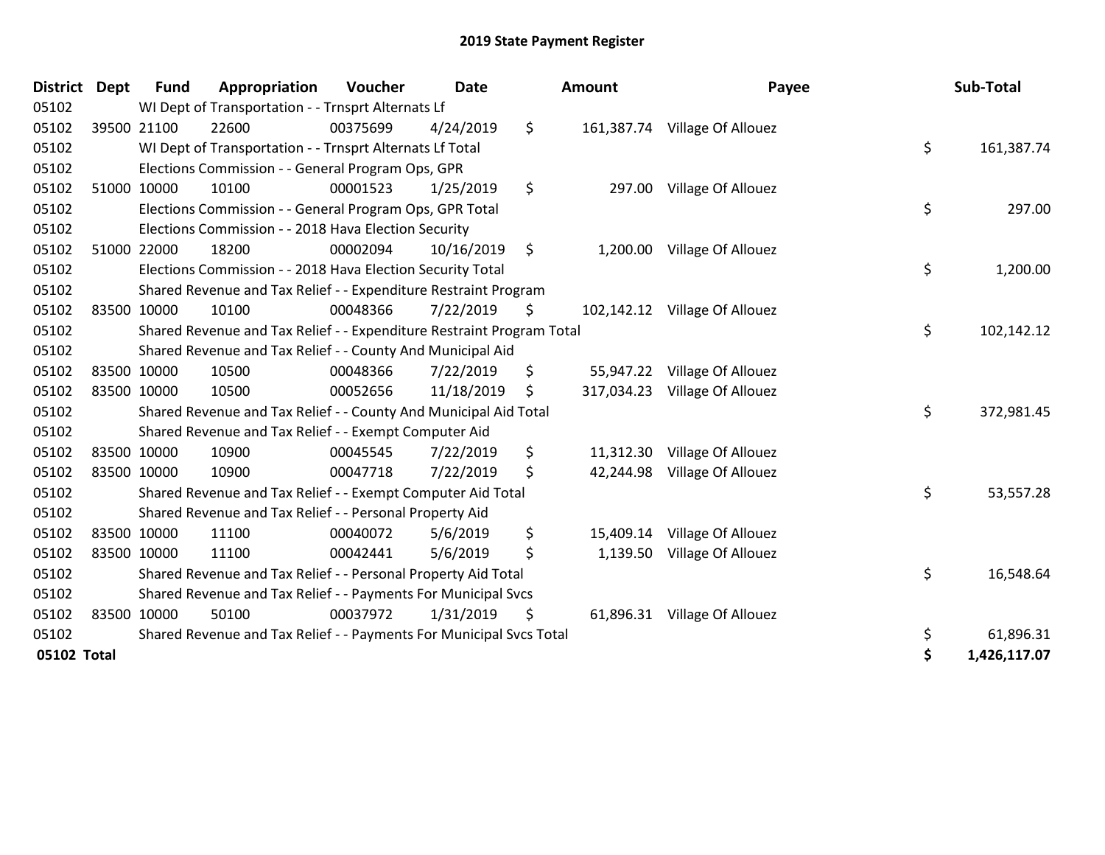| <b>District</b> | Dept        | <b>Fund</b> | Appropriation                                                         | Voucher  | <b>Date</b> |     | <b>Amount</b> | Payee                         | Sub-Total          |
|-----------------|-------------|-------------|-----------------------------------------------------------------------|----------|-------------|-----|---------------|-------------------------------|--------------------|
| 05102           |             |             | WI Dept of Transportation - - Trnsprt Alternats Lf                    |          |             |     |               |                               |                    |
| 05102           |             | 39500 21100 | 22600                                                                 | 00375699 | 4/24/2019   | \$  |               | 161,387.74 Village Of Allouez |                    |
| 05102           |             |             | WI Dept of Transportation - - Trnsprt Alternats Lf Total              |          |             |     |               |                               | \$<br>161,387.74   |
| 05102           |             |             | Elections Commission - - General Program Ops, GPR                     |          |             |     |               |                               |                    |
| 05102           |             | 51000 10000 | 10100                                                                 | 00001523 | 1/25/2019   | \$  | 297.00        | Village Of Allouez            |                    |
| 05102           |             |             | Elections Commission - - General Program Ops, GPR Total               |          |             |     |               |                               | \$<br>297.00       |
| 05102           |             |             | Elections Commission - - 2018 Hava Election Security                  |          |             |     |               |                               |                    |
| 05102           |             | 51000 22000 | 18200                                                                 | 00002094 | 10/16/2019  | \$  | 1,200.00      | Village Of Allouez            |                    |
| 05102           |             |             | Elections Commission - - 2018 Hava Election Security Total            |          |             |     |               |                               | \$<br>1,200.00     |
| 05102           |             |             | Shared Revenue and Tax Relief - - Expenditure Restraint Program       |          |             |     |               |                               |                    |
| 05102           |             | 83500 10000 | 10100                                                                 | 00048366 | 7/22/2019   | \$  |               | 102,142.12 Village Of Allouez |                    |
| 05102           |             |             | Shared Revenue and Tax Relief - - Expenditure Restraint Program Total |          |             |     |               |                               | \$<br>102,142.12   |
| 05102           |             |             | Shared Revenue and Tax Relief - - County And Municipal Aid            |          |             |     |               |                               |                    |
| 05102           |             | 83500 10000 | 10500                                                                 | 00048366 | 7/22/2019   | \$  | 55,947.22     | Village Of Allouez            |                    |
| 05102           |             | 83500 10000 | 10500                                                                 | 00052656 | 11/18/2019  | \$. | 317,034.23    | Village Of Allouez            |                    |
| 05102           |             |             | Shared Revenue and Tax Relief - - County And Municipal Aid Total      |          |             |     |               |                               | \$<br>372,981.45   |
| 05102           |             |             | Shared Revenue and Tax Relief - - Exempt Computer Aid                 |          |             |     |               |                               |                    |
| 05102           | 83500 10000 |             | 10900                                                                 | 00045545 | 7/22/2019   | \$  |               | 11,312.30 Village Of Allouez  |                    |
| 05102           |             | 83500 10000 | 10900                                                                 | 00047718 | 7/22/2019   | \$  | 42,244.98     | Village Of Allouez            |                    |
| 05102           |             |             | Shared Revenue and Tax Relief - - Exempt Computer Aid Total           |          |             |     |               |                               | \$<br>53,557.28    |
| 05102           |             |             | Shared Revenue and Tax Relief - - Personal Property Aid               |          |             |     |               |                               |                    |
| 05102           |             | 83500 10000 | 11100                                                                 | 00040072 | 5/6/2019    | \$  | 15,409.14     | Village Of Allouez            |                    |
| 05102           |             | 83500 10000 | 11100                                                                 | 00042441 | 5/6/2019    | \$  | 1,139.50      | Village Of Allouez            |                    |
| 05102           |             |             | Shared Revenue and Tax Relief - - Personal Property Aid Total         |          |             |     |               |                               | \$<br>16,548.64    |
| 05102           |             |             | Shared Revenue and Tax Relief - - Payments For Municipal Svcs         |          |             |     |               |                               |                    |
| 05102           |             | 83500 10000 | 50100                                                                 | 00037972 | 1/31/2019   | \$  |               | 61,896.31 Village Of Allouez  |                    |
| 05102           |             |             | Shared Revenue and Tax Relief - - Payments For Municipal Svcs Total   |          |             |     |               |                               | \$<br>61,896.31    |
| 05102 Total     |             |             |                                                                       |          |             |     |               |                               | \$<br>1,426,117.07 |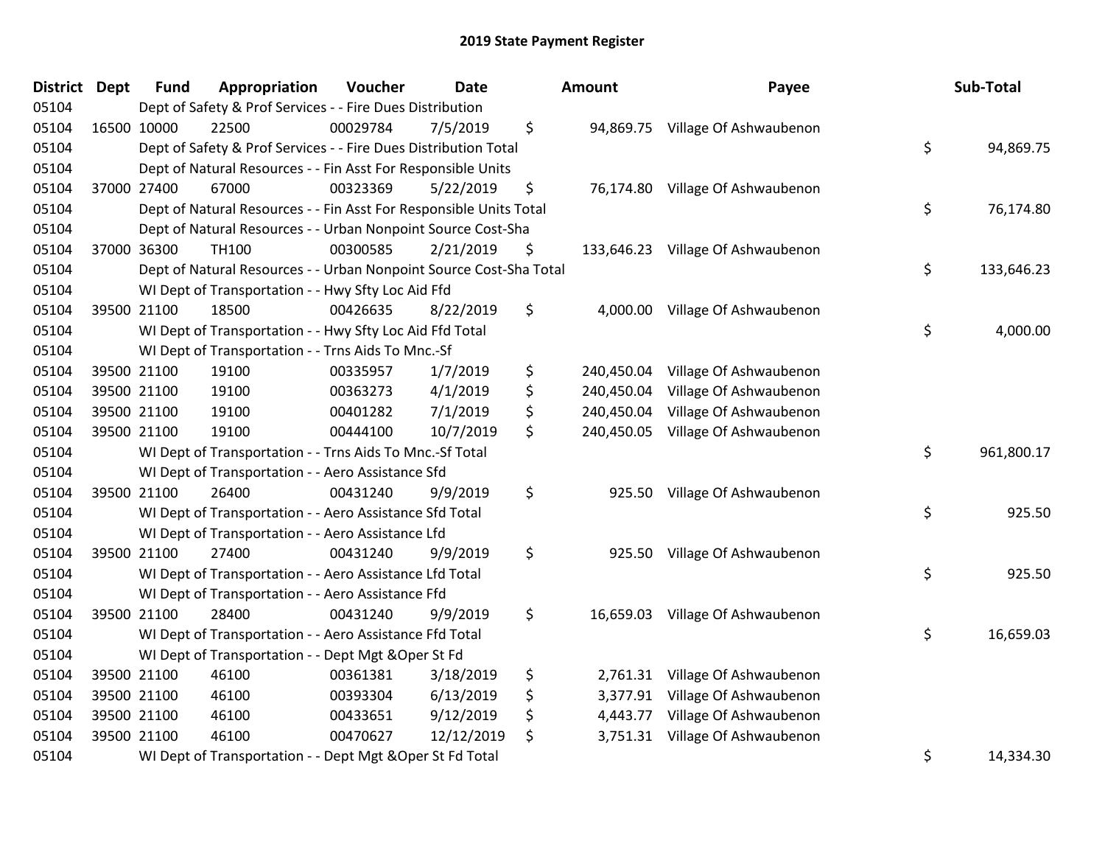| <b>District</b> | <b>Dept</b> | <b>Fund</b> | Appropriation                                                      | Voucher  | <b>Date</b> | <b>Amount</b>    | Payee                  | Sub-Total        |
|-----------------|-------------|-------------|--------------------------------------------------------------------|----------|-------------|------------------|------------------------|------------------|
| 05104           |             |             | Dept of Safety & Prof Services - - Fire Dues Distribution          |          |             |                  |                        |                  |
| 05104           |             | 16500 10000 | 22500                                                              | 00029784 | 7/5/2019    | \$<br>94,869.75  | Village Of Ashwaubenon |                  |
| 05104           |             |             | Dept of Safety & Prof Services - - Fire Dues Distribution Total    |          |             |                  |                        | \$<br>94,869.75  |
| 05104           |             |             | Dept of Natural Resources - - Fin Asst For Responsible Units       |          |             |                  |                        |                  |
| 05104           |             | 37000 27400 | 67000                                                              | 00323369 | 5/22/2019   | \$<br>76,174.80  | Village Of Ashwaubenon |                  |
| 05104           |             |             | Dept of Natural Resources - - Fin Asst For Responsible Units Total |          |             |                  |                        | \$<br>76,174.80  |
| 05104           |             |             | Dept of Natural Resources - - Urban Nonpoint Source Cost-Sha       |          |             |                  |                        |                  |
| 05104           |             | 37000 36300 | <b>TH100</b>                                                       | 00300585 | 2/21/2019   | \$<br>133,646.23 | Village Of Ashwaubenon |                  |
| 05104           |             |             | Dept of Natural Resources - - Urban Nonpoint Source Cost-Sha Total |          |             |                  |                        | \$<br>133,646.23 |
| 05104           |             |             | WI Dept of Transportation - - Hwy Sfty Loc Aid Ffd                 |          |             |                  |                        |                  |
| 05104           |             | 39500 21100 | 18500                                                              | 00426635 | 8/22/2019   | \$<br>4,000.00   | Village Of Ashwaubenon |                  |
| 05104           |             |             | WI Dept of Transportation - - Hwy Sfty Loc Aid Ffd Total           |          |             |                  |                        | \$<br>4,000.00   |
| 05104           |             |             | WI Dept of Transportation - - Trns Aids To Mnc.-Sf                 |          |             |                  |                        |                  |
| 05104           |             | 39500 21100 | 19100                                                              | 00335957 | 1/7/2019    | \$<br>240,450.04 | Village Of Ashwaubenon |                  |
| 05104           |             | 39500 21100 | 19100                                                              | 00363273 | 4/1/2019    | \$<br>240,450.04 | Village Of Ashwaubenon |                  |
| 05104           |             | 39500 21100 | 19100                                                              | 00401282 | 7/1/2019    | \$<br>240,450.04 | Village Of Ashwaubenon |                  |
| 05104           |             | 39500 21100 | 19100                                                              | 00444100 | 10/7/2019   | \$<br>240,450.05 | Village Of Ashwaubenon |                  |
| 05104           |             |             | WI Dept of Transportation - - Trns Aids To Mnc.-Sf Total           |          |             |                  |                        | \$<br>961,800.17 |
| 05104           |             |             | WI Dept of Transportation - - Aero Assistance Sfd                  |          |             |                  |                        |                  |
| 05104           |             | 39500 21100 | 26400                                                              | 00431240 | 9/9/2019    | \$<br>925.50     | Village Of Ashwaubenon |                  |
| 05104           |             |             | WI Dept of Transportation - - Aero Assistance Sfd Total            |          |             |                  |                        | \$<br>925.50     |
| 05104           |             |             | WI Dept of Transportation - - Aero Assistance Lfd                  |          |             |                  |                        |                  |
| 05104           |             | 39500 21100 | 27400                                                              | 00431240 | 9/9/2019    | \$<br>925.50     | Village Of Ashwaubenon |                  |
| 05104           |             |             | WI Dept of Transportation - - Aero Assistance Lfd Total            |          |             |                  |                        | \$<br>925.50     |
| 05104           |             |             | WI Dept of Transportation - - Aero Assistance Ffd                  |          |             |                  |                        |                  |
| 05104           |             | 39500 21100 | 28400                                                              | 00431240 | 9/9/2019    | \$<br>16,659.03  | Village Of Ashwaubenon |                  |
| 05104           |             |             | WI Dept of Transportation - - Aero Assistance Ffd Total            |          |             |                  |                        | \$<br>16,659.03  |
| 05104           |             |             | WI Dept of Transportation - - Dept Mgt & Oper St Fd                |          |             |                  |                        |                  |
| 05104           |             | 39500 21100 | 46100                                                              | 00361381 | 3/18/2019   | \$<br>2,761.31   | Village Of Ashwaubenon |                  |
| 05104           |             | 39500 21100 | 46100                                                              | 00393304 | 6/13/2019   | \$<br>3,377.91   | Village Of Ashwaubenon |                  |
| 05104           |             | 39500 21100 | 46100                                                              | 00433651 | 9/12/2019   | \$<br>4,443.77   | Village Of Ashwaubenon |                  |
| 05104           |             | 39500 21100 | 46100                                                              | 00470627 | 12/12/2019  | \$<br>3,751.31   | Village Of Ashwaubenon |                  |
| 05104           |             |             | WI Dept of Transportation - - Dept Mgt & Oper St Fd Total          |          |             |                  |                        | \$<br>14,334.30  |

| ount                                         | Payee                                                                                                | Sub-Total        |
|----------------------------------------------|------------------------------------------------------------------------------------------------------|------------------|
|                                              | 94,869.75 Village Of Ashwaubenon                                                                     | \$<br>94,869.75  |
|                                              | 76,174.80 Village Of Ashwaubenon                                                                     | \$<br>76,174.80  |
|                                              | 33,646.23 Village Of Ashwaubenon                                                                     | \$<br>133,646.23 |
| 4,000.00                                     | Village Of Ashwaubenon                                                                               | \$<br>4,000.00   |
| 40,450.04<br>40,450.04<br>40,450.04          | Village Of Ashwaubenon<br>Village Of Ashwaubenon<br>Village Of Ashwaubenon                           |                  |
| 40,450.05                                    | Village Of Ashwaubenon                                                                               | \$<br>961,800.17 |
| 925.50                                       | Village Of Ashwaubenon                                                                               | \$<br>925.50     |
| 925.50                                       | Village Of Ashwaubenon                                                                               | \$<br>925.50     |
| 16,659.03                                    | Village Of Ashwaubenon                                                                               | \$<br>16,659.03  |
| 2,761.31<br>3,377.91<br>4,443.77<br>3,751.31 | Village Of Ashwaubenon<br>Village Of Ashwaubenon<br>Village Of Ashwaubenon<br>Village Of Ashwaubenon |                  |
|                                              |                                                                                                      | \$<br>14,334.30  |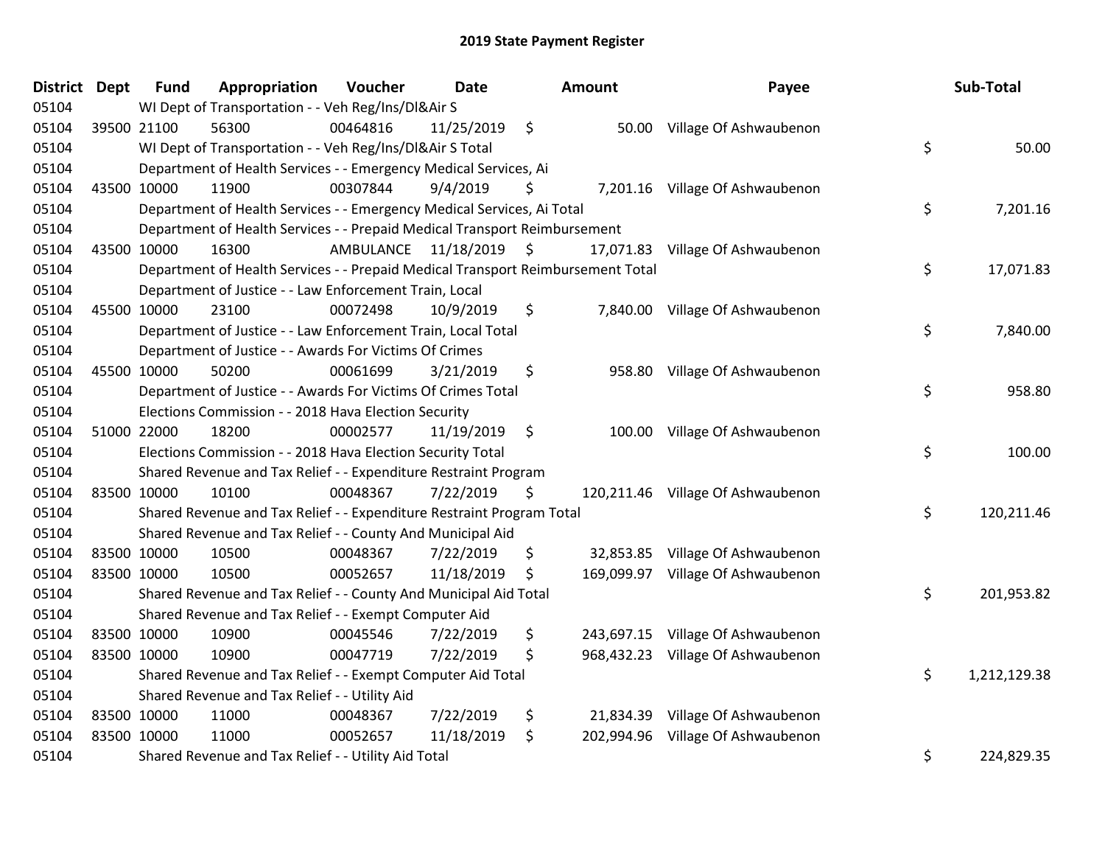| District Dept | <b>Fund</b> | Appropriation                                                                   | Voucher                 | Date       |         | <b>Amount</b> | Payee                             |    | Sub-Total    |
|---------------|-------------|---------------------------------------------------------------------------------|-------------------------|------------|---------|---------------|-----------------------------------|----|--------------|
| 05104         |             | WI Dept of Transportation - - Veh Reg/Ins/DI&Air S                              |                         |            |         |               |                                   |    |              |
| 05104         | 39500 21100 | 56300                                                                           | 00464816                | 11/25/2019 | $\zeta$ | 50.00         | Village Of Ashwaubenon            |    |              |
| 05104         |             | WI Dept of Transportation - - Veh Reg/Ins/DI&Air S Total                        |                         |            |         |               |                                   | \$ | 50.00        |
| 05104         |             | Department of Health Services - - Emergency Medical Services, Ai                |                         |            |         |               |                                   |    |              |
| 05104         | 43500 10000 | 11900                                                                           | 00307844                | 9/4/2019   | \$      |               | 7,201.16 Village Of Ashwaubenon   |    |              |
| 05104         |             | Department of Health Services - - Emergency Medical Services, Ai Total          |                         |            |         |               |                                   | \$ | 7,201.16     |
| 05104         |             | Department of Health Services - - Prepaid Medical Transport Reimbursement       |                         |            |         |               |                                   |    |              |
| 05104         | 43500 10000 | 16300                                                                           | AMBULANCE 11/18/2019 \$ |            |         | 17,071.83     | Village Of Ashwaubenon            |    |              |
| 05104         |             | Department of Health Services - - Prepaid Medical Transport Reimbursement Total |                         |            |         |               |                                   | \$ | 17,071.83    |
| 05104         |             | Department of Justice - - Law Enforcement Train, Local                          |                         |            |         |               |                                   |    |              |
| 05104         | 45500 10000 | 23100                                                                           | 00072498                | 10/9/2019  | \$      |               | 7,840.00 Village Of Ashwaubenon   |    |              |
| 05104         |             | Department of Justice - - Law Enforcement Train, Local Total                    |                         |            |         |               |                                   | \$ | 7,840.00     |
| 05104         |             | Department of Justice - - Awards For Victims Of Crimes                          |                         |            |         |               |                                   |    |              |
| 05104         | 45500 10000 | 50200                                                                           | 00061699                | 3/21/2019  | \$      | 958.80        | Village Of Ashwaubenon            |    |              |
| 05104         |             | Department of Justice - - Awards For Victims Of Crimes Total                    |                         |            |         |               |                                   | \$ | 958.80       |
| 05104         |             | Elections Commission - - 2018 Hava Election Security                            |                         |            |         |               |                                   |    |              |
| 05104         | 51000 22000 | 18200                                                                           | 00002577                | 11/19/2019 | \$      | 100.00        | Village Of Ashwaubenon            |    |              |
| 05104         |             | Elections Commission - - 2018 Hava Election Security Total                      |                         |            |         |               |                                   | \$ | 100.00       |
| 05104         |             | Shared Revenue and Tax Relief - - Expenditure Restraint Program                 |                         |            |         |               |                                   |    |              |
| 05104         | 83500 10000 | 10100                                                                           | 00048367                | 7/22/2019  | \$      |               | 120,211.46 Village Of Ashwaubenon |    |              |
| 05104         |             | Shared Revenue and Tax Relief - - Expenditure Restraint Program Total           |                         |            |         |               |                                   | \$ | 120,211.46   |
| 05104         |             | Shared Revenue and Tax Relief - - County And Municipal Aid                      |                         |            |         |               |                                   |    |              |
| 05104         | 83500 10000 | 10500                                                                           | 00048367                | 7/22/2019  | \$      | 32,853.85     | Village Of Ashwaubenon            |    |              |
| 05104         | 83500 10000 | 10500                                                                           | 00052657                | 11/18/2019 | \$      | 169,099.97    | Village Of Ashwaubenon            |    |              |
| 05104         |             | Shared Revenue and Tax Relief - - County And Municipal Aid Total                |                         |            |         |               |                                   | \$ | 201,953.82   |
| 05104         |             | Shared Revenue and Tax Relief - - Exempt Computer Aid                           |                         |            |         |               |                                   |    |              |
| 05104         | 83500 10000 | 10900                                                                           | 00045546                | 7/22/2019  | \$      | 243,697.15    | Village Of Ashwaubenon            |    |              |
| 05104         | 83500 10000 | 10900                                                                           | 00047719                | 7/22/2019  | \$      | 968,432.23    | Village Of Ashwaubenon            |    |              |
| 05104         |             | Shared Revenue and Tax Relief - - Exempt Computer Aid Total                     |                         |            |         |               |                                   | \$ | 1,212,129.38 |
| 05104         |             | Shared Revenue and Tax Relief - - Utility Aid                                   |                         |            |         |               |                                   |    |              |
| 05104         | 83500 10000 | 11000                                                                           | 00048367                | 7/22/2019  | \$      | 21,834.39     | Village Of Ashwaubenon            |    |              |
| 05104         | 83500 10000 | 11000                                                                           | 00052657                | 11/18/2019 | \$      | 202,994.96    | Village Of Ashwaubenon            |    |              |
| 05104         |             | Shared Revenue and Tax Relief - - Utility Aid Total                             |                         |            |         |               |                                   | \$ | 224,829.35   |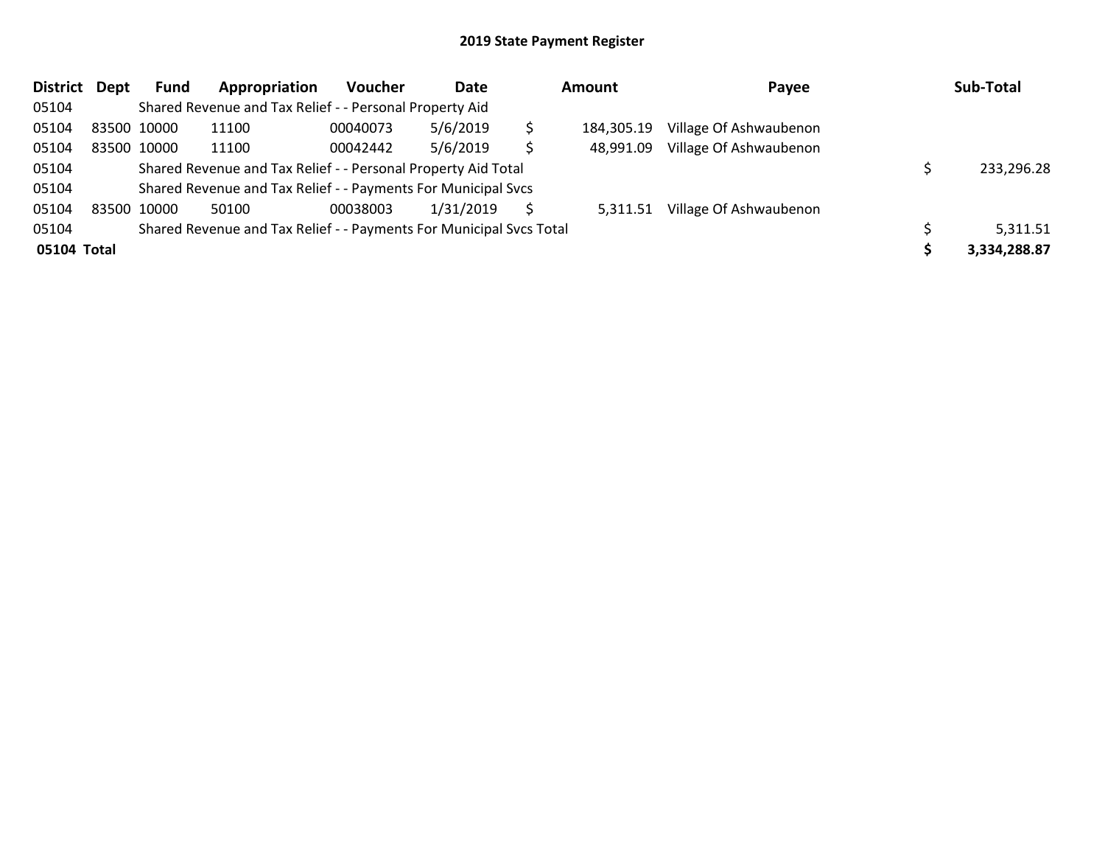| District    | Dept | Fund        | Appropriation                                                       | <b>Voucher</b> | Date      |   | <b>Amount</b> | Payee                  | Sub-Total    |
|-------------|------|-------------|---------------------------------------------------------------------|----------------|-----------|---|---------------|------------------------|--------------|
| 05104       |      |             | Shared Revenue and Tax Relief - - Personal Property Aid             |                |           |   |               |                        |              |
| 05104       |      | 83500 10000 | 11100                                                               | 00040073       | 5/6/2019  |   | 184,305.19    | Village Of Ashwaubenon |              |
| 05104       |      | 83500 10000 | 11100                                                               | 00042442       | 5/6/2019  | Ś | 48.991.09     | Village Of Ashwaubenon |              |
| 05104       |      |             | Shared Revenue and Tax Relief - - Personal Property Aid Total       |                |           |   |               |                        | 233,296.28   |
| 05104       |      |             | Shared Revenue and Tax Relief - - Payments For Municipal Svcs       |                |           |   |               |                        |              |
| 05104       |      | 83500 10000 | 50100                                                               | 00038003       | 1/31/2019 |   | 5,311.51      | Village Of Ashwaubenon |              |
| 05104       |      |             | Shared Revenue and Tax Relief - - Payments For Municipal Svcs Total |                |           |   |               |                        | 5,311.51     |
| 05104 Total |      |             |                                                                     |                |           |   |               |                        | 3,334,288.87 |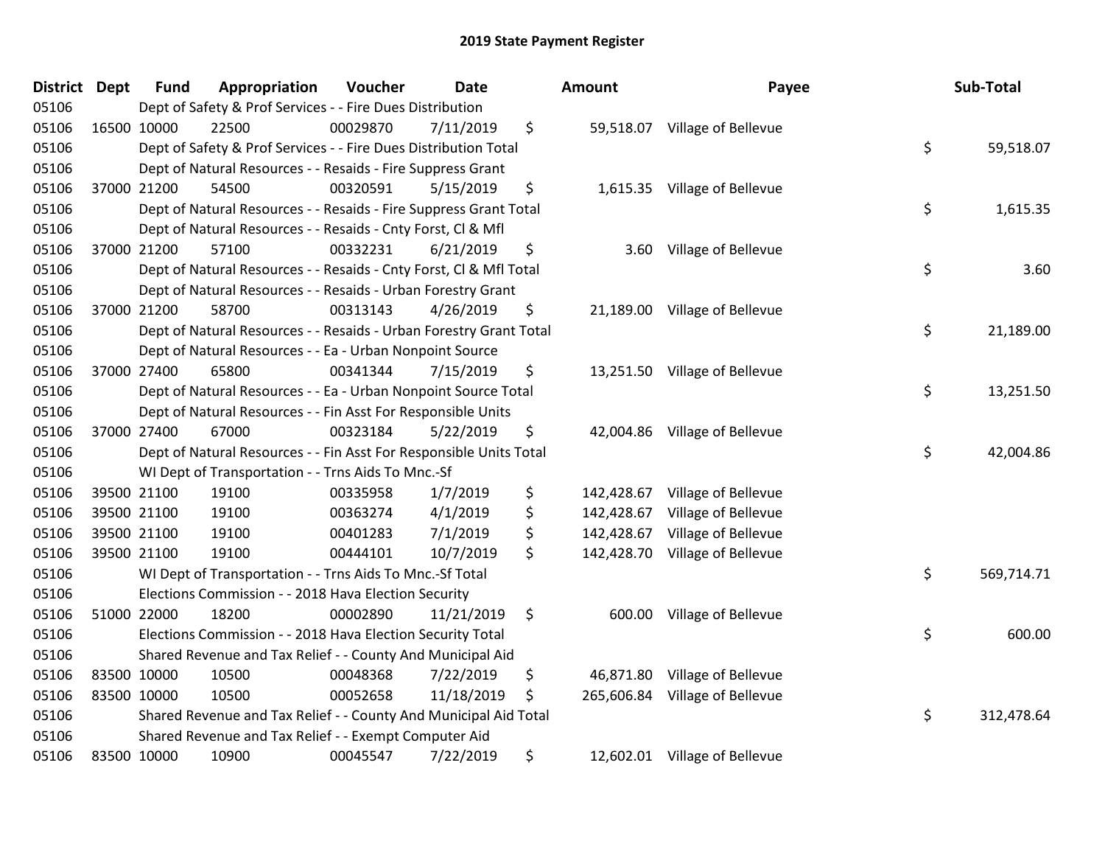| District Dept | <b>Fund</b> | Appropriation                                                      | Voucher  | <b>Date</b> | Amount           | Payee                         | Sub-Total        |
|---------------|-------------|--------------------------------------------------------------------|----------|-------------|------------------|-------------------------------|------------------|
| 05106         |             | Dept of Safety & Prof Services - - Fire Dues Distribution          |          |             |                  |                               |                  |
| 05106         | 16500 10000 | 22500                                                              | 00029870 | 7/11/2019   | \$               | 59,518.07 Village of Bellevue |                  |
| 05106         |             | Dept of Safety & Prof Services - - Fire Dues Distribution Total    |          |             |                  |                               | \$<br>59,518.07  |
| 05106         |             | Dept of Natural Resources - - Resaids - Fire Suppress Grant        |          |             |                  |                               |                  |
| 05106         | 37000 21200 | 54500                                                              | 00320591 | 5/15/2019   | \$               | 1,615.35 Village of Bellevue  |                  |
| 05106         |             | Dept of Natural Resources - - Resaids - Fire Suppress Grant Total  |          |             |                  |                               | \$<br>1,615.35   |
| 05106         |             | Dept of Natural Resources - - Resaids - Cnty Forst, Cl & Mfl       |          |             |                  |                               |                  |
| 05106         | 37000 21200 | 57100                                                              | 00332231 | 6/21/2019   | \$<br>3.60       | Village of Bellevue           |                  |
| 05106         |             | Dept of Natural Resources - - Resaids - Cnty Forst, Cl & Mfl Total |          |             |                  |                               | \$<br>3.60       |
| 05106         |             | Dept of Natural Resources - - Resaids - Urban Forestry Grant       |          |             |                  |                               |                  |
| 05106         | 37000 21200 | 58700                                                              | 00313143 | 4/26/2019   | \$               | 21,189.00 Village of Bellevue |                  |
| 05106         |             | Dept of Natural Resources - - Resaids - Urban Forestry Grant Total |          |             |                  |                               | \$<br>21,189.00  |
| 05106         |             | Dept of Natural Resources - - Ea - Urban Nonpoint Source           |          |             |                  |                               |                  |
| 05106         | 37000 27400 | 65800                                                              | 00341344 | 7/15/2019   | \$               | 13,251.50 Village of Bellevue |                  |
| 05106         |             | Dept of Natural Resources - - Ea - Urban Nonpoint Source Total     |          |             |                  |                               | \$<br>13,251.50  |
| 05106         |             | Dept of Natural Resources - - Fin Asst For Responsible Units       |          |             |                  |                               |                  |
| 05106         | 37000 27400 | 67000                                                              | 00323184 | 5/22/2019   | \$<br>42,004.86  | Village of Bellevue           |                  |
| 05106         |             | Dept of Natural Resources - - Fin Asst For Responsible Units Total |          |             |                  |                               | \$<br>42,004.86  |
| 05106         |             | WI Dept of Transportation - - Trns Aids To Mnc.-Sf                 |          |             |                  |                               |                  |
| 05106         | 39500 21100 | 19100                                                              | 00335958 | 1/7/2019    | \$<br>142,428.67 | Village of Bellevue           |                  |
| 05106         | 39500 21100 | 19100                                                              | 00363274 | 4/1/2019    | \$<br>142,428.67 | Village of Bellevue           |                  |
| 05106         | 39500 21100 | 19100                                                              | 00401283 | 7/1/2019    | \$<br>142,428.67 | Village of Bellevue           |                  |
| 05106         | 39500 21100 | 19100                                                              | 00444101 | 10/7/2019   | \$<br>142,428.70 | Village of Bellevue           |                  |
| 05106         |             | WI Dept of Transportation - - Trns Aids To Mnc.-Sf Total           |          |             |                  |                               | \$<br>569,714.71 |
| 05106         |             | Elections Commission - - 2018 Hava Election Security               |          |             |                  |                               |                  |
| 05106         | 51000 22000 | 18200                                                              | 00002890 | 11/21/2019  | \$<br>600.00     | Village of Bellevue           |                  |
| 05106         |             | Elections Commission - - 2018 Hava Election Security Total         |          |             |                  |                               | \$<br>600.00     |
| 05106         |             | Shared Revenue and Tax Relief - - County And Municipal Aid         |          |             |                  |                               |                  |
| 05106         | 83500 10000 | 10500                                                              | 00048368 | 7/22/2019   | \$<br>46,871.80  | Village of Bellevue           |                  |
| 05106         | 83500 10000 | 10500                                                              | 00052658 | 11/18/2019  | \$<br>265,606.84 | Village of Bellevue           |                  |
| 05106         |             | Shared Revenue and Tax Relief - - County And Municipal Aid Total   |          |             |                  |                               | \$<br>312,478.64 |
| 05106         |             | Shared Revenue and Tax Relief - - Exempt Computer Aid              |          |             |                  |                               |                  |
| 05106         | 83500 10000 | 10900                                                              | 00045547 | 7/22/2019   | \$               | 12,602.01 Village of Bellevue |                  |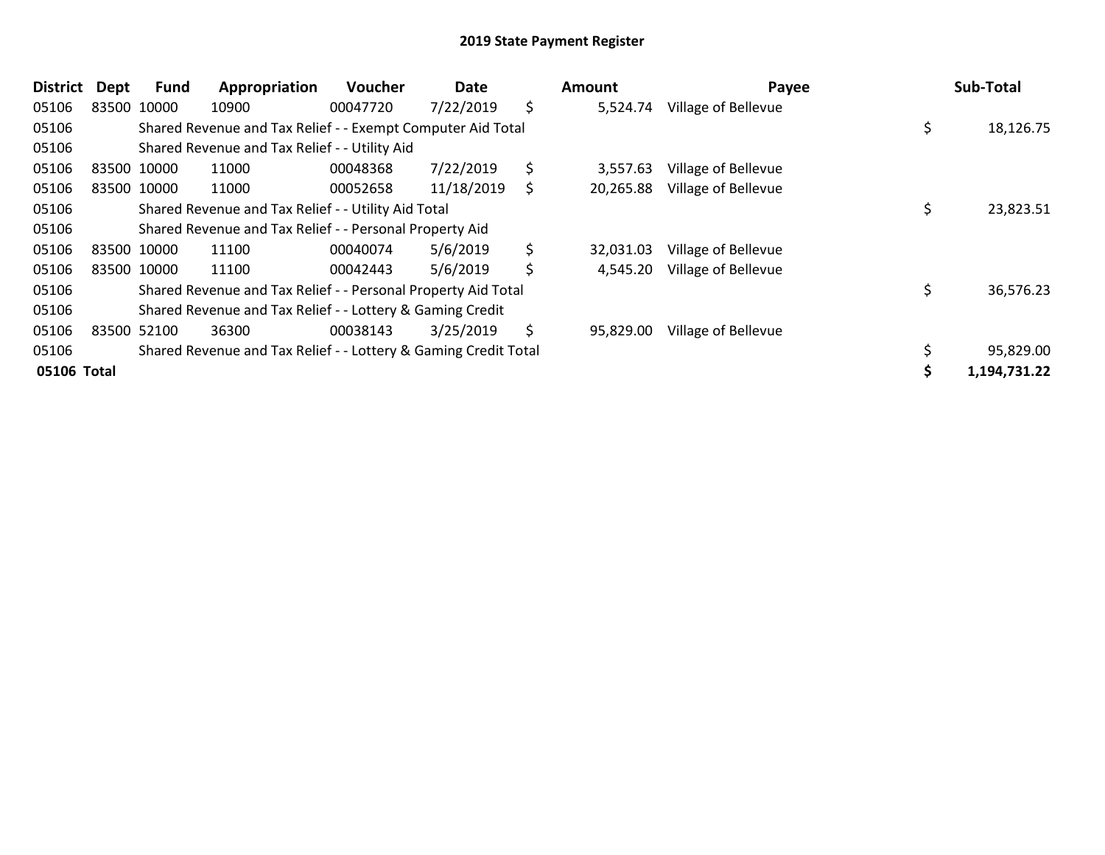| <b>District</b> | Dept | <b>Fund</b> | Appropriation                                                   | <b>Voucher</b> | Date       |    | Amount    | Payee               |    | Sub-Total    |
|-----------------|------|-------------|-----------------------------------------------------------------|----------------|------------|----|-----------|---------------------|----|--------------|
| 05106           |      | 83500 10000 | 10900                                                           | 00047720       | 7/22/2019  | \$ | 5,524.74  | Village of Bellevue |    |              |
| 05106           |      |             | Shared Revenue and Tax Relief - - Exempt Computer Aid Total     |                |            |    |           |                     | \$ | 18,126.75    |
| 05106           |      |             | Shared Revenue and Tax Relief - - Utility Aid                   |                |            |    |           |                     |    |              |
| 05106           |      | 83500 10000 | 11000                                                           | 00048368       | 7/22/2019  | \$ | 3,557.63  | Village of Bellevue |    |              |
| 05106           |      | 83500 10000 | 11000                                                           | 00052658       | 11/18/2019 | S  | 20,265.88 | Village of Bellevue |    |              |
| 05106           |      |             | Shared Revenue and Tax Relief - - Utility Aid Total             |                |            |    |           |                     | \$ | 23,823.51    |
| 05106           |      |             | Shared Revenue and Tax Relief - - Personal Property Aid         |                |            |    |           |                     |    |              |
| 05106           |      | 83500 10000 | 11100                                                           | 00040074       | 5/6/2019   | \$ | 32,031.03 | Village of Bellevue |    |              |
| 05106           |      | 83500 10000 | 11100                                                           | 00042443       | 5/6/2019   | \$ | 4,545.20  | Village of Bellevue |    |              |
| 05106           |      |             | Shared Revenue and Tax Relief - - Personal Property Aid Total   |                |            |    |           |                     | \$ | 36,576.23    |
| 05106           |      |             | Shared Revenue and Tax Relief - - Lottery & Gaming Credit       |                |            |    |           |                     |    |              |
| 05106           |      | 83500 52100 | 36300                                                           | 00038143       | 3/25/2019  | Ś  | 95,829.00 | Village of Bellevue |    |              |
| 05106           |      |             | Shared Revenue and Tax Relief - - Lottery & Gaming Credit Total |                |            |    |           |                     |    | 95,829.00    |
| 05106 Total     |      |             |                                                                 |                |            |    |           |                     | Ś  | 1,194,731.22 |

| Amount    | Payee               | <b>Sub-Total</b>   |
|-----------|---------------------|--------------------|
| 5,524.74  | Village of Bellevue |                    |
|           |                     | \$<br>18,126.75    |
|           |                     |                    |
| 3,557.63  | Village of Bellevue |                    |
| 20,265.88 | Village of Bellevue |                    |
|           |                     | \$<br>23,823.51    |
|           |                     |                    |
| 32,031.03 | Village of Bellevue |                    |
| 4,545.20  | Village of Bellevue |                    |
|           |                     | \$<br>36,576.23    |
|           |                     |                    |
| 95,829.00 | Village of Bellevue |                    |
|           |                     | \$<br>95,829.00    |
|           |                     | \$<br>1,194,731.22 |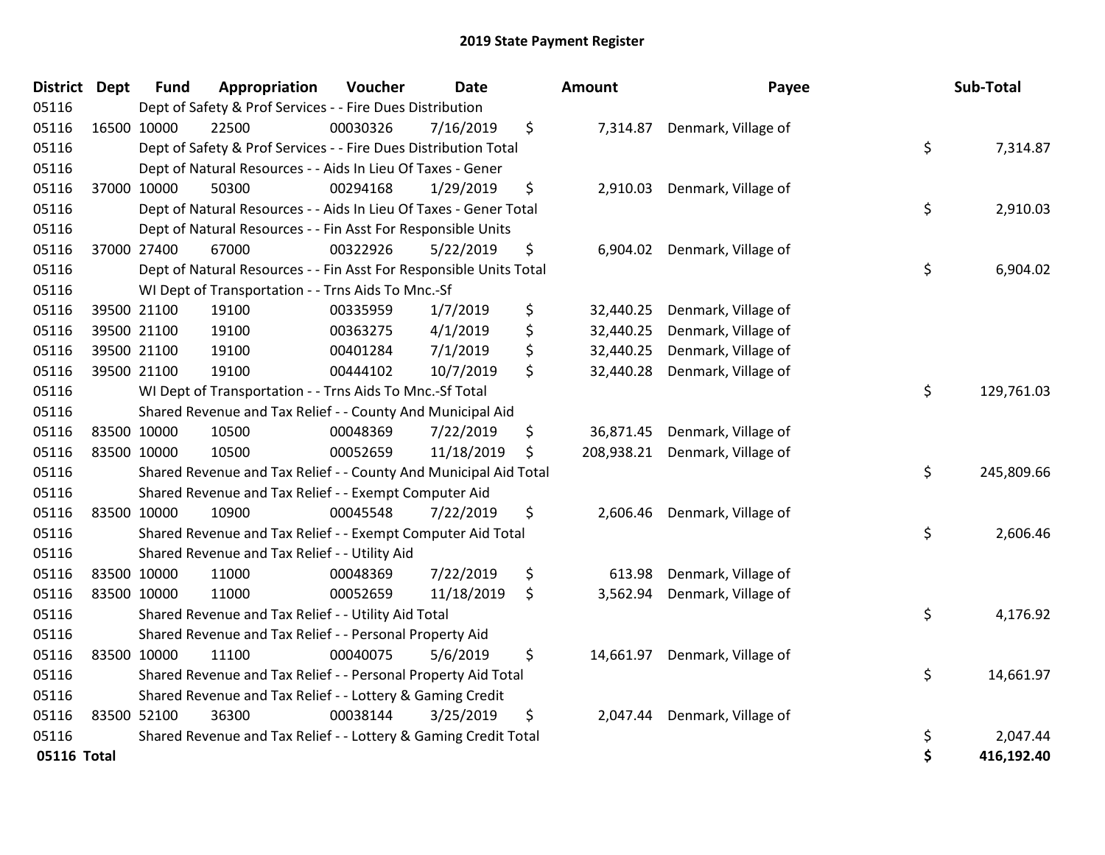| District Dept | <b>Fund</b> | Appropriation                                                      | Voucher  | <b>Date</b> |    | Amount     | Payee                        |    | Sub-Total  |
|---------------|-------------|--------------------------------------------------------------------|----------|-------------|----|------------|------------------------------|----|------------|
| 05116         |             | Dept of Safety & Prof Services - - Fire Dues Distribution          |          |             |    |            |                              |    |            |
| 05116         | 16500 10000 | 22500                                                              | 00030326 | 7/16/2019   | \$ |            | 7,314.87 Denmark, Village of |    |            |
| 05116         |             | Dept of Safety & Prof Services - - Fire Dues Distribution Total    |          |             |    |            |                              | \$ | 7,314.87   |
| 05116         |             | Dept of Natural Resources - - Aids In Lieu Of Taxes - Gener        |          |             |    |            |                              |    |            |
| 05116         | 37000 10000 | 50300                                                              | 00294168 | 1/29/2019   | \$ | 2,910.03   | Denmark, Village of          |    |            |
| 05116         |             | Dept of Natural Resources - - Aids In Lieu Of Taxes - Gener Total  |          |             |    |            |                              | \$ | 2,910.03   |
| 05116         |             | Dept of Natural Resources - - Fin Asst For Responsible Units       |          |             |    |            |                              |    |            |
| 05116         | 37000 27400 | 67000                                                              | 00322926 | 5/22/2019   | \$ | 6,904.02   | Denmark, Village of          |    |            |
| 05116         |             | Dept of Natural Resources - - Fin Asst For Responsible Units Total |          |             |    |            |                              | \$ | 6,904.02   |
| 05116         |             | WI Dept of Transportation - - Trns Aids To Mnc.-Sf                 |          |             |    |            |                              |    |            |
| 05116         | 39500 21100 | 19100                                                              | 00335959 | 1/7/2019    | \$ | 32,440.25  | Denmark, Village of          |    |            |
| 05116         | 39500 21100 | 19100                                                              | 00363275 | 4/1/2019    | \$ | 32,440.25  | Denmark, Village of          |    |            |
| 05116         | 39500 21100 | 19100                                                              | 00401284 | 7/1/2019    | \$ | 32,440.25  | Denmark, Village of          |    |            |
| 05116         | 39500 21100 | 19100                                                              | 00444102 | 10/7/2019   | \$ | 32,440.28  | Denmark, Village of          |    |            |
| 05116         |             | WI Dept of Transportation - - Trns Aids To Mnc.-Sf Total           |          |             |    |            |                              |    | 129,761.03 |
| 05116         |             | Shared Revenue and Tax Relief - - County And Municipal Aid         |          |             |    |            |                              |    |            |
| 05116         | 83500 10000 | 10500                                                              | 00048369 | 7/22/2019   | \$ | 36,871.45  | Denmark, Village of          |    |            |
| 05116         | 83500 10000 | 10500                                                              | 00052659 | 11/18/2019  | \$ | 208,938.21 | Denmark, Village of          |    |            |
| 05116         |             | Shared Revenue and Tax Relief - - County And Municipal Aid Total   |          |             |    |            |                              | \$ | 245,809.66 |
| 05116         |             | Shared Revenue and Tax Relief - - Exempt Computer Aid              |          |             |    |            |                              |    |            |
| 05116         | 83500 10000 | 10900                                                              | 00045548 | 7/22/2019   | \$ | 2,606.46   | Denmark, Village of          |    |            |
| 05116         |             | Shared Revenue and Tax Relief - - Exempt Computer Aid Total        |          |             |    |            |                              | \$ | 2,606.46   |
| 05116         |             | Shared Revenue and Tax Relief - - Utility Aid                      |          |             |    |            |                              |    |            |
| 05116         | 83500 10000 | 11000                                                              | 00048369 | 7/22/2019   | \$ | 613.98     | Denmark, Village of          |    |            |
| 05116         | 83500 10000 | 11000                                                              | 00052659 | 11/18/2019  | \$ | 3,562.94   | Denmark, Village of          |    |            |
| 05116         |             | Shared Revenue and Tax Relief - - Utility Aid Total                |          |             |    |            |                              | \$ | 4,176.92   |
| 05116         |             | Shared Revenue and Tax Relief - - Personal Property Aid            |          |             |    |            |                              |    |            |
| 05116         | 83500 10000 | 11100                                                              | 00040075 | 5/6/2019    | \$ | 14,661.97  | Denmark, Village of          |    |            |
| 05116         |             | Shared Revenue and Tax Relief - - Personal Property Aid Total      |          |             |    |            |                              | \$ | 14,661.97  |
| 05116         |             | Shared Revenue and Tax Relief - - Lottery & Gaming Credit          |          |             |    |            |                              |    |            |
| 05116         | 83500 52100 | 36300                                                              | 00038144 | 3/25/2019   | \$ | 2,047.44   | Denmark, Village of          |    |            |
| 05116         |             | Shared Revenue and Tax Relief - - Lottery & Gaming Credit Total    |          |             |    |            |                              | \$ | 2,047.44   |
| 05116 Total   |             |                                                                    |          |             |    |            |                              | \$ | 416,192.40 |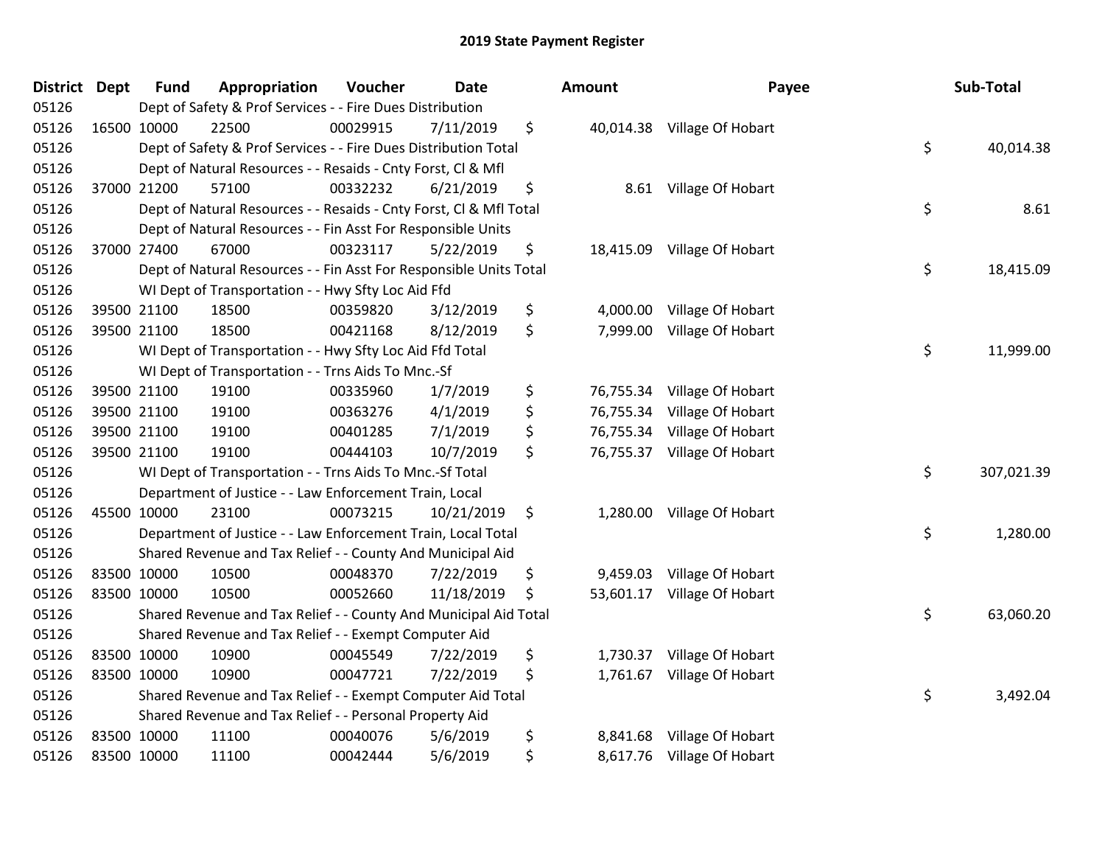| <b>District Dept</b> |             | <b>Fund</b> | Appropriation                                                      | Voucher  | <b>Date</b> | Amount          | Payee                       | Sub-Total        |
|----------------------|-------------|-------------|--------------------------------------------------------------------|----------|-------------|-----------------|-----------------------------|------------------|
| 05126                |             |             | Dept of Safety & Prof Services - - Fire Dues Distribution          |          |             |                 |                             |                  |
| 05126                |             | 16500 10000 | 22500                                                              | 00029915 | 7/11/2019   | \$              | 40,014.38 Village Of Hobart |                  |
| 05126                |             |             | Dept of Safety & Prof Services - - Fire Dues Distribution Total    |          |             |                 |                             | \$<br>40,014.38  |
| 05126                |             |             | Dept of Natural Resources - - Resaids - Cnty Forst, CI & Mfl       |          |             |                 |                             |                  |
| 05126                |             | 37000 21200 | 57100                                                              | 00332232 | 6/21/2019   | \$<br>8.61      | Village Of Hobart           |                  |
| 05126                |             |             | Dept of Natural Resources - - Resaids - Cnty Forst, CI & Mfl Total |          |             |                 |                             | \$<br>8.61       |
| 05126                |             |             | Dept of Natural Resources - - Fin Asst For Responsible Units       |          |             |                 |                             |                  |
| 05126                |             | 37000 27400 | 67000                                                              | 00323117 | 5/22/2019   | \$              | 18,415.09 Village Of Hobart |                  |
| 05126                |             |             | Dept of Natural Resources - - Fin Asst For Responsible Units Total |          |             |                 |                             | \$<br>18,415.09  |
| 05126                |             |             | WI Dept of Transportation - - Hwy Sfty Loc Aid Ffd                 |          |             |                 |                             |                  |
| 05126                |             | 39500 21100 | 18500                                                              | 00359820 | 3/12/2019   | \$<br>4,000.00  | Village Of Hobart           |                  |
| 05126                |             | 39500 21100 | 18500                                                              | 00421168 | 8/12/2019   | \$<br>7,999.00  | Village Of Hobart           |                  |
| 05126                |             |             | WI Dept of Transportation - - Hwy Sfty Loc Aid Ffd Total           |          |             |                 |                             | \$<br>11,999.00  |
| 05126                |             |             | WI Dept of Transportation - - Trns Aids To Mnc.-Sf                 |          |             |                 |                             |                  |
| 05126                |             | 39500 21100 | 19100                                                              | 00335960 | 1/7/2019    | \$<br>76,755.34 | Village Of Hobart           |                  |
| 05126                |             | 39500 21100 | 19100                                                              | 00363276 | 4/1/2019    | \$<br>76,755.34 | Village Of Hobart           |                  |
| 05126                |             | 39500 21100 | 19100                                                              | 00401285 | 7/1/2019    | \$<br>76,755.34 | Village Of Hobart           |                  |
| 05126                |             | 39500 21100 | 19100                                                              | 00444103 | 10/7/2019   | \$              | 76,755.37 Village Of Hobart |                  |
| 05126                |             |             | WI Dept of Transportation - - Trns Aids To Mnc.-Sf Total           |          |             |                 |                             | \$<br>307,021.39 |
| 05126                |             |             | Department of Justice - - Law Enforcement Train, Local             |          |             |                 |                             |                  |
| 05126                |             | 45500 10000 | 23100                                                              | 00073215 | 10/21/2019  | \$              | 1,280.00 Village Of Hobart  |                  |
| 05126                |             |             | Department of Justice - - Law Enforcement Train, Local Total       |          |             |                 |                             | \$<br>1,280.00   |
| 05126                |             |             | Shared Revenue and Tax Relief - - County And Municipal Aid         |          |             |                 |                             |                  |
| 05126                |             | 83500 10000 | 10500                                                              | 00048370 | 7/22/2019   | \$              | 9,459.03 Village Of Hobart  |                  |
| 05126                |             | 83500 10000 | 10500                                                              | 00052660 | 11/18/2019  | \$<br>53,601.17 | Village Of Hobart           |                  |
| 05126                |             |             | Shared Revenue and Tax Relief - - County And Municipal Aid Total   |          |             |                 |                             | \$<br>63,060.20  |
| 05126                |             |             | Shared Revenue and Tax Relief - - Exempt Computer Aid              |          |             |                 |                             |                  |
| 05126                |             | 83500 10000 | 10900                                                              | 00045549 | 7/22/2019   | \$<br>1,730.37  | Village Of Hobart           |                  |
| 05126                | 83500 10000 |             | 10900                                                              | 00047721 | 7/22/2019   | \$              | 1,761.67 Village Of Hobart  |                  |
| 05126                |             |             | Shared Revenue and Tax Relief - - Exempt Computer Aid Total        |          |             |                 |                             | \$<br>3,492.04   |
| 05126                |             |             | Shared Revenue and Tax Relief - - Personal Property Aid            |          |             |                 |                             |                  |
| 05126                |             | 83500 10000 | 11100                                                              | 00040076 | 5/6/2019    | \$<br>8,841.68  | Village Of Hobart           |                  |
| 05126                |             | 83500 10000 | 11100                                                              | 00042444 | 5/6/2019    | \$              | 8,617.76 Village Of Hobart  |                  |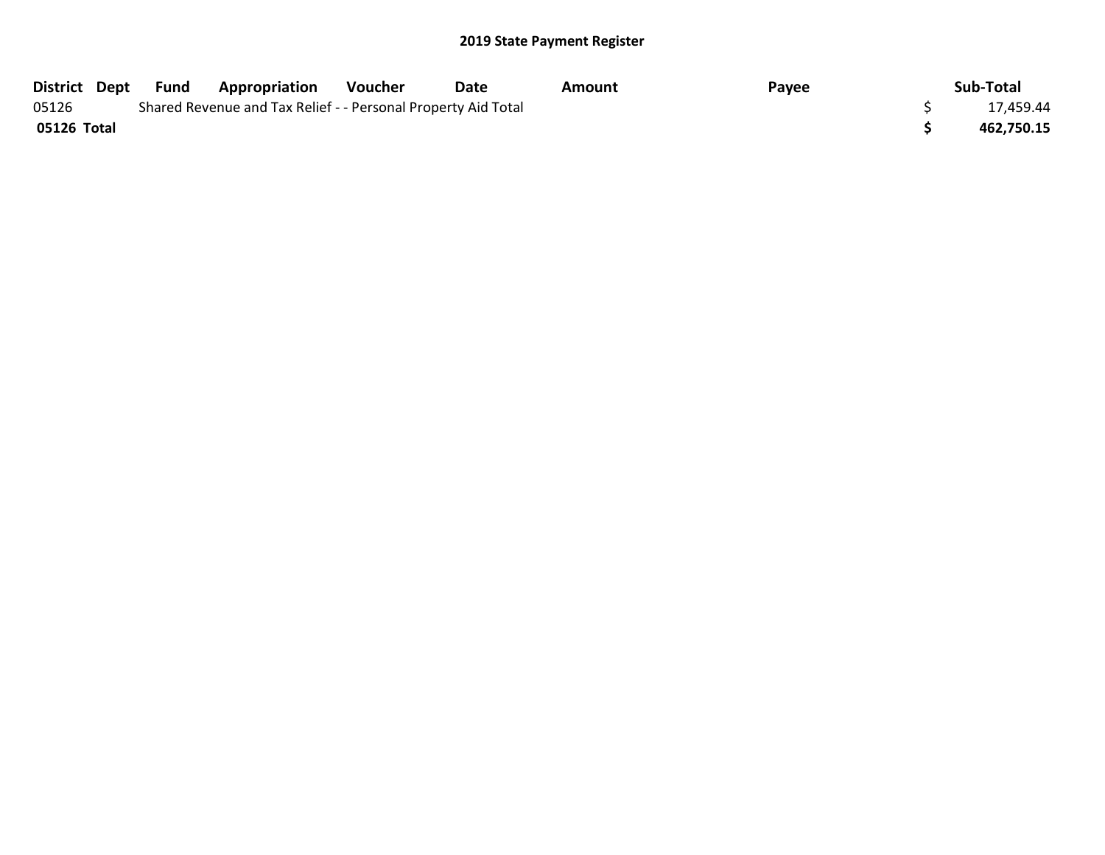|             | District Dept Fund | <b>Appropriation</b>                                          | Voucher | Date | Amount | Payee | Sub-Total  |
|-------------|--------------------|---------------------------------------------------------------|---------|------|--------|-------|------------|
| 05126       |                    | Shared Revenue and Tax Relief - - Personal Property Aid Total |         |      |        |       | 17,459.44  |
| 05126 Total |                    |                                                               |         |      |        |       | 462,750.15 |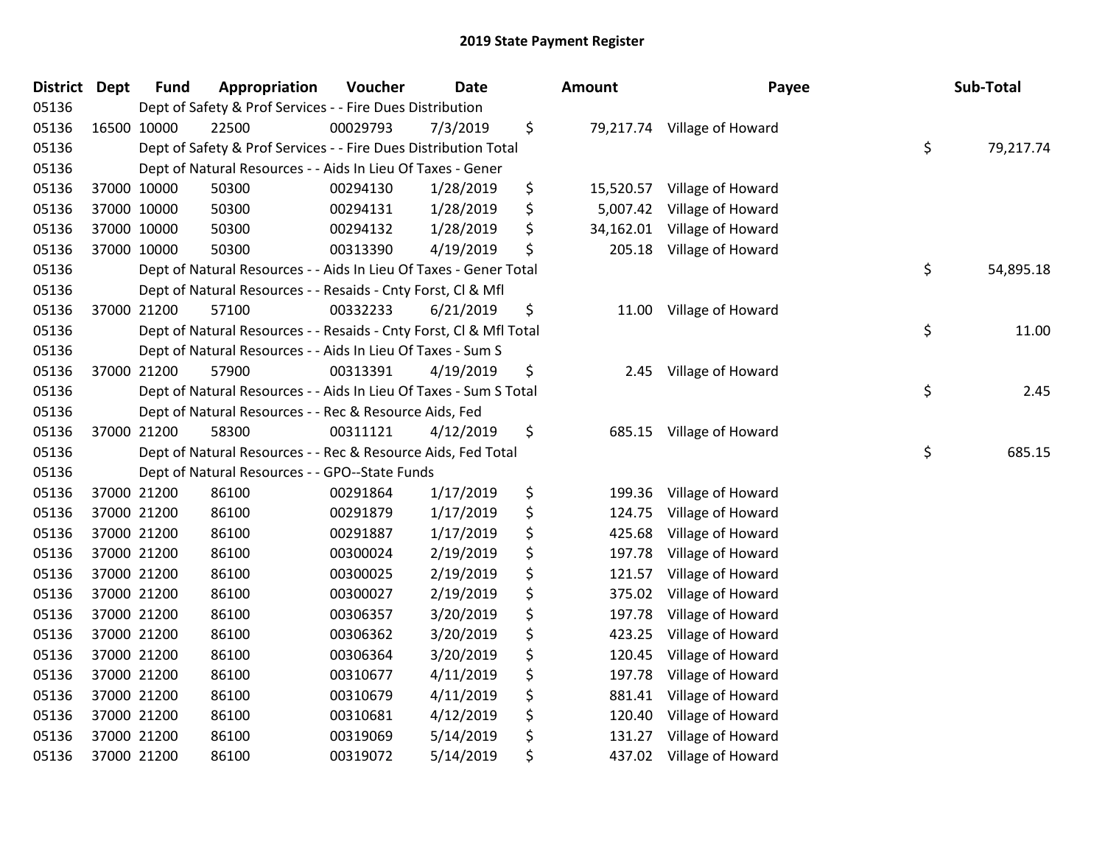| District Dept |             | <b>Fund</b> | Appropriation                                                      | Voucher  | Date      | Amount          | Payee                       | Sub-Total       |
|---------------|-------------|-------------|--------------------------------------------------------------------|----------|-----------|-----------------|-----------------------------|-----------------|
| 05136         |             |             | Dept of Safety & Prof Services - - Fire Dues Distribution          |          |           |                 |                             |                 |
| 05136         |             | 16500 10000 | 22500                                                              | 00029793 | 7/3/2019  | \$              | 79,217.74 Village of Howard |                 |
| 05136         |             |             | Dept of Safety & Prof Services - - Fire Dues Distribution Total    |          |           |                 |                             | \$<br>79,217.74 |
| 05136         |             |             | Dept of Natural Resources - - Aids In Lieu Of Taxes - Gener        |          |           |                 |                             |                 |
| 05136         |             | 37000 10000 | 50300                                                              | 00294130 | 1/28/2019 | \$<br>15,520.57 | Village of Howard           |                 |
| 05136         |             | 37000 10000 | 50300                                                              | 00294131 | 1/28/2019 | \$<br>5,007.42  | Village of Howard           |                 |
| 05136         |             | 37000 10000 | 50300                                                              | 00294132 | 1/28/2019 | \$<br>34,162.01 | Village of Howard           |                 |
| 05136         |             | 37000 10000 | 50300                                                              | 00313390 | 4/19/2019 | \$<br>205.18    | Village of Howard           |                 |
| 05136         |             |             | Dept of Natural Resources - - Aids In Lieu Of Taxes - Gener Total  |          |           |                 |                             | \$<br>54,895.18 |
| 05136         |             |             | Dept of Natural Resources - - Resaids - Cnty Forst, CI & Mfl       |          |           |                 |                             |                 |
| 05136         |             | 37000 21200 | 57100                                                              | 00332233 | 6/21/2019 | \$              | 11.00 Village of Howard     |                 |
| 05136         |             |             | Dept of Natural Resources - - Resaids - Cnty Forst, Cl & Mfl Total |          |           |                 |                             | \$<br>11.00     |
| 05136         |             |             | Dept of Natural Resources - - Aids In Lieu Of Taxes - Sum S        |          |           |                 |                             |                 |
| 05136         |             | 37000 21200 | 57900                                                              | 00313391 | 4/19/2019 | \$<br>2.45      | Village of Howard           |                 |
| 05136         |             |             | Dept of Natural Resources - - Aids In Lieu Of Taxes - Sum S Total  |          |           |                 |                             | \$<br>2.45      |
| 05136         |             |             | Dept of Natural Resources - - Rec & Resource Aids, Fed             |          |           |                 |                             |                 |
| 05136         |             | 37000 21200 | 58300                                                              | 00311121 | 4/12/2019 | \$<br>685.15    | Village of Howard           |                 |
| 05136         |             |             | Dept of Natural Resources - - Rec & Resource Aids, Fed Total       |          |           |                 |                             | \$<br>685.15    |
| 05136         |             |             | Dept of Natural Resources - - GPO--State Funds                     |          |           |                 |                             |                 |
| 05136         |             | 37000 21200 | 86100                                                              | 00291864 | 1/17/2019 | \$<br>199.36    | Village of Howard           |                 |
| 05136         |             | 37000 21200 | 86100                                                              | 00291879 | 1/17/2019 | \$<br>124.75    | Village of Howard           |                 |
| 05136         |             | 37000 21200 | 86100                                                              | 00291887 | 1/17/2019 | \$<br>425.68    | Village of Howard           |                 |
| 05136         |             | 37000 21200 | 86100                                                              | 00300024 | 2/19/2019 | \$<br>197.78    | Village of Howard           |                 |
| 05136         |             | 37000 21200 | 86100                                                              | 00300025 | 2/19/2019 | \$<br>121.57    | Village of Howard           |                 |
| 05136         |             | 37000 21200 | 86100                                                              | 00300027 | 2/19/2019 | \$<br>375.02    | Village of Howard           |                 |
| 05136         |             | 37000 21200 | 86100                                                              | 00306357 | 3/20/2019 | \$<br>197.78    | Village of Howard           |                 |
| 05136         |             | 37000 21200 | 86100                                                              | 00306362 | 3/20/2019 | \$<br>423.25    | Village of Howard           |                 |
| 05136         |             | 37000 21200 | 86100                                                              | 00306364 | 3/20/2019 | \$<br>120.45    | Village of Howard           |                 |
| 05136         |             | 37000 21200 | 86100                                                              | 00310677 | 4/11/2019 | \$<br>197.78    | Village of Howard           |                 |
| 05136         |             | 37000 21200 | 86100                                                              | 00310679 | 4/11/2019 | \$<br>881.41    | Village of Howard           |                 |
| 05136         |             | 37000 21200 | 86100                                                              | 00310681 | 4/12/2019 | \$<br>120.40    | Village of Howard           |                 |
| 05136         |             | 37000 21200 | 86100                                                              | 00319069 | 5/14/2019 | \$<br>131.27    | Village of Howard           |                 |
| 05136         | 37000 21200 |             | 86100                                                              | 00319072 | 5/14/2019 | \$              | 437.02 Village of Howard    |                 |

| nount     |                             | Payee | Sub-Total |
|-----------|-----------------------------|-------|-----------|
|           | 79,217.74 Village of Howard | \$    | 79,217.74 |
| 15,520.57 | Village of Howard           |       |           |
| 5,007.42  | Village of Howard           |       |           |
| 34,162.01 | Village of Howard           |       |           |
| 205.18    | Village of Howard           |       |           |
|           |                             | \$    | 54,895.18 |
| 11.00     | Village of Howard           |       |           |
|           |                             | \$    | 11.00     |
| 2.45      | Village of Howard           | \$    | 2.45      |
| 685.15    |                             |       |           |
|           | Village of Howard           | \$    | 685.15    |
| 199.36    | Village of Howard           |       |           |
| 124.75    | Village of Howard           |       |           |
| 425.68    | Village of Howard           |       |           |
| 197.78    | Village of Howard           |       |           |
| 121.57    | Village of Howard           |       |           |
| 375.02    | Village of Howard           |       |           |
| 197.78    | Village of Howard           |       |           |
| 423.25    | Village of Howard           |       |           |
| 120.45    | Village of Howard           |       |           |
| 197.78    | Village of Howard           |       |           |
| 881.41    | Village of Howard           |       |           |
| 120.40    | Village of Howard           |       |           |
| 131.27    | Village of Howard           |       |           |
| 437.02    | Village of Howard           |       |           |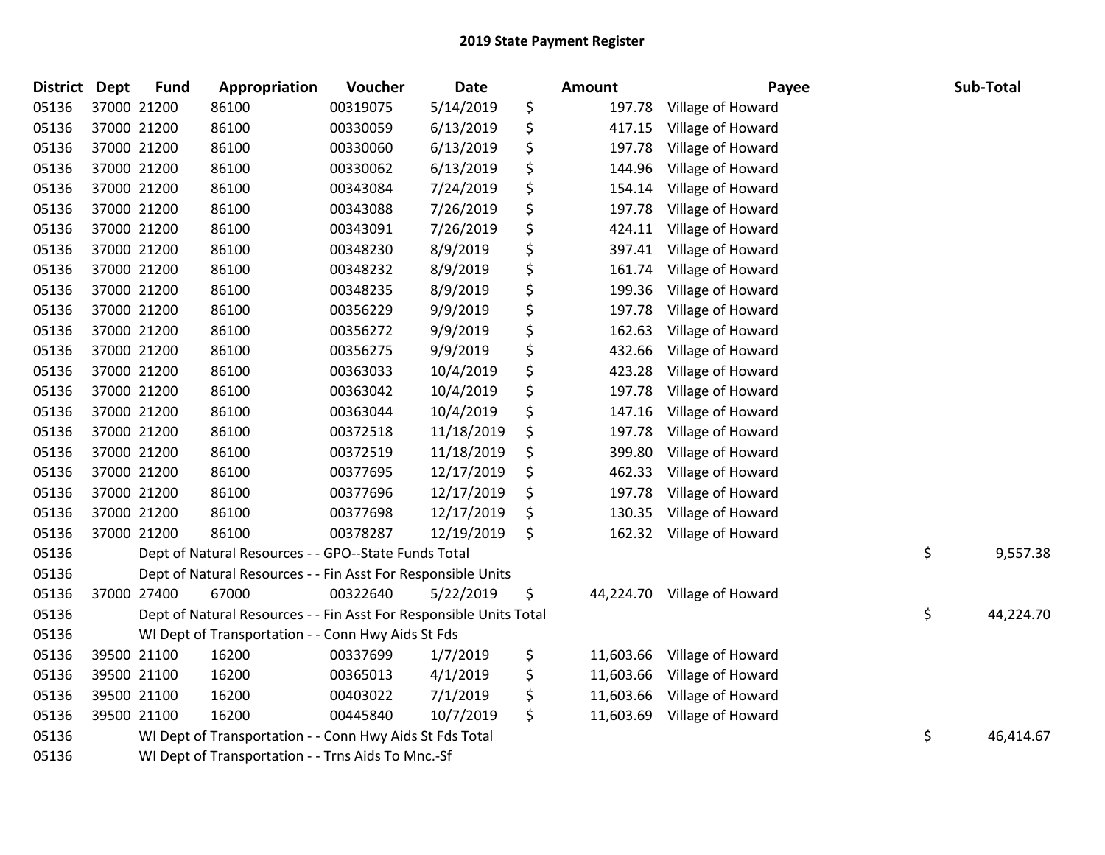| <b>District</b> | <b>Dept</b> | <b>Fund</b> | Appropriation                                                      | Voucher  | <b>Date</b> | <b>Amount</b>   | Payee             | Sub-Total       |
|-----------------|-------------|-------------|--------------------------------------------------------------------|----------|-------------|-----------------|-------------------|-----------------|
| 05136           |             | 37000 21200 | 86100                                                              | 00319075 | 5/14/2019   | \$<br>197.78    | Village of Howard |                 |
| 05136           |             | 37000 21200 | 86100                                                              | 00330059 | 6/13/2019   | \$<br>417.15    | Village of Howard |                 |
| 05136           |             | 37000 21200 | 86100                                                              | 00330060 | 6/13/2019   | \$<br>197.78    | Village of Howard |                 |
| 05136           |             | 37000 21200 | 86100                                                              | 00330062 | 6/13/2019   | \$<br>144.96    | Village of Howard |                 |
| 05136           |             | 37000 21200 | 86100                                                              | 00343084 | 7/24/2019   | \$<br>154.14    | Village of Howard |                 |
| 05136           |             | 37000 21200 | 86100                                                              | 00343088 | 7/26/2019   | \$<br>197.78    | Village of Howard |                 |
| 05136           |             | 37000 21200 | 86100                                                              | 00343091 | 7/26/2019   | \$<br>424.11    | Village of Howard |                 |
| 05136           |             | 37000 21200 | 86100                                                              | 00348230 | 8/9/2019    | \$<br>397.41    | Village of Howard |                 |
| 05136           |             | 37000 21200 | 86100                                                              | 00348232 | 8/9/2019    | \$<br>161.74    | Village of Howard |                 |
| 05136           |             | 37000 21200 | 86100                                                              | 00348235 | 8/9/2019    | \$<br>199.36    | Village of Howard |                 |
| 05136           |             | 37000 21200 | 86100                                                              | 00356229 | 9/9/2019    | \$<br>197.78    | Village of Howard |                 |
| 05136           |             | 37000 21200 | 86100                                                              | 00356272 | 9/9/2019    | \$<br>162.63    | Village of Howard |                 |
| 05136           |             | 37000 21200 | 86100                                                              | 00356275 | 9/9/2019    | \$<br>432.66    | Village of Howard |                 |
| 05136           |             | 37000 21200 | 86100                                                              | 00363033 | 10/4/2019   | \$<br>423.28    | Village of Howard |                 |
| 05136           |             | 37000 21200 | 86100                                                              | 00363042 | 10/4/2019   | \$<br>197.78    | Village of Howard |                 |
| 05136           |             | 37000 21200 | 86100                                                              | 00363044 | 10/4/2019   | \$<br>147.16    | Village of Howard |                 |
| 05136           |             | 37000 21200 | 86100                                                              | 00372518 | 11/18/2019  | \$<br>197.78    | Village of Howard |                 |
| 05136           |             | 37000 21200 | 86100                                                              | 00372519 | 11/18/2019  | \$<br>399.80    | Village of Howard |                 |
| 05136           |             | 37000 21200 | 86100                                                              | 00377695 | 12/17/2019  | \$<br>462.33    | Village of Howard |                 |
| 05136           |             | 37000 21200 | 86100                                                              | 00377696 | 12/17/2019  | \$<br>197.78    | Village of Howard |                 |
| 05136           |             | 37000 21200 | 86100                                                              | 00377698 | 12/17/2019  | \$<br>130.35    | Village of Howard |                 |
| 05136           |             | 37000 21200 | 86100                                                              | 00378287 | 12/19/2019  | \$<br>162.32    | Village of Howard |                 |
| 05136           |             |             | Dept of Natural Resources - - GPO--State Funds Total               |          |             |                 |                   | \$<br>9,557.38  |
| 05136           |             |             | Dept of Natural Resources - - Fin Asst For Responsible Units       |          |             |                 |                   |                 |
| 05136           |             | 37000 27400 | 67000                                                              | 00322640 | 5/22/2019   | \$<br>44,224.70 | Village of Howard |                 |
| 05136           |             |             | Dept of Natural Resources - - Fin Asst For Responsible Units Total |          |             |                 |                   | \$<br>44,224.70 |
| 05136           |             |             | WI Dept of Transportation - - Conn Hwy Aids St Fds                 |          |             |                 |                   |                 |
| 05136           |             | 39500 21100 | 16200                                                              | 00337699 | 1/7/2019    | \$<br>11,603.66 | Village of Howard |                 |
| 05136           |             | 39500 21100 | 16200                                                              | 00365013 | 4/1/2019    | \$<br>11,603.66 | Village of Howard |                 |
| 05136           |             | 39500 21100 | 16200                                                              | 00403022 | 7/1/2019    | \$<br>11,603.66 | Village of Howard |                 |
| 05136           |             | 39500 21100 | 16200                                                              | 00445840 | 10/7/2019   | \$<br>11,603.69 | Village of Howard |                 |
| 05136           |             |             | WI Dept of Transportation - - Conn Hwy Aids St Fds Total           |          |             |                 |                   | \$<br>46,414.67 |
| 05136           |             |             | WI Dept of Transportation - - Trns Aids To Mnc.-Sf                 |          |             |                 |                   |                 |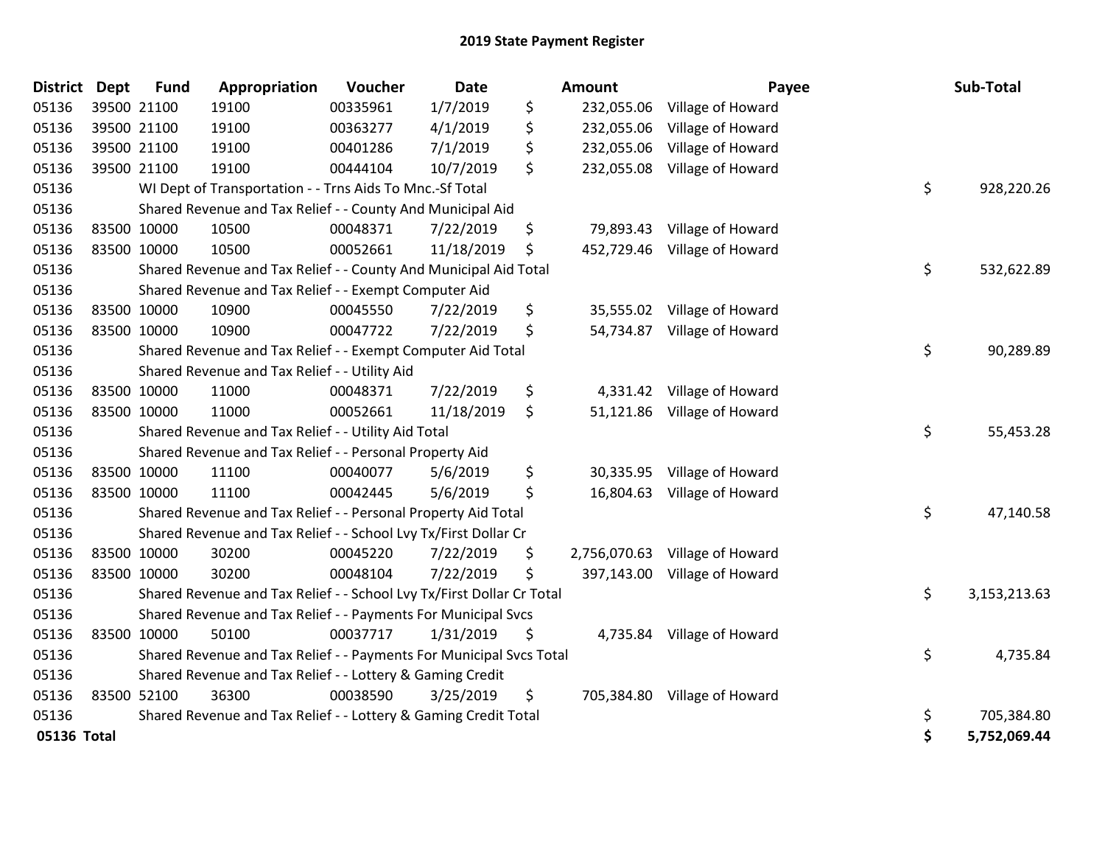| District Dept |             | <b>Fund</b> | Appropriation                                                         | Voucher  | Date       | Amount           | Payee                          | Sub-Total          |
|---------------|-------------|-------------|-----------------------------------------------------------------------|----------|------------|------------------|--------------------------------|--------------------|
| 05136         |             | 39500 21100 | 19100                                                                 | 00335961 | 1/7/2019   | \$<br>232,055.06 | Village of Howard              |                    |
| 05136         |             | 39500 21100 | 19100                                                                 | 00363277 | 4/1/2019   | \$<br>232,055.06 | Village of Howard              |                    |
| 05136         |             | 39500 21100 | 19100                                                                 | 00401286 | 7/1/2019   | \$<br>232,055.06 | Village of Howard              |                    |
| 05136         |             | 39500 21100 | 19100                                                                 | 00444104 | 10/7/2019  | \$<br>232,055.08 | Village of Howard              |                    |
| 05136         |             |             | WI Dept of Transportation - - Trns Aids To Mnc.-Sf Total              |          |            |                  |                                | \$<br>928,220.26   |
| 05136         |             |             | Shared Revenue and Tax Relief - - County And Municipal Aid            |          |            |                  |                                |                    |
| 05136         |             | 83500 10000 | 10500                                                                 | 00048371 | 7/22/2019  | \$<br>79,893.43  | Village of Howard              |                    |
| 05136         | 83500 10000 |             | 10500                                                                 | 00052661 | 11/18/2019 | \$<br>452,729.46 | Village of Howard              |                    |
| 05136         |             |             | Shared Revenue and Tax Relief - - County And Municipal Aid Total      |          |            |                  |                                | \$<br>532,622.89   |
| 05136         |             |             | Shared Revenue and Tax Relief - - Exempt Computer Aid                 |          |            |                  |                                |                    |
| 05136         |             | 83500 10000 | 10900                                                                 | 00045550 | 7/22/2019  | \$<br>35,555.02  | Village of Howard              |                    |
| 05136         | 83500 10000 |             | 10900                                                                 | 00047722 | 7/22/2019  | \$<br>54,734.87  | Village of Howard              |                    |
| 05136         |             |             | Shared Revenue and Tax Relief - - Exempt Computer Aid Total           |          |            |                  |                                | \$<br>90,289.89    |
| 05136         |             |             | Shared Revenue and Tax Relief - - Utility Aid                         |          |            |                  |                                |                    |
| 05136         |             | 83500 10000 | 11000                                                                 | 00048371 | 7/22/2019  | \$               | 4,331.42 Village of Howard     |                    |
| 05136         | 83500 10000 |             | 11000                                                                 | 00052661 | 11/18/2019 | \$               | 51,121.86 Village of Howard    |                    |
| 05136         |             |             | Shared Revenue and Tax Relief - - Utility Aid Total                   |          |            |                  |                                | \$<br>55,453.28    |
| 05136         |             |             | Shared Revenue and Tax Relief - - Personal Property Aid               |          |            |                  |                                |                    |
| 05136         |             | 83500 10000 | 11100                                                                 | 00040077 | 5/6/2019   | \$<br>30,335.95  | Village of Howard              |                    |
| 05136         | 83500 10000 |             | 11100                                                                 | 00042445 | 5/6/2019   | \$<br>16,804.63  | Village of Howard              |                    |
| 05136         |             |             | Shared Revenue and Tax Relief - - Personal Property Aid Total         |          |            |                  |                                | \$<br>47,140.58    |
| 05136         |             |             | Shared Revenue and Tax Relief - - School Lvy Tx/First Dollar Cr       |          |            |                  |                                |                    |
| 05136         |             | 83500 10000 | 30200                                                                 | 00045220 | 7/22/2019  | \$               | 2,756,070.63 Village of Howard |                    |
| 05136         | 83500 10000 |             | 30200                                                                 | 00048104 | 7/22/2019  | \$               | 397,143.00 Village of Howard   |                    |
| 05136         |             |             | Shared Revenue and Tax Relief - - School Lvy Tx/First Dollar Cr Total |          |            |                  |                                | \$<br>3,153,213.63 |
| 05136         |             |             | Shared Revenue and Tax Relief - - Payments For Municipal Svcs         |          |            |                  |                                |                    |
| 05136         |             | 83500 10000 | 50100                                                                 | 00037717 | 1/31/2019  | \$<br>4,735.84   | Village of Howard              |                    |
| 05136         |             |             | Shared Revenue and Tax Relief - - Payments For Municipal Svcs Total   |          |            |                  |                                | \$<br>4,735.84     |
| 05136         |             |             | Shared Revenue and Tax Relief - - Lottery & Gaming Credit             |          |            |                  |                                |                    |
| 05136         | 83500 52100 |             | 36300                                                                 | 00038590 | 3/25/2019  | \$               | 705,384.80 Village of Howard   |                    |
| 05136         |             |             | Shared Revenue and Tax Relief - - Lottery & Gaming Credit Total       |          |            |                  |                                | \$<br>705,384.80   |
| 05136 Total   |             |             |                                                                       |          |            |                  |                                | \$<br>5,752,069.44 |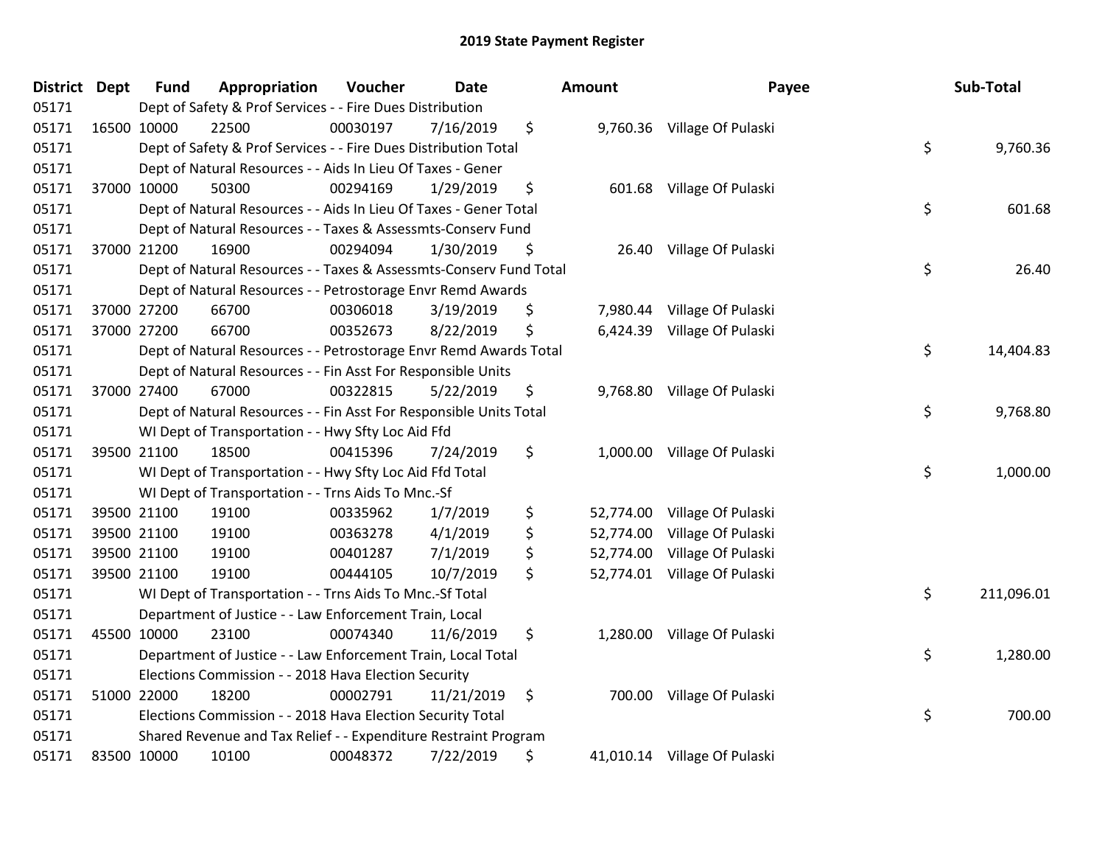| <b>District Dept</b> | <b>Fund</b> | Appropriation                                                      | Voucher  | <b>Date</b> | <b>Amount</b>   | Payee                        | Sub-Total        |
|----------------------|-------------|--------------------------------------------------------------------|----------|-------------|-----------------|------------------------------|------------------|
| 05171                |             | Dept of Safety & Prof Services - - Fire Dues Distribution          |          |             |                 |                              |                  |
| 05171                | 16500 10000 | 22500                                                              | 00030197 | 7/16/2019   | \$              | 9,760.36 Village Of Pulaski  |                  |
| 05171                |             | Dept of Safety & Prof Services - - Fire Dues Distribution Total    |          |             |                 |                              | \$<br>9,760.36   |
| 05171                |             | Dept of Natural Resources - - Aids In Lieu Of Taxes - Gener        |          |             |                 |                              |                  |
| 05171                | 37000 10000 | 50300                                                              | 00294169 | 1/29/2019   | \$              | 601.68 Village Of Pulaski    |                  |
| 05171                |             | Dept of Natural Resources - - Aids In Lieu Of Taxes - Gener Total  |          |             |                 |                              | \$<br>601.68     |
| 05171                |             | Dept of Natural Resources - - Taxes & Assessmts-Conserv Fund       |          |             |                 |                              |                  |
| 05171                | 37000 21200 | 16900                                                              | 00294094 | 1/30/2019   | \$              | 26.40 Village Of Pulaski     |                  |
| 05171                |             | Dept of Natural Resources - - Taxes & Assessmts-Conserv Fund Total |          |             |                 |                              | \$<br>26.40      |
| 05171                |             | Dept of Natural Resources - - Petrostorage Envr Remd Awards        |          |             |                 |                              |                  |
| 05171                | 37000 27200 | 66700                                                              | 00306018 | 3/19/2019   | \$              | 7,980.44 Village Of Pulaski  |                  |
| 05171                | 37000 27200 | 66700                                                              | 00352673 | 8/22/2019   | \$              | 6,424.39 Village Of Pulaski  |                  |
| 05171                |             | Dept of Natural Resources - - Petrostorage Envr Remd Awards Total  |          |             |                 |                              | \$<br>14,404.83  |
| 05171                |             | Dept of Natural Resources - - Fin Asst For Responsible Units       |          |             |                 |                              |                  |
| 05171                | 37000 27400 | 67000                                                              | 00322815 | 5/22/2019   | \$              | 9,768.80 Village Of Pulaski  |                  |
| 05171                |             | Dept of Natural Resources - - Fin Asst For Responsible Units Total |          |             |                 |                              | \$<br>9,768.80   |
| 05171                |             | WI Dept of Transportation - - Hwy Sfty Loc Aid Ffd                 |          |             |                 |                              |                  |
| 05171                | 39500 21100 | 18500                                                              | 00415396 | 7/24/2019   | \$              | 1,000.00 Village Of Pulaski  |                  |
| 05171                |             | WI Dept of Transportation - - Hwy Sfty Loc Aid Ffd Total           |          |             |                 |                              | \$<br>1,000.00   |
| 05171                |             | WI Dept of Transportation - - Trns Aids To Mnc.-Sf                 |          |             |                 |                              |                  |
| 05171                | 39500 21100 | 19100                                                              | 00335962 | 1/7/2019    | \$<br>52,774.00 | Village Of Pulaski           |                  |
| 05171                | 39500 21100 | 19100                                                              | 00363278 | 4/1/2019    | \$              | 52,774.00 Village Of Pulaski |                  |
| 05171                | 39500 21100 | 19100                                                              | 00401287 | 7/1/2019    | \$              | 52,774.00 Village Of Pulaski |                  |
| 05171                | 39500 21100 | 19100                                                              | 00444105 | 10/7/2019   | \$              | 52,774.01 Village Of Pulaski |                  |
| 05171                |             | WI Dept of Transportation - - Trns Aids To Mnc.-Sf Total           |          |             |                 |                              | \$<br>211,096.01 |
| 05171                |             | Department of Justice - - Law Enforcement Train, Local             |          |             |                 |                              |                  |
| 05171                | 45500 10000 | 23100                                                              | 00074340 | 11/6/2019   | \$              | 1,280.00 Village Of Pulaski  |                  |
| 05171                |             | Department of Justice - - Law Enforcement Train, Local Total       |          |             |                 |                              | \$<br>1,280.00   |
| 05171                |             | Elections Commission - - 2018 Hava Election Security               |          |             |                 |                              |                  |
| 05171                | 51000 22000 | 18200                                                              | 00002791 | 11/21/2019  | \$              | 700.00 Village Of Pulaski    |                  |
| 05171                |             | Elections Commission - - 2018 Hava Election Security Total         |          |             |                 |                              | \$<br>700.00     |
| 05171                |             | Shared Revenue and Tax Relief - - Expenditure Restraint Program    |          |             |                 |                              |                  |
| 05171                | 83500 10000 | 10100                                                              | 00048372 | 7/22/2019   | \$              | 41,010.14 Village Of Pulaski |                  |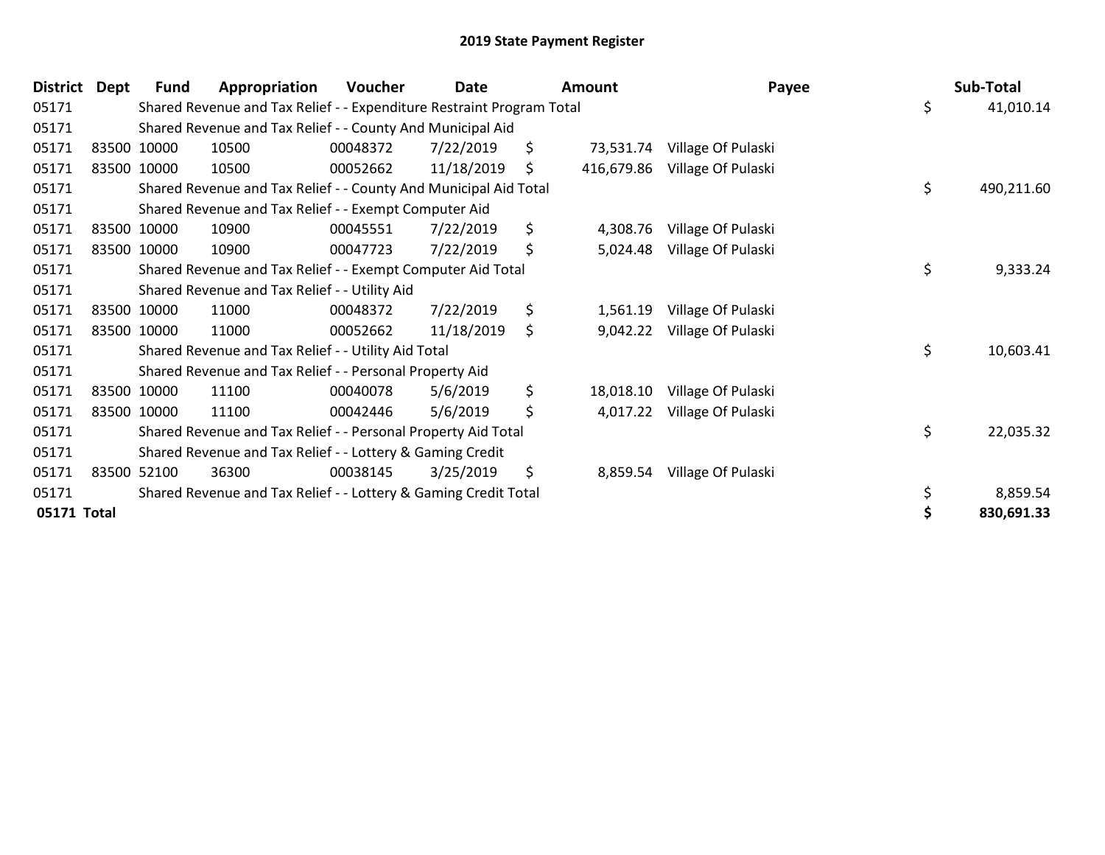| <b>District</b> | Dept | <b>Fund</b> | Appropriation                                                         | <b>Voucher</b> | Date       | Amount           | Payee              | Sub-Total        |
|-----------------|------|-------------|-----------------------------------------------------------------------|----------------|------------|------------------|--------------------|------------------|
| 05171           |      |             | Shared Revenue and Tax Relief - - Expenditure Restraint Program Total |                |            |                  |                    | \$<br>41,010.14  |
| 05171           |      |             | Shared Revenue and Tax Relief - - County And Municipal Aid            |                |            |                  |                    |                  |
| 05171           |      | 83500 10000 | 10500                                                                 | 00048372       | 7/22/2019  | \$<br>73,531.74  | Village Of Pulaski |                  |
| 05171           |      | 83500 10000 | 10500                                                                 | 00052662       | 11/18/2019 | \$<br>416,679.86 | Village Of Pulaski |                  |
| 05171           |      |             | Shared Revenue and Tax Relief - - County And Municipal Aid Total      |                |            |                  |                    | \$<br>490,211.60 |
| 05171           |      |             | Shared Revenue and Tax Relief - - Exempt Computer Aid                 |                |            |                  |                    |                  |
| 05171           |      | 83500 10000 | 10900                                                                 | 00045551       | 7/22/2019  | \$<br>4,308.76   | Village Of Pulaski |                  |
| 05171           |      | 83500 10000 | 10900                                                                 | 00047723       | 7/22/2019  | \$<br>5,024.48   | Village Of Pulaski |                  |
| 05171           |      |             | Shared Revenue and Tax Relief - - Exempt Computer Aid Total           |                |            |                  |                    | \$<br>9,333.24   |
| 05171           |      |             | Shared Revenue and Tax Relief - - Utility Aid                         |                |            |                  |                    |                  |
| 05171           |      | 83500 10000 | 11000                                                                 | 00048372       | 7/22/2019  | \$<br>1,561.19   | Village Of Pulaski |                  |
| 05171           |      | 83500 10000 | 11000                                                                 | 00052662       | 11/18/2019 | \$<br>9,042.22   | Village Of Pulaski |                  |
| 05171           |      |             | Shared Revenue and Tax Relief - - Utility Aid Total                   |                |            |                  |                    | \$<br>10,603.41  |
| 05171           |      |             | Shared Revenue and Tax Relief - - Personal Property Aid               |                |            |                  |                    |                  |
| 05171           |      | 83500 10000 | 11100                                                                 | 00040078       | 5/6/2019   | \$<br>18,018.10  | Village Of Pulaski |                  |
| 05171           |      | 83500 10000 | 11100                                                                 | 00042446       | 5/6/2019   | \$<br>4,017.22   | Village Of Pulaski |                  |
| 05171           |      |             | Shared Revenue and Tax Relief - - Personal Property Aid Total         |                |            |                  |                    | \$<br>22,035.32  |
| 05171           |      |             | Shared Revenue and Tax Relief - - Lottery & Gaming Credit             |                |            |                  |                    |                  |
| 05171           |      | 83500 52100 | 36300                                                                 | 00038145       | 3/25/2019  | \$<br>8,859.54   | Village Of Pulaski |                  |
| 05171           |      |             | Shared Revenue and Tax Relief - - Lottery & Gaming Credit Total       |                |            |                  |                    | 8,859.54         |
| 05171 Total     |      |             |                                                                       |                |            |                  |                    | 830,691.33       |
|                 |      |             |                                                                       |                |            |                  |                    |                  |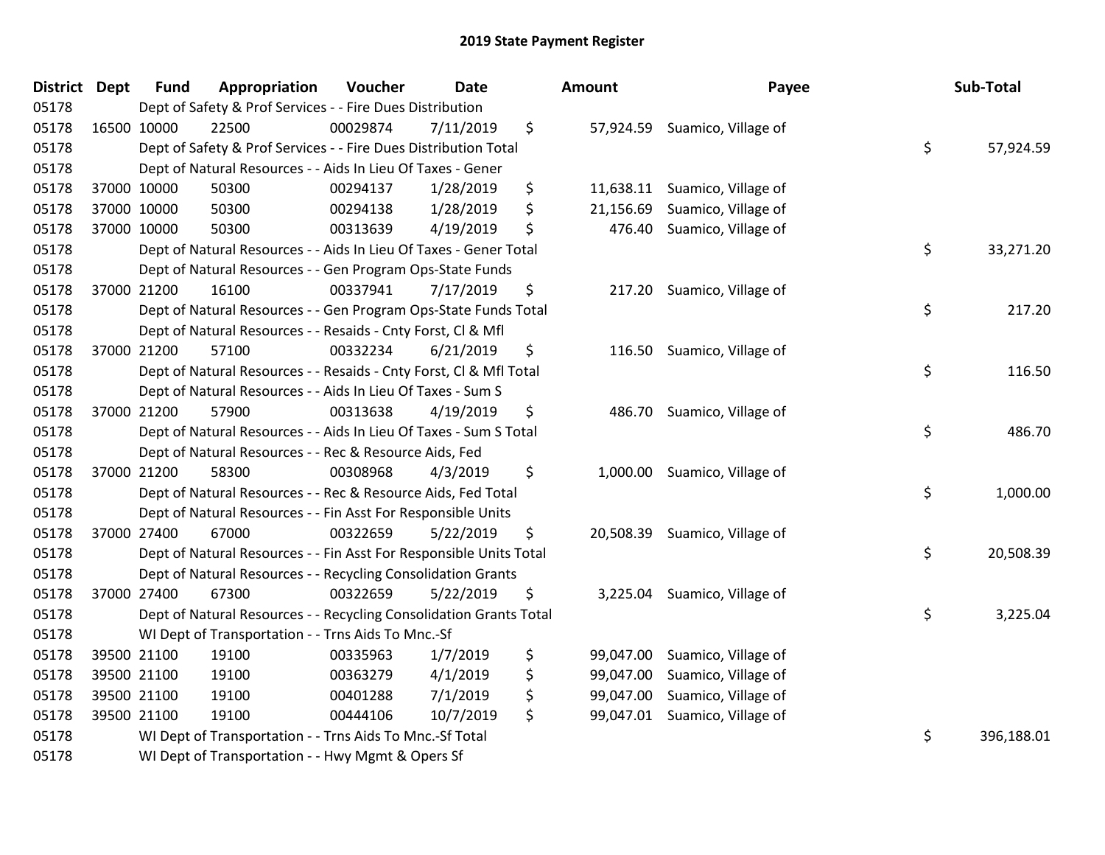| <b>District Dept</b> | <b>Fund</b> | Appropriation                                                      | Voucher  | <b>Date</b> | <b>Amount</b>   | Payee                         | Sub-Total        |
|----------------------|-------------|--------------------------------------------------------------------|----------|-------------|-----------------|-------------------------------|------------------|
| 05178                |             | Dept of Safety & Prof Services - - Fire Dues Distribution          |          |             |                 |                               |                  |
| 05178                | 16500 10000 | 22500                                                              | 00029874 | 7/11/2019   | \$              | 57,924.59 Suamico, Village of |                  |
| 05178                |             | Dept of Safety & Prof Services - - Fire Dues Distribution Total    |          |             |                 |                               | \$<br>57,924.59  |
| 05178                |             | Dept of Natural Resources - - Aids In Lieu Of Taxes - Gener        |          |             |                 |                               |                  |
| 05178                | 37000 10000 | 50300                                                              | 00294137 | 1/28/2019   | \$<br>11,638.11 | Suamico, Village of           |                  |
| 05178                | 37000 10000 | 50300                                                              | 00294138 | 1/28/2019   | \$<br>21,156.69 | Suamico, Village of           |                  |
| 05178                | 37000 10000 | 50300                                                              | 00313639 | 4/19/2019   | \$<br>476.40    | Suamico, Village of           |                  |
| 05178                |             | Dept of Natural Resources - - Aids In Lieu Of Taxes - Gener Total  |          |             |                 |                               | \$<br>33,271.20  |
| 05178                |             | Dept of Natural Resources - - Gen Program Ops-State Funds          |          |             |                 |                               |                  |
| 05178                | 37000 21200 | 16100                                                              | 00337941 | 7/17/2019   | \$<br>217.20    | Suamico, Village of           |                  |
| 05178                |             | Dept of Natural Resources - - Gen Program Ops-State Funds Total    |          |             |                 |                               | \$<br>217.20     |
| 05178                |             | Dept of Natural Resources - - Resaids - Cnty Forst, Cl & Mfl       |          |             |                 |                               |                  |
| 05178                | 37000 21200 | 57100                                                              | 00332234 | 6/21/2019   | \$              | 116.50 Suamico, Village of    |                  |
| 05178                |             | Dept of Natural Resources - - Resaids - Cnty Forst, CI & Mfl Total |          |             |                 |                               | \$<br>116.50     |
| 05178                |             | Dept of Natural Resources - - Aids In Lieu Of Taxes - Sum S        |          |             |                 |                               |                  |
| 05178                | 37000 21200 | 57900                                                              | 00313638 | 4/19/2019   | \$<br>486.70    | Suamico, Village of           |                  |
| 05178                |             | Dept of Natural Resources - - Aids In Lieu Of Taxes - Sum S Total  |          |             |                 |                               | \$<br>486.70     |
| 05178                |             | Dept of Natural Resources - - Rec & Resource Aids, Fed             |          |             |                 |                               |                  |
| 05178                | 37000 21200 | 58300                                                              | 00308968 | 4/3/2019    | \$<br>1,000.00  | Suamico, Village of           |                  |
| 05178                |             | Dept of Natural Resources - - Rec & Resource Aids, Fed Total       |          |             |                 |                               | \$<br>1,000.00   |
| 05178                |             | Dept of Natural Resources - - Fin Asst For Responsible Units       |          |             |                 |                               |                  |
| 05178                | 37000 27400 | 67000                                                              | 00322659 | 5/22/2019   | \$              | 20,508.39 Suamico, Village of |                  |
| 05178                |             | Dept of Natural Resources - - Fin Asst For Responsible Units Total |          |             |                 |                               | \$<br>20,508.39  |
| 05178                |             | Dept of Natural Resources - - Recycling Consolidation Grants       |          |             |                 |                               |                  |
| 05178                | 37000 27400 | 67300                                                              | 00322659 | 5/22/2019   | \$<br>3,225.04  | Suamico, Village of           |                  |
| 05178                |             | Dept of Natural Resources - - Recycling Consolidation Grants Total |          |             |                 |                               | \$<br>3,225.04   |
| 05178                |             | WI Dept of Transportation - - Trns Aids To Mnc.-Sf                 |          |             |                 |                               |                  |
| 05178                | 39500 21100 | 19100                                                              | 00335963 | 1/7/2019    | \$<br>99,047.00 | Suamico, Village of           |                  |
| 05178                | 39500 21100 | 19100                                                              | 00363279 | 4/1/2019    | \$<br>99,047.00 | Suamico, Village of           |                  |
| 05178                | 39500 21100 | 19100                                                              | 00401288 | 7/1/2019    | \$<br>99,047.00 | Suamico, Village of           |                  |
| 05178                | 39500 21100 | 19100                                                              | 00444106 | 10/7/2019   | \$<br>99,047.01 | Suamico, Village of           |                  |
| 05178                |             | WI Dept of Transportation - - Trns Aids To Mnc.-Sf Total           |          |             |                 |                               | \$<br>396,188.01 |
| 05178                |             | WI Dept of Transportation - - Hwy Mgmt & Opers Sf                  |          |             |                 |                               |                  |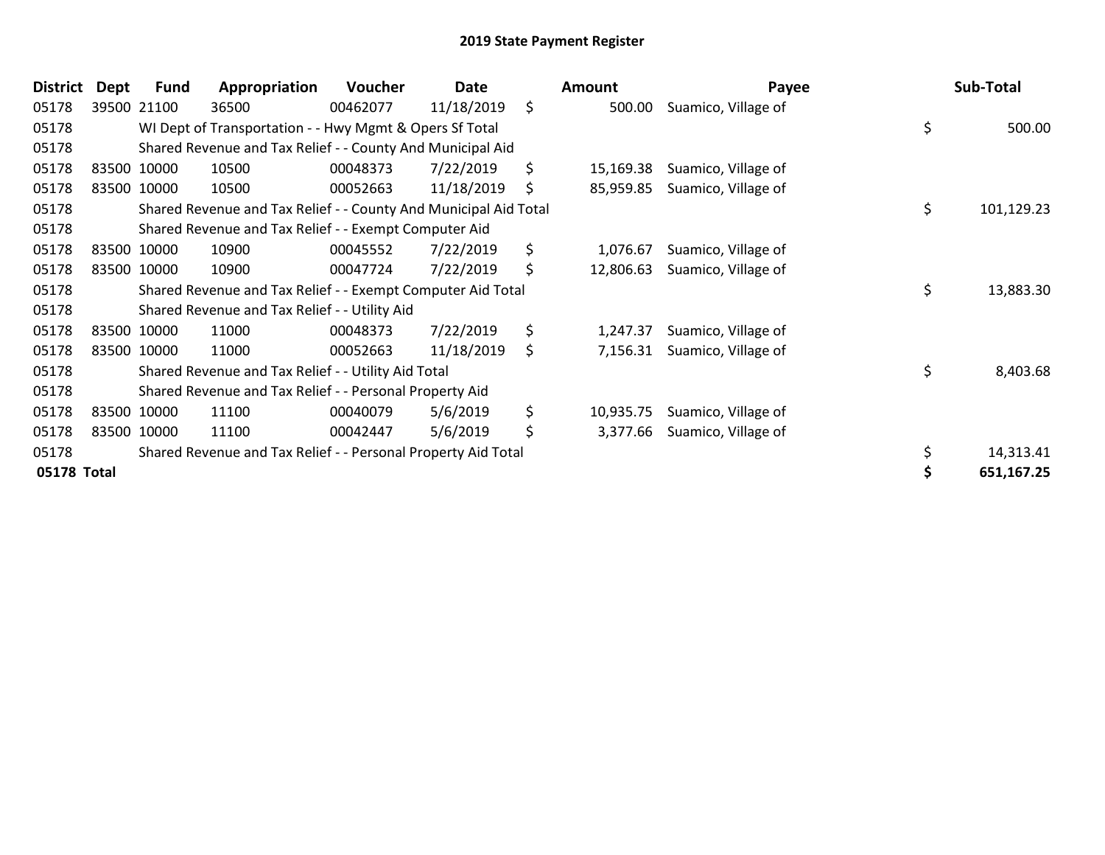| <b>District</b> | Dept | <b>Fund</b> | Appropriation                                                    | <b>Voucher</b> | Date       | Amount          | Payee               | Sub-Total        |
|-----------------|------|-------------|------------------------------------------------------------------|----------------|------------|-----------------|---------------------|------------------|
| 05178           |      | 39500 21100 | 36500                                                            | 00462077       | 11/18/2019 | \$<br>500.00    | Suamico, Village of |                  |
| 05178           |      |             | WI Dept of Transportation - - Hwy Mgmt & Opers Sf Total          |                |            |                 |                     | \$<br>500.00     |
| 05178           |      |             | Shared Revenue and Tax Relief - - County And Municipal Aid       |                |            |                 |                     |                  |
| 05178           |      | 83500 10000 | 10500                                                            | 00048373       | 7/22/2019  | \$<br>15,169.38 | Suamico, Village of |                  |
| 05178           |      | 83500 10000 | 10500                                                            | 00052663       | 11/18/2019 | \$<br>85,959.85 | Suamico, Village of |                  |
| 05178           |      |             | Shared Revenue and Tax Relief - - County And Municipal Aid Total |                |            |                 |                     | \$<br>101,129.23 |
| 05178           |      |             | Shared Revenue and Tax Relief - - Exempt Computer Aid            |                |            |                 |                     |                  |
| 05178           |      | 83500 10000 | 10900                                                            | 00045552       | 7/22/2019  | \$<br>1,076.67  | Suamico, Village of |                  |
| 05178           |      | 83500 10000 | 10900                                                            | 00047724       | 7/22/2019  | \$<br>12,806.63 | Suamico, Village of |                  |
| 05178           |      |             | Shared Revenue and Tax Relief - - Exempt Computer Aid Total      |                |            |                 |                     | \$<br>13,883.30  |
| 05178           |      |             | Shared Revenue and Tax Relief - - Utility Aid                    |                |            |                 |                     |                  |
| 05178           |      | 83500 10000 | 11000                                                            | 00048373       | 7/22/2019  | \$<br>1,247.37  | Suamico, Village of |                  |
| 05178           |      | 83500 10000 | 11000                                                            | 00052663       | 11/18/2019 | \$<br>7,156.31  | Suamico, Village of |                  |
| 05178           |      |             | Shared Revenue and Tax Relief - - Utility Aid Total              |                |            |                 |                     | \$<br>8,403.68   |
| 05178           |      |             | Shared Revenue and Tax Relief - - Personal Property Aid          |                |            |                 |                     |                  |
| 05178           |      | 83500 10000 | 11100                                                            | 00040079       | 5/6/2019   | \$<br>10,935.75 | Suamico, Village of |                  |
| 05178           |      | 83500 10000 | 11100                                                            | 00042447       | 5/6/2019   | \$<br>3,377.66  | Suamico, Village of |                  |
| 05178           |      |             | Shared Revenue and Tax Relief - - Personal Property Aid Total    |                |            |                 |                     | 14,313.41        |
| 05178 Total     |      |             |                                                                  |                |            |                 |                     | 651,167.25       |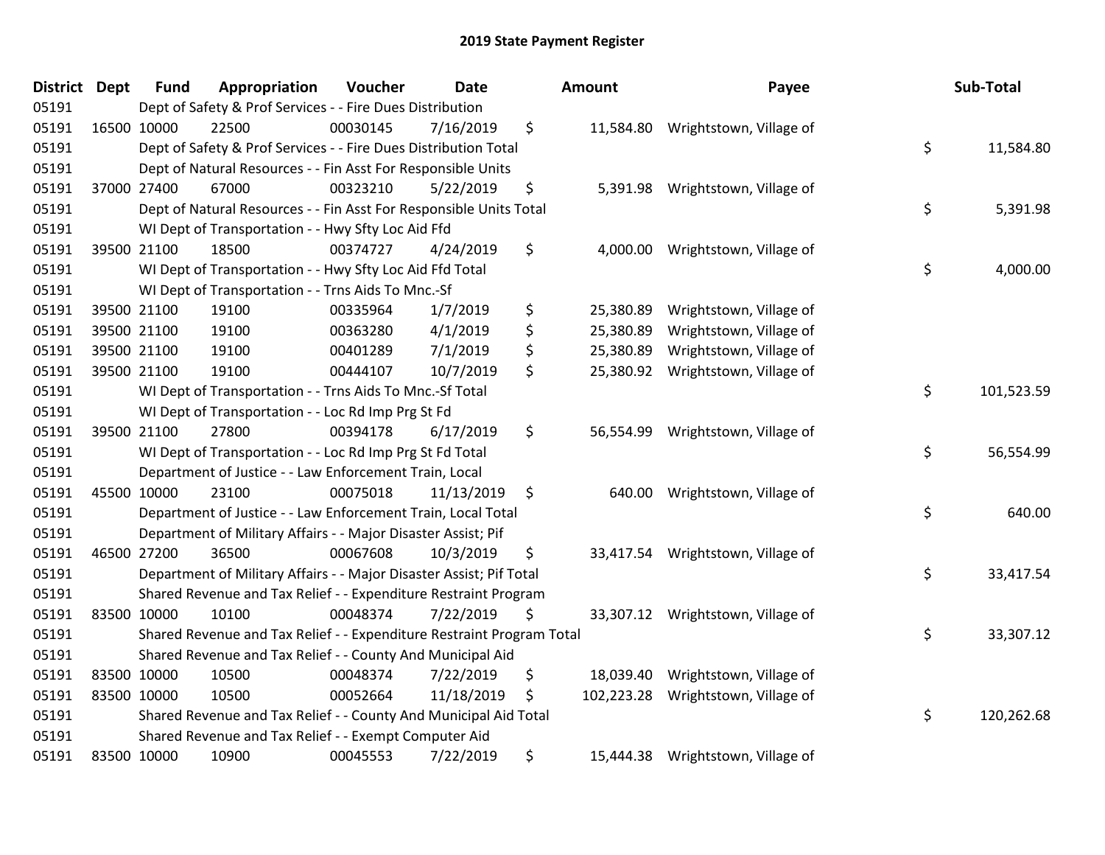| <b>District Dept</b> | <b>Fund</b> | Appropriation                                                         | Voucher  | <b>Date</b> | Amount           | Payee                             | Sub-Total        |
|----------------------|-------------|-----------------------------------------------------------------------|----------|-------------|------------------|-----------------------------------|------------------|
| 05191                |             | Dept of Safety & Prof Services - - Fire Dues Distribution             |          |             |                  |                                   |                  |
| 05191                | 16500 10000 | 22500                                                                 | 00030145 | 7/16/2019   | \$               | 11,584.80 Wrightstown, Village of |                  |
| 05191                |             | Dept of Safety & Prof Services - - Fire Dues Distribution Total       |          |             |                  |                                   | \$<br>11,584.80  |
| 05191                |             | Dept of Natural Resources - - Fin Asst For Responsible Units          |          |             |                  |                                   |                  |
| 05191                | 37000 27400 | 67000                                                                 | 00323210 | 5/22/2019   | \$<br>5,391.98   | Wrightstown, Village of           |                  |
| 05191                |             | Dept of Natural Resources - - Fin Asst For Responsible Units Total    |          |             |                  |                                   | \$<br>5,391.98   |
| 05191                |             | WI Dept of Transportation - - Hwy Sfty Loc Aid Ffd                    |          |             |                  |                                   |                  |
| 05191                | 39500 21100 | 18500                                                                 | 00374727 | 4/24/2019   | \$<br>4,000.00   | Wrightstown, Village of           |                  |
| 05191                |             | WI Dept of Transportation - - Hwy Sfty Loc Aid Ffd Total              |          |             |                  |                                   | \$<br>4,000.00   |
| 05191                |             | WI Dept of Transportation - - Trns Aids To Mnc.-Sf                    |          |             |                  |                                   |                  |
| 05191                | 39500 21100 | 19100                                                                 | 00335964 | 1/7/2019    | \$<br>25,380.89  | Wrightstown, Village of           |                  |
| 05191                | 39500 21100 | 19100                                                                 | 00363280 | 4/1/2019    | \$<br>25,380.89  | Wrightstown, Village of           |                  |
| 05191                | 39500 21100 | 19100                                                                 | 00401289 | 7/1/2019    | \$<br>25,380.89  | Wrightstown, Village of           |                  |
| 05191                | 39500 21100 | 19100                                                                 | 00444107 | 10/7/2019   | \$<br>25,380.92  | Wrightstown, Village of           |                  |
| 05191                |             | WI Dept of Transportation - - Trns Aids To Mnc.-Sf Total              |          |             |                  |                                   | \$<br>101,523.59 |
| 05191                |             | WI Dept of Transportation - - Loc Rd Imp Prg St Fd                    |          |             |                  |                                   |                  |
| 05191                | 39500 21100 | 27800                                                                 | 00394178 | 6/17/2019   | \$<br>56,554.99  | Wrightstown, Village of           |                  |
| 05191                |             | WI Dept of Transportation - - Loc Rd Imp Prg St Fd Total              |          |             |                  |                                   | \$<br>56,554.99  |
| 05191                |             | Department of Justice - - Law Enforcement Train, Local                |          |             |                  |                                   |                  |
| 05191                | 45500 10000 | 23100                                                                 | 00075018 | 11/13/2019  | \$               | 640.00 Wrightstown, Village of    |                  |
| 05191                |             | Department of Justice - - Law Enforcement Train, Local Total          |          |             |                  |                                   | \$<br>640.00     |
| 05191                |             | Department of Military Affairs - - Major Disaster Assist; Pif         |          |             |                  |                                   |                  |
| 05191                | 46500 27200 | 36500                                                                 | 00067608 | 10/3/2019   | \$               | 33,417.54 Wrightstown, Village of |                  |
| 05191                |             | Department of Military Affairs - - Major Disaster Assist; Pif Total   |          |             |                  |                                   | \$<br>33,417.54  |
| 05191                |             | Shared Revenue and Tax Relief - - Expenditure Restraint Program       |          |             |                  |                                   |                  |
| 05191                | 83500 10000 | 10100                                                                 | 00048374 | 7/22/2019   | \$<br>33,307.12  | Wrightstown, Village of           |                  |
| 05191                |             | Shared Revenue and Tax Relief - - Expenditure Restraint Program Total |          |             |                  |                                   | \$<br>33,307.12  |
| 05191                |             | Shared Revenue and Tax Relief - - County And Municipal Aid            |          |             |                  |                                   |                  |
| 05191                | 83500 10000 | 10500                                                                 | 00048374 | 7/22/2019   | \$<br>18,039.40  | Wrightstown, Village of           |                  |
| 05191                | 83500 10000 | 10500                                                                 | 00052664 | 11/18/2019  | \$<br>102,223.28 | Wrightstown, Village of           |                  |
| 05191                |             | Shared Revenue and Tax Relief - - County And Municipal Aid Total      |          |             |                  |                                   | \$<br>120,262.68 |
| 05191                |             | Shared Revenue and Tax Relief - - Exempt Computer Aid                 |          |             |                  |                                   |                  |
| 05191                | 83500 10000 | 10900                                                                 | 00045553 | 7/22/2019   | \$<br>15,444.38  | Wrightstown, Village of           |                  |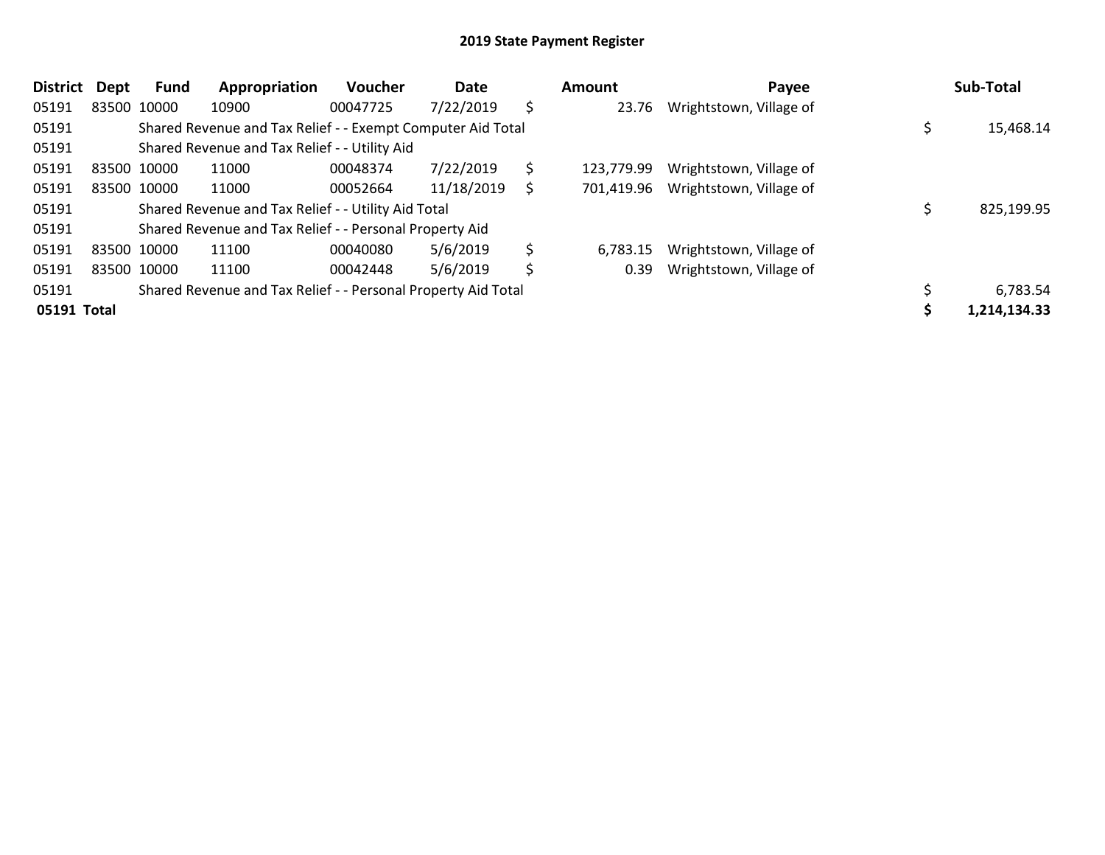| <b>District</b> | <b>Dept</b> | Fund        | Appropriation                                                 | <b>Voucher</b> | Date       |    | Amount     | Payee                   | Sub-Total    |
|-----------------|-------------|-------------|---------------------------------------------------------------|----------------|------------|----|------------|-------------------------|--------------|
| 05191           |             | 83500 10000 | 10900                                                         | 00047725       | 7/22/2019  | \$ | 23.76      | Wrightstown, Village of |              |
| 05191           |             |             | Shared Revenue and Tax Relief - - Exempt Computer Aid Total   |                |            |    |            |                         | 15,468.14    |
| 05191           |             |             | Shared Revenue and Tax Relief - - Utility Aid                 |                |            |    |            |                         |              |
| 05191           |             | 83500 10000 | 11000                                                         | 00048374       | 7/22/2019  | \$ | 123,779.99 | Wrightstown, Village of |              |
| 05191           |             | 83500 10000 | 11000                                                         | 00052664       | 11/18/2019 | S  | 701,419.96 | Wrightstown, Village of |              |
| 05191           |             |             | Shared Revenue and Tax Relief - - Utility Aid Total           |                |            |    |            |                         | 825,199.95   |
| 05191           |             |             | Shared Revenue and Tax Relief - - Personal Property Aid       |                |            |    |            |                         |              |
| 05191           |             | 83500 10000 | 11100                                                         | 00040080       | 5/6/2019   | \$ | 6,783.15   | Wrightstown, Village of |              |
| 05191           |             | 83500 10000 | 11100                                                         | 00042448       | 5/6/2019   | \$ | 0.39       | Wrightstown, Village of |              |
| 05191           |             |             | Shared Revenue and Tax Relief - - Personal Property Aid Total |                |            |    |            |                         | 6,783.54     |
| 05191 Total     |             |             |                                                               |                |            |    |            |                         | 1,214,134.33 |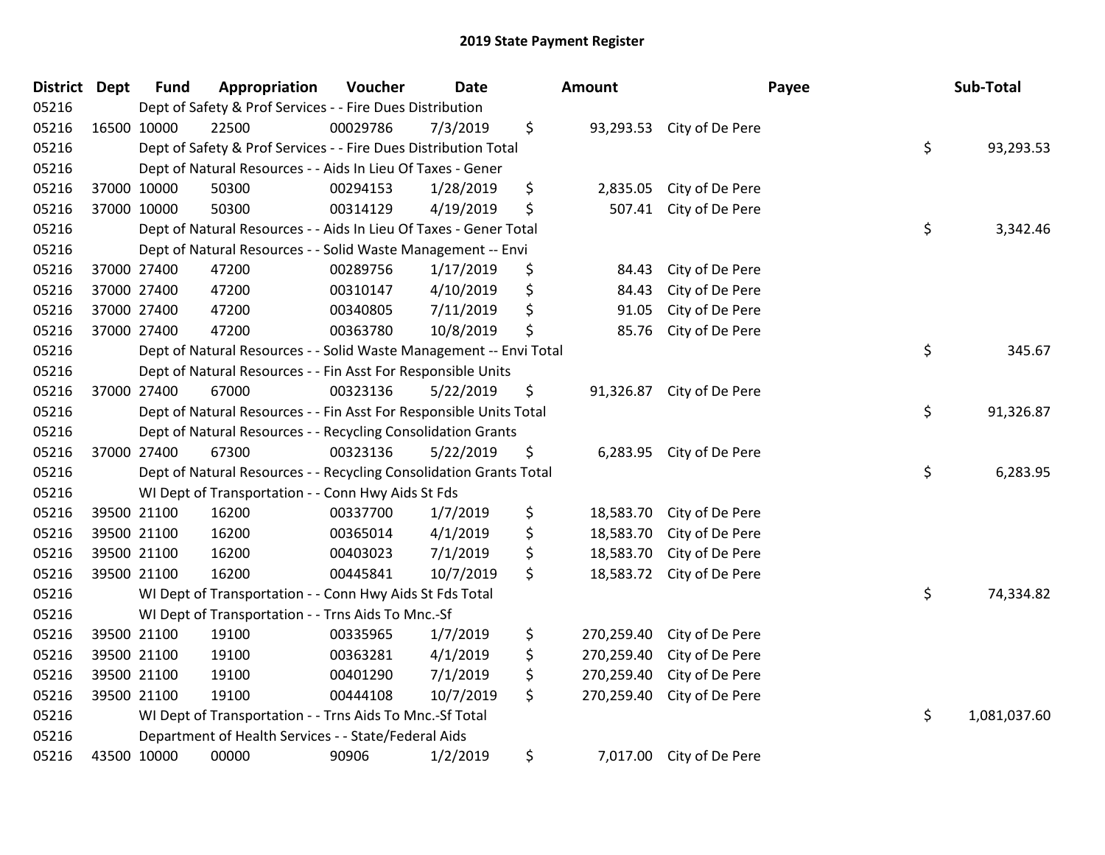| District Dept | <b>Fund</b> | Appropriation                                                      | Voucher  | <b>Date</b> | <b>Amount</b>    |                           | Payee | Sub-Total    |
|---------------|-------------|--------------------------------------------------------------------|----------|-------------|------------------|---------------------------|-------|--------------|
| 05216         |             | Dept of Safety & Prof Services - - Fire Dues Distribution          |          |             |                  |                           |       |              |
| 05216         | 16500 10000 | 22500                                                              | 00029786 | 7/3/2019    | \$               | 93,293.53 City of De Pere |       |              |
| 05216         |             | Dept of Safety & Prof Services - - Fire Dues Distribution Total    |          |             |                  |                           | \$    | 93,293.53    |
| 05216         |             | Dept of Natural Resources - - Aids In Lieu Of Taxes - Gener        |          |             |                  |                           |       |              |
| 05216         | 37000 10000 | 50300                                                              | 00294153 | 1/28/2019   | \$<br>2,835.05   | City of De Pere           |       |              |
| 05216         | 37000 10000 | 50300                                                              | 00314129 | 4/19/2019   | \$<br>507.41     | City of De Pere           |       |              |
| 05216         |             | Dept of Natural Resources - - Aids In Lieu Of Taxes - Gener Total  |          |             |                  |                           | \$    | 3,342.46     |
| 05216         |             | Dept of Natural Resources - - Solid Waste Management -- Envi       |          |             |                  |                           |       |              |
| 05216         | 37000 27400 | 47200                                                              | 00289756 | 1/17/2019   | \$<br>84.43      | City of De Pere           |       |              |
| 05216         | 37000 27400 | 47200                                                              | 00310147 | 4/10/2019   | \$<br>84.43      | City of De Pere           |       |              |
| 05216         | 37000 27400 | 47200                                                              | 00340805 | 7/11/2019   | \$<br>91.05      | City of De Pere           |       |              |
| 05216         | 37000 27400 | 47200                                                              | 00363780 | 10/8/2019   | \$<br>85.76      | City of De Pere           |       |              |
| 05216         |             | Dept of Natural Resources - - Solid Waste Management -- Envi Total |          |             |                  |                           | \$    | 345.67       |
| 05216         |             | Dept of Natural Resources - - Fin Asst For Responsible Units       |          |             |                  |                           |       |              |
| 05216         | 37000 27400 | 67000                                                              | 00323136 | 5/22/2019   | \$<br>91,326.87  | City of De Pere           |       |              |
| 05216         |             | Dept of Natural Resources - - Fin Asst For Responsible Units Total |          |             |                  |                           | \$    | 91,326.87    |
| 05216         |             | Dept of Natural Resources - - Recycling Consolidation Grants       |          |             |                  |                           |       |              |
| 05216         | 37000 27400 | 67300                                                              | 00323136 | 5/22/2019   | \$               | 6,283.95 City of De Pere  |       |              |
| 05216         |             | Dept of Natural Resources - - Recycling Consolidation Grants Total |          |             |                  |                           | \$    | 6,283.95     |
| 05216         |             | WI Dept of Transportation - - Conn Hwy Aids St Fds                 |          |             |                  |                           |       |              |
| 05216         | 39500 21100 | 16200                                                              | 00337700 | 1/7/2019    | \$<br>18,583.70  | City of De Pere           |       |              |
| 05216         | 39500 21100 | 16200                                                              | 00365014 | 4/1/2019    | \$<br>18,583.70  | City of De Pere           |       |              |
| 05216         | 39500 21100 | 16200                                                              | 00403023 | 7/1/2019    | \$<br>18,583.70  | City of De Pere           |       |              |
| 05216         | 39500 21100 | 16200                                                              | 00445841 | 10/7/2019   | \$<br>18,583.72  | City of De Pere           |       |              |
| 05216         |             | WI Dept of Transportation - - Conn Hwy Aids St Fds Total           |          |             |                  |                           | \$    | 74,334.82    |
| 05216         |             | WI Dept of Transportation - - Trns Aids To Mnc.-Sf                 |          |             |                  |                           |       |              |
| 05216         | 39500 21100 | 19100                                                              | 00335965 | 1/7/2019    | \$<br>270,259.40 | City of De Pere           |       |              |
| 05216         | 39500 21100 | 19100                                                              | 00363281 | 4/1/2019    | \$<br>270,259.40 | City of De Pere           |       |              |
| 05216         | 39500 21100 | 19100                                                              | 00401290 | 7/1/2019    | \$<br>270,259.40 | City of De Pere           |       |              |
| 05216         | 39500 21100 | 19100                                                              | 00444108 | 10/7/2019   | \$<br>270,259.40 | City of De Pere           |       |              |
| 05216         |             | WI Dept of Transportation - - Trns Aids To Mnc.-Sf Total           |          |             |                  |                           | \$    | 1,081,037.60 |
| 05216         |             | Department of Health Services - - State/Federal Aids               |          |             |                  |                           |       |              |
| 05216         | 43500 10000 | 00000                                                              | 90906    | 1/2/2019    | \$               | 7,017.00 City of De Pere  |       |              |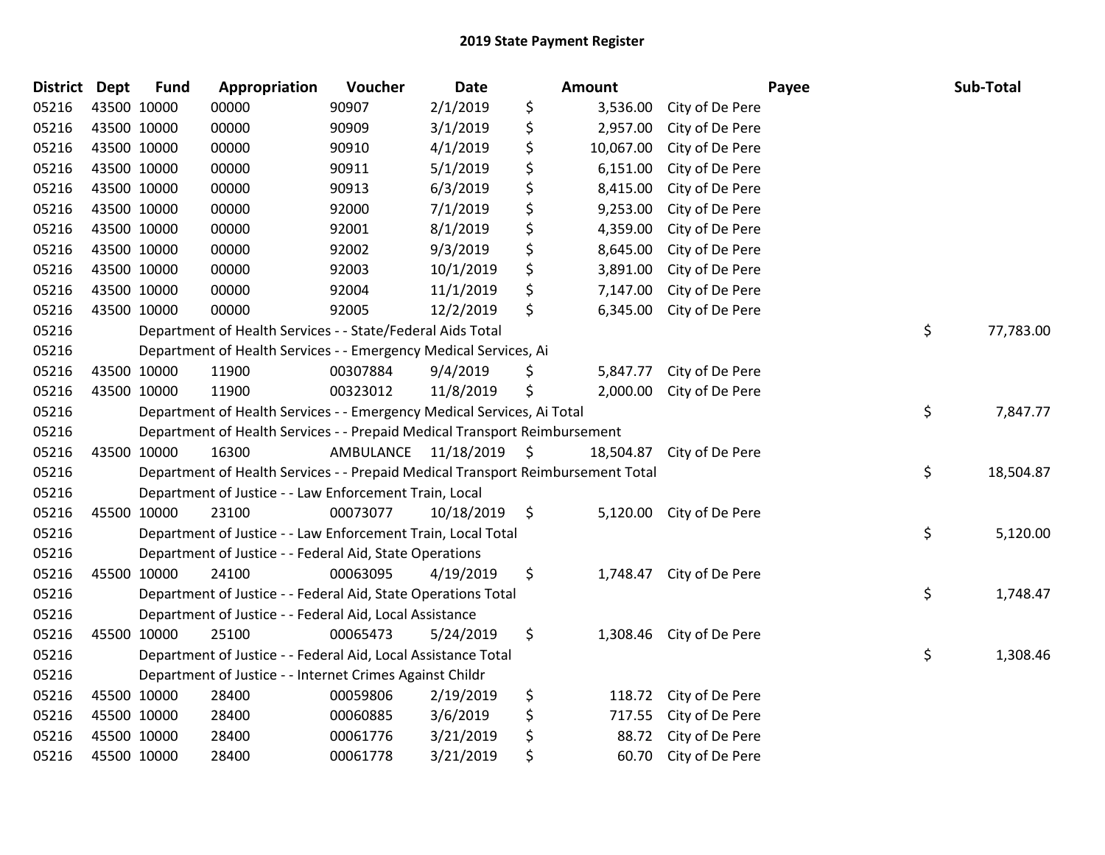| District Dept |             | <b>Fund</b> | Appropriation                                                                   | Voucher              | Date       | Amount          |                          | Payee | Sub-Total |
|---------------|-------------|-------------|---------------------------------------------------------------------------------|----------------------|------------|-----------------|--------------------------|-------|-----------|
| 05216         |             | 43500 10000 | 00000                                                                           | 90907                | 2/1/2019   | \$<br>3,536.00  | City of De Pere          |       |           |
| 05216         | 43500 10000 |             | 00000                                                                           | 90909                | 3/1/2019   | \$<br>2,957.00  | City of De Pere          |       |           |
| 05216         | 43500 10000 |             | 00000                                                                           | 90910                | 4/1/2019   | \$<br>10,067.00 | City of De Pere          |       |           |
| 05216         | 43500 10000 |             | 00000                                                                           | 90911                | 5/1/2019   | \$<br>6,151.00  | City of De Pere          |       |           |
| 05216         | 43500 10000 |             | 00000                                                                           | 90913                | 6/3/2019   | \$<br>8,415.00  | City of De Pere          |       |           |
| 05216         | 43500 10000 |             | 00000                                                                           | 92000                | 7/1/2019   | \$<br>9,253.00  | City of De Pere          |       |           |
| 05216         |             | 43500 10000 | 00000                                                                           | 92001                | 8/1/2019   | \$<br>4,359.00  | City of De Pere          |       |           |
| 05216         |             | 43500 10000 | 00000                                                                           | 92002                | 9/3/2019   | \$<br>8,645.00  | City of De Pere          |       |           |
| 05216         |             | 43500 10000 | 00000                                                                           | 92003                | 10/1/2019  | \$<br>3,891.00  | City of De Pere          |       |           |
| 05216         |             | 43500 10000 | 00000                                                                           | 92004                | 11/1/2019  | \$<br>7,147.00  | City of De Pere          |       |           |
| 05216         |             | 43500 10000 | 00000                                                                           | 92005                | 12/2/2019  | \$<br>6,345.00  | City of De Pere          |       |           |
| 05216         |             |             | Department of Health Services - - State/Federal Aids Total                      |                      |            |                 |                          | \$    | 77,783.00 |
| 05216         |             |             | Department of Health Services - - Emergency Medical Services, Ai                |                      |            |                 |                          |       |           |
| 05216         |             | 43500 10000 | 11900                                                                           | 00307884             | 9/4/2019   | \$<br>5,847.77  | City of De Pere          |       |           |
| 05216         |             | 43500 10000 | 11900                                                                           | 00323012             | 11/8/2019  | \$<br>2,000.00  | City of De Pere          |       |           |
| 05216         |             |             | Department of Health Services - - Emergency Medical Services, Ai Total          |                      |            |                 |                          | \$    | 7,847.77  |
| 05216         |             |             | Department of Health Services - - Prepaid Medical Transport Reimbursement       |                      |            |                 |                          |       |           |
| 05216         |             | 43500 10000 | 16300                                                                           | AMBULANCE 11/18/2019 |            | \$<br>18,504.87 | City of De Pere          |       |           |
| 05216         |             |             | Department of Health Services - - Prepaid Medical Transport Reimbursement Total |                      |            |                 |                          | \$    | 18,504.87 |
| 05216         |             |             | Department of Justice - - Law Enforcement Train, Local                          |                      |            |                 |                          |       |           |
| 05216         |             | 45500 10000 | 23100                                                                           | 00073077             | 10/18/2019 | \$              | 5,120.00 City of De Pere |       |           |
| 05216         |             |             | Department of Justice - - Law Enforcement Train, Local Total                    |                      |            |                 |                          | \$    | 5,120.00  |
| 05216         |             |             | Department of Justice - - Federal Aid, State Operations                         |                      |            |                 |                          |       |           |
| 05216         |             | 45500 10000 | 24100                                                                           | 00063095             | 4/19/2019  | \$<br>1,748.47  | City of De Pere          |       |           |
| 05216         |             |             | Department of Justice - - Federal Aid, State Operations Total                   |                      |            |                 |                          | \$    | 1,748.47  |
| 05216         |             |             | Department of Justice - - Federal Aid, Local Assistance                         |                      |            |                 |                          |       |           |
| 05216         |             | 45500 10000 | 25100                                                                           | 00065473             | 5/24/2019  | \$<br>1,308.46  | City of De Pere          |       |           |
| 05216         |             |             | Department of Justice - - Federal Aid, Local Assistance Total                   |                      |            |                 |                          | \$    | 1,308.46  |
| 05216         |             |             | Department of Justice - - Internet Crimes Against Childr                        |                      |            |                 |                          |       |           |
| 05216         |             | 45500 10000 | 28400                                                                           | 00059806             | 2/19/2019  | \$<br>118.72    | City of De Pere          |       |           |
| 05216         |             | 45500 10000 | 28400                                                                           | 00060885             | 3/6/2019   | \$<br>717.55    | City of De Pere          |       |           |
| 05216         |             | 45500 10000 | 28400                                                                           | 00061776             | 3/21/2019  | \$<br>88.72     | City of De Pere          |       |           |
| 05216         | 45500 10000 |             | 28400                                                                           | 00061778             | 3/21/2019  | \$<br>60.70     | City of De Pere          |       |           |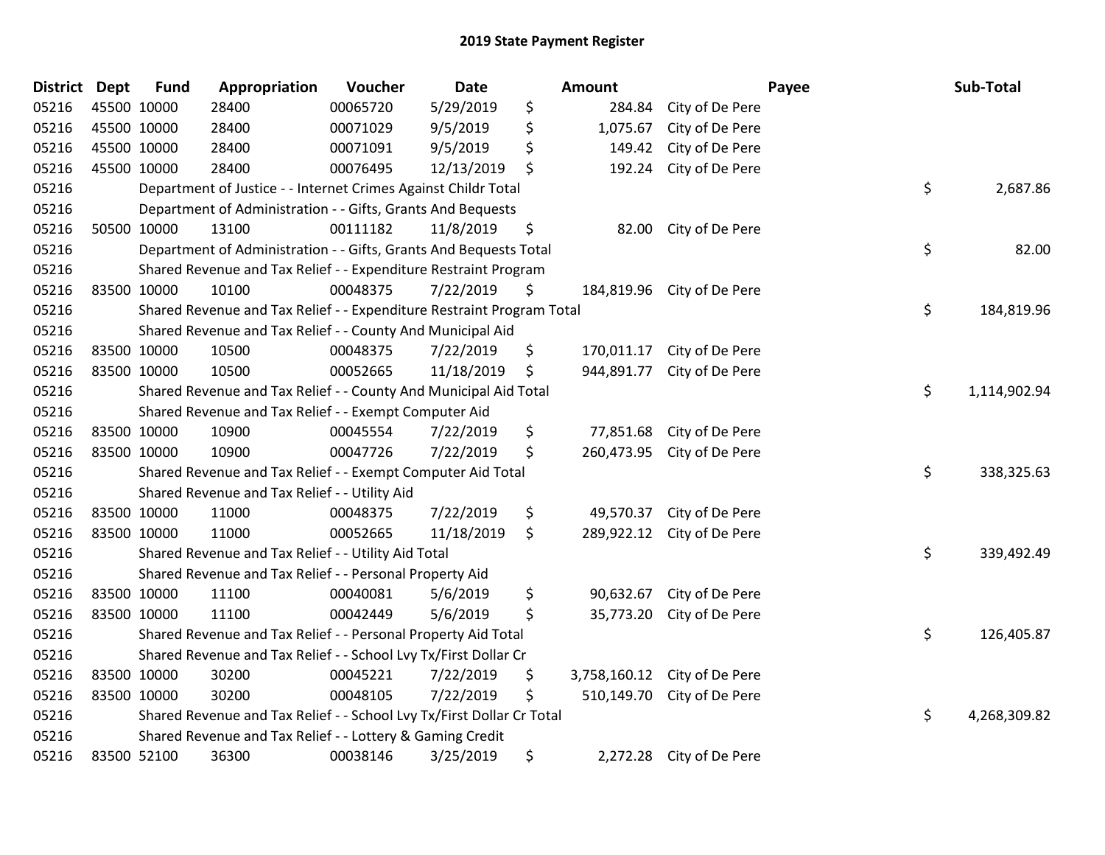| District | <b>Dept</b> | <b>Fund</b> | Appropriation                                                         | Voucher  | Date       | <b>Amount</b>      |                 | Payee | Sub-Total    |
|----------|-------------|-------------|-----------------------------------------------------------------------|----------|------------|--------------------|-----------------|-------|--------------|
| 05216    | 45500 10000 |             | 28400                                                                 | 00065720 | 5/29/2019  | \$<br>284.84       | City of De Pere |       |              |
| 05216    | 45500 10000 |             | 28400                                                                 | 00071029 | 9/5/2019   | \$<br>1,075.67     | City of De Pere |       |              |
| 05216    | 45500 10000 |             | 28400                                                                 | 00071091 | 9/5/2019   | \$<br>149.42       | City of De Pere |       |              |
| 05216    | 45500 10000 |             | 28400                                                                 | 00076495 | 12/13/2019 | \$<br>192.24       | City of De Pere |       |              |
| 05216    |             |             | Department of Justice - - Internet Crimes Against Childr Total        |          |            |                    |                 | \$    | 2,687.86     |
| 05216    |             |             | Department of Administration - - Gifts, Grants And Bequests           |          |            |                    |                 |       |              |
| 05216    |             | 50500 10000 | 13100                                                                 | 00111182 | 11/8/2019  | \$<br>82.00        | City of De Pere |       |              |
| 05216    |             |             | Department of Administration - - Gifts, Grants And Bequests Total     |          |            |                    |                 | \$    | 82.00        |
| 05216    |             |             | Shared Revenue and Tax Relief - - Expenditure Restraint Program       |          |            |                    |                 |       |              |
| 05216    | 83500 10000 |             | 10100                                                                 | 00048375 | 7/22/2019  | \$<br>184,819.96   | City of De Pere |       |              |
| 05216    |             |             | Shared Revenue and Tax Relief - - Expenditure Restraint Program Total |          |            |                    |                 | \$    | 184,819.96   |
| 05216    |             |             | Shared Revenue and Tax Relief - - County And Municipal Aid            |          |            |                    |                 |       |              |
| 05216    | 83500 10000 |             | 10500                                                                 | 00048375 | 7/22/2019  | \$<br>170,011.17   | City of De Pere |       |              |
| 05216    | 83500 10000 |             | 10500                                                                 | 00052665 | 11/18/2019 | \$<br>944,891.77   | City of De Pere |       |              |
| 05216    |             |             | Shared Revenue and Tax Relief - - County And Municipal Aid Total      |          |            |                    |                 | \$    | 1,114,902.94 |
| 05216    |             |             | Shared Revenue and Tax Relief - - Exempt Computer Aid                 |          |            |                    |                 |       |              |
| 05216    | 83500 10000 |             | 10900                                                                 | 00045554 | 7/22/2019  | \$<br>77,851.68    | City of De Pere |       |              |
| 05216    | 83500 10000 |             | 10900                                                                 | 00047726 | 7/22/2019  | \$<br>260,473.95   | City of De Pere |       |              |
| 05216    |             |             | Shared Revenue and Tax Relief - - Exempt Computer Aid Total           |          |            |                    |                 | \$    | 338,325.63   |
| 05216    |             |             | Shared Revenue and Tax Relief - - Utility Aid                         |          |            |                    |                 |       |              |
| 05216    | 83500 10000 |             | 11000                                                                 | 00048375 | 7/22/2019  | \$<br>49,570.37    | City of De Pere |       |              |
| 05216    | 83500 10000 |             | 11000                                                                 | 00052665 | 11/18/2019 | \$<br>289,922.12   | City of De Pere |       |              |
| 05216    |             |             | Shared Revenue and Tax Relief - - Utility Aid Total                   |          |            |                    |                 | \$    | 339,492.49   |
| 05216    |             |             | Shared Revenue and Tax Relief - - Personal Property Aid               |          |            |                    |                 |       |              |
| 05216    | 83500 10000 |             | 11100                                                                 | 00040081 | 5/6/2019   | \$<br>90,632.67    | City of De Pere |       |              |
| 05216    | 83500 10000 |             | 11100                                                                 | 00042449 | 5/6/2019   | \$<br>35,773.20    | City of De Pere |       |              |
| 05216    |             |             | Shared Revenue and Tax Relief - - Personal Property Aid Total         |          |            |                    |                 | \$    | 126,405.87   |
| 05216    |             |             | Shared Revenue and Tax Relief - - School Lvy Tx/First Dollar Cr       |          |            |                    |                 |       |              |
| 05216    | 83500 10000 |             | 30200                                                                 | 00045221 | 7/22/2019  | \$<br>3,758,160.12 | City of De Pere |       |              |
| 05216    | 83500 10000 |             | 30200                                                                 | 00048105 | 7/22/2019  | \$<br>510,149.70   | City of De Pere |       |              |
| 05216    |             |             | Shared Revenue and Tax Relief - - School Lvy Tx/First Dollar Cr Total |          |            |                    |                 | \$    | 4,268,309.82 |
| 05216    |             |             | Shared Revenue and Tax Relief - - Lottery & Gaming Credit             |          |            |                    |                 |       |              |
| 05216    | 83500 52100 |             | 36300                                                                 | 00038146 | 3/25/2019  | \$<br>2,272.28     | City of De Pere |       |              |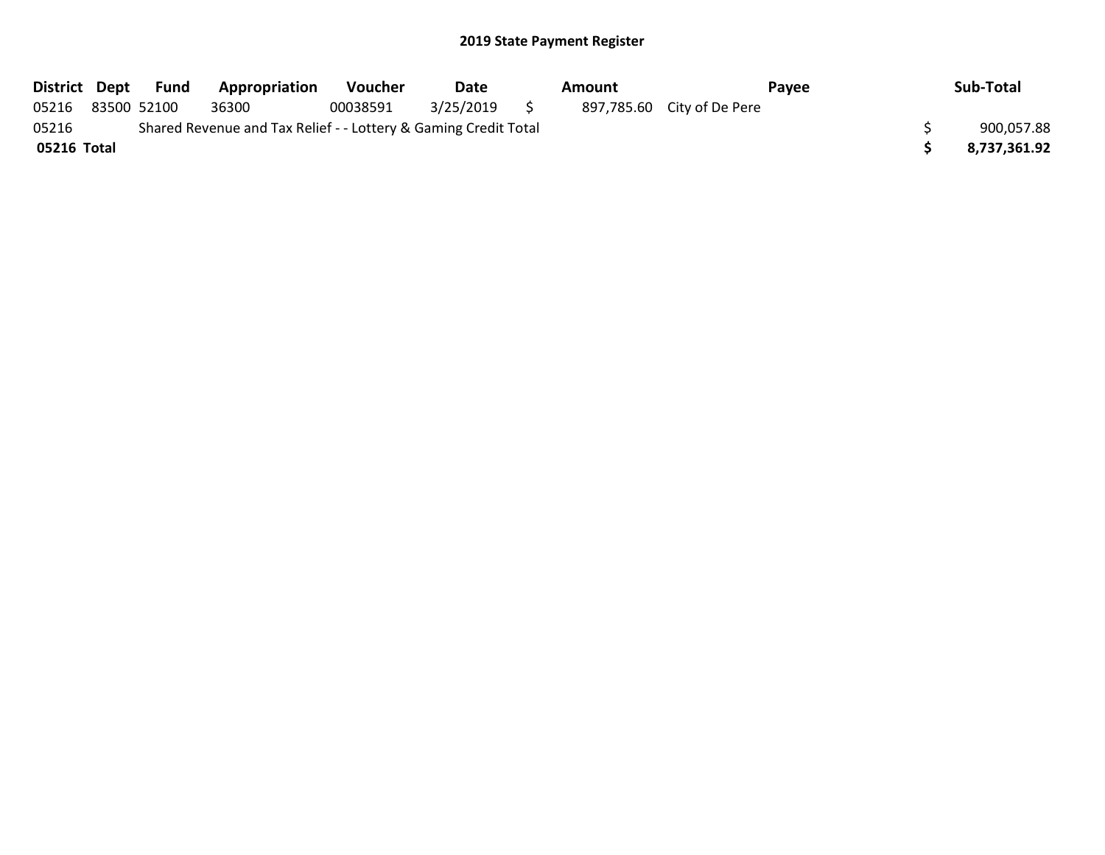|             | District Dept Fund | Appropriation                                                   | <b>Voucher</b> | Date         | Amount |                            | <b>Pavee</b> | Sub-Total    |
|-------------|--------------------|-----------------------------------------------------------------|----------------|--------------|--------|----------------------------|--------------|--------------|
| 05216       | 83500 52100        | 36300                                                           | 00038591       | 3/25/2019 \$ |        | 897,785.60 City of De Pere |              |              |
| 05216       |                    | Shared Revenue and Tax Relief - - Lottery & Gaming Credit Total |                |              |        |                            |              | 900,057.88   |
| 05216 Total |                    |                                                                 |                |              |        |                            |              | 8,737,361.92 |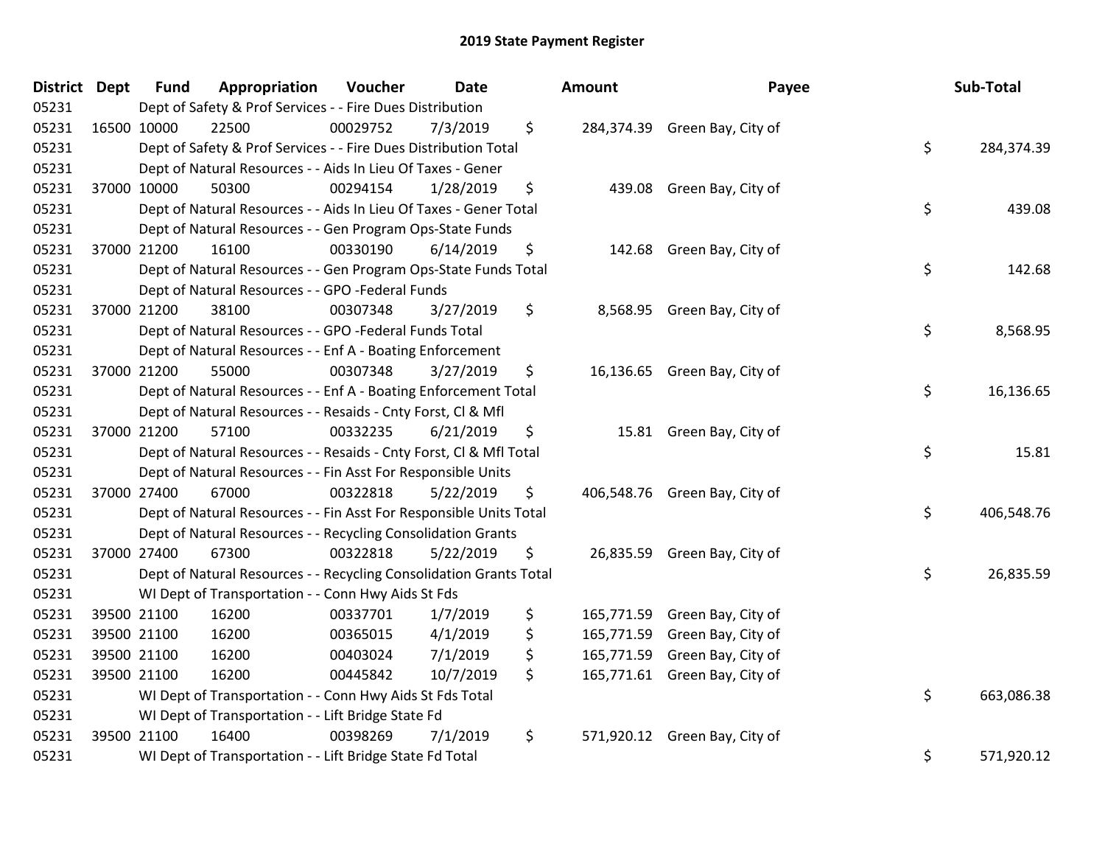| District Dept |             | <b>Fund</b> | Appropriation                                                      | Voucher  | <b>Date</b> | Amount | Payee                         | Sub-Total        |
|---------------|-------------|-------------|--------------------------------------------------------------------|----------|-------------|--------|-------------------------------|------------------|
| 05231         |             |             | Dept of Safety & Prof Services - - Fire Dues Distribution          |          |             |        |                               |                  |
| 05231         | 16500 10000 |             | 22500                                                              | 00029752 | 7/3/2019    | \$     | 284,374.39 Green Bay, City of |                  |
| 05231         |             |             | Dept of Safety & Prof Services - - Fire Dues Distribution Total    |          |             |        |                               | \$<br>284,374.39 |
| 05231         |             |             | Dept of Natural Resources - - Aids In Lieu Of Taxes - Gener        |          |             |        |                               |                  |
| 05231         |             | 37000 10000 | 50300                                                              | 00294154 | 1/28/2019   | \$     | 439.08 Green Bay, City of     |                  |
| 05231         |             |             | Dept of Natural Resources - - Aids In Lieu Of Taxes - Gener Total  |          |             |        |                               | \$<br>439.08     |
| 05231         |             |             | Dept of Natural Resources - - Gen Program Ops-State Funds          |          |             |        |                               |                  |
| 05231         |             | 37000 21200 | 16100                                                              | 00330190 | 6/14/2019   | \$     | 142.68 Green Bay, City of     |                  |
| 05231         |             |             | Dept of Natural Resources - - Gen Program Ops-State Funds Total    |          |             |        |                               | \$<br>142.68     |
| 05231         |             |             | Dept of Natural Resources - - GPO -Federal Funds                   |          |             |        |                               |                  |
| 05231         |             | 37000 21200 | 38100                                                              | 00307348 | 3/27/2019   | \$     | 8,568.95 Green Bay, City of   |                  |
| 05231         |             |             | Dept of Natural Resources - - GPO -Federal Funds Total             |          |             |        |                               | \$<br>8,568.95   |
| 05231         |             |             | Dept of Natural Resources - - Enf A - Boating Enforcement          |          |             |        |                               |                  |
| 05231         |             | 37000 21200 | 55000                                                              | 00307348 | 3/27/2019   | \$     | 16,136.65 Green Bay, City of  |                  |
| 05231         |             |             | Dept of Natural Resources - - Enf A - Boating Enforcement Total    |          |             |        |                               | \$<br>16,136.65  |
| 05231         |             |             | Dept of Natural Resources - - Resaids - Cnty Forst, Cl & Mfl       |          |             |        |                               |                  |
| 05231         |             | 37000 21200 | 57100                                                              | 00332235 | 6/21/2019   | \$     | 15.81 Green Bay, City of      |                  |
| 05231         |             |             | Dept of Natural Resources - - Resaids - Cnty Forst, Cl & Mfl Total |          |             |        |                               | \$<br>15.81      |
| 05231         |             |             | Dept of Natural Resources - - Fin Asst For Responsible Units       |          |             |        |                               |                  |
| 05231         | 37000 27400 |             | 67000                                                              | 00322818 | 5/22/2019   | \$     | 406,548.76 Green Bay, City of |                  |
| 05231         |             |             | Dept of Natural Resources - - Fin Asst For Responsible Units Total |          |             |        |                               | \$<br>406,548.76 |
| 05231         |             |             | Dept of Natural Resources - - Recycling Consolidation Grants       |          |             |        |                               |                  |
| 05231         | 37000 27400 |             | 67300                                                              | 00322818 | 5/22/2019   | \$     | 26,835.59 Green Bay, City of  |                  |
| 05231         |             |             | Dept of Natural Resources - - Recycling Consolidation Grants Total |          |             |        |                               | \$<br>26,835.59  |
| 05231         |             |             | WI Dept of Transportation - - Conn Hwy Aids St Fds                 |          |             |        |                               |                  |
| 05231         |             | 39500 21100 | 16200                                                              | 00337701 | 1/7/2019    | \$     | 165,771.59 Green Bay, City of |                  |
| 05231         |             | 39500 21100 | 16200                                                              | 00365015 | 4/1/2019    | \$     | 165,771.59 Green Bay, City of |                  |
| 05231         | 39500 21100 |             | 16200                                                              | 00403024 | 7/1/2019    | \$     | 165,771.59 Green Bay, City of |                  |
| 05231         | 39500 21100 |             | 16200                                                              | 00445842 | 10/7/2019   | \$     | 165,771.61 Green Bay, City of |                  |
| 05231         |             |             | WI Dept of Transportation - - Conn Hwy Aids St Fds Total           |          |             |        |                               | \$<br>663,086.38 |
| 05231         |             |             | WI Dept of Transportation - - Lift Bridge State Fd                 |          |             |        |                               |                  |
| 05231         |             | 39500 21100 | 16400                                                              | 00398269 | 7/1/2019    | \$     | 571,920.12 Green Bay, City of |                  |
| 05231         |             |             | WI Dept of Transportation - - Lift Bridge State Fd Total           |          |             |        |                               | \$<br>571,920.12 |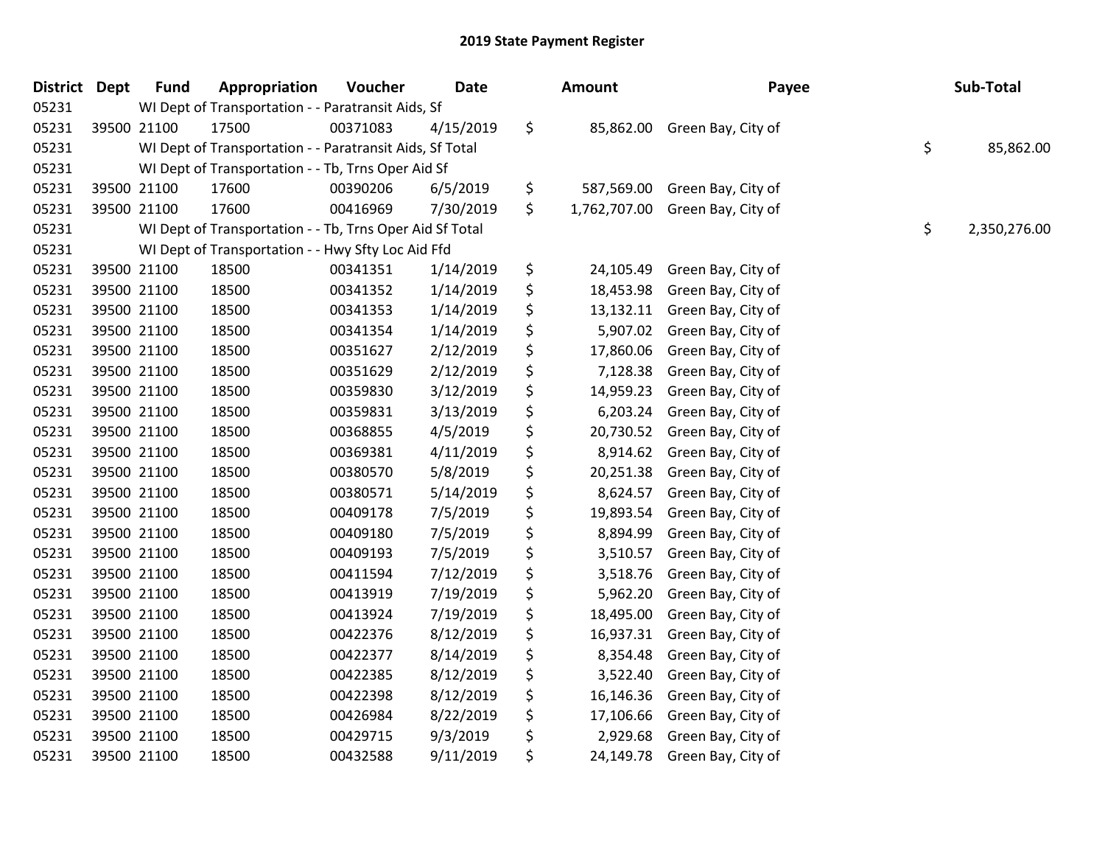| <b>District</b> | <b>Dept</b> | <b>Fund</b> | Appropriation                                            | Voucher  | Date      | Amount             | Payee              | Sub-Total          |
|-----------------|-------------|-------------|----------------------------------------------------------|----------|-----------|--------------------|--------------------|--------------------|
| 05231           |             |             | WI Dept of Transportation - - Paratransit Aids, Sf       |          |           |                    |                    |                    |
| 05231           |             | 39500 21100 | 17500                                                    | 00371083 | 4/15/2019 | \$<br>85,862.00    | Green Bay, City of |                    |
| 05231           |             |             | WI Dept of Transportation - - Paratransit Aids, Sf Total |          |           |                    |                    | \$<br>85,862.00    |
| 05231           |             |             | WI Dept of Transportation - - Tb, Trns Oper Aid Sf       |          |           |                    |                    |                    |
| 05231           |             | 39500 21100 | 17600                                                    | 00390206 | 6/5/2019  | \$<br>587,569.00   | Green Bay, City of |                    |
| 05231           |             | 39500 21100 | 17600                                                    | 00416969 | 7/30/2019 | \$<br>1,762,707.00 | Green Bay, City of |                    |
| 05231           |             |             | WI Dept of Transportation - - Tb, Trns Oper Aid Sf Total |          |           |                    |                    | \$<br>2,350,276.00 |
| 05231           |             |             | WI Dept of Transportation - - Hwy Sfty Loc Aid Ffd       |          |           |                    |                    |                    |
| 05231           |             | 39500 21100 | 18500                                                    | 00341351 | 1/14/2019 | \$<br>24,105.49    | Green Bay, City of |                    |
| 05231           |             | 39500 21100 | 18500                                                    | 00341352 | 1/14/2019 | \$<br>18,453.98    | Green Bay, City of |                    |
| 05231           |             | 39500 21100 | 18500                                                    | 00341353 | 1/14/2019 | \$<br>13,132.11    | Green Bay, City of |                    |
| 05231           |             | 39500 21100 | 18500                                                    | 00341354 | 1/14/2019 | \$<br>5,907.02     | Green Bay, City of |                    |
| 05231           |             | 39500 21100 | 18500                                                    | 00351627 | 2/12/2019 | \$<br>17,860.06    | Green Bay, City of |                    |
| 05231           |             | 39500 21100 | 18500                                                    | 00351629 | 2/12/2019 | \$<br>7,128.38     | Green Bay, City of |                    |
| 05231           |             | 39500 21100 | 18500                                                    | 00359830 | 3/12/2019 | \$<br>14,959.23    | Green Bay, City of |                    |
| 05231           |             | 39500 21100 | 18500                                                    | 00359831 | 3/13/2019 | \$<br>6,203.24     | Green Bay, City of |                    |
| 05231           |             | 39500 21100 | 18500                                                    | 00368855 | 4/5/2019  | \$<br>20,730.52    | Green Bay, City of |                    |
| 05231           |             | 39500 21100 | 18500                                                    | 00369381 | 4/11/2019 | \$<br>8,914.62     | Green Bay, City of |                    |
| 05231           |             | 39500 21100 | 18500                                                    | 00380570 | 5/8/2019  | \$<br>20,251.38    | Green Bay, City of |                    |
| 05231           |             | 39500 21100 | 18500                                                    | 00380571 | 5/14/2019 | \$<br>8,624.57     | Green Bay, City of |                    |
| 05231           |             | 39500 21100 | 18500                                                    | 00409178 | 7/5/2019  | \$<br>19,893.54    | Green Bay, City of |                    |
| 05231           |             | 39500 21100 | 18500                                                    | 00409180 | 7/5/2019  | \$<br>8,894.99     | Green Bay, City of |                    |
| 05231           |             | 39500 21100 | 18500                                                    | 00409193 | 7/5/2019  | \$<br>3,510.57     | Green Bay, City of |                    |
| 05231           |             | 39500 21100 | 18500                                                    | 00411594 | 7/12/2019 | \$<br>3,518.76     | Green Bay, City of |                    |
| 05231           |             | 39500 21100 | 18500                                                    | 00413919 | 7/19/2019 | \$<br>5,962.20     | Green Bay, City of |                    |
| 05231           |             | 39500 21100 | 18500                                                    | 00413924 | 7/19/2019 | \$<br>18,495.00    | Green Bay, City of |                    |
| 05231           |             | 39500 21100 | 18500                                                    | 00422376 | 8/12/2019 | \$<br>16,937.31    | Green Bay, City of |                    |
| 05231           |             | 39500 21100 | 18500                                                    | 00422377 | 8/14/2019 | \$<br>8,354.48     | Green Bay, City of |                    |
| 05231           |             | 39500 21100 | 18500                                                    | 00422385 | 8/12/2019 | \$<br>3,522.40     | Green Bay, City of |                    |
| 05231           |             | 39500 21100 | 18500                                                    | 00422398 | 8/12/2019 | \$<br>16,146.36    | Green Bay, City of |                    |
| 05231           |             | 39500 21100 | 18500                                                    | 00426984 | 8/22/2019 | \$<br>17,106.66    | Green Bay, City of |                    |
| 05231           |             | 39500 21100 | 18500                                                    | 00429715 | 9/3/2019  | \$<br>2,929.68     | Green Bay, City of |                    |
| 05231           |             | 39500 21100 | 18500                                                    | 00432588 | 9/11/2019 | \$<br>24,149.78    | Green Bay, City of |                    |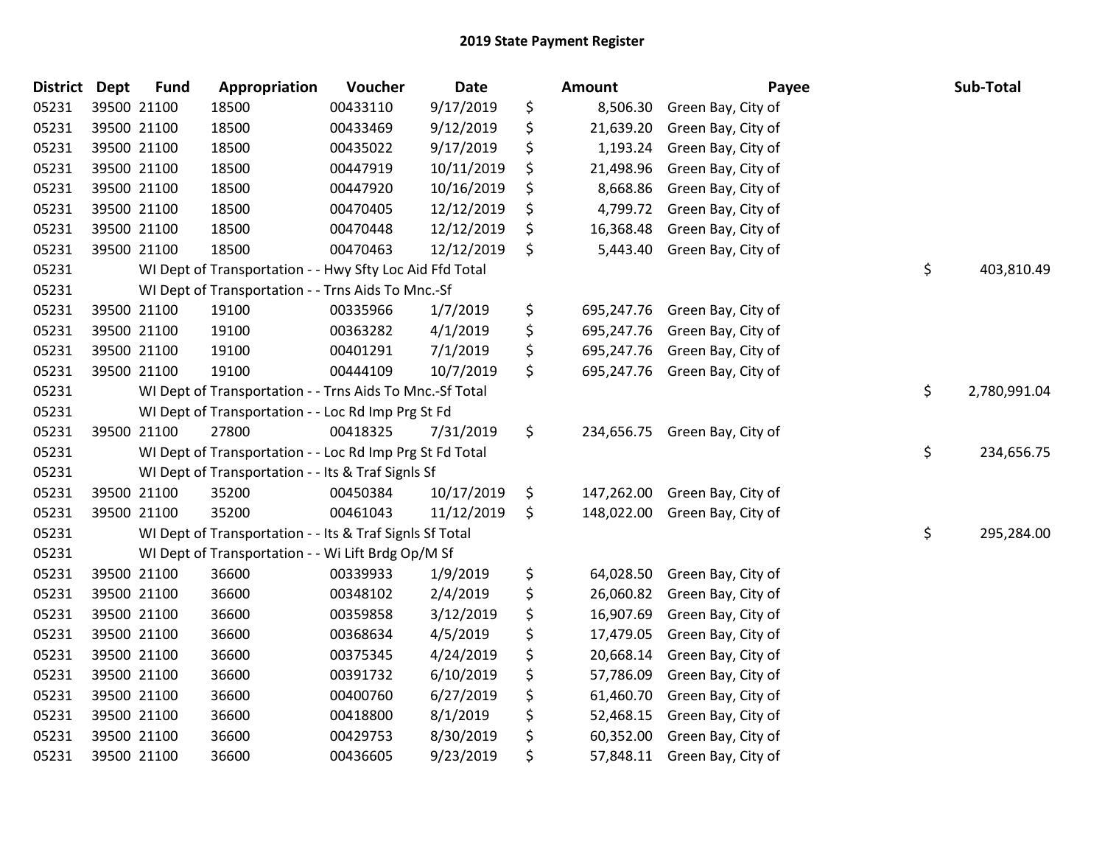| <b>District</b> | <b>Dept</b> | <b>Fund</b>                                                    | Appropriation                                            | Voucher  | Date       |    | <b>Amount</b> | Payee              |            | Sub-Total    |
|-----------------|-------------|----------------------------------------------------------------|----------------------------------------------------------|----------|------------|----|---------------|--------------------|------------|--------------|
| 05231           |             | 39500 21100                                                    | 18500                                                    | 00433110 | 9/17/2019  | \$ | 8,506.30      | Green Bay, City of |            |              |
| 05231           |             | 39500 21100                                                    | 18500                                                    | 00433469 | 9/12/2019  | \$ | 21,639.20     | Green Bay, City of |            |              |
| 05231           |             | 39500 21100                                                    | 18500                                                    | 00435022 | 9/17/2019  | \$ | 1,193.24      | Green Bay, City of |            |              |
| 05231           |             | 39500 21100                                                    | 18500                                                    | 00447919 | 10/11/2019 | \$ | 21,498.96     | Green Bay, City of |            |              |
| 05231           |             | 39500 21100                                                    | 18500                                                    | 00447920 | 10/16/2019 | \$ | 8,668.86      | Green Bay, City of |            |              |
| 05231           |             | 39500 21100                                                    | 18500                                                    | 00470405 | 12/12/2019 | \$ | 4,799.72      | Green Bay, City of |            |              |
| 05231           |             | 39500 21100                                                    | 18500                                                    | 00470448 | 12/12/2019 | \$ | 16,368.48     | Green Bay, City of |            |              |
| 05231           |             | 39500 21100                                                    | 18500                                                    | 00470463 | 12/12/2019 | \$ | 5,443.40      | Green Bay, City of |            |              |
| 05231           |             |                                                                | WI Dept of Transportation - - Hwy Sfty Loc Aid Ffd Total |          |            |    |               |                    | \$         | 403,810.49   |
| 05231           |             |                                                                | WI Dept of Transportation - - Trns Aids To Mnc.-Sf       |          |            |    |               |                    |            |              |
| 05231           |             | 39500 21100                                                    | 19100                                                    | 00335966 | 1/7/2019   | \$ | 695,247.76    | Green Bay, City of |            |              |
| 05231           |             | 39500 21100                                                    | 19100                                                    | 00363282 | 4/1/2019   | \$ | 695,247.76    | Green Bay, City of |            |              |
| 05231           |             | 39500 21100                                                    | 19100                                                    | 00401291 | 7/1/2019   | \$ | 695,247.76    | Green Bay, City of |            |              |
| 05231           |             | 39500 21100                                                    | 19100                                                    | 00444109 | 10/7/2019  | \$ | 695,247.76    | Green Bay, City of |            |              |
| 05231           |             |                                                                | WI Dept of Transportation - - Trns Aids To Mnc.-Sf Total |          |            |    |               |                    | \$         | 2,780,991.04 |
| 05231           |             |                                                                | WI Dept of Transportation - - Loc Rd Imp Prg St Fd       |          |            |    |               |                    |            |              |
| 05231           |             | 39500 21100                                                    | 27800                                                    | 00418325 | 7/31/2019  | \$ | 234,656.75    | Green Bay, City of |            |              |
| 05231           |             |                                                                | WI Dept of Transportation - - Loc Rd Imp Prg St Fd Total |          |            |    |               |                    | \$         | 234,656.75   |
| 05231           |             |                                                                | WI Dept of Transportation - - Its & Traf Signls Sf       |          |            |    |               |                    |            |              |
| 05231           |             | 39500 21100                                                    | 35200                                                    | 00450384 | 10/17/2019 | \$ | 147,262.00    | Green Bay, City of |            |              |
| 05231           |             | 39500 21100                                                    | 35200                                                    | 00461043 | 11/12/2019 | \$ | 148,022.00    | Green Bay, City of |            |              |
| 05231           |             | \$<br>WI Dept of Transportation - - Its & Traf Signls Sf Total |                                                          |          |            |    |               |                    | 295,284.00 |              |
| 05231           |             | WI Dept of Transportation - - Wi Lift Brdg Op/M Sf             |                                                          |          |            |    |               |                    |            |              |
| 05231           |             | 39500 21100                                                    | 36600                                                    | 00339933 | 1/9/2019   | \$ | 64,028.50     | Green Bay, City of |            |              |
| 05231           |             | 39500 21100                                                    | 36600                                                    | 00348102 | 2/4/2019   | \$ | 26,060.82     | Green Bay, City of |            |              |
| 05231           |             | 39500 21100                                                    | 36600                                                    | 00359858 | 3/12/2019  | \$ | 16,907.69     | Green Bay, City of |            |              |
| 05231           |             | 39500 21100                                                    | 36600                                                    | 00368634 | 4/5/2019   | \$ | 17,479.05     | Green Bay, City of |            |              |
| 05231           |             | 39500 21100                                                    | 36600                                                    | 00375345 | 4/24/2019  | \$ | 20,668.14     | Green Bay, City of |            |              |
| 05231           |             | 39500 21100                                                    | 36600                                                    | 00391732 | 6/10/2019  | \$ | 57,786.09     | Green Bay, City of |            |              |
| 05231           |             | 39500 21100                                                    | 36600                                                    | 00400760 | 6/27/2019  | \$ | 61,460.70     | Green Bay, City of |            |              |
| 05231           |             | 39500 21100                                                    | 36600                                                    | 00418800 | 8/1/2019   | \$ | 52,468.15     | Green Bay, City of |            |              |
| 05231           |             | 39500 21100                                                    | 36600                                                    | 00429753 | 8/30/2019  | \$ | 60,352.00     | Green Bay, City of |            |              |
| 05231           | 39500 21100 |                                                                | 36600                                                    | 00436605 | 9/23/2019  | \$ | 57,848.11     | Green Bay, City of |            |              |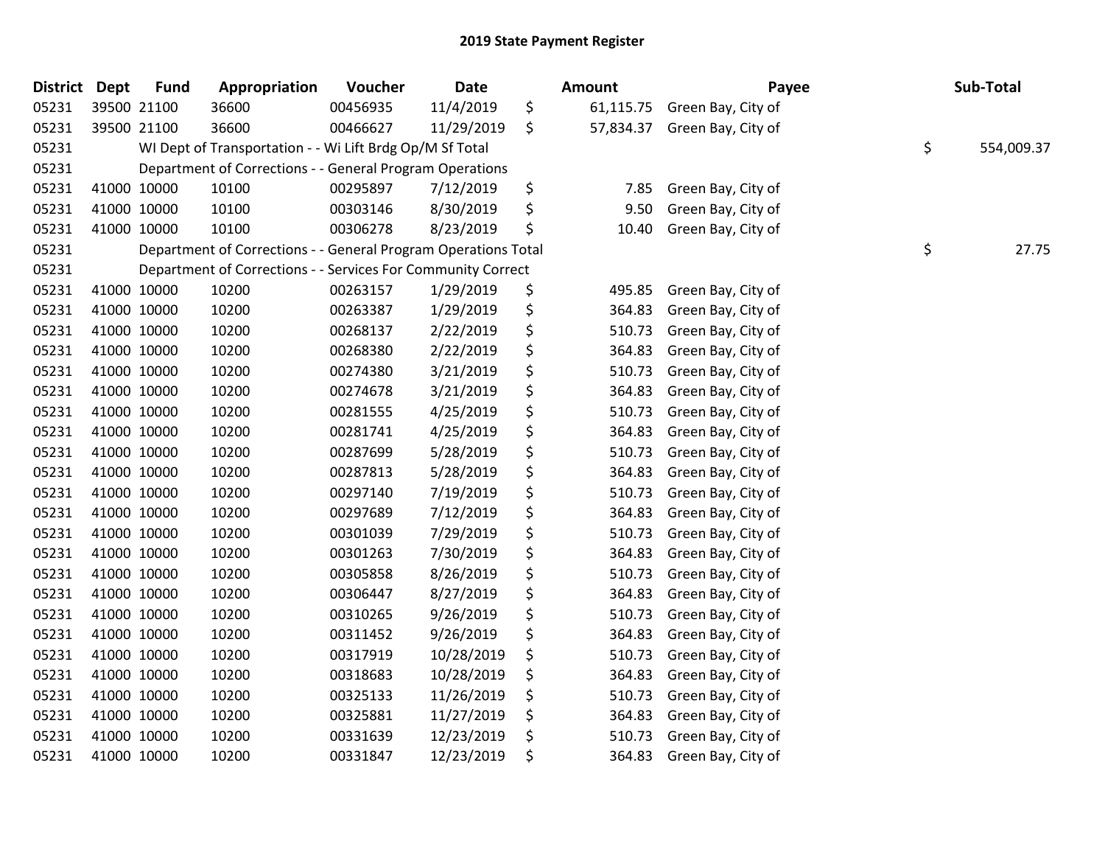| <b>District</b> | <b>Dept</b> | <b>Fund</b>                                                    | Appropriation                                                  | Voucher  | Date       |    | Amount    | Payee              |    | Sub-Total |
|-----------------|-------------|----------------------------------------------------------------|----------------------------------------------------------------|----------|------------|----|-----------|--------------------|----|-----------|
| 05231           |             | 39500 21100                                                    | 36600                                                          | 00456935 | 11/4/2019  | \$ | 61,115.75 | Green Bay, City of |    |           |
| 05231           |             | 39500 21100                                                    | 36600                                                          | 00466627 | 11/29/2019 | \$ | 57,834.37 | Green Bay, City of |    |           |
| 05231           |             | \$<br>WI Dept of Transportation - - Wi Lift Brdg Op/M Sf Total |                                                                |          |            |    |           |                    |    |           |
| 05231           |             | Department of Corrections - - General Program Operations       |                                                                |          |            |    |           |                    |    |           |
| 05231           |             | 41000 10000                                                    | 10100                                                          | 00295897 | 7/12/2019  | \$ | 7.85      | Green Bay, City of |    |           |
| 05231           |             | 41000 10000                                                    | 10100                                                          | 00303146 | 8/30/2019  | \$ | 9.50      | Green Bay, City of |    |           |
| 05231           |             | 41000 10000                                                    | 10100                                                          | 00306278 | 8/23/2019  | \$ | 10.40     | Green Bay, City of |    |           |
| 05231           |             |                                                                | Department of Corrections - - General Program Operations Total |          |            |    |           |                    | \$ | 27.75     |
| 05231           |             |                                                                | Department of Corrections - - Services For Community Correct   |          |            |    |           |                    |    |           |
| 05231           |             | 41000 10000                                                    | 10200                                                          | 00263157 | 1/29/2019  | \$ | 495.85    | Green Bay, City of |    |           |
| 05231           |             | 41000 10000                                                    | 10200                                                          | 00263387 | 1/29/2019  | \$ | 364.83    | Green Bay, City of |    |           |
| 05231           |             | 41000 10000                                                    | 10200                                                          | 00268137 | 2/22/2019  | \$ | 510.73    | Green Bay, City of |    |           |
| 05231           |             | 41000 10000                                                    | 10200                                                          | 00268380 | 2/22/2019  | \$ | 364.83    | Green Bay, City of |    |           |
| 05231           |             | 41000 10000                                                    | 10200                                                          | 00274380 | 3/21/2019  | \$ | 510.73    | Green Bay, City of |    |           |
| 05231           |             | 41000 10000                                                    | 10200                                                          | 00274678 | 3/21/2019  | \$ | 364.83    | Green Bay, City of |    |           |
| 05231           |             | 41000 10000                                                    | 10200                                                          | 00281555 | 4/25/2019  | \$ | 510.73    | Green Bay, City of |    |           |
| 05231           |             | 41000 10000                                                    | 10200                                                          | 00281741 | 4/25/2019  | \$ | 364.83    | Green Bay, City of |    |           |
| 05231           |             | 41000 10000                                                    | 10200                                                          | 00287699 | 5/28/2019  | \$ | 510.73    | Green Bay, City of |    |           |
| 05231           |             | 41000 10000                                                    | 10200                                                          | 00287813 | 5/28/2019  | \$ | 364.83    | Green Bay, City of |    |           |
| 05231           |             | 41000 10000                                                    | 10200                                                          | 00297140 | 7/19/2019  | \$ | 510.73    | Green Bay, City of |    |           |
| 05231           |             | 41000 10000                                                    | 10200                                                          | 00297689 | 7/12/2019  | \$ | 364.83    | Green Bay, City of |    |           |
| 05231           |             | 41000 10000                                                    | 10200                                                          | 00301039 | 7/29/2019  | \$ | 510.73    | Green Bay, City of |    |           |
| 05231           |             | 41000 10000                                                    | 10200                                                          | 00301263 | 7/30/2019  | \$ | 364.83    | Green Bay, City of |    |           |
| 05231           |             | 41000 10000                                                    | 10200                                                          | 00305858 | 8/26/2019  | \$ | 510.73    | Green Bay, City of |    |           |
| 05231           |             | 41000 10000                                                    | 10200                                                          | 00306447 | 8/27/2019  | \$ | 364.83    | Green Bay, City of |    |           |
| 05231           |             | 41000 10000                                                    | 10200                                                          | 00310265 | 9/26/2019  | \$ | 510.73    | Green Bay, City of |    |           |
| 05231           |             | 41000 10000                                                    | 10200                                                          | 00311452 | 9/26/2019  | \$ | 364.83    | Green Bay, City of |    |           |
| 05231           |             | 41000 10000                                                    | 10200                                                          | 00317919 | 10/28/2019 | \$ | 510.73    | Green Bay, City of |    |           |
| 05231           |             | 41000 10000                                                    | 10200                                                          | 00318683 | 10/28/2019 | \$ | 364.83    | Green Bay, City of |    |           |
| 05231           |             | 41000 10000                                                    | 10200                                                          | 00325133 | 11/26/2019 | \$ | 510.73    | Green Bay, City of |    |           |
| 05231           |             | 41000 10000                                                    | 10200                                                          | 00325881 | 11/27/2019 | \$ | 364.83    | Green Bay, City of |    |           |
| 05231           |             | 41000 10000                                                    | 10200                                                          | 00331639 | 12/23/2019 | \$ | 510.73    | Green Bay, City of |    |           |
| 05231           |             | 41000 10000                                                    | 10200                                                          | 00331847 | 12/23/2019 | \$ | 364.83    | Green Bay, City of |    |           |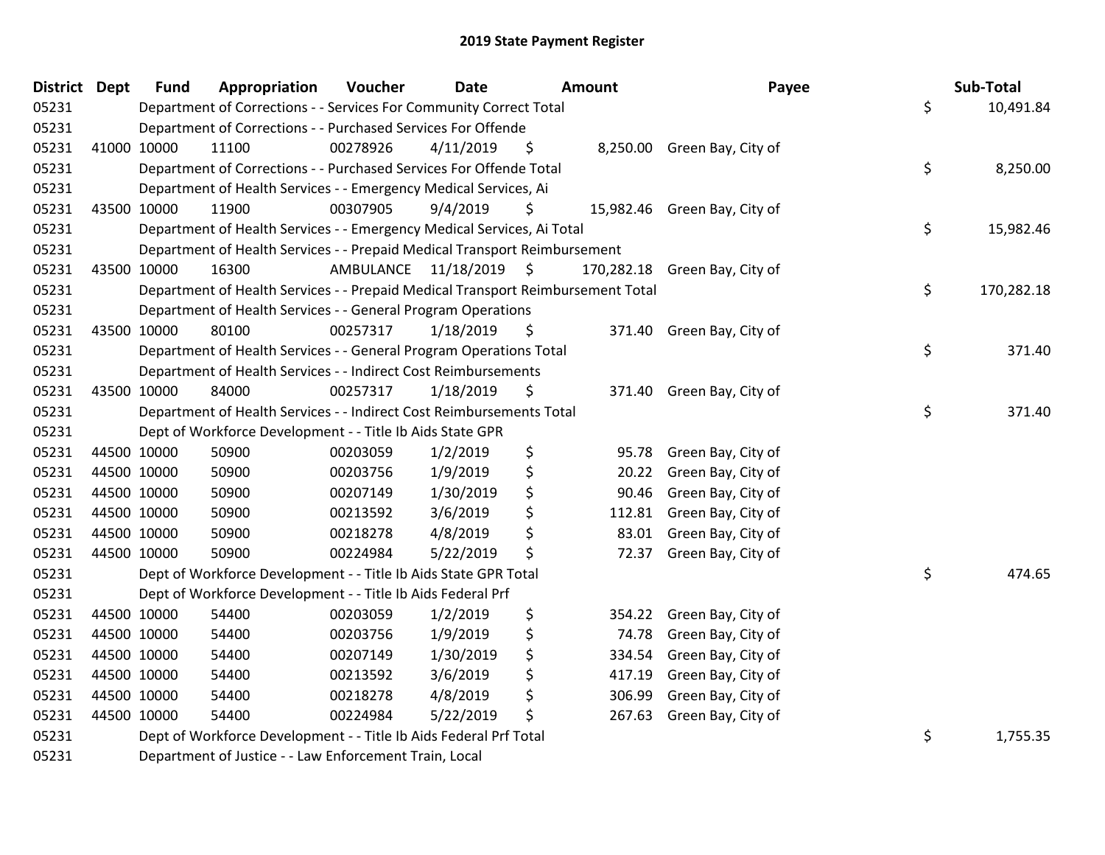| <b>District Dept</b> |             | <b>Fund</b>                                                               | Appropriation                                                                   | Voucher                 | <b>Date</b> |    | <b>Amount</b> | Payee                        |    | Sub-Total  |
|----------------------|-------------|---------------------------------------------------------------------------|---------------------------------------------------------------------------------|-------------------------|-------------|----|---------------|------------------------------|----|------------|
| 05231                |             |                                                                           | Department of Corrections - - Services For Community Correct Total              |                         |             |    |               |                              | \$ | 10,491.84  |
| 05231                |             | Department of Corrections - - Purchased Services For Offende              |                                                                                 |                         |             |    |               |                              |    |            |
| 05231                |             | 41000 10000                                                               | 11100                                                                           | 00278926                | 4/11/2019   | \$ |               | 8,250.00 Green Bay, City of  |    |            |
| 05231                |             |                                                                           | Department of Corrections - - Purchased Services For Offende Total              |                         |             |    |               |                              | \$ | 8,250.00   |
| 05231                |             | Department of Health Services - - Emergency Medical Services, Ai          |                                                                                 |                         |             |    |               |                              |    |            |
| 05231                |             | 43500 10000                                                               | 11900                                                                           | 00307905                | 9/4/2019    | \$ |               | 15,982.46 Green Bay, City of |    |            |
| 05231                |             | Department of Health Services - - Emergency Medical Services, Ai Total    |                                                                                 |                         |             |    |               |                              |    | 15,982.46  |
| 05231                |             | Department of Health Services - - Prepaid Medical Transport Reimbursement |                                                                                 |                         |             |    |               |                              |    |            |
| 05231                |             | 43500 10000                                                               | 16300                                                                           | AMBULANCE 11/18/2019 \$ |             |    | 170,282.18    | Green Bay, City of           |    |            |
| 05231                |             |                                                                           | Department of Health Services - - Prepaid Medical Transport Reimbursement Total |                         |             |    |               |                              | \$ | 170,282.18 |
| 05231                |             |                                                                           | Department of Health Services - - General Program Operations                    |                         |             |    |               |                              |    |            |
| 05231                |             | 43500 10000                                                               | 80100                                                                           | 00257317                | 1/18/2019   | \$ |               | 371.40 Green Bay, City of    |    |            |
| 05231                |             |                                                                           | Department of Health Services - - General Program Operations Total              |                         |             |    |               |                              | \$ | 371.40     |
| 05231                |             |                                                                           | Department of Health Services - - Indirect Cost Reimbursements                  |                         |             |    |               |                              |    |            |
| 05231                |             | 43500 10000                                                               | 84000                                                                           | 00257317                | 1/18/2019   | \$ | 371.40        | Green Bay, City of           |    |            |
| 05231                |             |                                                                           | Department of Health Services - - Indirect Cost Reimbursements Total            |                         |             |    |               |                              | \$ | 371.40     |
| 05231                |             |                                                                           | Dept of Workforce Development - - Title Ib Aids State GPR                       |                         |             |    |               |                              |    |            |
| 05231                |             | 44500 10000                                                               | 50900                                                                           | 00203059                | 1/2/2019    | \$ | 95.78         | Green Bay, City of           |    |            |
| 05231                |             | 44500 10000                                                               | 50900                                                                           | 00203756                | 1/9/2019    | \$ | 20.22         | Green Bay, City of           |    |            |
| 05231                |             | 44500 10000                                                               | 50900                                                                           | 00207149                | 1/30/2019   | \$ | 90.46         | Green Bay, City of           |    |            |
| 05231                |             | 44500 10000                                                               | 50900                                                                           | 00213592                | 3/6/2019    | \$ | 112.81        | Green Bay, City of           |    |            |
| 05231                | 44500 10000 |                                                                           | 50900                                                                           | 00218278                | 4/8/2019    | \$ | 83.01         | Green Bay, City of           |    |            |
| 05231                | 44500 10000 |                                                                           | 50900                                                                           | 00224984                | 5/22/2019   | \$ | 72.37         | Green Bay, City of           |    |            |
| 05231                |             |                                                                           | Dept of Workforce Development - - Title Ib Aids State GPR Total                 |                         |             |    |               |                              | \$ | 474.65     |
| 05231                |             | Dept of Workforce Development - - Title Ib Aids Federal Prf               |                                                                                 |                         |             |    |               |                              |    |            |
| 05231                |             | 44500 10000                                                               | 54400                                                                           | 00203059                | 1/2/2019    | \$ | 354.22        | Green Bay, City of           |    |            |
| 05231                | 44500 10000 |                                                                           | 54400                                                                           | 00203756                | 1/9/2019    | \$ | 74.78         | Green Bay, City of           |    |            |
| 05231                |             | 44500 10000                                                               | 54400                                                                           | 00207149                | 1/30/2019   | \$ | 334.54        | Green Bay, City of           |    |            |
| 05231                |             | 44500 10000                                                               | 54400                                                                           | 00213592                | 3/6/2019    | \$ | 417.19        | Green Bay, City of           |    |            |
| 05231                |             | 44500 10000                                                               | 54400                                                                           | 00218278                | 4/8/2019    | \$ | 306.99        | Green Bay, City of           |    |            |
| 05231                |             | 44500 10000                                                               | 54400                                                                           | 00224984                | 5/22/2019   | \$ | 267.63        | Green Bay, City of           |    |            |
| 05231                |             | \$<br>Dept of Workforce Development - - Title Ib Aids Federal Prf Total   |                                                                                 |                         |             |    |               |                              |    | 1,755.35   |
| 05231                |             | Department of Justice - - Law Enforcement Train, Local                    |                                                                                 |                         |             |    |               |                              |    |            |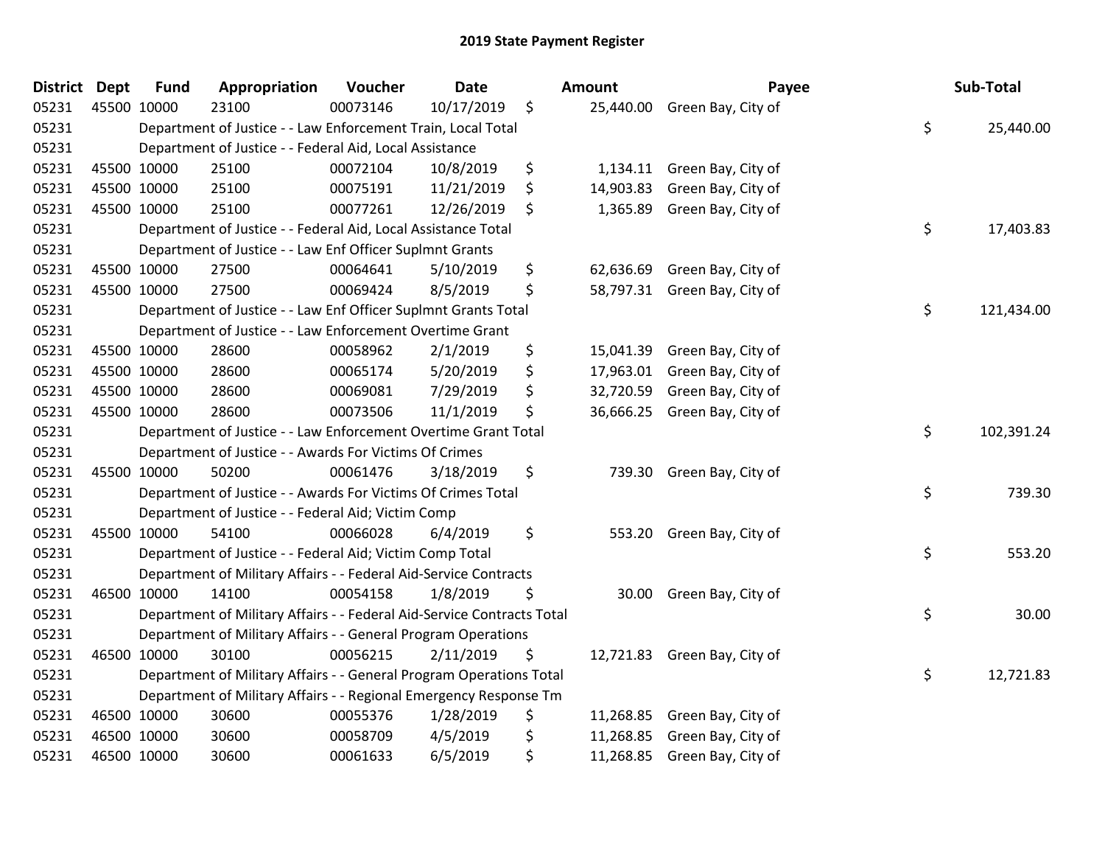| District Dept |             | <b>Fund</b>                                                         | Appropriation                                                          | Voucher  | Date       |    | Amount    | Payee                        |    | Sub-Total  |
|---------------|-------------|---------------------------------------------------------------------|------------------------------------------------------------------------|----------|------------|----|-----------|------------------------------|----|------------|
| 05231         | 45500 10000 |                                                                     | 23100                                                                  | 00073146 | 10/17/2019 | \$ |           | 25,440.00 Green Bay, City of |    |            |
| 05231         |             |                                                                     | Department of Justice - - Law Enforcement Train, Local Total           |          |            |    |           |                              | \$ | 25,440.00  |
| 05231         |             |                                                                     | Department of Justice - - Federal Aid, Local Assistance                |          |            |    |           |                              |    |            |
| 05231         |             | 45500 10000                                                         | 25100                                                                  | 00072104 | 10/8/2019  | \$ | 1,134.11  | Green Bay, City of           |    |            |
| 05231         | 45500 10000 |                                                                     | 25100                                                                  | 00075191 | 11/21/2019 | \$ | 14,903.83 | Green Bay, City of           |    |            |
| 05231         | 45500 10000 |                                                                     | 25100                                                                  | 00077261 | 12/26/2019 | \$ | 1,365.89  | Green Bay, City of           |    |            |
| 05231         |             |                                                                     | Department of Justice - - Federal Aid, Local Assistance Total          |          |            |    |           |                              | \$ | 17,403.83  |
| 05231         |             |                                                                     | Department of Justice - - Law Enf Officer Suplmnt Grants               |          |            |    |           |                              |    |            |
| 05231         | 45500 10000 |                                                                     | 27500                                                                  | 00064641 | 5/10/2019  | \$ | 62,636.69 | Green Bay, City of           |    |            |
| 05231         | 45500 10000 |                                                                     | 27500                                                                  | 00069424 | 8/5/2019   | \$ |           | 58,797.31 Green Bay, City of |    |            |
| 05231         |             |                                                                     | Department of Justice - - Law Enf Officer Suplmnt Grants Total         |          |            |    |           |                              | \$ | 121,434.00 |
| 05231         |             |                                                                     | Department of Justice - - Law Enforcement Overtime Grant               |          |            |    |           |                              |    |            |
| 05231         | 45500 10000 |                                                                     | 28600                                                                  | 00058962 | 2/1/2019   | \$ |           | 15,041.39 Green Bay, City of |    |            |
| 05231         | 45500 10000 |                                                                     | 28600                                                                  | 00065174 | 5/20/2019  | \$ |           | 17,963.01 Green Bay, City of |    |            |
| 05231         | 45500 10000 |                                                                     | 28600                                                                  | 00069081 | 7/29/2019  | \$ | 32,720.59 | Green Bay, City of           |    |            |
| 05231         | 45500 10000 |                                                                     | 28600                                                                  | 00073506 | 11/1/2019  | \$ | 36,666.25 | Green Bay, City of           |    |            |
| 05231         |             | Department of Justice - - Law Enforcement Overtime Grant Total      |                                                                        |          |            |    |           |                              |    | 102,391.24 |
| 05231         |             |                                                                     | Department of Justice - - Awards For Victims Of Crimes                 |          |            |    |           |                              |    |            |
| 05231         | 45500 10000 |                                                                     | 50200                                                                  | 00061476 | 3/18/2019  | \$ | 739.30    | Green Bay, City of           |    |            |
| 05231         |             |                                                                     | Department of Justice - - Awards For Victims Of Crimes Total           |          |            |    |           |                              | \$ | 739.30     |
| 05231         |             |                                                                     | Department of Justice - - Federal Aid; Victim Comp                     |          |            |    |           |                              |    |            |
| 05231         | 45500 10000 |                                                                     | 54100                                                                  | 00066028 | 6/4/2019   | \$ |           | 553.20 Green Bay, City of    |    |            |
| 05231         |             |                                                                     | Department of Justice - - Federal Aid; Victim Comp Total               |          |            |    |           |                              | \$ | 553.20     |
| 05231         |             |                                                                     | Department of Military Affairs - - Federal Aid-Service Contracts       |          |            |    |           |                              |    |            |
| 05231         | 46500 10000 |                                                                     | 14100                                                                  | 00054158 | 1/8/2019   | \$ | 30.00     | Green Bay, City of           |    |            |
| 05231         |             |                                                                     | Department of Military Affairs - - Federal Aid-Service Contracts Total |          |            |    |           |                              | \$ | 30.00      |
| 05231         |             |                                                                     | Department of Military Affairs - - General Program Operations          |          |            |    |           |                              |    |            |
| 05231         |             | 46500 10000                                                         | 30100                                                                  | 00056215 | 2/11/2019  | \$ |           | 12,721.83 Green Bay, City of |    |            |
| 05231         |             | Department of Military Affairs - - General Program Operations Total |                                                                        |          |            |    |           |                              |    | 12,721.83  |
| 05231         |             | Department of Military Affairs - - Regional Emergency Response Tm   |                                                                        |          |            |    |           |                              |    |            |
| 05231         | 46500 10000 |                                                                     | 30600                                                                  | 00055376 | 1/28/2019  | \$ | 11,268.85 | Green Bay, City of           |    |            |
| 05231         |             | 46500 10000                                                         | 30600                                                                  | 00058709 | 4/5/2019   | \$ | 11,268.85 | Green Bay, City of           |    |            |
| 05231         |             | 46500 10000                                                         | 30600                                                                  | 00061633 | 6/5/2019   | \$ | 11,268.85 | Green Bay, City of           |    |            |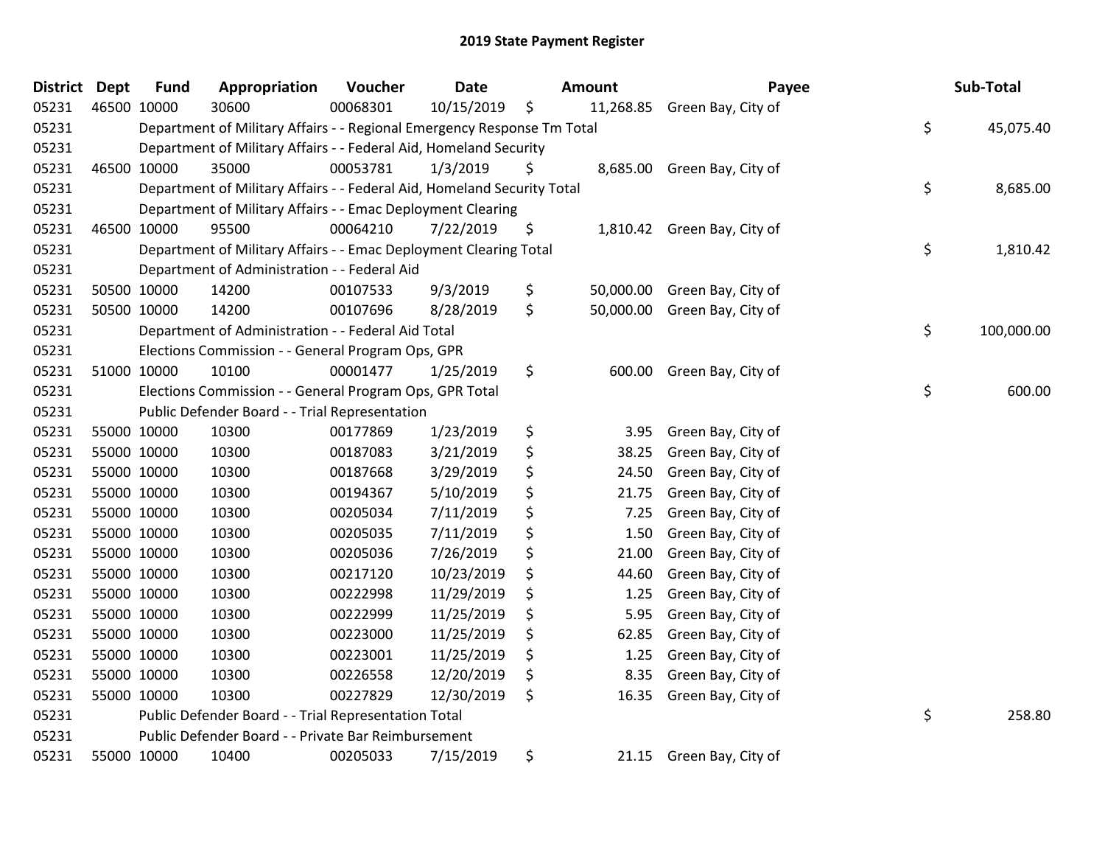## 2019 State Payment Register

| District | <b>Dept</b> | <b>Fund</b>                                             | Appropriation                                                           | Voucher  | <b>Date</b> |    | <b>Amount</b> | Payee                        |    | Sub-Total  |
|----------|-------------|---------------------------------------------------------|-------------------------------------------------------------------------|----------|-------------|----|---------------|------------------------------|----|------------|
| 05231    |             | 46500 10000                                             | 30600                                                                   | 00068301 | 10/15/2019  | \$ |               | 11,268.85 Green Bay, City of |    |            |
| 05231    |             |                                                         | Department of Military Affairs - - Regional Emergency Response Tm Total |          |             |    |               |                              | \$ | 45,075.40  |
| 05231    |             |                                                         | Department of Military Affairs - - Federal Aid, Homeland Security       |          |             |    |               |                              |    |            |
| 05231    |             | 46500 10000                                             | 35000                                                                   | 00053781 | 1/3/2019    | \$ |               | 8,685.00 Green Bay, City of  |    |            |
| 05231    |             |                                                         | Department of Military Affairs - - Federal Aid, Homeland Security Total |          |             |    |               |                              | \$ | 8,685.00   |
| 05231    |             |                                                         | Department of Military Affairs - - Emac Deployment Clearing             |          |             |    |               |                              |    |            |
| 05231    |             | 46500 10000                                             | 95500                                                                   | 00064210 | 7/22/2019   | \$ | 1,810.42      | Green Bay, City of           |    |            |
| 05231    |             |                                                         | Department of Military Affairs - - Emac Deployment Clearing Total       |          |             |    |               |                              | \$ | 1,810.42   |
| 05231    |             |                                                         | Department of Administration - - Federal Aid                            |          |             |    |               |                              |    |            |
| 05231    |             | 50500 10000                                             | 14200                                                                   | 00107533 | 9/3/2019    | \$ | 50,000.00     | Green Bay, City of           |    |            |
| 05231    |             | 50500 10000                                             | 14200                                                                   | 00107696 | 8/28/2019   | \$ |               | 50,000.00 Green Bay, City of |    |            |
| 05231    |             |                                                         | Department of Administration - - Federal Aid Total                      |          |             |    |               |                              | \$ | 100,000.00 |
| 05231    |             |                                                         | Elections Commission - - General Program Ops, GPR                       |          |             |    |               |                              |    |            |
| 05231    |             | 51000 10000                                             | 10100                                                                   | 00001477 | 1/25/2019   | \$ | 600.00        | Green Bay, City of           |    |            |
| 05231    |             | Elections Commission - - General Program Ops, GPR Total |                                                                         |          |             |    |               |                              |    | 600.00     |
| 05231    |             | Public Defender Board - - Trial Representation          |                                                                         |          |             |    |               |                              |    |            |
| 05231    |             | 55000 10000                                             | 10300                                                                   | 00177869 | 1/23/2019   | \$ | 3.95          | Green Bay, City of           |    |            |
| 05231    |             | 55000 10000                                             | 10300                                                                   | 00187083 | 3/21/2019   | \$ | 38.25         | Green Bay, City of           |    |            |
| 05231    |             | 55000 10000                                             | 10300                                                                   | 00187668 | 3/29/2019   | \$ | 24.50         | Green Bay, City of           |    |            |
| 05231    |             | 55000 10000                                             | 10300                                                                   | 00194367 | 5/10/2019   | \$ | 21.75         | Green Bay, City of           |    |            |
| 05231    |             | 55000 10000                                             | 10300                                                                   | 00205034 | 7/11/2019   | \$ | 7.25          | Green Bay, City of           |    |            |
| 05231    |             | 55000 10000                                             | 10300                                                                   | 00205035 | 7/11/2019   | \$ | 1.50          | Green Bay, City of           |    |            |
| 05231    |             | 55000 10000                                             | 10300                                                                   | 00205036 | 7/26/2019   | \$ | 21.00         | Green Bay, City of           |    |            |
| 05231    |             | 55000 10000                                             | 10300                                                                   | 00217120 | 10/23/2019  | \$ | 44.60         | Green Bay, City of           |    |            |
| 05231    |             | 55000 10000                                             | 10300                                                                   | 00222998 | 11/29/2019  | \$ | 1.25          | Green Bay, City of           |    |            |
| 05231    |             | 55000 10000                                             | 10300                                                                   | 00222999 | 11/25/2019  | \$ | 5.95          | Green Bay, City of           |    |            |
| 05231    |             | 55000 10000                                             | 10300                                                                   | 00223000 | 11/25/2019  | \$ | 62.85         | Green Bay, City of           |    |            |
| 05231    |             | 55000 10000                                             | 10300                                                                   | 00223001 | 11/25/2019  | \$ | 1.25          | Green Bay, City of           |    |            |
| 05231    |             | 55000 10000                                             | 10300                                                                   | 00226558 | 12/20/2019  | \$ | 8.35          | Green Bay, City of           |    |            |
| 05231    |             | 55000 10000                                             | 10300                                                                   | 00227829 | 12/30/2019  | \$ | 16.35         | Green Bay, City of           |    |            |
| 05231    |             | Public Defender Board - - Trial Representation Total    |                                                                         |          |             |    |               |                              |    | 258.80     |
| 05231    |             |                                                         | Public Defender Board - - Private Bar Reimbursement                     |          |             |    |               |                              |    |            |
| 05231    |             | 55000 10000                                             | 10400                                                                   | 00205033 | 7/15/2019   | \$ | 21.15         | Green Bay, City of           |    |            |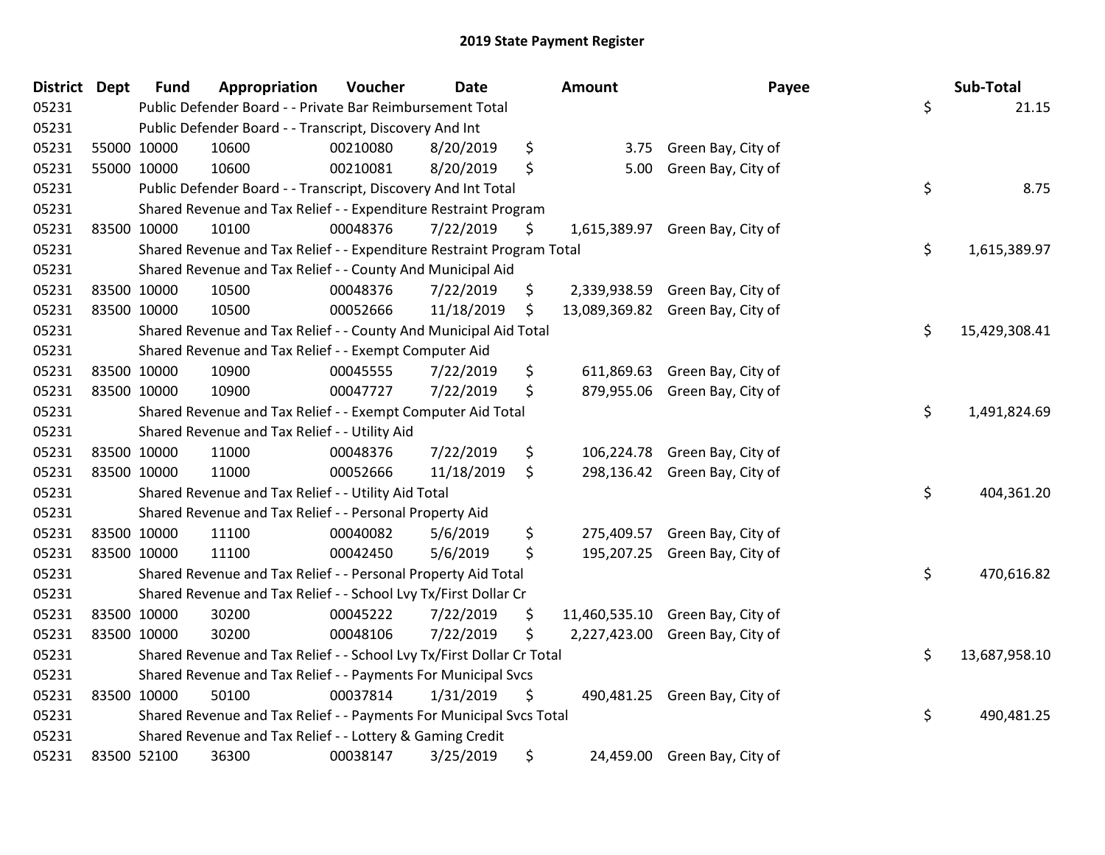## 2019 State Payment Register

| <b>District Dept</b> |             | <b>Fund</b>                                                   | Appropriation                                                         | Voucher  | <b>Date</b> |    | <b>Amount</b> | Payee                            |    | Sub-Total     |
|----------------------|-------------|---------------------------------------------------------------|-----------------------------------------------------------------------|----------|-------------|----|---------------|----------------------------------|----|---------------|
| 05231                |             | Public Defender Board - - Private Bar Reimbursement Total     |                                                                       |          |             |    |               |                                  | \$ | 21.15         |
| 05231                |             | Public Defender Board - - Transcript, Discovery And Int       |                                                                       |          |             |    |               |                                  |    |               |
| 05231                |             | 55000 10000                                                   | 10600                                                                 | 00210080 | 8/20/2019   | \$ |               | 3.75 Green Bay, City of          |    |               |
| 05231                |             | 55000 10000                                                   | 10600                                                                 | 00210081 | 8/20/2019   | \$ | 5.00          | Green Bay, City of               |    |               |
| 05231                |             |                                                               | Public Defender Board - - Transcript, Discovery And Int Total         |          |             |    |               |                                  | \$ | 8.75          |
| 05231                |             |                                                               | Shared Revenue and Tax Relief - - Expenditure Restraint Program       |          |             |    |               |                                  |    |               |
| 05231                |             | 83500 10000                                                   | 10100                                                                 | 00048376 | 7/22/2019   | \$ |               | 1,615,389.97 Green Bay, City of  |    |               |
| 05231                |             |                                                               | Shared Revenue and Tax Relief - - Expenditure Restraint Program Total |          |             |    |               |                                  | \$ | 1,615,389.97  |
| 05231                |             |                                                               | Shared Revenue and Tax Relief - - County And Municipal Aid            |          |             |    |               |                                  |    |               |
| 05231                |             | 83500 10000                                                   | 10500                                                                 | 00048376 | 7/22/2019   | \$ | 2,339,938.59  | Green Bay, City of               |    |               |
| 05231                |             | 83500 10000                                                   | 10500                                                                 | 00052666 | 11/18/2019  | \$ |               | 13,089,369.82 Green Bay, City of |    |               |
| 05231                |             |                                                               | Shared Revenue and Tax Relief - - County And Municipal Aid Total      |          |             |    |               |                                  | \$ | 15,429,308.41 |
| 05231                |             |                                                               | Shared Revenue and Tax Relief - - Exempt Computer Aid                 |          |             |    |               |                                  |    |               |
| 05231                |             | 83500 10000                                                   | 10900                                                                 | 00045555 | 7/22/2019   | \$ |               | 611,869.63 Green Bay, City of    |    |               |
| 05231                |             | 83500 10000                                                   | 10900                                                                 | 00047727 | 7/22/2019   | \$ | 879,955.06    | Green Bay, City of               |    |               |
| 05231                |             |                                                               | Shared Revenue and Tax Relief - - Exempt Computer Aid Total           |          |             |    |               |                                  | \$ | 1,491,824.69  |
| 05231                |             |                                                               | Shared Revenue and Tax Relief - - Utility Aid                         |          |             |    |               |                                  |    |               |
| 05231                |             | 83500 10000                                                   | 11000                                                                 | 00048376 | 7/22/2019   | \$ |               | 106,224.78 Green Bay, City of    |    |               |
| 05231                | 83500 10000 |                                                               | 11000                                                                 | 00052666 | 11/18/2019  | \$ |               | 298,136.42 Green Bay, City of    |    |               |
| 05231                |             | Shared Revenue and Tax Relief - - Utility Aid Total           |                                                                       |          |             |    |               |                                  | \$ | 404,361.20    |
| 05231                |             |                                                               | Shared Revenue and Tax Relief - - Personal Property Aid               |          |             |    |               |                                  |    |               |
| 05231                |             | 83500 10000                                                   | 11100                                                                 | 00040082 | 5/6/2019    | \$ | 275,409.57    | Green Bay, City of               |    |               |
| 05231                | 83500 10000 |                                                               | 11100                                                                 | 00042450 | 5/6/2019    | \$ |               | 195,207.25 Green Bay, City of    |    |               |
| 05231                |             |                                                               | Shared Revenue and Tax Relief - - Personal Property Aid Total         |          |             |    |               |                                  | \$ | 470,616.82    |
| 05231                |             |                                                               | Shared Revenue and Tax Relief - - School Lvy Tx/First Dollar Cr       |          |             |    |               |                                  |    |               |
| 05231                |             | 83500 10000                                                   | 30200                                                                 | 00045222 | 7/22/2019   | \$ | 11,460,535.10 | Green Bay, City of               |    |               |
| 05231                |             | 83500 10000                                                   | 30200                                                                 | 00048106 | 7/22/2019   | \$ | 2,227,423.00  | Green Bay, City of               |    |               |
| 05231                |             |                                                               | Shared Revenue and Tax Relief - - School Lvy Tx/First Dollar Cr Total |          |             |    |               |                                  | \$ | 13,687,958.10 |
| 05231                |             | Shared Revenue and Tax Relief - - Payments For Municipal Svcs |                                                                       |          |             |    |               |                                  |    |               |
| 05231                |             | 83500 10000                                                   | 50100                                                                 | 00037814 | 1/31/2019   | \$ |               | 490,481.25 Green Bay, City of    |    |               |
| 05231                |             |                                                               | Shared Revenue and Tax Relief - - Payments For Municipal Svcs Total   |          |             |    |               |                                  | \$ | 490,481.25    |
| 05231                |             | Shared Revenue and Tax Relief - - Lottery & Gaming Credit     |                                                                       |          |             |    |               |                                  |    |               |
| 05231                |             | 83500 52100                                                   | 36300                                                                 | 00038147 | 3/25/2019   | \$ |               | 24,459.00 Green Bay, City of     |    |               |